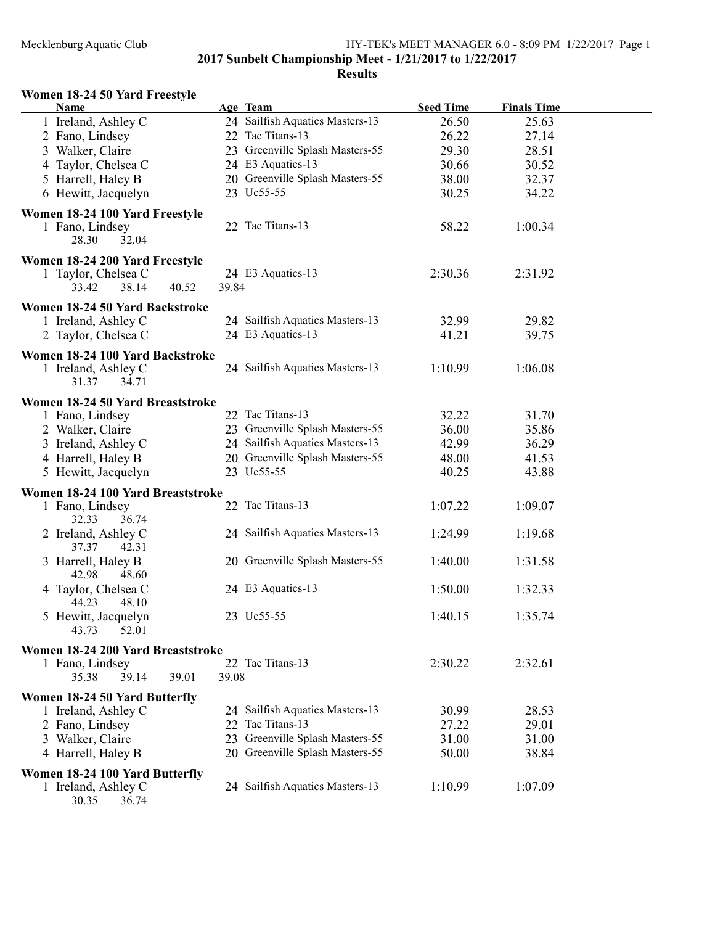# Mecklenburg Aquatic Club HY-TEK's MEET MANAGER 6.0 - 8:09 PM 1/22/2017 Page 1

2017 Sunbelt Championship Meet - 1/21/2017 to 1/22/2017

#### Results

# Women 18-24 50 Yard Freestyle

| Name                                                                     |                | <b>Age Team</b>                 | <b>Seed Time</b> | <b>Finals Time</b> |  |
|--------------------------------------------------------------------------|----------------|---------------------------------|------------------|--------------------|--|
| 1 Ireland, Ashley C                                                      |                | 24 Sailfish Aquatics Masters-13 | 26.50            | 25.63              |  |
| 2 Fano, Lindsey                                                          |                | 22 Tac Titans-13                | 26.22            | 27.14              |  |
| 3 Walker, Claire                                                         |                | 23 Greenville Splash Masters-55 | 29.30            | 28.51              |  |
| 4 Taylor, Chelsea C                                                      |                | 24 E3 Aquatics-13               | 30.66            | 30.52              |  |
| 5 Harrell, Haley B                                                       |                | 20 Greenville Splash Masters-55 | 38.00            | 32.37              |  |
| 6 Hewitt, Jacquelyn                                                      |                | 23 Uc55-55                      | 30.25            | 34.22              |  |
|                                                                          |                |                                 |                  |                    |  |
| Women 18-24 100 Yard Freestyle<br>1 Fano, Lindsey<br>28.30<br>32.04      |                | 22 Tac Titans-13                | 58.22            | 1:00.34            |  |
| Women 18-24 200 Yard Freestyle<br>1 Taylor, Chelsea C<br>38.14<br>33.42  | 39.84<br>40.52 | 24 E3 Aquatics-13               | 2:30.36          | 2:31.92            |  |
| Women 18-24 50 Yard Backstroke                                           |                |                                 |                  |                    |  |
| 1 Ireland, Ashley C                                                      |                | 24 Sailfish Aquatics Masters-13 | 32.99            | 29.82              |  |
| 2 Taylor, Chelsea C                                                      |                | 24 E3 Aquatics-13               | 41.21            | 39.75              |  |
|                                                                          |                |                                 |                  |                    |  |
| Women 18-24 100 Yard Backstroke<br>1 Ireland, Ashley C<br>34.71<br>31.37 |                | 24 Sailfish Aquatics Masters-13 | 1:10.99          | 1:06.08            |  |
| Women 18-24 50 Yard Breaststroke                                         |                |                                 |                  |                    |  |
| 1 Fano, Lindsey                                                          |                | 22 Tac Titans-13                | 32.22            | 31.70              |  |
| 2 Walker, Claire                                                         |                | 23 Greenville Splash Masters-55 | 36.00            | 35.86              |  |
| 3 Ireland, Ashley C                                                      |                | 24 Sailfish Aquatics Masters-13 | 42.99            | 36.29              |  |
| 4 Harrell, Haley B                                                       |                | 20 Greenville Splash Masters-55 | 48.00            | 41.53              |  |
| 5 Hewitt, Jacquelyn                                                      |                | 23 Uc55-55                      | 40.25            | 43.88              |  |
| Women 18-24 100 Yard Breaststroke                                        |                |                                 |                  |                    |  |
| 1 Fano, Lindsey<br>36.74<br>32.33                                        |                | 22 Tac Titans-13                | 1:07.22          | 1:09.07            |  |
| 2 Ireland, Ashley C<br>37.37<br>42.31                                    |                | 24 Sailfish Aquatics Masters-13 | 1:24.99          | 1:19.68            |  |
| 3 Harrell, Haley B<br>42.98<br>48.60                                     |                | 20 Greenville Splash Masters-55 | 1:40.00          | 1:31.58            |  |
| 4 Taylor, Chelsea C<br>44.23<br>48.10                                    |                | 24 E3 Aquatics-13               | 1:50.00          | 1:32.33            |  |
| 5 Hewitt, Jacquelyn<br>52.01<br>43.73                                    |                | 23 Uc55-55                      | 1:40.15          | 1:35.74            |  |
| Women 18-24 200 Yard Breaststroke                                        |                |                                 |                  |                    |  |
| 1 Fano, Lindsey                                                          |                | 22 Tac Titans-13                | 2:30.22          | 2:32.61            |  |
| 35.38<br>39.14                                                           | 39.08<br>39.01 |                                 |                  |                    |  |
| Women 18-24 50 Yard Butterfly                                            |                |                                 |                  |                    |  |
| 1 Ireland, Ashley C                                                      |                | 24 Sailfish Aquatics Masters-13 | 30.99            | 28.53              |  |
| 2 Fano, Lindsey                                                          | 22             | Tac Titans-13                   | 27.22            | 29.01              |  |
| 3 Walker, Claire                                                         | 23             | Greenville Splash Masters-55    | 31.00            | 31.00              |  |
| 4 Harrell, Haley B                                                       |                | 20 Greenville Splash Masters-55 | 50.00            | 38.84              |  |
|                                                                          |                |                                 |                  |                    |  |
| Women 18-24 100 Yard Butterfly                                           |                |                                 |                  |                    |  |
| 1 Ireland, Ashley C<br>30.35<br>36.74                                    |                | 24 Sailfish Aquatics Masters-13 | 1:10.99          | 1:07.09            |  |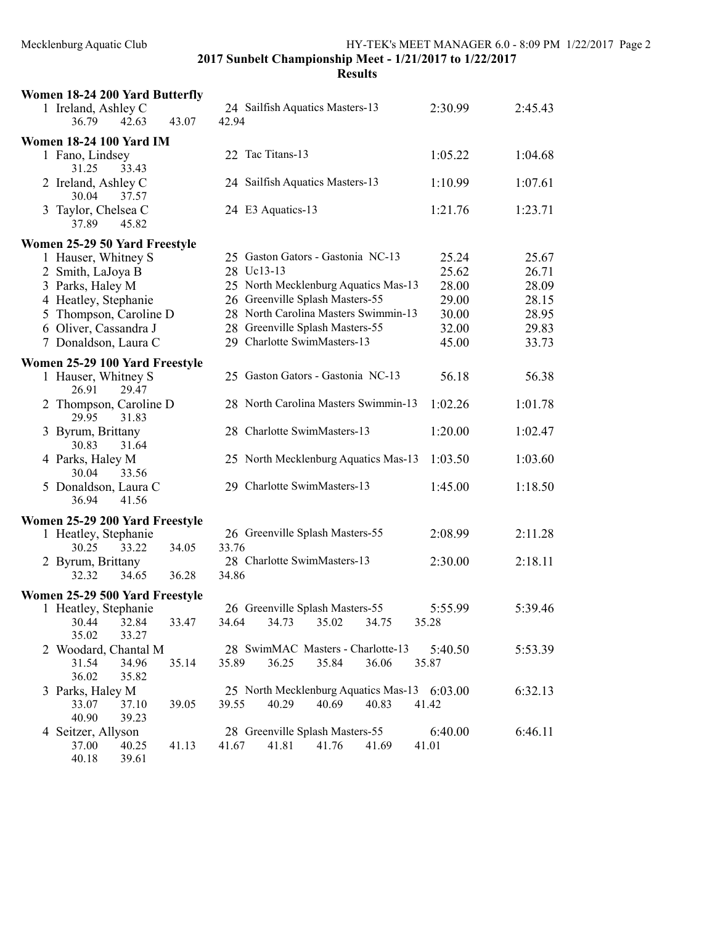| Women 18-24 200 Yard Butterfly              |                                                                                  |         |         |
|---------------------------------------------|----------------------------------------------------------------------------------|---------|---------|
| 1 Ireland, Ashley C                         | 24 Sailfish Aquatics Masters-13                                                  | 2:30.99 | 2:45.43 |
| 43.07<br>36.79<br>42.63                     | 42.94                                                                            |         |         |
| <b>Women 18-24 100 Yard IM</b>              |                                                                                  |         |         |
| 1 Fano, Lindsey                             | 22 Tac Titans-13                                                                 | 1:05.22 | 1:04.68 |
| 31.25<br>33.43                              |                                                                                  |         |         |
| 2 Ireland, Ashley C                         | 24 Sailfish Aquatics Masters-13                                                  | 1:10.99 | 1:07.61 |
| 30.04<br>37.57                              |                                                                                  |         |         |
| 3 Taylor, Chelsea C<br>37.89<br>45.82       | 24 E3 Aquatics-13                                                                | 1:21.76 | 1:23.71 |
| Women 25-29 50 Yard Freestyle               |                                                                                  |         |         |
| 1 Hauser, Whitney S                         | 25 Gaston Gators - Gastonia NC-13                                                | 25.24   | 25.67   |
| 2 Smith, LaJoya B                           | 28 Uc13-13                                                                       | 25.62   | 26.71   |
| 3 Parks, Haley M                            | 25 North Mecklenburg Aquatics Mas-13                                             | 28.00   | 28.09   |
| 4 Heatley, Stephanie                        | 26 Greenville Splash Masters-55                                                  | 29.00   | 28.15   |
| 5 Thompson, Caroline D                      | 28 North Carolina Masters Swimmin-13                                             | 30.00   | 28.95   |
| 6 Oliver, Cassandra J                       | 28 Greenville Splash Masters-55                                                  | 32.00   | 29.83   |
| 7 Donaldson, Laura C                        | 29 Charlotte SwimMasters-13                                                      | 45.00   | 33.73   |
| Women 25-29 100 Yard Freestyle              |                                                                                  |         |         |
| 1 Hauser, Whitney S<br>26.91<br>29.47       | 25 Gaston Gators - Gastonia NC-13                                                | 56.18   | 56.38   |
| 2 Thompson, Caroline D<br>29.95<br>31.83    | 28 North Carolina Masters Swimmin-13                                             | 1:02.26 | 1:01.78 |
| 3 Byrum, Brittany<br>30.83<br>31.64         | 28 Charlotte SwimMasters-13                                                      | 1:20.00 | 1:02.47 |
| 4 Parks, Haley M<br>30.04<br>33.56          | 25 North Mecklenburg Aquatics Mas-13                                             | 1:03.50 | 1:03.60 |
| 5 Donaldson, Laura C<br>36.94<br>41.56      | 29 Charlotte SwimMasters-13                                                      | 1:45.00 | 1:18.50 |
| Women 25-29 200 Yard Freestyle              |                                                                                  |         |         |
| 1 Heatley, Stephanie                        | 26 Greenville Splash Masters-55                                                  | 2:08.99 | 2:11.28 |
| 33.22<br>30.25<br>34.05                     | 33.76                                                                            |         |         |
| 2 Byrum, Brittany                           | 28 Charlotte SwimMasters-13                                                      | 2:30.00 | 2:18.11 |
| 32.32<br>36.28<br>34.65                     | 34.86                                                                            |         |         |
| Women 25-29 500 Yard Freestyle              |                                                                                  |         |         |
| 1 Heatley, Stephanie                        | 26 Greenville Splash Masters-55                                                  | 5:55.99 | 5:39.46 |
| 33.47<br>30.44<br>32.84                     | 34.64<br>34.73<br>35.02<br>34.75                                                 | 35.28   |         |
| 35.02<br>33.27                              |                                                                                  |         |         |
| 2 Woodard, Chantal M                        | 28 SwimMAC Masters - Charlotte-13                                                | 5:40.50 | 5:53.39 |
| 31.54<br>34.96<br>35.14                     | 35.89<br>36.25<br>35.84<br>36.06                                                 | 35.87   |         |
| 36.02<br>35.82                              |                                                                                  |         |         |
| 3 Parks, Haley M<br>33.07<br>37.10<br>39.05 | 25 North Mecklenburg Aquatics Mas-13 6:03.00<br>39.55<br>40.29<br>40.69<br>40.83 | 41.42   | 6:32.13 |
| 40.90<br>39.23                              |                                                                                  |         |         |
| 4 Seitzer, Allyson                          | 28 Greenville Splash Masters-55                                                  | 6:40.00 | 6:46.11 |
| 37.00<br>40.25<br>41.13                     | 41.67<br>41.81 41.76<br>41.69                                                    | 41.01   |         |
| 40.18<br>39.61                              |                                                                                  |         |         |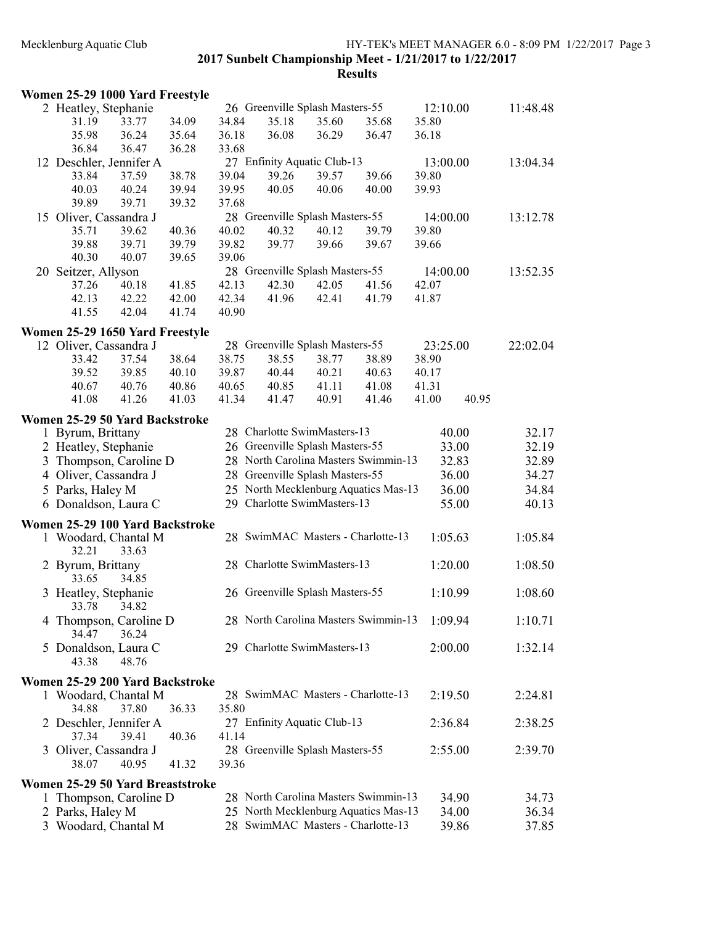#### Mecklenburg Aquatic Club HY-TEK's MEET MANAGER 6.0 - 8:09 PM 1/22/2017 Page 3

2017 Sunbelt Championship Meet - 1/21/2017 to 1/22/2017

|              | Women 25-29 1000 Yard Freestyle  |                |       |       |                                 |       |                                      |          |       |          |
|--------------|----------------------------------|----------------|-------|-------|---------------------------------|-------|--------------------------------------|----------|-------|----------|
|              | 2 Heatley, Stephanie             |                |       |       | 26 Greenville Splash Masters-55 |       |                                      | 12:10.00 |       | 11:48.48 |
|              | 31.19                            | 33.77          | 34.09 | 34.84 | 35.18                           | 35.60 | 35.68                                | 35.80    |       |          |
|              | 35.98                            | 36.24          | 35.64 | 36.18 | 36.08                           | 36.29 | 36.47                                | 36.18    |       |          |
|              | 36.84                            | 36.47          | 36.28 | 33.68 |                                 |       |                                      |          |       |          |
|              | 12 Deschler, Jennifer A          |                |       |       | 27 Enfinity Aquatic Club-13     |       |                                      | 13:00.00 |       | 13:04.34 |
|              | 33.84                            | 37.59          | 38.78 | 39.04 | 39.26                           | 39.57 | 39.66                                | 39.80    |       |          |
|              | 40.03                            | 40.24          | 39.94 | 39.95 | 40.05                           | 40.06 | 40.00                                | 39.93    |       |          |
|              | 39.89                            | 39.71          | 39.32 | 37.68 |                                 |       |                                      |          |       |          |
|              | 15 Oliver, Cassandra J           |                |       |       | 28 Greenville Splash Masters-55 |       |                                      | 14:00.00 |       | 13:12.78 |
|              | 35.71                            | 39.62          | 40.36 | 40.02 | 40.32                           | 40.12 | 39.79                                | 39.80    |       |          |
|              | 39.88                            | 39.71          | 39.79 | 39.82 | 39.77                           | 39.66 | 39.67                                | 39.66    |       |          |
|              | 40.30                            | 40.07          | 39.65 | 39.06 |                                 |       |                                      |          |       |          |
|              | 20 Seitzer, Allyson              |                |       |       | 28 Greenville Splash Masters-55 |       |                                      | 14:00.00 |       | 13:52.35 |
|              | 37.26                            | 40.18          | 41.85 | 42.13 | 42.30                           | 42.05 | 41.56                                | 42.07    |       |          |
|              |                                  |                |       |       |                                 |       |                                      |          |       |          |
|              | 42.13                            | 42.22<br>42.04 | 42.00 | 42.34 | 41.96                           | 42.41 | 41.79                                | 41.87    |       |          |
|              | 41.55                            |                | 41.74 | 40.90 |                                 |       |                                      |          |       |          |
|              | Women 25-29 1650 Yard Freestyle  |                |       |       |                                 |       |                                      |          |       |          |
|              | 12 Oliver, Cassandra J           |                |       |       | 28 Greenville Splash Masters-55 |       |                                      | 23:25.00 |       | 22:02.04 |
|              | 33.42                            | 37.54          | 38.64 | 38.75 | 38.55                           | 38.77 | 38.89                                | 38.90    |       |          |
|              | 39.52                            | 39.85          | 40.10 | 39.87 | 40.44                           | 40.21 | 40.63                                | 40.17    |       |          |
|              | 40.67                            | 40.76          | 40.86 | 40.65 | 40.85                           | 41.11 | 41.08                                | 41.31    |       |          |
|              | 41.08                            | 41.26          | 41.03 | 41.34 | 41.47                           | 40.91 | 41.46                                | 41.00    | 40.95 |          |
|              |                                  |                |       |       |                                 |       |                                      |          |       |          |
|              | Women 25-29 50 Yard Backstroke   |                |       |       |                                 |       |                                      |          |       |          |
|              | 1 Byrum, Brittany                |                |       |       | 28 Charlotte SwimMasters-13     |       |                                      | 40.00    |       | 32.17    |
|              | 2 Heatley, Stephanie             |                |       |       | 26 Greenville Splash Masters-55 |       |                                      | 33.00    |       | 32.19    |
| 3            | Thompson, Caroline D             |                |       |       |                                 |       | 28 North Carolina Masters Swimmin-13 | 32.83    |       | 32.89    |
|              | 4 Oliver, Cassandra J            |                |       |       | 28 Greenville Splash Masters-55 |       |                                      | 36.00    |       | 34.27    |
|              | 5 Parks, Haley M                 |                |       |       |                                 |       | 25 North Mecklenburg Aquatics Mas-13 | 36.00    |       | 34.84    |
|              | 6 Donaldson, Laura C             |                |       |       | 29 Charlotte SwimMasters-13     |       |                                      | 55.00    |       | 40.13    |
|              |                                  |                |       |       |                                 |       |                                      |          |       |          |
|              | Women 25-29 100 Yard Backstroke  |                |       |       |                                 |       |                                      |          |       |          |
|              | 1 Woodard, Chantal M<br>32.21    | 33.63          |       |       |                                 |       | 28 SwimMAC Masters - Charlotte-13    | 1:05.63  |       | 1:05.84  |
|              | 2 Byrum, Brittany<br>33.65       | 34.85          |       |       | 28 Charlotte SwimMasters-13     |       |                                      | 1:20.00  |       | 1:08.50  |
|              | 3 Heatley, Stephanie<br>33.78    | 34.82          |       |       | 26 Greenville Splash Masters-55 |       |                                      | 1:10.99  |       | 1:08.60  |
|              | 4 Thompson, Caroline D<br>34.47  | 36.24          |       |       |                                 |       | 28 North Carolina Masters Swimmin-13 | 1:09.94  |       | 1:10.71  |
|              | 5 Donaldson, Laura C<br>43.38    | 48.76          |       |       | 29 Charlotte SwimMasters-13     |       |                                      | 2:00.00  |       | 1:32.14  |
|              | Women 25-29 200 Yard Backstroke  |                |       |       |                                 |       |                                      |          |       |          |
|              | 1 Woodard, Chantal M             |                |       |       |                                 |       | 28 SwimMAC Masters - Charlotte-13    | 2:19.50  |       | 2:24.81  |
|              | 34.88                            | 37.80          | 36.33 | 35.80 |                                 |       |                                      |          |       |          |
|              | 2 Deschler, Jennifer A<br>37.34  | 39.41          | 40.36 | 41.14 | 27 Enfinity Aquatic Club-13     |       |                                      | 2:36.84  |       | 2:38.25  |
|              | 3 Oliver, Cassandra J            |                |       |       | 28 Greenville Splash Masters-55 |       |                                      | 2:55.00  |       | 2:39.70  |
|              | 38.07                            | 40.95          | 41.32 | 39.36 |                                 |       |                                      |          |       |          |
|              | Women 25-29 50 Yard Breaststroke |                |       |       |                                 |       |                                      |          |       |          |
| $\mathbf{I}$ | Thompson, Caroline D             |                |       |       |                                 |       | 28 North Carolina Masters Swimmin-13 | 34.90    |       | 34.73    |
|              | 2 Parks, Haley M                 |                |       |       |                                 |       | 25 North Mecklenburg Aquatics Mas-13 | 34.00    |       | 36.34    |
|              | 3 Woodard, Chantal M             |                |       |       |                                 |       | 28 SwimMAC Masters - Charlotte-13    | 39.86    |       | 37.85    |
|              |                                  |                |       |       |                                 |       |                                      |          |       |          |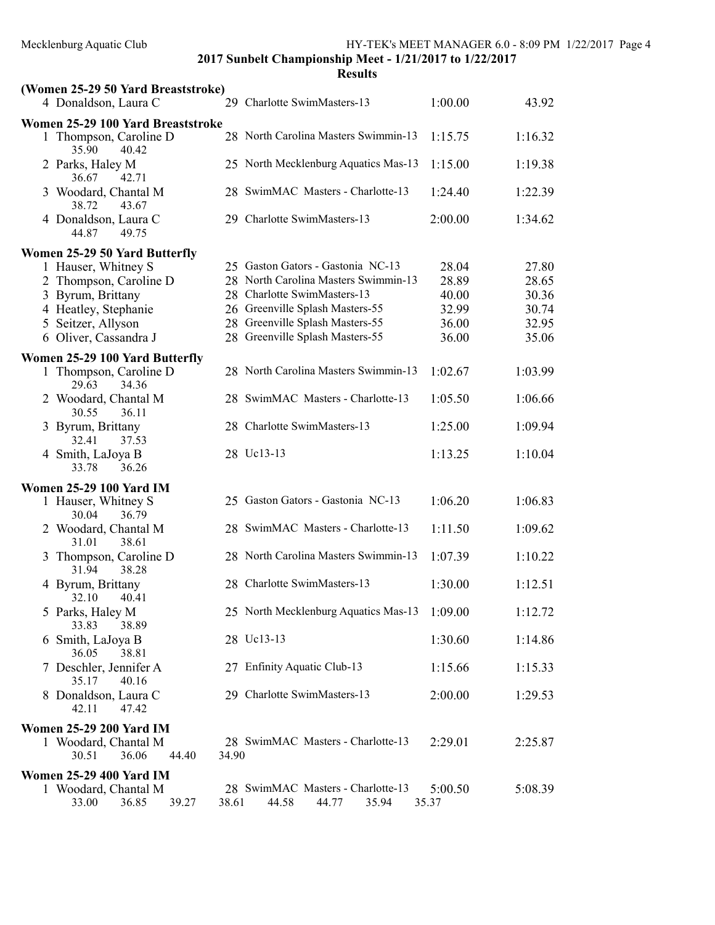| (Women 25-29 50 Yard Breaststroke)              |       |                                                              |                  |         |
|-------------------------------------------------|-------|--------------------------------------------------------------|------------------|---------|
| 4 Donaldson, Laura C                            |       | 29 Charlotte SwimMasters-13                                  | 1:00.00          | 43.92   |
| Women 25-29 100 Yard Breaststroke               |       |                                                              |                  |         |
| 1 Thompson, Caroline D<br>35.90<br>40.42        |       | 28 North Carolina Masters Swimmin-13                         | 1:15.75          | 1:16.32 |
| 2 Parks, Haley M<br>36.67<br>42.71              |       | 25 North Mecklenburg Aquatics Mas-13                         | 1:15.00          | 1:19.38 |
| 3 Woodard, Chantal M<br>38.72<br>43.67          |       | 28 SwimMAC Masters - Charlotte-13                            | 1:24.40          | 1:22.39 |
| 4 Donaldson, Laura C<br>44.87<br>49.75          |       | 29 Charlotte SwimMasters-13                                  | 2:00.00          | 1:34.62 |
| Women 25-29 50 Yard Butterfly                   |       |                                                              |                  |         |
| 1 Hauser, Whitney S                             |       | 25 Gaston Gators - Gastonia NC-13                            | 28.04            | 27.80   |
| 2 Thompson, Caroline D                          |       | 28 North Carolina Masters Swimmin-13                         | 28.89            | 28.65   |
| 3 Byrum, Brittany                               |       | 28 Charlotte SwimMasters-13                                  | 40.00            | 30.36   |
| 4 Heatley, Stephanie                            |       | 26 Greenville Splash Masters-55                              | 32.99            | 30.74   |
| Seitzer, Allyson<br>5                           |       | 28 Greenville Splash Masters-55                              | 36.00            | 32.95   |
| 6 Oliver, Cassandra J                           |       | 28 Greenville Splash Masters-55                              | 36.00            | 35.06   |
| Women 25-29 100 Yard Butterfly                  |       |                                                              |                  |         |
| 1 Thompson, Caroline D<br>29.63<br>34.36        |       | 28 North Carolina Masters Swimmin-13                         | 1:02.67          | 1:03.99 |
| 2 Woodard, Chantal M<br>30.55<br>36.11          |       | 28 SwimMAC Masters - Charlotte-13                            | 1:05.50          | 1:06.66 |
| 3 Byrum, Brittany<br>32.41<br>37.53             |       | 28 Charlotte SwimMasters-13                                  | 1:25.00          | 1:09.94 |
| 4 Smith, LaJoya B<br>36.26<br>33.78             |       | 28 Uc13-13                                                   | 1:13.25          | 1:10.04 |
| <b>Women 25-29 100 Yard IM</b>                  |       |                                                              |                  |         |
| 1 Hauser, Whitney S<br>30.04<br>36.79           |       | 25 Gaston Gators - Gastonia NC-13                            | 1:06.20          | 1:06.83 |
| 2 Woodard, Chantal M<br>38.61<br>31.01          |       | 28 SwimMAC Masters - Charlotte-13                            | 1:11.50          | 1:09.62 |
| 3 Thompson, Caroline D<br>38.28<br>31.94        |       | 28 North Carolina Masters Swimmin-13                         | 1:07.39          | 1:10.22 |
| 4 Byrum, Brittany<br>32.10<br>40.41             |       | 28 Charlotte SwimMasters-13                                  | 1:30.00          | 1:12.51 |
| 5 Parks, Haley M<br>33.83<br>38.89              |       | 25 North Mecklenburg Aquatics Mas-13 1:09.00                 |                  | 1:12.72 |
| 6 Smith, LaJoya B<br>38.81<br>36.05             |       | 28 Uc13-13                                                   | 1:30.60          | 1:14.86 |
| 7 Deschler, Jennifer A<br>35.17<br>40.16        |       | 27 Enfinity Aquatic Club-13                                  | 1:15.66          | 1:15.33 |
| 8 Donaldson, Laura C<br>42.11<br>47.42          |       | 29 Charlotte SwimMasters-13                                  | 2:00.00          | 1:29.53 |
| <b>Women 25-29 200 Yard IM</b>                  |       |                                                              |                  |         |
| 1 Woodard, Chantal M<br>36.06<br>30.51<br>44.40 | 34.90 | 28 SwimMAC Masters - Charlotte-13                            | 2:29.01          | 2:25.87 |
| <b>Women 25-29 400 Yard IM</b>                  |       |                                                              |                  |         |
| 1 Woodard, Chantal M<br>33.00<br>36.85<br>39.27 | 38.61 | 28 SwimMAC Masters - Charlotte-13<br>44.58<br>44.77<br>35.94 | 5:00.50<br>35.37 | 5:08.39 |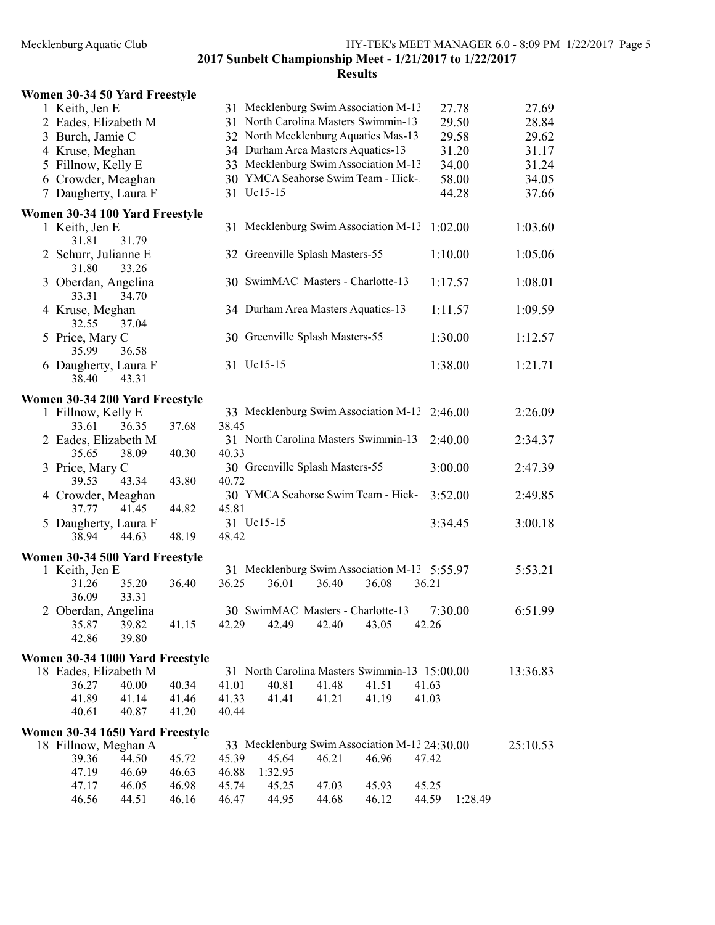|                                                                                                                                           | 27.69<br>27.78                                                                                                                                                                                                                                                                                                                                                                                                                                                                                                                                                                                                                                                                                                                                                                                                                            |
|-------------------------------------------------------------------------------------------------------------------------------------------|-------------------------------------------------------------------------------------------------------------------------------------------------------------------------------------------------------------------------------------------------------------------------------------------------------------------------------------------------------------------------------------------------------------------------------------------------------------------------------------------------------------------------------------------------------------------------------------------------------------------------------------------------------------------------------------------------------------------------------------------------------------------------------------------------------------------------------------------|
|                                                                                                                                           | 29.50<br>28.84                                                                                                                                                                                                                                                                                                                                                                                                                                                                                                                                                                                                                                                                                                                                                                                                                            |
| 32 North Mecklenburg Aquatics Mas-13                                                                                                      | 29.58<br>29.62                                                                                                                                                                                                                                                                                                                                                                                                                                                                                                                                                                                                                                                                                                                                                                                                                            |
| 34 Durham Area Masters Aquatics-13                                                                                                        | 31.20<br>31.17                                                                                                                                                                                                                                                                                                                                                                                                                                                                                                                                                                                                                                                                                                                                                                                                                            |
| 33 Mecklenburg Swim Association M-13                                                                                                      | 31.24<br>34.00                                                                                                                                                                                                                                                                                                                                                                                                                                                                                                                                                                                                                                                                                                                                                                                                                            |
| 30 YMCA Seahorse Swim Team - Hick-1                                                                                                       | 58.00<br>34.05                                                                                                                                                                                                                                                                                                                                                                                                                                                                                                                                                                                                                                                                                                                                                                                                                            |
| 31 Uc15-15                                                                                                                                | 44.28<br>37.66                                                                                                                                                                                                                                                                                                                                                                                                                                                                                                                                                                                                                                                                                                                                                                                                                            |
|                                                                                                                                           |                                                                                                                                                                                                                                                                                                                                                                                                                                                                                                                                                                                                                                                                                                                                                                                                                                           |
| 31 Mecklenburg Swim Association M-13                                                                                                      | 1:02.00<br>1:03.60                                                                                                                                                                                                                                                                                                                                                                                                                                                                                                                                                                                                                                                                                                                                                                                                                        |
| 32 Greenville Splash Masters-55                                                                                                           | 1:10.00<br>1:05.06                                                                                                                                                                                                                                                                                                                                                                                                                                                                                                                                                                                                                                                                                                                                                                                                                        |
| 30 SwimMAC Masters - Charlotte-13                                                                                                         | 1:17.57<br>1:08.01                                                                                                                                                                                                                                                                                                                                                                                                                                                                                                                                                                                                                                                                                                                                                                                                                        |
| 34 Durham Area Masters Aquatics-13                                                                                                        | 1:09.59<br>1:11.57                                                                                                                                                                                                                                                                                                                                                                                                                                                                                                                                                                                                                                                                                                                                                                                                                        |
| 30 Greenville Splash Masters-55                                                                                                           | 1:30.00<br>1:12.57                                                                                                                                                                                                                                                                                                                                                                                                                                                                                                                                                                                                                                                                                                                                                                                                                        |
| 31 Uc15-15                                                                                                                                | 1:38.00<br>1:21.71                                                                                                                                                                                                                                                                                                                                                                                                                                                                                                                                                                                                                                                                                                                                                                                                                        |
|                                                                                                                                           |                                                                                                                                                                                                                                                                                                                                                                                                                                                                                                                                                                                                                                                                                                                                                                                                                                           |
|                                                                                                                                           | 2:26.09<br>2:46.00                                                                                                                                                                                                                                                                                                                                                                                                                                                                                                                                                                                                                                                                                                                                                                                                                        |
|                                                                                                                                           |                                                                                                                                                                                                                                                                                                                                                                                                                                                                                                                                                                                                                                                                                                                                                                                                                                           |
|                                                                                                                                           | 2:40.00<br>2:34.37                                                                                                                                                                                                                                                                                                                                                                                                                                                                                                                                                                                                                                                                                                                                                                                                                        |
|                                                                                                                                           |                                                                                                                                                                                                                                                                                                                                                                                                                                                                                                                                                                                                                                                                                                                                                                                                                                           |
|                                                                                                                                           | 3:00.00<br>2:47.39                                                                                                                                                                                                                                                                                                                                                                                                                                                                                                                                                                                                                                                                                                                                                                                                                        |
|                                                                                                                                           |                                                                                                                                                                                                                                                                                                                                                                                                                                                                                                                                                                                                                                                                                                                                                                                                                                           |
|                                                                                                                                           | 3:52.00<br>2:49.85                                                                                                                                                                                                                                                                                                                                                                                                                                                                                                                                                                                                                                                                                                                                                                                                                        |
|                                                                                                                                           |                                                                                                                                                                                                                                                                                                                                                                                                                                                                                                                                                                                                                                                                                                                                                                                                                                           |
| 31 Uc15-15                                                                                                                                | 3:34.45<br>3:00.18                                                                                                                                                                                                                                                                                                                                                                                                                                                                                                                                                                                                                                                                                                                                                                                                                        |
| 48.42                                                                                                                                     |                                                                                                                                                                                                                                                                                                                                                                                                                                                                                                                                                                                                                                                                                                                                                                                                                                           |
|                                                                                                                                           |                                                                                                                                                                                                                                                                                                                                                                                                                                                                                                                                                                                                                                                                                                                                                                                                                                           |
| 31 Mecklenburg Swim Association M-13 5:55.97                                                                                              | 5:53.21                                                                                                                                                                                                                                                                                                                                                                                                                                                                                                                                                                                                                                                                                                                                                                                                                                   |
| 36.25<br>36.01<br>36.08                                                                                                                   | 36.21                                                                                                                                                                                                                                                                                                                                                                                                                                                                                                                                                                                                                                                                                                                                                                                                                                     |
|                                                                                                                                           |                                                                                                                                                                                                                                                                                                                                                                                                                                                                                                                                                                                                                                                                                                                                                                                                                                           |
|                                                                                                                                           | 6:51.99<br>7:30.00                                                                                                                                                                                                                                                                                                                                                                                                                                                                                                                                                                                                                                                                                                                                                                                                                        |
|                                                                                                                                           | 42.26                                                                                                                                                                                                                                                                                                                                                                                                                                                                                                                                                                                                                                                                                                                                                                                                                                     |
|                                                                                                                                           |                                                                                                                                                                                                                                                                                                                                                                                                                                                                                                                                                                                                                                                                                                                                                                                                                                           |
|                                                                                                                                           |                                                                                                                                                                                                                                                                                                                                                                                                                                                                                                                                                                                                                                                                                                                                                                                                                                           |
|                                                                                                                                           | 13:36.83                                                                                                                                                                                                                                                                                                                                                                                                                                                                                                                                                                                                                                                                                                                                                                                                                                  |
|                                                                                                                                           |                                                                                                                                                                                                                                                                                                                                                                                                                                                                                                                                                                                                                                                                                                                                                                                                                                           |
|                                                                                                                                           |                                                                                                                                                                                                                                                                                                                                                                                                                                                                                                                                                                                                                                                                                                                                                                                                                                           |
|                                                                                                                                           |                                                                                                                                                                                                                                                                                                                                                                                                                                                                                                                                                                                                                                                                                                                                                                                                                                           |
|                                                                                                                                           | 25:10.53                                                                                                                                                                                                                                                                                                                                                                                                                                                                                                                                                                                                                                                                                                                                                                                                                                  |
|                                                                                                                                           | 47.42                                                                                                                                                                                                                                                                                                                                                                                                                                                                                                                                                                                                                                                                                                                                                                                                                                     |
|                                                                                                                                           |                                                                                                                                                                                                                                                                                                                                                                                                                                                                                                                                                                                                                                                                                                                                                                                                                                           |
|                                                                                                                                           | 45.25                                                                                                                                                                                                                                                                                                                                                                                                                                                                                                                                                                                                                                                                                                                                                                                                                                     |
| 46.47<br>44.95<br>44.68<br>46.12                                                                                                          | 44.59<br>1:28.49                                                                                                                                                                                                                                                                                                                                                                                                                                                                                                                                                                                                                                                                                                                                                                                                                          |
| Women 30-34 50 Yard Freestyle<br>37.68<br>40.30<br>43.80<br>48.19<br>36.40<br>41.15<br>40.34<br>41.46<br>41.20<br>45.72<br>46.98<br>46.16 | 31 Mecklenburg Swim Association M-13<br>31 North Carolina Masters Swimmin-13<br>Women 30-34 100 Yard Freestyle<br>Women 30-34 200 Yard Freestyle<br>33 Mecklenburg Swim Association M-13<br>38.45<br>31 North Carolina Masters Swimmin-13<br>40.33<br>30 Greenville Splash Masters-55<br>40.72<br>30 YMCA Seahorse Swim Team - Hick-1<br>45.81<br>Women 30-34 500 Yard Freestyle<br>36.40<br>30 SwimMAC Masters - Charlotte-13<br>42.29<br>42.49<br>42.40<br>43.05<br>Women 30-34 1000 Yard Freestyle<br>31 North Carolina Masters Swimmin-13 15:00.00<br>40.81<br>41.48<br>41.51<br>41.01<br>41.63<br>41.33<br>41.41<br>41.19<br>41.21<br>41.03<br>40.44<br>Women 30-34 1650 Yard Freestyle<br>33 Mecklenburg Swim Association M-13 24:30.00<br>46.21<br>46.96<br>45.39<br>45.64<br>46.88<br>1:32.95<br>45.25<br>45.74<br>47.03<br>45.93 |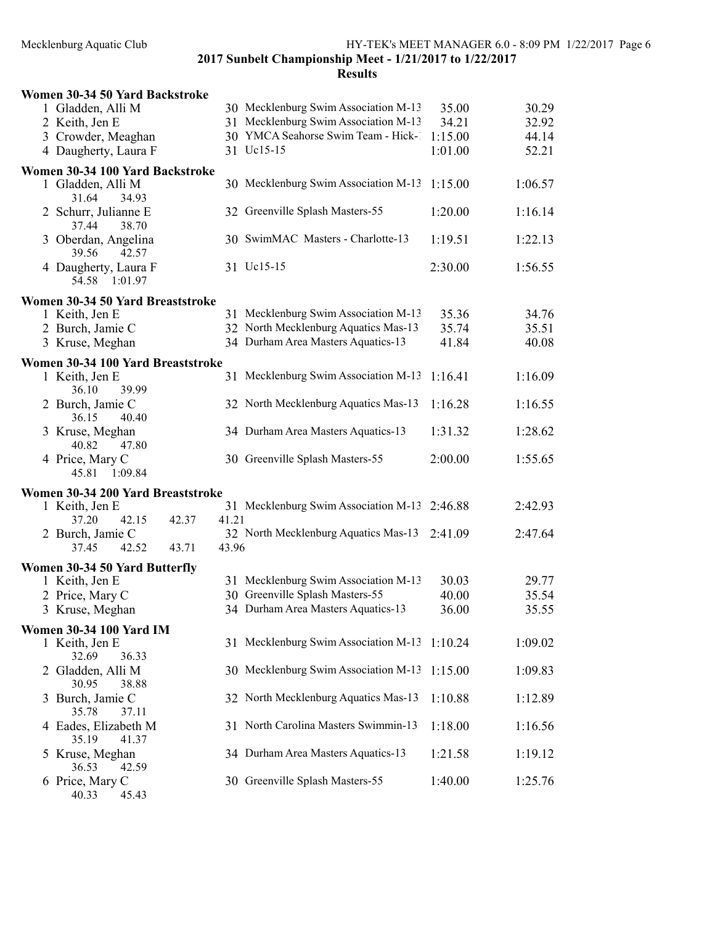2017 Sunbelt Championship Meet - 1/21/2017 to 1/22/2017 Results

|   | Women 30-34 50 Yard Backstroke           |       |       |                                              |         |         |
|---|------------------------------------------|-------|-------|----------------------------------------------|---------|---------|
|   | 1 Gladden, Alli M                        |       |       | 30 Mecklenburg Swim Association M-13         | 35.00   | 30.29   |
|   | 2 Keith, Jen E                           |       |       | 31 Mecklenburg Swim Association M-13         | 34.21   | 32.92   |
|   | 3 Crowder, Meaghan                       |       |       | 30 YMCA Seahorse Swim Team - Hick-1          | 1:15.00 | 44.14   |
|   | 4 Daugherty, Laura F                     |       |       | 31 Uc15-15                                   | 1:01.00 | 52.21   |
|   | Women 30-34 100 Yard Backstroke          |       |       |                                              |         |         |
|   | 1 Gladden, Alli M<br>31.64<br>34.93      |       |       | 30 Mecklenburg Swim Association M-13         | 1:15.00 | 1:06.57 |
|   | 2 Schurr, Julianne E<br>37.44<br>38.70   |       |       | 32 Greenville Splash Masters-55              | 1:20.00 | 1:16.14 |
|   | 3 Oberdan, Angelina<br>39.56<br>42.57    |       |       | 30 SwimMAC Masters - Charlotte-13            | 1:19.51 | 1:22.13 |
|   | 4 Daugherty, Laura F<br>54.58<br>1:01.97 |       |       | 31 Uc15-15                                   | 2:30.00 | 1:56.55 |
|   | Women 30-34 50 Yard Breaststroke         |       |       |                                              |         |         |
|   | 1 Keith, Jen E                           |       |       | 31 Mecklenburg Swim Association M-13         | 35.36   | 34.76   |
|   | 2 Burch, Jamie C                         |       |       | 32 North Mecklenburg Aquatics Mas-13         | 35.74   | 35.51   |
|   | 3 Kruse, Meghan                          |       |       | 34 Durham Area Masters Aquatics-13           | 41.84   | 40.08   |
|   | Women 30-34 100 Yard Breaststroke        |       |       |                                              |         |         |
|   | 1 Keith, Jen E<br>36.10<br>39.99         |       |       | 31 Mecklenburg Swim Association M-13         | 1:16.41 | 1:16.09 |
|   | 2 Burch, Jamie C<br>36.15<br>40.40       |       |       | 32 North Mecklenburg Aquatics Mas-13         | 1:16.28 | 1:16.55 |
|   | 3 Kruse, Meghan<br>40.82<br>47.80        |       |       | 34 Durham Area Masters Aquatics-13           | 1:31.32 | 1:28.62 |
|   | 4 Price, Mary C<br>45.81<br>1:09.84      |       |       | 30 Greenville Splash Masters-55              | 2:00.00 | 1:55.65 |
|   | Women 30-34 200 Yard Breaststroke        |       |       |                                              |         |         |
|   | 1 Keith, Jen E                           |       |       | 31 Mecklenburg Swim Association M-13 2:46.88 |         | 2:42.93 |
|   | 37.20<br>42.15                           | 42.37 | 41.21 |                                              |         |         |
|   | 2 Burch, Jamie C                         |       |       | 32 North Mecklenburg Aquatics Mas-13         | 2:41.09 | 2:47.64 |
|   | 37.45<br>42.52                           | 43.71 | 43.96 |                                              |         |         |
|   | Women 30-34 50 Yard Butterfly            |       |       |                                              |         |         |
|   | 1 Keith, Jen E                           |       |       | 31 Mecklenburg Swim Association M-13         | 30.03   | 29.77   |
|   | 2 Price, Mary C                          |       |       | 30 Greenville Splash Masters-55              | 40.00   | 35.54   |
|   | 3 Kruse, Meghan                          |       |       | 34 Durham Area Masters Aquatics-13           | 36.00   | 35.55   |
|   | <b>Women 30-34 100 Yard IM</b>           |       |       |                                              |         |         |
|   | 1 Keith, Jen E<br>32.69<br>36.33         |       |       | 31 Mecklenburg Swim Association M-13         | 1:10.24 | 1:09.02 |
|   | 2 Gladden, Alli M<br>30.95<br>38.88      |       |       | 30 Mecklenburg Swim Association M-13         | 1:15.00 | 1:09.83 |
| 3 | Burch, Jamie C<br>35.78<br>37.11         |       |       | 32 North Mecklenburg Aquatics Mas-13         | 1:10.88 | 1:12.89 |
|   | 4 Eades, Elizabeth M<br>35.19<br>41.37   |       |       | 31 North Carolina Masters Swimmin-13         | 1:18.00 | 1:16.56 |
|   | 5 Kruse, Meghan<br>42.59<br>36.53        |       |       | 34 Durham Area Masters Aquatics-13           | 1:21.58 | 1:19.12 |
|   | 6 Price, Mary C<br>45.43<br>40.33        |       |       | 30 Greenville Splash Masters-55              | 1:40.00 | 1:25.76 |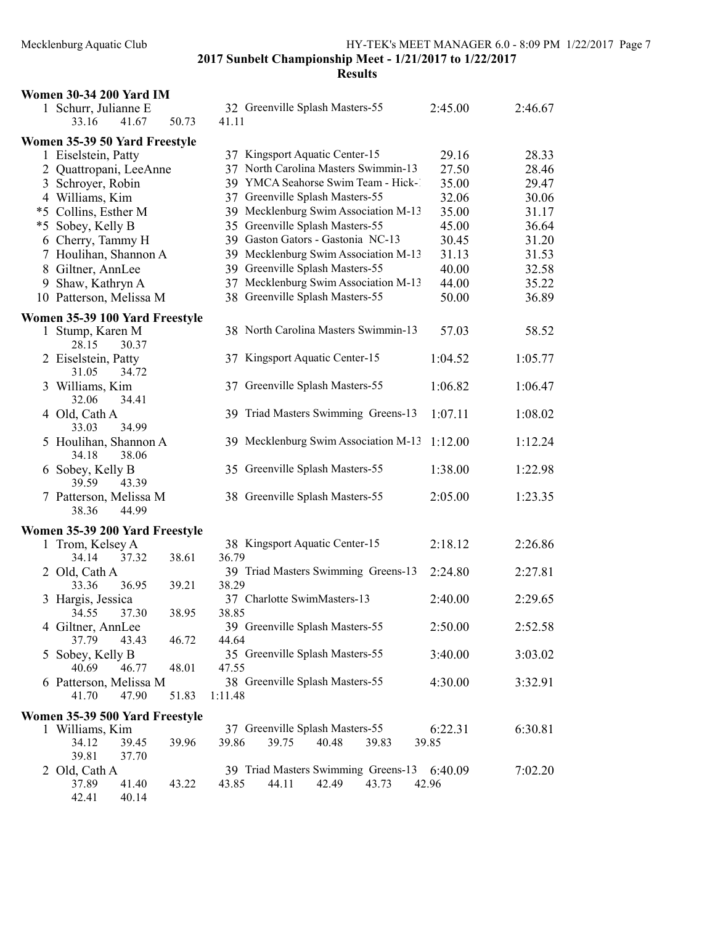| <b>Women 30-34 200 Yard IM</b> |                                      |         |         |
|--------------------------------|--------------------------------------|---------|---------|
| 1 Schurr, Julianne E           | 32 Greenville Splash Masters-55      | 2:45.00 | 2:46.67 |
| 50.73<br>33.16<br>41.67        | 41.11                                |         |         |
| Women 35-39 50 Yard Freestyle  |                                      |         |         |
| 1 Eiselstein, Patty            | 37 Kingsport Aquatic Center-15       | 29.16   | 28.33   |
| 2 Quattropani, LeeAnne         | 37 North Carolina Masters Swimmin-13 | 27.50   | 28.46   |
| 3 Schroyer, Robin              | 39 YMCA Seahorse Swim Team - Hick-1  | 35.00   | 29.47   |
| 4 Williams, Kim                | 37 Greenville Splash Masters-55      | 32.06   | 30.06   |
| *5 Collins, Esther M           | 39 Mecklenburg Swim Association M-13 | 35.00   | 31.17   |
| *5 Sobey, Kelly B              | 35 Greenville Splash Masters-55      | 45.00   | 36.64   |
| 6 Cherry, Tammy H              | 39 Gaston Gators - Gastonia NC-13    | 30.45   | 31.20   |
| 7 Houlihan, Shannon A          | 39 Mecklenburg Swim Association M-13 | 31.13   | 31.53   |
|                                |                                      |         |         |
| 8 Giltner, AnnLee              | 39 Greenville Splash Masters-55      | 40.00   | 32.58   |
| Shaw, Kathryn A<br>9           | 37 Mecklenburg Swim Association M-13 | 44.00   | 35.22   |
| 10 Patterson, Melissa M        | 38 Greenville Splash Masters-55      | 50.00   | 36.89   |
| Women 35-39 100 Yard Freestyle |                                      |         |         |
| 1 Stump, Karen M               | 38 North Carolina Masters Swimmin-13 | 57.03   | 58.52   |
| 28.15<br>30.37                 |                                      |         |         |
| 2 Eiselstein, Patty            | 37 Kingsport Aquatic Center-15       | 1:04.52 | 1:05.77 |
| 31.05<br>34.72                 |                                      |         |         |
| 3 Williams, Kim                | 37 Greenville Splash Masters-55      | 1:06.82 | 1:06.47 |
| 32.06<br>34.41                 |                                      |         |         |
|                                |                                      |         |         |
| 4 Old, Cath A                  | 39 Triad Masters Swimming Greens-13  | 1:07.11 | 1:08.02 |
| 34.99<br>33.03                 |                                      |         |         |
| 5 Houlihan, Shannon A          | 39 Mecklenburg Swim Association M-13 | 1:12.00 | 1:12.24 |
| 34.18<br>38.06                 |                                      |         |         |
| 6 Sobey, Kelly B               | 35 Greenville Splash Masters-55      | 1:38.00 | 1:22.98 |
| 39.59<br>43.39                 |                                      |         |         |
| 7 Patterson, Melissa M         | 38 Greenville Splash Masters-55      | 2:05.00 | 1:23.35 |
| 44.99<br>38.36                 |                                      |         |         |
| Women 35-39 200 Yard Freestyle |                                      |         |         |
| 1 Trom, Kelsey A               | 38 Kingsport Aquatic Center-15       | 2:18.12 | 2:26.86 |
| 38.61<br>34.14<br>37.32        | 36.79                                |         |         |
| 2 Old, Cath A                  | 39 Triad Masters Swimming Greens-13  | 2:24.80 | 2:27.81 |
| 33.36<br>36.95<br>39.21        | 38.29                                |         |         |
| 3 Hargis, Jessica              | 37 Charlotte SwimMasters-13          | 2:40.00 | 2:29.65 |
| 38.95                          |                                      |         |         |
| 37.30<br>34.55                 | 38.85                                |         |         |
| 4 Giltner, AnnLee              | 39 Greenville Splash Masters-55      | 2:50.00 | 2:52.58 |
| 37.79<br>46.72<br>43.43        | 44.64                                |         |         |
| Sobey, Kelly B<br>5            | 35 Greenville Splash Masters-55      | 3:40.00 | 3:03.02 |
| 40.69<br>48.01<br>46.77        | 47.55                                |         |         |
| 6 Patterson, Melissa M         | 38 Greenville Splash Masters-55      | 4:30.00 | 3:32.91 |
| 41.70<br>47.90<br>51.83        | 1:11.48                              |         |         |
| Women 35-39 500 Yard Freestyle |                                      |         |         |
| 1 Williams, Kim                | 37 Greenville Splash Masters-55      | 6:22.31 | 6:30.81 |
| 34.12<br>39.45<br>39.96        | 39.86<br>39.83<br>39.75<br>40.48     | 39.85   |         |
| 39.81<br>37.70                 |                                      |         |         |
| Old, Cath A<br>2               | 39 Triad Masters Swimming Greens-13  | 6:40.09 | 7:02.20 |
| 41.40<br>37.89<br>43.22        | 43.85<br>44.11<br>43.73<br>42.49     | 42.96   |         |
| 42.41<br>40.14                 |                                      |         |         |
|                                |                                      |         |         |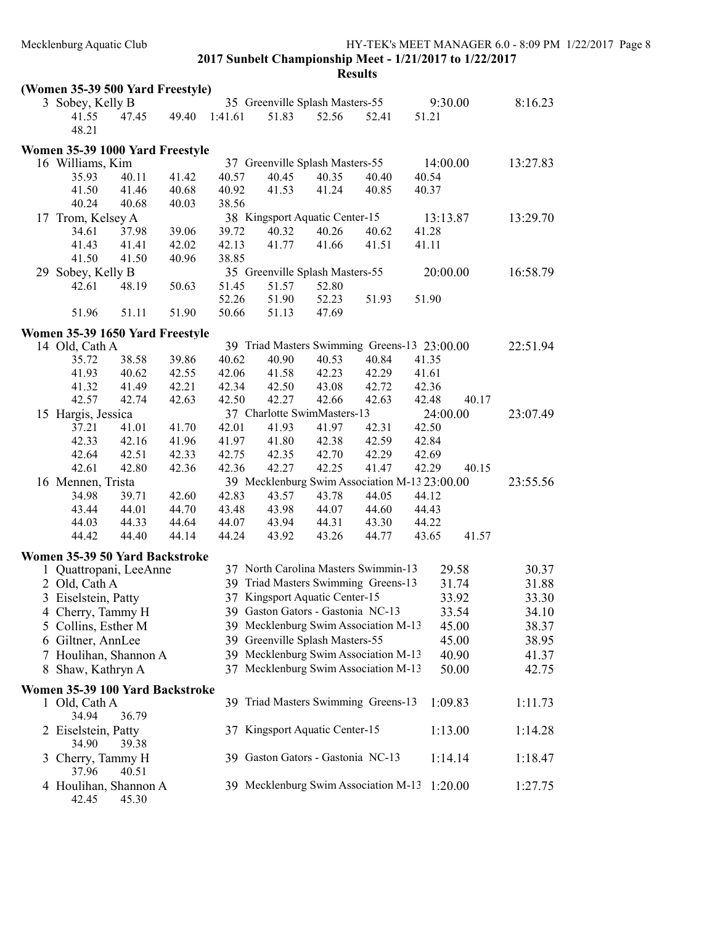|    | (Women 35-39 500 Yard Freestyle)        |       |       |         |       |                                   |                                               |       |          |          |
|----|-----------------------------------------|-------|-------|---------|-------|-----------------------------------|-----------------------------------------------|-------|----------|----------|
|    | 3 Sobey, Kelly B                        |       |       |         |       | 35 Greenville Splash Masters-55   |                                               |       | 9:30.00  | 8:16.23  |
|    | 41.55                                   | 47.45 | 49.40 | 1:41.61 | 51.83 | 52.56                             | 52.41                                         | 51.21 |          |          |
|    | 48.21                                   |       |       |         |       |                                   |                                               |       |          |          |
|    | Women 35-39 1000 Yard Freestyle         |       |       |         |       |                                   |                                               |       |          |          |
|    | 16 Williams, Kim                        |       |       |         |       | 37 Greenville Splash Masters-55   |                                               |       | 14:00.00 | 13:27.83 |
|    | 35.93                                   | 40.11 | 41.42 | 40.57   | 40.45 | 40.35                             | 40.40                                         | 40.54 |          |          |
|    | 41.50                                   | 41.46 | 40.68 | 40.92   | 41.53 | 41.24                             | 40.85                                         | 40.37 |          |          |
|    | 40.24                                   | 40.68 | 40.03 | 38.56   |       |                                   |                                               |       |          |          |
|    | 17 Trom, Kelsey A                       |       |       |         |       | 38 Kingsport Aquatic Center-15    |                                               |       | 13:13.87 | 13:29.70 |
|    | 34.61                                   | 37.98 | 39.06 | 39.72   | 40.32 | 40.26                             | 40.62                                         | 41.28 |          |          |
|    | 41.43                                   | 41.41 | 42.02 | 42.13   | 41.77 | 41.66                             | 41.51                                         | 41.11 |          |          |
|    | 41.50                                   | 41.50 | 40.96 | 38.85   |       |                                   |                                               |       |          |          |
| 29 | Sobey, Kelly B                          |       |       |         |       | 35 Greenville Splash Masters-55   |                                               |       | 20:00.00 | 16:58.79 |
|    | 42.61                                   | 48.19 | 50.63 | 51.45   | 51.57 | 52.80                             |                                               |       |          |          |
|    |                                         |       |       | 52.26   | 51.90 | 52.23                             | 51.93                                         | 51.90 |          |          |
|    | 51.96                                   | 51.11 | 51.90 | 50.66   | 51.13 | 47.69                             |                                               |       |          |          |
|    | Women 35-39 1650 Yard Freestyle         |       |       |         |       |                                   |                                               |       |          |          |
|    |                                         |       |       |         |       |                                   | 39 Triad Masters Swimming Greens-13 23:00.00  |       |          | 22:51.94 |
|    | 14 Old, Cath A<br>35.72                 | 38.58 | 39.86 | 40.62   | 40.90 | 40.53                             | 40.84                                         | 41.35 |          |          |
|    | 41.93                                   | 40.62 | 42.55 | 42.06   | 41.58 | 42.23                             | 42.29                                         | 41.61 |          |          |
|    | 41.32                                   | 41.49 | 42.21 | 42.34   | 42.50 | 43.08                             | 42.72                                         | 42.36 |          |          |
|    | 42.57                                   | 42.74 | 42.63 | 42.50   | 42.27 | 42.66                             | 42.63                                         | 42.48 | 40.17    |          |
|    | 15 Hargis, Jessica                      |       |       |         |       | 37 Charlotte SwimMasters-13       |                                               |       | 24:00.00 | 23:07.49 |
|    | 37.21                                   | 41.01 | 41.70 | 42.01   | 41.93 | 41.97                             | 42.31                                         | 42.50 |          |          |
|    | 42.33                                   | 42.16 | 41.96 | 41.97   | 41.80 | 42.38                             | 42.59                                         | 42.84 |          |          |
|    | 42.64                                   | 42.51 | 42.33 | 42.75   | 42.35 | 42.70                             | 42.29                                         | 42.69 |          |          |
|    | 42.61                                   | 42.80 | 42.36 | 42.36   | 42.27 | 42.25                             | 41.47                                         | 42.29 | 40.15    |          |
|    | 16 Mennen, Trista                       |       |       |         |       |                                   | 39 Mecklenburg Swim Association M-13 23:00.00 |       |          | 23:55.56 |
|    | 34.98                                   | 39.71 | 42.60 | 42.83   | 43.57 | 43.78                             | 44.05                                         | 44.12 |          |          |
|    | 43.44                                   | 44.01 | 44.70 | 43.48   | 43.98 | 44.07                             | 44.60                                         | 44.43 |          |          |
|    | 44.03                                   | 44.33 | 44.64 | 44.07   | 43.94 | 44.31                             | 43.30                                         | 44.22 |          |          |
|    | 44.42                                   | 44.40 | 44.14 | 44.24   | 43.92 | 43.26                             | 44.77                                         | 43.65 | 41.57    |          |
|    |                                         |       |       |         |       |                                   |                                               |       |          |          |
|    | Women 35-39 50 Yard Backstroke          |       |       |         |       |                                   | 37 North Carolina Masters Swimmin-13          |       | 29.58    | 30.37    |
|    | 1 Quattropani, LeeAnne<br>2 Old, Cath A |       |       |         |       |                                   | 39 Triad Masters Swimming Greens-13           |       | 31.74    | 31.88    |
|    |                                         |       |       |         |       | 37 Kingsport Aquatic Center-15    |                                               |       |          |          |
|    | 3 Eiselstein, Patty                     |       |       |         |       |                                   |                                               |       | 33.92    | 33.30    |
|    | 4 Cherry, Tammy H                       |       |       |         |       | 39 Gaston Gators - Gastonia NC-13 |                                               |       | 33.54    | 34.10    |
| 5  | Collins, Esther M                       |       |       |         |       |                                   | 39 Mecklenburg Swim Association M-13          |       | 45.00    | 38.37    |
|    | 6 Giltner, AnnLee                       |       |       |         |       | 39 Greenville Splash Masters-55   |                                               |       | 45.00    | 38.95    |
|    | 7 Houlihan, Shannon A                   |       |       |         |       |                                   | 39 Mecklenburg Swim Association M-13          |       | 40.90    | 41.37    |
|    | 8 Shaw, Kathryn A                       |       |       |         |       |                                   | 37 Mecklenburg Swim Association M-13          |       | 50.00    | 42.75    |
|    | Women 35-39 100 Yard Backstroke         |       |       |         |       |                                   |                                               |       |          |          |
|    | 1 Old, Cath A                           |       |       |         |       |                                   | 39 Triad Masters Swimming Greens-13           |       | 1:09.83  | 1:11.73  |
|    | 34.94                                   | 36.79 |       |         |       |                                   |                                               |       |          |          |
|    | 2 Eiselstein, Patty                     |       |       |         |       | 37 Kingsport Aquatic Center-15    |                                               |       | 1:13.00  | 1:14.28  |
|    | 34.90                                   | 39.38 |       |         |       |                                   |                                               |       |          |          |
|    | 3 Cherry, Tammy H                       |       |       |         |       | 39 Gaston Gators - Gastonia NC-13 |                                               |       | 1:14.14  | 1:18.47  |
|    | 37.96                                   | 40.51 |       |         |       |                                   |                                               |       |          |          |
|    | 4 Houlihan, Shannon A                   |       |       |         |       |                                   | 39 Mecklenburg Swim Association M-13          |       | 1:20.00  | 1:27.75  |
|    | 42.45                                   | 45.30 |       |         |       |                                   |                                               |       |          |          |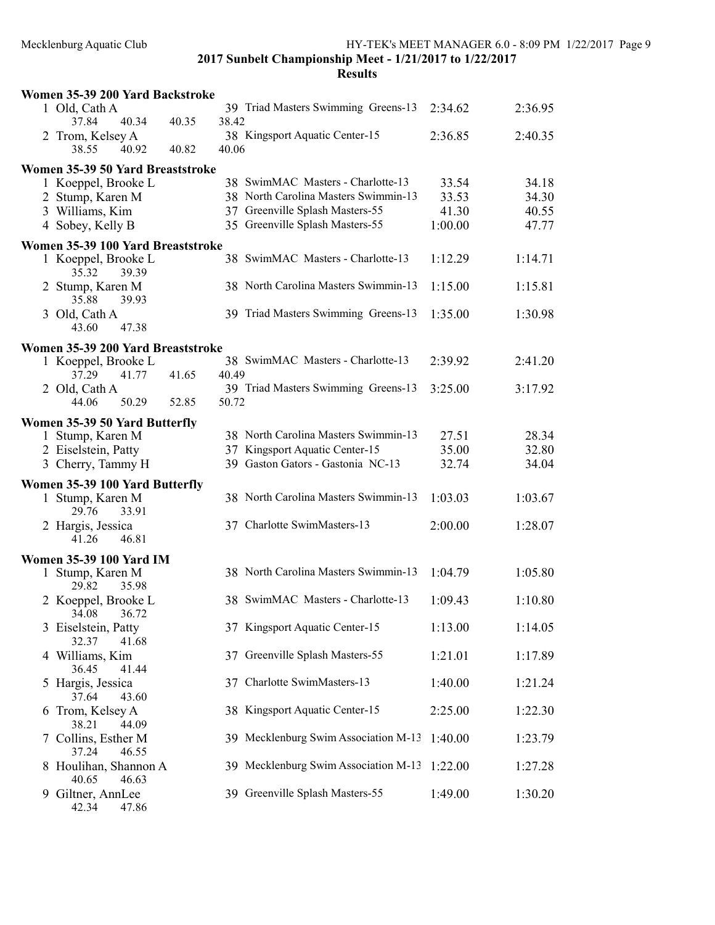|   | Women 35-39 200 Yard Backstroke          |       |       |                                                                         |                |                |
|---|------------------------------------------|-------|-------|-------------------------------------------------------------------------|----------------|----------------|
|   | 1 Old, Cath A<br>40.34<br>37.84          | 40.35 | 38.42 | 39 Triad Masters Swimming Greens-13                                     | 2:34.62        | 2:36.95        |
|   | 2 Trom, Kelsey A<br>38.55<br>40.92       | 40.82 | 40.06 | 38 Kingsport Aquatic Center-15                                          | 2:36.85        | 2:40.35        |
|   | Women 35-39 50 Yard Breaststroke         |       |       |                                                                         |                |                |
|   | 1 Koeppel, Brooke L                      |       |       | 38 SwimMAC Masters - Charlotte-13                                       | 33.54          | 34.18          |
|   | 2 Stump, Karen M<br>3 Williams, Kim      |       |       | 38 North Carolina Masters Swimmin-13<br>37 Greenville Splash Masters-55 | 33.53<br>41.30 | 34.30<br>40.55 |
|   | 4 Sobey, Kelly B                         |       |       | 35 Greenville Splash Masters-55                                         | 1:00.00        | 47.77          |
|   | Women 35-39 100 Yard Breaststroke        |       |       |                                                                         |                |                |
|   | 1 Koeppel, Brooke L<br>35.32<br>39.39    |       |       | 38 SwimMAC Masters - Charlotte-13                                       | 1:12.29        | 1:14.71        |
|   | 2 Stump, Karen M<br>35.88<br>39.93       |       |       | 38 North Carolina Masters Swimmin-13                                    | 1:15.00        | 1:15.81        |
|   | 3 Old, Cath A<br>47.38<br>43.60          |       |       | 39 Triad Masters Swimming Greens-13                                     | 1:35.00        | 1:30.98        |
|   | Women 35-39 200 Yard Breaststroke        |       |       |                                                                         |                |                |
|   | 1 Koeppel, Brooke L<br>37.29<br>41.77    | 41.65 | 40.49 | 38 SwimMAC Masters - Charlotte-13                                       | 2:39.92        | 2:41.20        |
|   | 2 Old, Cath A                            |       |       | 39 Triad Masters Swimming Greens-13                                     | 3:25.00        | 3:17.92        |
|   | 50.29<br>44.06                           | 52.85 | 50.72 |                                                                         |                |                |
|   | Women 35-39 50 Yard Butterfly            |       |       |                                                                         |                |                |
|   | 1 Stump, Karen M                         |       |       | 38 North Carolina Masters Swimmin-13                                    | 27.51          | 28.34          |
|   | 2 Eiselstein, Patty<br>3 Cherry, Tammy H |       |       | 37 Kingsport Aquatic Center-15<br>39 Gaston Gators - Gastonia NC-13     | 35.00<br>32.74 | 32.80<br>34.04 |
|   | Women 35-39 100 Yard Butterfly           |       |       |                                                                         |                |                |
|   | 1 Stump, Karen M<br>29.76<br>33.91       |       |       | 38 North Carolina Masters Swimmin-13                                    | 1:03.03        | 1:03.67        |
|   | 2 Hargis, Jessica<br>46.81<br>41.26      |       |       | 37 Charlotte SwimMasters-13                                             | 2:00.00        | 1:28.07        |
|   | <b>Women 35-39 100 Yard IM</b>           |       |       |                                                                         |                |                |
|   | 1 Stump, Karen M<br>29.82<br>35.98       |       |       | 38 North Carolina Masters Swimmin-13                                    | 1:04.79        | 1:05.80        |
|   | 2 Koeppel, Brooke L<br>34.08 36.72       |       |       | 38 SwimMAC Masters - Charlotte-13                                       | 1:09.43        | 1:10.80        |
|   | 3 Eiselstein, Patty<br>32.37<br>41.68    |       |       | 37 Kingsport Aquatic Center-15                                          | 1:13.00        | 1:14.05        |
|   | 4 Williams, Kim<br>36.45<br>41.44        |       |       | 37 Greenville Splash Masters-55                                         | 1:21.01        | 1:17.89        |
|   | 5 Hargis, Jessica<br>37.64<br>43.60      |       |       | 37 Charlotte SwimMasters-13                                             | 1:40.00        | 1:21.24        |
| 6 | Trom, Kelsey A<br>38.21<br>44.09         |       |       | 38 Kingsport Aquatic Center-15                                          | 2:25.00        | 1:22.30        |
|   | 7 Collins, Esther M<br>37.24<br>46.55    |       |       | 39 Mecklenburg Swim Association M-13                                    | 1:40.00        | 1:23.79        |
|   | 8 Houlihan, Shannon A<br>40.65<br>46.63  |       |       | 39 Mecklenburg Swim Association M-13                                    | 1:22.00        | 1:27.28        |
|   | 9 Giltner, AnnLee<br>42.34<br>47.86      |       |       | 39 Greenville Splash Masters-55                                         | 1:49.00        | 1:30.20        |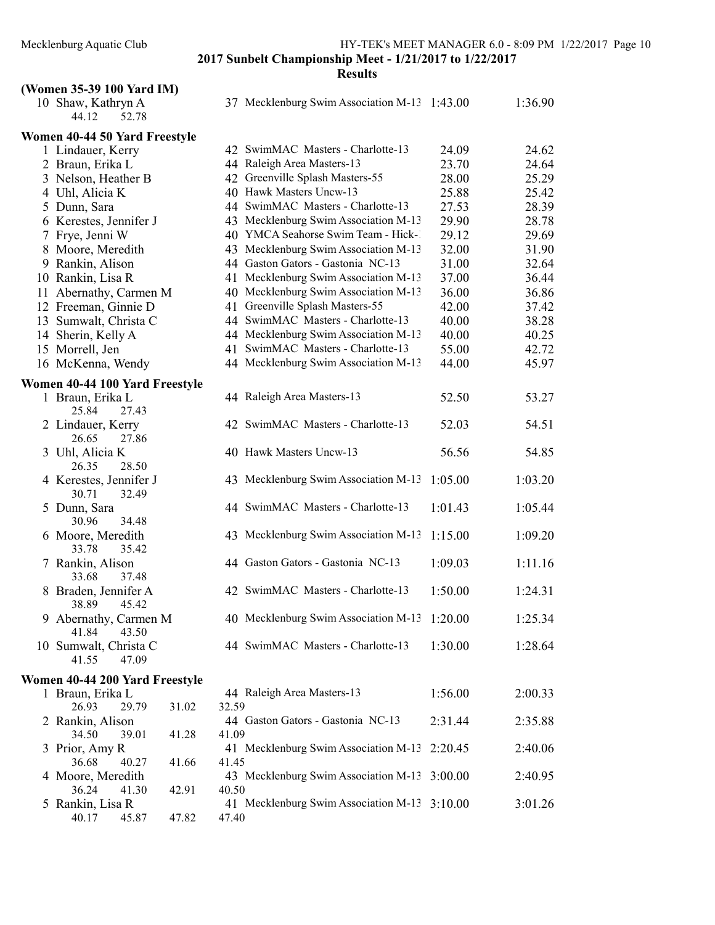# Results

# (Women 35-39 100 Yard IM)

| 10 Shaw, Kathryn A<br>44.12<br>52.78     |                | 37 Mecklenburg Swim Association M-13 1:43.00 |         | 1:36.90 |
|------------------------------------------|----------------|----------------------------------------------|---------|---------|
| Women 40-44 50 Yard Freestyle            |                |                                              |         |         |
| 1 Lindauer, Kerry                        |                | 42 SwimMAC Masters - Charlotte-13            | 24.09   | 24.62   |
| 2 Braun, Erika L                         |                | 44 Raleigh Area Masters-13                   | 23.70   | 24.64   |
| 3 Nelson, Heather B                      |                | 42 Greenville Splash Masters-55              | 28.00   | 25.29   |
| 4 Uhl, Alicia K                          |                | 40 Hawk Masters Uncw-13                      | 25.88   | 25.42   |
| 5 Dunn, Sara                             |                | 44 SwimMAC Masters - Charlotte-13            | 27.53   | 28.39   |
| 6 Kerestes, Jennifer J                   |                | 43 Mecklenburg Swim Association M-13         | 29.90   | 28.78   |
| 7 Frye, Jenni W                          |                | 40 YMCA Seahorse Swim Team - Hick-1          | 29.12   | 29.69   |
| 8 Moore, Meredith                        |                | 43 Mecklenburg Swim Association M-13         | 32.00   | 31.90   |
| 9 Rankin, Alison                         |                | 44 Gaston Gators - Gastonia NC-13            | 31.00   | 32.64   |
| 10 Rankin, Lisa R                        |                | 41 Mecklenburg Swim Association M-13         | 37.00   | 36.44   |
| 11 Abernathy, Carmen M                   |                | 40 Mecklenburg Swim Association M-13         | 36.00   | 36.86   |
| 12 Freeman, Ginnie D                     |                | 41 Greenville Splash Masters-55              | 42.00   | 37.42   |
| 13 Sumwalt, Christa C                    |                | 44 SwimMAC Masters - Charlotte-13            | 40.00   | 38.28   |
| 14 Sherin, Kelly A                       |                | 44 Mecklenburg Swim Association M-13         | 40.00   | 40.25   |
| 15 Morrell, Jen                          | 41             | SwimMAC Masters - Charlotte-13               | 55.00   | 42.72   |
| 16 McKenna, Wendy                        |                | 44 Mecklenburg Swim Association M-13         | 44.00   | 45.97   |
| Women 40-44 100 Yard Freestyle           |                |                                              |         |         |
| 1 Braun, Erika L<br>25.84<br>27.43       |                | 44 Raleigh Area Masters-13                   | 52.50   | 53.27   |
| 2 Lindauer, Kerry<br>26.65<br>27.86      |                | 42 SwimMAC Masters - Charlotte-13            | 52.03   | 54.51   |
| 3 Uhl, Alicia K<br>26.35<br>28.50        |                | 40 Hawk Masters Uncw-13                      | 56.56   | 54.85   |
| 4 Kerestes, Jennifer J<br>30.71<br>32.49 |                | 43 Mecklenburg Swim Association M-13         | 1:05.00 | 1:03.20 |
| 5 Dunn, Sara<br>30.96<br>34.48           |                | 44 SwimMAC Masters - Charlotte-13            | 1:01.43 | 1:05.44 |
| 6 Moore, Meredith<br>33.78<br>35.42      |                | 43 Mecklenburg Swim Association M-13         | 1:15.00 | 1:09.20 |
| 7 Rankin, Alison<br>33.68<br>37.48       |                | 44 Gaston Gators - Gastonia NC-13            | 1:09.03 | 1:11.16 |
| 8 Braden, Jennifer A<br>45.42<br>38.89   |                | 42 SwimMAC Masters - Charlotte-13            | 1:50.00 | 1:24.31 |
| 9 Abernathy, Carmen M<br>41.84<br>43.50  |                | 40 Mecklenburg Swim Association M-13 1:20.00 |         | 1:25.34 |
| 10 Sumwalt, Christa C<br>41.55<br>47.09  |                | 44 SwimMAC Masters - Charlotte-13            | 1:30.00 | 1:28.64 |
| Women 40-44 200 Yard Freestyle           |                |                                              |         |         |
| 1 Braun, Erika L                         |                | 44 Raleigh Area Masters-13                   | 1:56.00 | 2:00.33 |
| 26.93<br>29.79                           | 31.02<br>32.59 |                                              |         |         |
| 2 Rankin, Alison                         |                | 44 Gaston Gators - Gastonia NC-13            | 2:31.44 | 2:35.88 |
| 34.50<br>39.01                           | 41.28<br>41.09 |                                              |         |         |
| 3 Prior, Amy R                           |                | 41 Mecklenburg Swim Association M-13 2:20.45 |         | 2:40.06 |
| 36.68<br>40.27                           | 41.66<br>41.45 |                                              |         |         |
| 4 Moore, Meredith                        |                | 43 Mecklenburg Swim Association M-13 3:00.00 |         | 2:40.95 |
| 36.24<br>41.30                           | 42.91<br>40.50 |                                              |         |         |
| 5 Rankin, Lisa R<br>40.17<br>45.87       | 47.82<br>47.40 | 41 Mecklenburg Swim Association M-13 3:10.00 |         | 3:01.26 |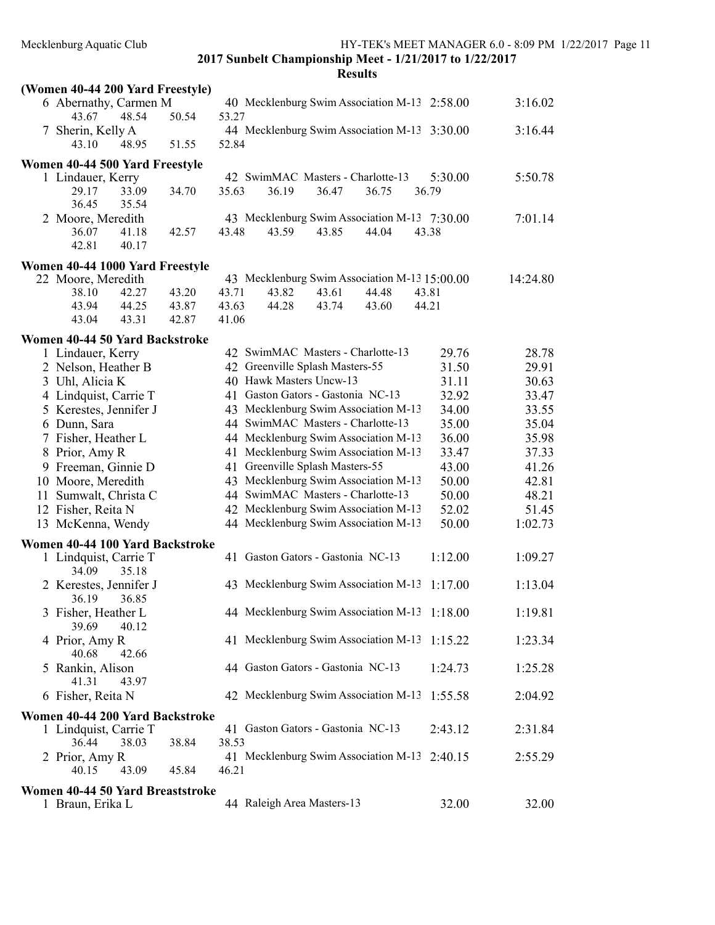|    | (Women 40-44 200 Yard Freestyle)                    |                |                                                                      |          |
|----|-----------------------------------------------------|----------------|----------------------------------------------------------------------|----------|
|    | 6 Abernathy, Carmen M<br>48.54                      |                | 40 Mecklenburg Swim Association M-13 2:58.00<br>53.27                | 3:16.02  |
|    | 43.67<br>7 Sherin, Kelly A                          | 50.54          | 44 Mecklenburg Swim Association M-13 3:30.00                         | 3:16.44  |
|    | 43.10<br>48.95                                      | 51.55          | 52.84                                                                |          |
|    | Women 40-44 500 Yard Freestyle                      |                |                                                                      |          |
|    | 1 Lindauer, Kerry                                   |                | 42 SwimMAC Masters - Charlotte-13<br>5:30.00                         | 5:50.78  |
|    | 29.17<br>33.09                                      | 34.70          | 35.63<br>36.19<br>36.47<br>36.75<br>36.79                            |          |
|    | 36.45<br>35.54                                      |                |                                                                      |          |
|    | 2 Moore, Meredith                                   |                | 43 Mecklenburg Swim Association M-13 7:30.00                         | 7:01.14  |
|    | 41.18<br>36.07                                      | 42.57          | 43.48<br>43.85<br>44.04<br>43.59<br>43.38                            |          |
|    | 42.81<br>40.17                                      |                |                                                                      |          |
|    | Women 40-44 1000 Yard Freestyle                     |                |                                                                      |          |
|    | 22 Moore, Meredith                                  |                | 43 Mecklenburg Swim Association M-13 15:00.00<br>43.71<br>44.48      | 14:24.80 |
|    | 38.10<br>42.27<br>43.94<br>44.25                    | 43.20<br>43.87 | 43.82<br>43.61<br>43.81<br>43.63<br>44.28<br>43.74<br>43.60<br>44.21 |          |
|    | 43.04<br>43.31                                      | 42.87          | 41.06                                                                |          |
|    |                                                     |                |                                                                      |          |
|    | Women 40-44 50 Yard Backstroke<br>1 Lindauer, Kerry |                | 42 SwimMAC Masters - Charlotte-13<br>29.76                           | 28.78    |
|    | 2 Nelson, Heather B                                 |                | 42 Greenville Splash Masters-55<br>31.50                             | 29.91    |
|    | 3 Uhl, Alicia K                                     |                | 40 Hawk Masters Uncw-13<br>31.11                                     | 30.63    |
|    | 4 Lindquist, Carrie T                               |                | 41 Gaston Gators - Gastonia NC-13<br>32.92                           | 33.47    |
|    | 5 Kerestes, Jennifer J                              |                | 43 Mecklenburg Swim Association M-13<br>34.00                        | 33.55    |
|    | 6 Dunn, Sara                                        |                | 44 SwimMAC Masters - Charlotte-13<br>35.00                           | 35.04    |
|    | 7 Fisher, Heather L                                 |                | 44 Mecklenburg Swim Association M-13<br>36.00                        | 35.98    |
|    | 8 Prior, Amy R                                      |                | 41 Mecklenburg Swim Association M-13<br>33.47                        | 37.33    |
|    | 9 Freeman, Ginnie D                                 |                | 41 Greenville Splash Masters-55<br>43.00                             | 41.26    |
|    | 10 Moore, Meredith                                  |                | 43 Mecklenburg Swim Association M-13<br>50.00                        | 42.81    |
| 11 | Sumwalt, Christa C                                  |                | 44 SwimMAC Masters - Charlotte-13<br>50.00                           | 48.21    |
|    | 12 Fisher, Reita N                                  |                | 42 Mecklenburg Swim Association M-13<br>52.02                        | 51.45    |
|    | 13 McKenna, Wendy                                   |                | 44 Mecklenburg Swim Association M-13<br>50.00                        | 1:02.73  |
|    | Women 40-44 100 Yard Backstroke                     |                |                                                                      |          |
|    | 1 Lindquist, Carrie T                               |                | 41 Gaston Gators - Gastonia NC-13<br>1:12.00                         | 1:09.27  |
|    | 34.09<br>35.18                                      |                |                                                                      |          |
|    | 2 Kerestes, Jennifer J                              |                | 43 Mecklenburg Swim Association M-13<br>1:17.00                      | 1:13.04  |
|    | 36.19<br>36.85                                      |                |                                                                      |          |
|    | 3 Fisher, Heather L                                 |                | 44 Mecklenburg Swim Association M-13 1:18.00                         | 1:19.81  |
|    | 39.69<br>40.12                                      |                |                                                                      |          |
|    | 4 Prior, Amy R<br>40.68<br>42.66                    |                | 41 Mecklenburg Swim Association M-13<br>1:15.22                      | 1:23.34  |
|    | 5 Rankin, Alison                                    |                | 44 Gaston Gators - Gastonia NC-13<br>1:24.73                         | 1:25.28  |
|    | 41.31<br>43.97                                      |                |                                                                      |          |
|    | 6 Fisher, Reita N                                   |                | 42 Mecklenburg Swim Association M-13<br>1:55.58                      | 2:04.92  |
|    | Women 40-44 200 Yard Backstroke                     |                |                                                                      |          |
|    | 1 Lindquist, Carrie T                               |                | 41 Gaston Gators - Gastonia NC-13<br>2:43.12                         | 2:31.84  |
|    | 36.44<br>38.03                                      | 38.84          | 38.53                                                                |          |
|    | 2 Prior, Amy R                                      |                | 41 Mecklenburg Swim Association M-13 2:40.15                         | 2:55.29  |
|    | 40.15<br>43.09                                      | 45.84          | 46.21                                                                |          |
|    | Women 40-44 50 Yard Breaststroke                    |                |                                                                      |          |
|    | 1 Braun, Erika L                                    |                | 44 Raleigh Area Masters-13<br>32.00                                  | 32.00    |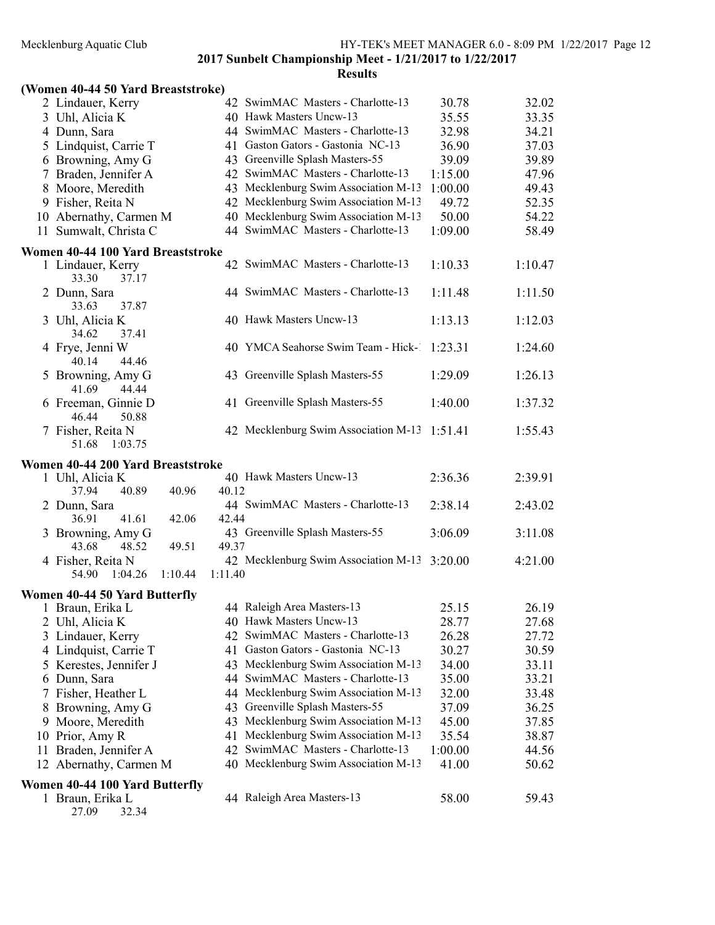#### Results

| (Women 40-44 50 Yard Breaststroke) |  |  |  |  |  |
|------------------------------------|--|--|--|--|--|
|------------------------------------|--|--|--|--|--|

|   | $0.0001$ $0.001$ $0.001$ $0.0001$ $0.0001$         |         |                                                                           |                |                |
|---|----------------------------------------------------|---------|---------------------------------------------------------------------------|----------------|----------------|
|   | 2 Lindauer, Kerry                                  |         | 42 SwimMAC Masters - Charlotte-13                                         | 30.78          | 32.02          |
|   | 3 Uhl, Alicia K                                    |         | 40 Hawk Masters Uncw-13                                                   | 35.55          | 33.35          |
|   | 4 Dunn, Sara                                       |         | 44 SwimMAC Masters - Charlotte-13                                         | 32.98          | 34.21          |
|   | 5 Lindquist, Carrie T                              |         | 41 Gaston Gators - Gastonia NC-13                                         | 36.90          | 37.03          |
|   | 6 Browning, Amy G                                  |         | 43 Greenville Splash Masters-55                                           | 39.09          | 39.89          |
|   | 7 Braden, Jennifer A                               |         | 42 SwimMAC Masters - Charlotte-13                                         | 1:15.00        | 47.96          |
|   | 8 Moore, Meredith                                  |         | 43 Mecklenburg Swim Association M-13                                      | 1:00.00        | 49.43          |
|   | 9 Fisher, Reita N                                  |         | 42 Mecklenburg Swim Association M-13                                      | 49.72          | 52.35          |
|   | 10 Abernathy, Carmen M                             |         | 40 Mecklenburg Swim Association M-13                                      | 50.00          | 54.22          |
|   | 11 Sumwalt, Christa C                              |         | 44 SwimMAC Masters - Charlotte-13                                         | 1:09.00        | 58.49          |
|   | Women 40-44 100 Yard Breaststroke                  |         |                                                                           |                |                |
|   | 1 Lindauer, Kerry<br>33.30<br>37.17                |         | 42 SwimMAC Masters - Charlotte-13                                         | 1:10.33        | 1:10.47        |
|   | 2 Dunn, Sara<br>33.63<br>37.87                     |         | 44 SwimMAC Masters - Charlotte-13                                         | 1:11.48        | 1:11.50        |
|   | 3 Uhl, Alicia K<br>37.41<br>34.62                  |         | 40 Hawk Masters Uncw-13                                                   | 1:13.13        | 1:12.03        |
|   | 4 Frye, Jenni W<br>44.46<br>40.14                  |         | 40 YMCA Seahorse Swim Team - Hick-1                                       | 1:23.31        | 1:24.60        |
|   | 5 Browning, Amy G<br>41.69<br>44.44                |         | 43 Greenville Splash Masters-55                                           | 1:29.09        | 1:26.13        |
|   | 6 Freeman, Ginnie D<br>46.44<br>50.88              |         | 41 Greenville Splash Masters-55                                           | 1:40.00        | 1:37.32        |
|   | 7 Fisher, Reita N<br>51.68<br>1:03.75              |         | 42 Mecklenburg Swim Association M-13                                      | 1:51.41        | 1:55.43        |
|   | Women 40-44 200 Yard Breaststroke                  |         |                                                                           |                |                |
|   | 1 Uhl, Alicia K                                    |         | 40 Hawk Masters Uncw-13                                                   | 2:36.36        | 2:39.91        |
|   | 37.94<br>40.89<br>40.96                            | 40.12   |                                                                           |                |                |
|   | 2 Dunn, Sara                                       |         | 44 SwimMAC Masters - Charlotte-13                                         | 2:38.14        | 2:43.02        |
|   | 36.91<br>41.61<br>42.06                            | 42.44   |                                                                           |                |                |
|   | 3 Browning, Amy G                                  |         | 43 Greenville Splash Masters-55                                           | 3:06.09        | 3:11.08        |
|   | 43.68<br>48.52<br>49.51                            | 49.37   |                                                                           |                |                |
|   | 4 Fisher, Reita N<br>54.90 1:04.26<br>1:10.44      | 1:11.40 | 42 Mecklenburg Swim Association M-13 3:20.00                              |                | 4:21.00        |
|   |                                                    |         |                                                                           |                |                |
|   | Women 40-44 50 Yard Butterfly                      |         | 44 Raleigh Area Masters-13                                                | 25.15          | 26.19          |
|   | 1 Braun, Erika L<br>Uhl, Alicia K                  |         | 40 Hawk Masters Uncw-13                                                   |                |                |
| 2 |                                                    | 42      | SwimMAC Masters - Charlotte-13                                            | 28.77<br>26.28 | 27.68<br>27.72 |
|   | 3 Lindauer, Kerry                                  |         | Gaston Gators - Gastonia NC-13                                            |                |                |
|   | 4 Lindquist, Carrie T                              | 41      |                                                                           | 30.27          | 30.59          |
|   | 5 Kerestes, Jennifer J                             |         | 43 Mecklenburg Swim Association M-13<br>SwimMAC Masters - Charlotte-13    | 34.00          | 33.11          |
|   | 6 Dunn, Sara                                       | 44      |                                                                           | 35.00          | 33.21          |
|   | 7 Fisher, Heather L                                |         | 44 Mecklenburg Swim Association M-13                                      | 32.00          | 33.48          |
|   | 8 Browning, Amy G                                  | 43      | Greenville Splash Masters-55                                              | 37.09          | 36.25          |
|   | 9 Moore, Meredith                                  | 43      | Mecklenburg Swim Association M-13                                         | 45.00          | 37.85          |
|   | 10 Prior, Amy R                                    |         | 41 Mecklenburg Swim Association M-13<br>42 SwimMAC Masters - Charlotte-13 | 35.54          | 38.87          |
|   | 11 Braden, Jennifer A                              |         |                                                                           | 1:00.00        | 44.56          |
|   | 12 Abernathy, Carmen M                             |         | 40 Mecklenburg Swim Association M-13                                      | 41.00          | 50.62          |
|   | Women 40-44 100 Yard Butterfly<br>1 Braun, Erika L |         |                                                                           |                |                |
|   |                                                    |         | 44 Raleigh Area Masters-13                                                | 58.00          | 59.43          |

27.09 32.34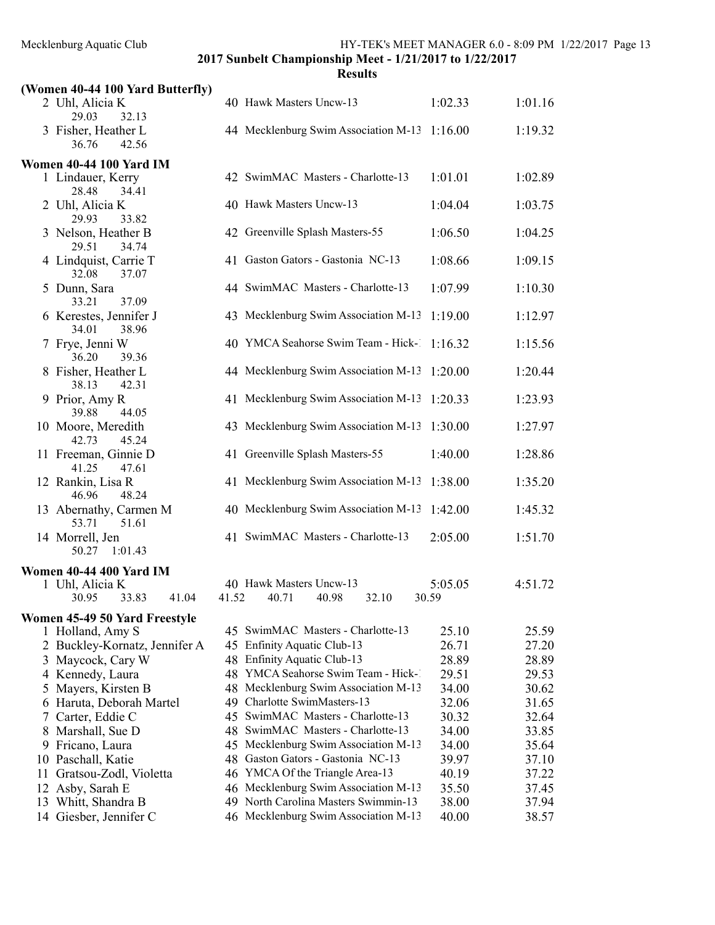|    | (Women 40-44 100 Yard Butterfly)                        |       |                                                                   |                |                |
|----|---------------------------------------------------------|-------|-------------------------------------------------------------------|----------------|----------------|
|    | 2 Uhl, Alicia K                                         |       | 40 Hawk Masters Uncw-13                                           | 1:02.33        | 1:01.16        |
|    | 29.03<br>32.13<br>3 Fisher, Heather L<br>42.56<br>36.76 |       | 44 Mecklenburg Swim Association M-13                              | 1:16.00        | 1:19.32        |
|    | <b>Women 40-44 100 Yard IM</b>                          |       |                                                                   |                |                |
|    | 1 Lindauer, Kerry<br>28.48<br>34.41                     |       | 42 SwimMAC Masters - Charlotte-13                                 | 1:01.01        | 1:02.89        |
|    | 2 Uhl, Alicia K<br>29.93<br>33.82                       |       | 40 Hawk Masters Uncw-13                                           | 1:04.04        | 1:03.75        |
|    | 3 Nelson, Heather B<br>29.51<br>34.74                   |       | 42 Greenville Splash Masters-55                                   | 1:06.50        | 1:04.25        |
|    | 4 Lindquist, Carrie T<br>32.08<br>37.07                 |       | 41 Gaston Gators - Gastonia NC-13                                 | 1:08.66        | 1:09.15        |
|    | 5 Dunn, Sara<br>33.21<br>37.09                          |       | 44 SwimMAC Masters - Charlotte-13                                 | 1:07.99        | 1:10.30        |
|    | 6 Kerestes, Jennifer J<br>34.01<br>38.96                |       | 43 Mecklenburg Swim Association M-13                              | 1:19.00        | 1:12.97        |
|    | 7 Frye, Jenni W<br>36.20<br>39.36                       |       | 40 YMCA Seahorse Swim Team - Hick-1                               | 1:16.32        | 1:15.56        |
|    | 8 Fisher, Heather L<br>38.13<br>42.31                   |       | 44 Mecklenburg Swim Association M-13                              | 1:20.00        | 1:20.44        |
|    | 9 Prior, Amy R<br>39.88<br>44.05                        |       | 41 Mecklenburg Swim Association M-13                              | 1:20.33        | 1:23.93        |
|    | 10 Moore, Meredith<br>42.73<br>45.24                    |       | 43 Mecklenburg Swim Association M-13                              | 1:30.00        | 1:27.97        |
|    | 11 Freeman, Ginnie D<br>41.25<br>47.61                  |       | 41 Greenville Splash Masters-55                                   | 1:40.00        | 1:28.86        |
|    | 12 Rankin, Lisa R<br>48.24<br>46.96                     |       | 41 Mecklenburg Swim Association M-13                              | 1:38.00        | 1:35.20        |
|    | 13 Abernathy, Carmen M<br>51.61<br>53.71                |       | 40 Mecklenburg Swim Association M-13                              | 1:42.00        | 1:45.32        |
|    | 14 Morrell, Jen<br>50.27 1:01.43                        |       | 41 SwimMAC Masters - Charlotte-13                                 | 2:05.00        | 1:51.70        |
|    |                                                         |       |                                                                   |                |                |
|    | Women 40-44 400 Yard IM<br>1 Uhl, Alicia K              |       | 40 Hawk Masters Uncw-13                                           | 5:05.05        | 4:51.72        |
|    | 30.95<br>33.83<br>41.04                                 | 41.52 | 40.71<br>40.98<br>32.10                                           | 30.59          |                |
|    | Women 45-49 50 Yard Freestyle                           |       |                                                                   |                |                |
|    | 1 Holland, Amy S                                        |       | 45 SwimMAC Masters - Charlotte-13                                 | 25.10          | 25.59          |
|    | 2 Buckley-Kornatz, Jennifer A                           | 45    | <b>Enfinity Aquatic Club-13</b>                                   | 26.71          | 27.20          |
|    | 3 Maycock, Cary W                                       | 48    | Enfinity Aquatic Club-13                                          | 28.89          | 28.89          |
|    | 4 Kennedy, Laura                                        | 48    | YMCA Seahorse Swim Team - Hick-1                                  | 29.51          | 29.53          |
| 5  | Mayers, Kirsten B                                       | 48    | Mecklenburg Swim Association M-13                                 | 34.00          | 30.62          |
|    | 6 Haruta, Deborah Martel                                | 49    | Charlotte SwimMasters-13                                          | 32.06          | 31.65          |
| 7  | Carter, Eddie C                                         | 45    | SwimMAC Masters - Charlotte-13                                    | 30.32          | 32.64          |
|    | 8 Marshall, Sue D                                       |       | 48 SwimMAC Masters - Charlotte-13                                 | 34.00          | 33.85          |
|    | 9 Fricano, Laura                                        |       | 45 Mecklenburg Swim Association M-13                              | 34.00          | 35.64          |
|    | 10 Paschall, Katie                                      | 48.   | Gaston Gators - Gastonia NC-13<br>46 YMCA Of the Triangle Area-13 | 39.97          | 37.10          |
| 11 | Gratsou-Zodl, Violetta<br>12 Asby, Sarah E              |       | 46 Mecklenburg Swim Association M-13                              | 40.19<br>35.50 | 37.22<br>37.45 |
|    | 13 Whitt, Shandra B                                     |       | 49 North Carolina Masters Swimmin-13                              | 38.00          | 37.94          |
|    | 14 Giesber, Jennifer C                                  |       | 46 Mecklenburg Swim Association M-13                              | 40.00          | 38.57          |
|    |                                                         |       |                                                                   |                |                |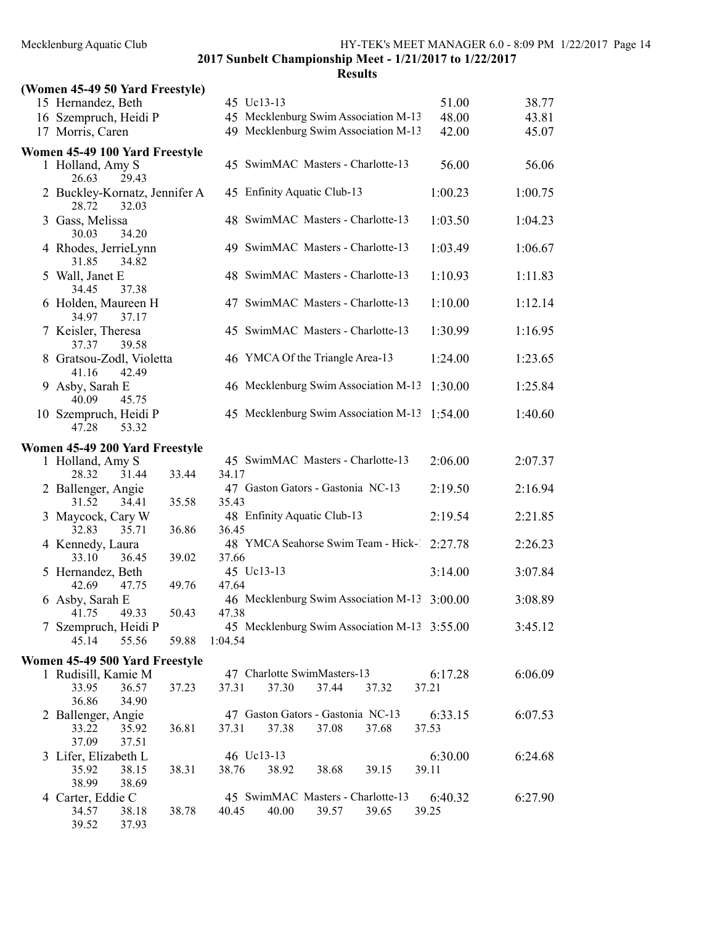| (Women 45-49 50 Yard Freestyle)                 |       |         |                                            |       |                                              |                  |         |
|-------------------------------------------------|-------|---------|--------------------------------------------|-------|----------------------------------------------|------------------|---------|
| 15 Hernandez, Beth                              |       |         | 45 Uc13-13                                 |       |                                              | 51.00            | 38.77   |
| 16 Szempruch, Heidi P                           |       |         |                                            |       | 45 Mecklenburg Swim Association M-13         | 48.00            | 43.81   |
| 17 Morris, Caren                                |       |         |                                            |       | 49 Mecklenburg Swim Association M-13         | 42.00            | 45.07   |
| Women 45-49 100 Yard Freestyle                  |       |         |                                            |       |                                              |                  |         |
| 1 Holland, Amy S<br>26.63<br>29.43              |       |         |                                            |       | 45 SwimMAC Masters - Charlotte-13            | 56.00            | 56.06   |
| 2 Buckley-Kornatz, Jennifer A<br>28.72<br>32.03 |       |         | 45 Enfinity Aquatic Club-13                |       |                                              | 1:00.23          | 1:00.75 |
| 3 Gass, Melissa<br>30.03<br>34.20               |       |         |                                            |       | 48 SwimMAC Masters - Charlotte-13            | 1:03.50          | 1:04.23 |
| 4 Rhodes, JerrieLynn<br>31.85<br>34.82          |       |         |                                            |       | 49 SwimMAC Masters - Charlotte-13            | 1:03.49          | 1:06.67 |
| 5 Wall, Janet E<br>34.45<br>37.38               |       |         |                                            |       | 48 SwimMAC Masters - Charlotte-13            | 1:10.93          | 1:11.83 |
| 6 Holden, Maureen H<br>34.97<br>37.17           |       |         |                                            |       | 47 SwimMAC Masters - Charlotte-13            | 1:10.00          | 1:12.14 |
| 7 Keisler, Theresa<br>37.37<br>39.58            |       |         |                                            |       | 45 SwimMAC Masters - Charlotte-13            | 1:30.99          | 1:16.95 |
| 8 Gratsou-Zodl, Violetta<br>41.16<br>42.49      |       |         | 46 YMCA Of the Triangle Area-13            |       |                                              | 1:24.00          | 1:23.65 |
| 9 Asby, Sarah E<br>40.09<br>45.75               |       |         |                                            |       | 46 Mecklenburg Swim Association M-13         | 1:30.00          | 1:25.84 |
| 10 Szempruch, Heidi P<br>47.28<br>53.32         |       |         |                                            |       | 45 Mecklenburg Swim Association M-13         | 1:54.00          | 1:40.60 |
| Women 45-49 200 Yard Freestyle                  |       |         |                                            |       |                                              |                  |         |
| 1 Holland, Amy S                                |       |         |                                            |       | 45 SwimMAC Masters - Charlotte-13            | 2:06.00          | 2:07.37 |
| 28.32<br>31.44                                  | 33.44 | 34.17   |                                            |       |                                              |                  |         |
| 2 Ballenger, Angie<br>31.52<br>34.41            | 35.58 | 35.43   | 47 Gaston Gators - Gastonia NC-13          |       |                                              | 2:19.50          | 2:16.94 |
| 3 Maycock, Cary W                               |       |         | 48 Enfinity Aquatic Club-13                |       |                                              | 2:19.54          | 2:21.85 |
| 32.83<br>35.71                                  | 36.86 | 36.45   |                                            |       |                                              |                  |         |
| 4 Kennedy, Laura<br>33.10<br>36.45              | 39.02 | 37.66   |                                            |       | 48 YMCA Seahorse Swim Team - Hick- 2:27.78   |                  | 2:26.23 |
| 5 Hernandez, Beth                               |       |         | 45 Uc13-13                                 |       |                                              | 3:14.00          | 3:07.84 |
| 42.69<br>47.75                                  | 49.76 | 47.64   |                                            |       |                                              |                  |         |
| 6 Asby, Sarah E<br>49.33                        |       |         |                                            |       | 46 Mecklenburg Swim Association M-13 3:00.00 |                  | 3:08.89 |
| 41.75<br>7 Szempruch, Heidi P                   | 50.43 | 47.38   |                                            |       | 45 Mecklenburg Swim Association M-13 3:55.00 |                  | 3:45.12 |
| 55.56<br>45.14                                  | 59.88 | 1:04.54 |                                            |       |                                              |                  |         |
| Women 45-49 500 Yard Freestyle                  |       |         |                                            |       |                                              |                  |         |
| 1 Rudisill, Kamie M                             |       |         | 47 Charlotte SwimMasters-13                |       |                                              | 6:17.28          | 6:06.09 |
| 33.95<br>36.57                                  | 37.23 | 37.31   | 37.30                                      | 37.44 | 37.32                                        | 37.21            |         |
| 36.86<br>34.90                                  |       |         |                                            |       |                                              |                  |         |
| 2 Ballenger, Angie<br>33.22<br>35.92            | 36.81 | 37.31   | 47 Gaston Gators - Gastonia NC-13<br>37.38 | 37.08 | 37.68                                        | 6:33.15<br>37.53 | 6:07.53 |
| 37.09<br>37.51                                  |       |         |                                            |       |                                              |                  |         |
| 3 Lifer, Elizabeth L                            |       |         | 46 Uc13-13                                 |       |                                              | 6:30.00          | 6:24.68 |
| 35.92<br>38.15                                  | 38.31 | 38.76   | 38.92                                      | 38.68 | 39.15                                        | 39.11            |         |
| 38.99<br>38.69<br>4 Carter, Eddie C             |       |         |                                            |       | 45 SwimMAC Masters - Charlotte-13            | 6:40.32          | 6:27.90 |
| 34.57<br>38.18                                  | 38.78 | 40.45   | 40.00                                      | 39.57 | 39.65                                        | 39.25            |         |
| 39.52<br>37.93                                  |       |         |                                            |       |                                              |                  |         |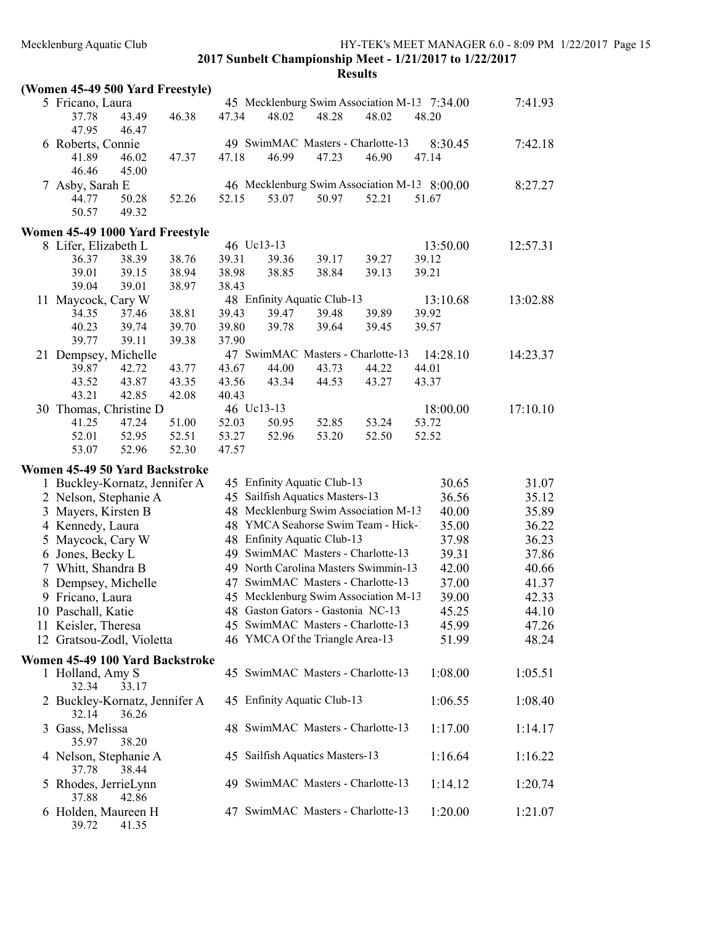#### Results

| (Women 45-49 500 Yard Freestyle) |                                                      |  |  |
|----------------------------------|------------------------------------------------------|--|--|
|                                  | $\mathcal{L}$ Define $\mathcal{L}$ and $\mathcal{L}$ |  |  |

39.72 41.35

| (1)                                    |                |       |       |                                 |       |                                                       |                  |          |       |
|----------------------------------------|----------------|-------|-------|---------------------------------|-------|-------------------------------------------------------|------------------|----------|-------|
| 5 Fricano, Laura<br>37.78              | 43.49          | 46.38 | 47.34 | 48.02                           | 48.28 | 45 Mecklenburg Swim Association M-13 7:34.00<br>48.02 | 48.20            | 7:41.93  |       |
| 47.95<br>6 Roberts, Connie<br>41.89    | 46.47<br>46.02 | 47.37 | 47.18 | 46.99                           | 47.23 | 49 SwimMAC Masters - Charlotte-13<br>46.90            | 8:30.45<br>47.14 | 7:42.18  |       |
| 46.46                                  | 45.00          |       |       |                                 |       |                                                       |                  |          |       |
| 7 Asby, Sarah E                        |                |       | 52.15 |                                 | 50.97 | 46 Mecklenburg Swim Association M-13 8:00.00<br>52.21 |                  | 8:27.27  |       |
| 44.77<br>50.57                         | 50.28<br>49.32 | 52.26 |       | 53.07                           |       |                                                       | 51.67            |          |       |
| Women 45-49 1000 Yard Freestyle        |                |       |       |                                 |       |                                                       |                  |          |       |
| 8 Lifer, Elizabeth L                   |                |       |       | 46 Uc13-13                      |       |                                                       | 13:50.00         | 12:57.31 |       |
| 36.37                                  | 38.39          | 38.76 | 39.31 | 39.36                           | 39.17 | 39.27                                                 | 39.12            |          |       |
| 39.01                                  | 39.15          | 38.94 | 38.98 | 38.85                           | 38.84 | 39.13                                                 | 39.21            |          |       |
| 39.04                                  | 39.01          | 38.97 | 38.43 |                                 |       |                                                       |                  |          |       |
| 11 Maycock, Cary W                     |                |       |       | 48 Enfinity Aquatic Club-13     |       |                                                       | 13:10.68         | 13:02.88 |       |
| 34.35                                  | 37.46          | 38.81 | 39.43 | 39.47                           | 39.48 | 39.89                                                 | 39.92            |          |       |
| 40.23                                  | 39.74          | 39.70 | 39.80 | 39.78                           | 39.64 | 39.45                                                 | 39.57            |          |       |
| 39.77                                  | 39.11          | 39.38 | 37.90 |                                 |       |                                                       |                  |          |       |
| 21 Dempsey, Michelle                   |                |       |       |                                 |       | 47 SwimMAC Masters - Charlotte-13                     | 14:28.10         | 14:23.37 |       |
| 39.87                                  | 42.72          | 43.77 | 43.67 | 44.00                           | 43.73 | 44.22                                                 | 44.01            |          |       |
| 43.52                                  | 43.87          | 43.35 | 43.56 | 43.34                           | 44.53 | 43.27                                                 | 43.37            |          |       |
| 43.21                                  | 42.85          | 42.08 | 40.43 |                                 |       |                                                       |                  |          |       |
| 30 Thomas, Christine D                 |                |       |       | 46 Uc13-13                      |       |                                                       | 18:00.00         | 17:10.10 |       |
| 41.25                                  | 47.24          | 51.00 | 52.03 | 50.95                           | 52.85 | 53.24                                                 | 53.72            |          |       |
| 52.01                                  | 52.95          | 52.51 | 53.27 | 52.96                           | 53.20 | 52.50                                                 | 52.52            |          |       |
| 53.07                                  | 52.96          | 52.30 | 47.57 |                                 |       |                                                       |                  |          |       |
| Women 45-49 50 Yard Backstroke         |                |       |       |                                 |       |                                                       |                  |          |       |
| 1 Buckley-Kornatz, Jennifer A          |                |       |       | 45 Enfinity Aquatic Club-13     |       |                                                       | 30.65            |          | 31.07 |
| 2 Nelson, Stephanie A                  |                |       |       | 45 Sailfish Aquatics Masters-13 |       |                                                       | 36.56            |          | 35.12 |
|                                        |                |       |       |                                 |       | 48 Mecklenburg Swim Association M-13                  | 40.00            |          | 35.89 |
| 3 Mayers, Kirsten B                    |                |       |       |                                 |       | 48 YMCA Seahorse Swim Team - Hick-1                   |                  |          |       |
| 4 Kennedy, Laura                       |                |       |       |                                 |       |                                                       | 35.00            |          | 36.22 |
| 5 Maycock, Cary W                      |                |       |       | 48 Enfinity Aquatic Club-13     |       |                                                       | 37.98            |          | 36.23 |
| 6 Jones, Becky L                       |                |       |       |                                 |       | 49 SwimMAC Masters - Charlotte-13                     | 39.31            |          | 37.86 |
| 7 Whitt, Shandra B                     |                |       |       |                                 |       | 49 North Carolina Masters Swimmin-13                  | 42.00            |          | 40.66 |
| 8 Dempsey, Michelle                    |                |       |       |                                 |       | 47 SwimMAC Masters - Charlotte-13                     | 37.00            |          | 41.37 |
| 9 Fricano, Laura                       |                |       |       |                                 |       | 45 Mecklenburg Swim Association M-13                  | 39.00            |          | 42.33 |
| 10 Paschall, Katie                     |                |       |       |                                 |       | 48 Gaston Gators - Gastonia NC-13                     | 45.25            |          | 44.10 |
| 11 Keisler, Theresa                    |                |       |       |                                 |       | 45 SwimMAC Masters - Charlotte-13                     | 45.99            |          | 47.26 |
| 12 Gratsou-Zodl, Violetta              |                |       |       |                                 |       | 46 YMCA Of the Triangle Area-13                       | 51.99            |          | 48.24 |
| Women 45-49 100 Yard Backstroke        |                |       |       |                                 |       |                                                       |                  |          |       |
| 1 Holland, Amy S<br>32.34              | 33.17          |       |       |                                 |       | 45 SwimMAC Masters - Charlotte-13                     | 1:08.00          | 1:05.51  |       |
| 2 Buckley-Kornatz, Jennifer A<br>32.14 | 36.26          |       |       | 45 Enfinity Aquatic Club-13     |       |                                                       | 1:06.55          | 1:08.40  |       |
| 3 Gass, Melissa<br>35.97               | 38.20          |       |       |                                 |       | 48 SwimMAC Masters - Charlotte-13                     | 1:17.00          | 1:14.17  |       |
| 4 Nelson, Stephanie A<br>37.78         | 38.44          |       |       | 45 Sailfish Aquatics Masters-13 |       |                                                       | 1:16.64          | 1:16.22  |       |
| 5 Rhodes, JerrieLynn<br>37.88          | 42.86          |       |       |                                 |       | 49 SwimMAC Masters - Charlotte-13                     | 1:14.12          | 1:20.74  |       |
| 6 Holden, Maureen H                    |                |       |       |                                 |       | 47 SwimMAC Masters - Charlotte-13                     | 1:20.00          | 1:21.07  |       |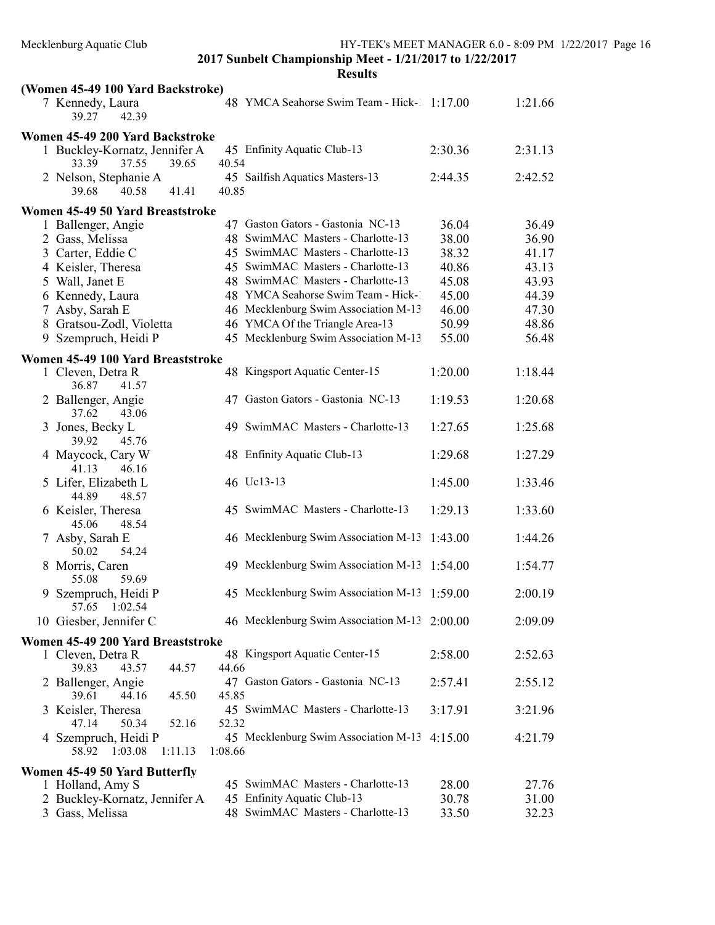| (Women 45-49 100 Yard Backstroke)                        |                                                         |         |         |
|----------------------------------------------------------|---------------------------------------------------------|---------|---------|
| 7 Kennedy, Laura<br>39.27<br>42.39                       | 48 YMCA Seahorse Swim Team - Hick-1 1:17.00             |         | 1:21.66 |
| Women 45-49 200 Yard Backstroke                          |                                                         |         |         |
| 1 Buckley-Kornatz, Jennifer A<br>37.55<br>33.39<br>39.65 | 45 Enfinity Aquatic Club-13<br>40.54                    | 2:30.36 | 2:31.13 |
| 2 Nelson, Stephanie A<br>40.58<br>41.41<br>39.68         | 45 Sailfish Aquatics Masters-13<br>40.85                | 2:44.35 | 2:42.52 |
| Women 45-49 50 Yard Breaststroke                         |                                                         |         |         |
| 1 Ballenger, Angie                                       | 47 Gaston Gators - Gastonia NC-13                       | 36.04   | 36.49   |
| 2 Gass, Melissa                                          | 48 SwimMAC Masters - Charlotte-13                       | 38.00   | 36.90   |
| 3 Carter, Eddie C                                        | 45 SwimMAC Masters - Charlotte-13                       | 38.32   | 41.17   |
| 4 Keisler, Theresa                                       | 45 SwimMAC Masters - Charlotte-13                       | 40.86   | 43.13   |
| 5 Wall, Janet E                                          | 48 SwimMAC Masters - Charlotte-13                       | 45.08   | 43.93   |
| 6 Kennedy, Laura                                         | 48 YMCA Seahorse Swim Team - Hick-1                     | 45.00   | 44.39   |
| 7 Asby, Sarah E                                          | 46 Mecklenburg Swim Association M-13                    | 46.00   | 47.30   |
| 8 Gratsou-Zodl, Violetta                                 | 46 YMCA Of the Triangle Area-13                         | 50.99   | 48.86   |
| 9 Szempruch, Heidi P                                     | 45 Mecklenburg Swim Association M-13                    | 55.00   | 56.48   |
| Women 45-49 100 Yard Breaststroke                        |                                                         |         |         |
| 1 Cleven, Detra R<br>36.87<br>41.57                      | 48 Kingsport Aquatic Center-15                          | 1:20.00 | 1:18.44 |
| 2 Ballenger, Angie<br>37.62<br>43.06                     | 47 Gaston Gators - Gastonia NC-13                       | 1:19.53 | 1:20.68 |
| 3 Jones, Becky L<br>39.92<br>45.76                       | 49 SwimMAC Masters - Charlotte-13                       | 1:27.65 | 1:25.68 |
| 4 Maycock, Cary W<br>41.13<br>46.16                      | 48 Enfinity Aquatic Club-13                             | 1:29.68 | 1:27.29 |
| 5 Lifer, Elizabeth L<br>44.89<br>48.57                   | 46 Uc13-13                                              | 1:45.00 | 1:33.46 |
| 6 Keisler, Theresa<br>45.06<br>48.54                     | 45 SwimMAC Masters - Charlotte-13                       | 1:29.13 | 1:33.60 |
| 7 Asby, Sarah E<br>54.24<br>50.02                        | 46 Mecklenburg Swim Association M-13                    | 1:43.00 | 1:44.26 |
| 8 Morris, Caren<br>59.69<br>55.08                        | 49 Mecklenburg Swim Association M-13                    | 1:54.00 | 1:54.77 |
| 9 Szempruch, Heidi P<br>57.65 1:02.54                    | 45 Mecklenburg Swim Association M-13                    | 1:59.00 | 2:00.19 |
| 10 Giesber, Jennifer C                                   | 46 Mecklenburg Swim Association M-13 2:00.00            |         | 2:09.09 |
| Women 45-49 200 Yard Breaststroke                        |                                                         |         |         |
| 1 Cleven, Detra R<br>39.83<br>43.57<br>44.57             | 48 Kingsport Aquatic Center-15<br>44.66                 | 2:58.00 | 2:52.63 |
| 2 Ballenger, Angie<br>39.61<br>44.16<br>45.50            | 47 Gaston Gators - Gastonia NC-13<br>45.85              | 2:57.41 | 2:55.12 |
| 3 Keisler, Theresa<br>47.14<br>50.34<br>52.16            | 45 SwimMAC Masters - Charlotte-13<br>52.32              | 3:17.91 | 3:21.96 |
| 4 Szempruch, Heidi P<br>58.92<br>1:03.08<br>1:11.13      | 45 Mecklenburg Swim Association M-13 4:15.00<br>1:08.66 |         | 4:21.79 |
| Women 45-49 50 Yard Butterfly                            |                                                         |         |         |
| 1 Holland, Amy S                                         | 45 SwimMAC Masters - Charlotte-13                       | 28.00   | 27.76   |
| 2 Buckley-Kornatz, Jennifer A                            | 45 Enfinity Aquatic Club-13                             | 30.78   | 31.00   |
| 3 Gass, Melissa                                          | 48 SwimMAC Masters - Charlotte-13                       | 33.50   | 32.23   |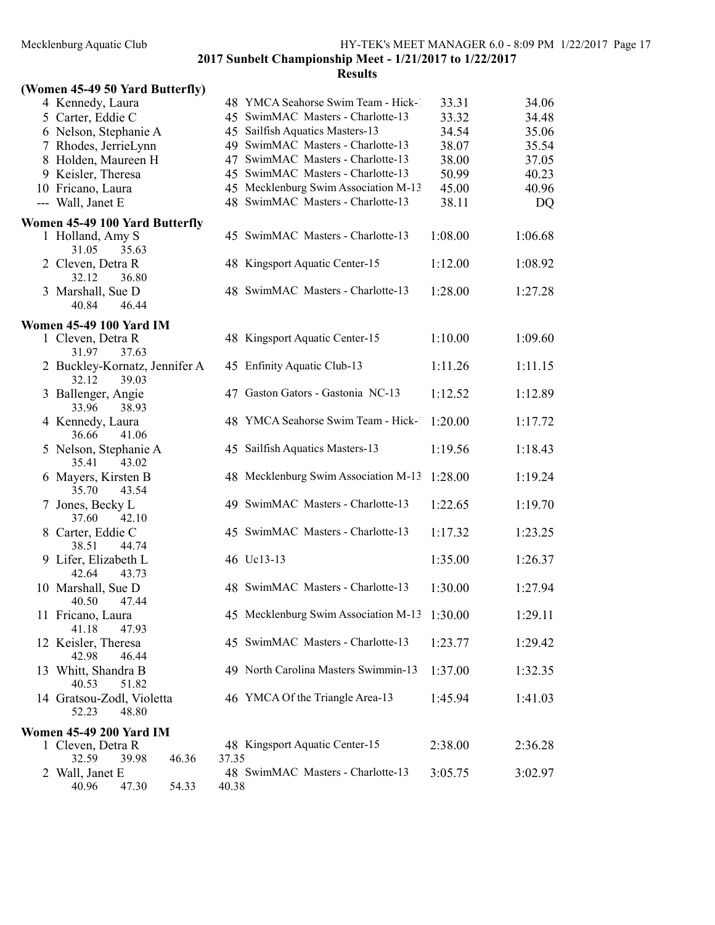Mecklenburg Aquatic Club HY-TEK's MEET MANAGER 6.0 - 8:09 PM 1/22/2017 Page 17

2017 Sunbelt Championship Meet - 1/21/2017 to 1/22/2017

|  |  |  |  | (Women 45-49 50 Yard Butterfly) |
|--|--|--|--|---------------------------------|
|--|--|--|--|---------------------------------|

| 4 Kennedy, Laura                                |       | 48 YMCA Seahorse Swim Team - Hick-1  | 33.31   | 34.06     |
|-------------------------------------------------|-------|--------------------------------------|---------|-----------|
| 5 Carter, Eddie C                               |       | 45 SwimMAC Masters - Charlotte-13    | 33.32   | 34.48     |
| 6 Nelson, Stephanie A                           |       | 45 Sailfish Aquatics Masters-13      | 34.54   | 35.06     |
| 7 Rhodes, JerrieLynn                            |       | 49 SwimMAC Masters - Charlotte-13    | 38.07   | 35.54     |
| 8 Holden, Maureen H                             |       | 47 SwimMAC Masters - Charlotte-13    | 38.00   | 37.05     |
| 9 Keisler, Theresa                              |       | 45 SwimMAC Masters - Charlotte-13    | 50.99   | 40.23     |
| 10 Fricano, Laura                               |       | 45 Mecklenburg Swim Association M-13 | 45.00   | 40.96     |
| --- Wall, Janet E                               |       | 48 SwimMAC Masters - Charlotte-13    | 38.11   | <b>DQ</b> |
|                                                 |       |                                      |         |           |
| Women 45-49 100 Yard Butterfly                  |       | 45 SwimMAC Masters - Charlotte-13    | 1:08.00 | 1:06.68   |
| 1 Holland, Amy S<br>31.05<br>35.63              |       |                                      |         |           |
| 2 Cleven, Detra R                               |       | 48 Kingsport Aquatic Center-15       | 1:12.00 | 1:08.92   |
| 36.80<br>32.12                                  |       |                                      |         |           |
| 3 Marshall, Sue D                               |       | 48 SwimMAC Masters - Charlotte-13    | 1:28.00 | 1:27.28   |
| 40.84<br>46.44                                  |       |                                      |         |           |
|                                                 |       |                                      |         |           |
| <b>Women 45-49 100 Yard IM</b>                  |       |                                      |         |           |
| 1 Cleven, Detra R                               |       | 48 Kingsport Aquatic Center-15       | 1:10.00 | 1:09.60   |
| 31.97<br>37.63                                  |       |                                      |         |           |
| 2 Buckley-Kornatz, Jennifer A<br>32.12<br>39.03 |       | 45 Enfinity Aquatic Club-13          | 1:11.26 | 1:11.15   |
| 3 Ballenger, Angie                              |       | 47 Gaston Gators - Gastonia NC-13    | 1:12.52 | 1:12.89   |
| 33.96<br>38.93                                  |       |                                      |         |           |
| 4 Kennedy, Laura                                |       | 48 YMCA Seahorse Swim Team - Hick-1  | 1:20.00 | 1:17.72   |
| 41.06<br>36.66                                  |       |                                      |         |           |
| 5 Nelson, Stephanie A                           |       | 45 Sailfish Aquatics Masters-13      | 1:19.56 | 1:18.43   |
| 35.41<br>43.02                                  |       |                                      |         |           |
| 6 Mayers, Kirsten B                             |       | 48 Mecklenburg Swim Association M-13 | 1:28.00 | 1:19.24   |
| 35.70<br>43.54                                  |       |                                      |         |           |
| 7 Jones, Becky L                                |       | 49 SwimMAC Masters - Charlotte-13    | 1:22.65 | 1:19.70   |
| 37.60<br>42.10                                  |       |                                      |         |           |
| 8 Carter, Eddie C                               |       | 45 SwimMAC Masters - Charlotte-13    | 1:17.32 | 1:23.25   |
| 38.51<br>44.74                                  |       |                                      |         |           |
| 9 Lifer, Elizabeth L                            |       | 46 Uc13-13                           | 1:35.00 | 1:26.37   |
| 42.64<br>43.73                                  |       |                                      |         |           |
| 10 Marshall, Sue D                              |       | 48 SwimMAC Masters - Charlotte-13    | 1:30.00 | 1:27.94   |
| 40.50<br>47.44                                  |       |                                      |         |           |
| 11 Fricano, Laura                               |       | 45 Mecklenburg Swim Association M-13 | 1:30.00 | 1:29.11   |
| 41.18<br>47.93                                  |       |                                      |         |           |
| 12 Keisler, Theresa                             |       | 45 SwimMAC Masters - Charlotte-13    | 1:23.77 | 1:29.42   |
| 42.98<br>46.44                                  |       |                                      |         |           |
| 13 Whitt, Shandra B                             |       | 49 North Carolina Masters Swimmin-13 | 1:37.00 | 1:32.35   |
| 40.53<br>51.82                                  |       |                                      |         |           |
| 14 Gratsou-Zodl, Violetta<br>48.80<br>52.23     |       | 46 YMCA Of the Triangle Area-13      | 1:45.94 | 1:41.03   |
|                                                 |       |                                      |         |           |
| <b>Women 45-49 200 Yard IM</b>                  |       |                                      |         |           |
| 1 Cleven, Detra R                               |       | 48 Kingsport Aquatic Center-15       | 2:38.00 | 2:36.28   |
| 32.59<br>39.98<br>46.36                         | 37.35 |                                      |         |           |
| 2 Wall, Janet E                                 |       | 48 SwimMAC Masters - Charlotte-13    | 3:05.75 | 3:02.97   |
| 40.96<br>47.30<br>54.33                         | 40.38 |                                      |         |           |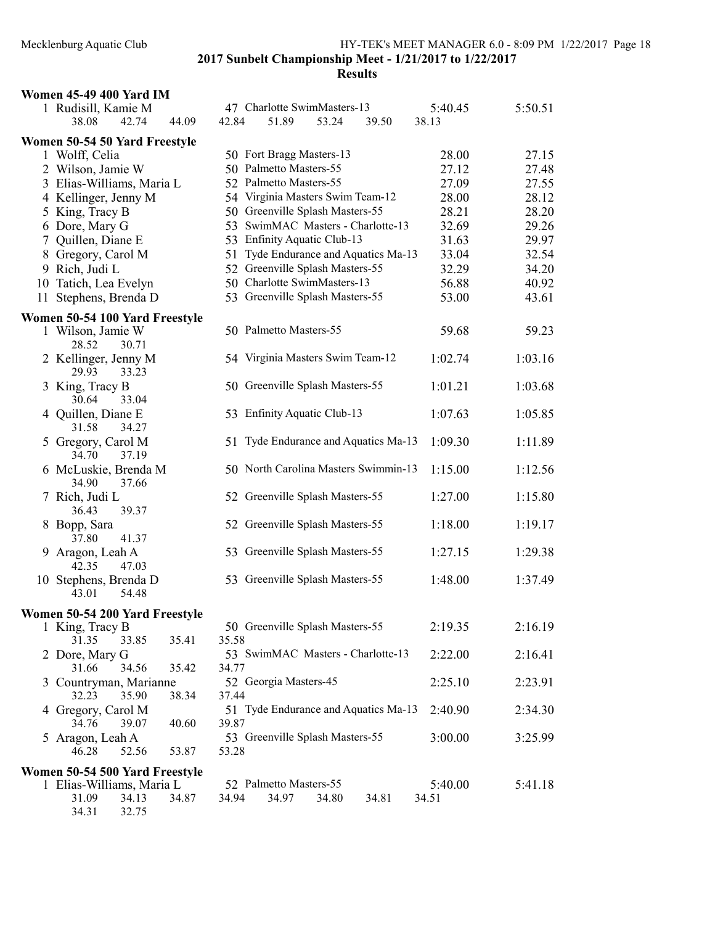# Mecklenburg Aquatic Club HY-TEK's MEET MANAGER 6.0 - 8:09 PM 1/22/2017 Page 18 2017 Sunbelt Championship Meet - 1/21/2017 to 1/22/2017 Results

|    | <b>Women 45-49 400 Yard IM</b> |       |       |       |                          |                                  |                                      |         |         |
|----|--------------------------------|-------|-------|-------|--------------------------|----------------------------------|--------------------------------------|---------|---------|
|    | 1 Rudisill, Kamie M            |       |       |       |                          | 47 Charlotte SwimMasters-13      |                                      | 5:40.45 | 5:50.51 |
|    | 38.08                          | 42.74 | 44.09 | 42.84 | 51.89                    | 53.24                            | 39.50                                | 38.13   |         |
|    | Women 50-54 50 Yard Freestyle  |       |       |       |                          |                                  |                                      |         |         |
|    | 1 Wolff, Celia                 |       |       |       | 50 Fort Bragg Masters-13 |                                  |                                      | 28.00   | 27.15   |
|    | 2 Wilson, Jamie W              |       |       |       | 50 Palmetto Masters-55   |                                  |                                      | 27.12   | 27.48   |
|    | 3 Elias-Williams, Maria L      |       |       |       | 52 Palmetto Masters-55   |                                  |                                      | 27.09   | 27.55   |
|    | 4 Kellinger, Jenny M           |       |       |       |                          | 54 Virginia Masters Swim Team-12 |                                      | 28.00   | 28.12   |
|    | 5 King, Tracy B                |       |       |       |                          | 50 Greenville Splash Masters-55  |                                      | 28.21   | 28.20   |
|    | 6 Dore, Mary G                 |       |       | 53    |                          | SwimMAC Masters - Charlotte-13   |                                      | 32.69   | 29.26   |
|    | 7 Quillen, Diane E             |       |       |       |                          | 53 Enfinity Aquatic Club-13      |                                      | 31.63   | 29.97   |
|    | 8 Gregory, Carol M             |       |       | 51    |                          |                                  | Tyde Endurance and Aquatics Ma-13    | 33.04   | 32.54   |
|    | 9 Rich, Judi L                 |       |       |       |                          | 52 Greenville Splash Masters-55  |                                      | 32.29   | 34.20   |
|    | 10 Tatich, Lea Evelyn          |       |       |       |                          | 50 Charlotte SwimMasters-13      |                                      | 56.88   | 40.92   |
| 11 | Stephens, Brenda D             |       |       |       |                          | 53 Greenville Splash Masters-55  |                                      | 53.00   | 43.61   |
|    |                                |       |       |       |                          |                                  |                                      |         |         |
|    | Women 50-54 100 Yard Freestyle |       |       |       | 50 Palmetto Masters-55   |                                  |                                      |         |         |
|    | 1 Wilson, Jamie W<br>28.52     | 30.71 |       |       |                          |                                  |                                      | 59.68   | 59.23   |
|    | 2 Kellinger, Jenny M           |       |       |       |                          | 54 Virginia Masters Swim Team-12 |                                      | 1:02.74 | 1:03.16 |
|    | 29.93                          | 33.23 |       |       |                          |                                  |                                      |         |         |
|    | 3 King, Tracy B                |       |       |       |                          | 50 Greenville Splash Masters-55  |                                      | 1:01.21 | 1:03.68 |
|    | 30.64                          | 33.04 |       |       |                          |                                  |                                      |         |         |
|    | 4 Quillen, Diane E             |       |       |       |                          | 53 Enfinity Aquatic Club-13      |                                      | 1:07.63 | 1:05.85 |
|    | 31.58                          | 34.27 |       |       |                          |                                  |                                      |         |         |
|    | 5 Gregory, Carol M             |       |       |       |                          |                                  | 51 Tyde Endurance and Aquatics Ma-13 | 1:09.30 | 1:11.89 |
|    | 34.70                          | 37.19 |       |       |                          |                                  |                                      |         |         |
|    | 6 McLuskie, Brenda M           |       |       |       |                          |                                  | 50 North Carolina Masters Swimmin-13 | 1:15.00 | 1:12.56 |
|    | 34.90                          | 37.66 |       |       |                          |                                  |                                      |         |         |
|    | 7 Rich, Judi L                 |       |       |       |                          | 52 Greenville Splash Masters-55  |                                      | 1:27.00 | 1:15.80 |
|    | 36.43                          | 39.37 |       |       |                          |                                  |                                      |         |         |
|    | 8 Bopp, Sara                   |       |       |       |                          | 52 Greenville Splash Masters-55  |                                      | 1:18.00 | 1:19.17 |
|    | 37.80                          | 41.37 |       |       |                          |                                  |                                      |         |         |
|    | 9 Aragon, Leah A               |       |       |       |                          | 53 Greenville Splash Masters-55  |                                      | 1:27.15 | 1:29.38 |
|    | 42.35                          | 47.03 |       |       |                          |                                  |                                      |         |         |
|    | 10 Stephens, Brenda D          |       |       |       |                          | 53 Greenville Splash Masters-55  |                                      | 1:48.00 | 1:37.49 |
|    | 43.01                          | 54.48 |       |       |                          |                                  |                                      |         |         |
|    | Women 50-54 200 Yard Freestyle |       |       |       |                          |                                  |                                      |         |         |
|    | 1 King, Tracy B                |       |       |       |                          | 50 Greenville Splash Masters-55  |                                      | 2:19.35 | 2:16.19 |
|    | 31.35                          | 33.85 | 35.41 | 35.58 |                          |                                  |                                      |         |         |
|    | 2 Dore, Mary G                 |       |       |       |                          |                                  | 53 SwimMAC Masters - Charlotte-13    | 2:22.00 | 2:16.41 |
|    | 31.66                          | 34.56 | 35.42 | 34.77 |                          |                                  |                                      |         |         |
|    | 3 Countryman, Marianne         |       |       |       | 52 Georgia Masters-45    |                                  |                                      | 2:25.10 | 2:23.91 |
|    | 32.23                          | 35.90 | 38.34 | 37.44 |                          |                                  |                                      |         |         |
|    | 4 Gregory, Carol M             |       |       |       |                          |                                  | 51 Tyde Endurance and Aquatics Ma-13 | 2:40.90 | 2:34.30 |
|    | 34.76                          | 39.07 | 40.60 | 39.87 |                          |                                  |                                      |         |         |
|    | 5 Aragon, Leah A               |       |       |       |                          | 53 Greenville Splash Masters-55  |                                      | 3:00.00 | 3:25.99 |
|    | 46.28                          | 52.56 | 53.87 | 53.28 |                          |                                  |                                      |         |         |
|    | Women 50-54 500 Yard Freestyle |       |       |       |                          |                                  |                                      |         |         |
|    | 1 Elias-Williams, Maria L      |       |       |       | 52 Palmetto Masters-55   |                                  |                                      | 5:40.00 | 5:41.18 |
|    | 31.09                          | 34.13 | 34.87 | 34.94 | 34.97                    | 34.80                            | 34.81                                | 34.51   |         |
|    | 34.31                          | 32.75 |       |       |                          |                                  |                                      |         |         |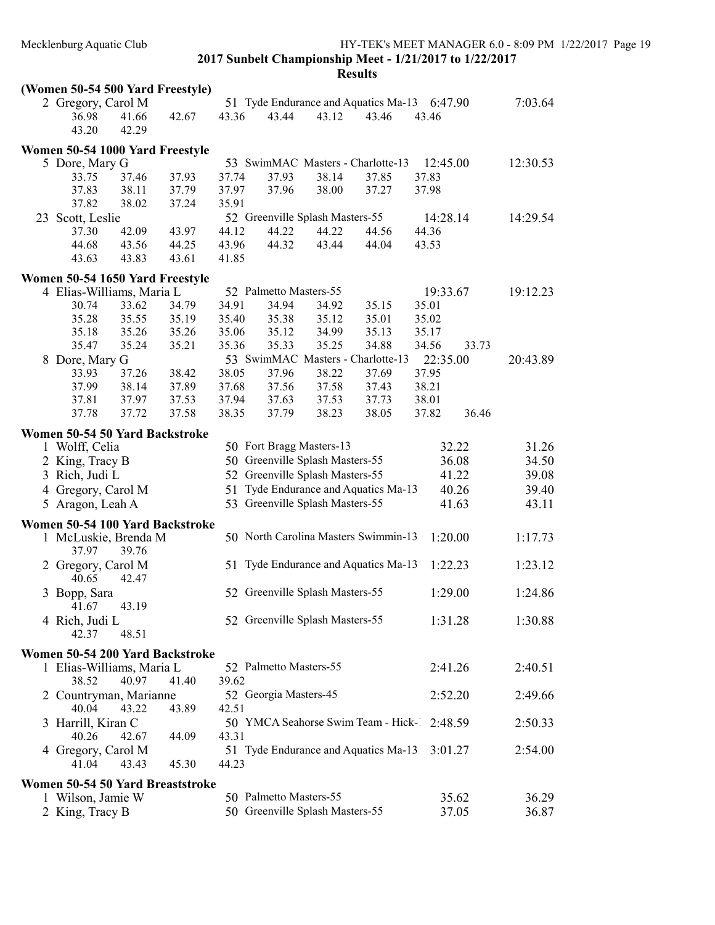| (Women 50-54 500 Yard Freestyle)                      |       |       |       |                                 |       |                                             |          |       |          |
|-------------------------------------------------------|-------|-------|-------|---------------------------------|-------|---------------------------------------------|----------|-------|----------|
| 2 Gregory, Carol M                                    |       |       |       |                                 |       | 51 Tyde Endurance and Aquatics Ma-13        | 6:47.90  |       | 7:03.64  |
| 36.98                                                 | 41.66 | 42.67 | 43.36 | 43.44                           | 43.12 | 43.46                                       | 43.46    |       |          |
| 43.20                                                 | 42.29 |       |       |                                 |       |                                             |          |       |          |
| Women 50-54 1000 Yard Freestyle                       |       |       |       |                                 |       |                                             |          |       |          |
| 5 Dore, Mary G                                        |       |       |       |                                 |       | 53 SwimMAC Masters - Charlotte-13           | 12:45.00 |       | 12:30.53 |
| 33.75                                                 | 37.46 | 37.93 | 37.74 | 37.93                           | 38.14 | 37.85                                       | 37.83    |       |          |
| 37.83                                                 | 38.11 | 37.79 | 37.97 | 37.96                           | 38.00 | 37.27                                       | 37.98    |       |          |
| 37.82                                                 | 38.02 | 37.24 | 35.91 |                                 |       |                                             |          |       |          |
| 23 Scott, Leslie                                      |       |       |       | 52 Greenville Splash Masters-55 |       |                                             | 14:28.14 |       | 14:29.54 |
| 37.30                                                 | 42.09 | 43.97 | 44.12 | 44.22                           | 44.22 | 44.56                                       | 44.36    |       |          |
| 44.68                                                 | 43.56 | 44.25 | 43.96 | 44.32                           | 43.44 | 44.04                                       | 43.53    |       |          |
| 43.63                                                 | 43.83 | 43.61 | 41.85 |                                 |       |                                             |          |       |          |
|                                                       |       |       |       |                                 |       |                                             |          |       |          |
| Women 50-54 1650 Yard Freestyle                       |       |       |       |                                 |       |                                             |          |       |          |
| 4 Elias-Williams, Maria L                             |       |       |       | 52 Palmetto Masters-55          |       |                                             | 19:33.67 |       | 19:12.23 |
| 30.74                                                 | 33.62 | 34.79 | 34.91 | 34.94                           | 34.92 | 35.15                                       | 35.01    |       |          |
| 35.28                                                 | 35.55 | 35.19 | 35.40 | 35.38                           | 35.12 | 35.01                                       | 35.02    |       |          |
| 35.18                                                 | 35.26 | 35.26 | 35.06 | 35.12                           | 34.99 | 35.13                                       | 35.17    |       |          |
| 35.47                                                 | 35.24 | 35.21 | 35.36 | 35.33                           | 35.25 | 34.88                                       | 34.56    | 33.73 |          |
| 8 Dore, Mary G                                        |       |       |       |                                 |       | 53 SwimMAC Masters - Charlotte-13           | 22:35.00 |       | 20:43.89 |
| 33.93                                                 | 37.26 | 38.42 | 38.05 | 37.96                           | 38.22 | 37.69                                       | 37.95    |       |          |
| 37.99                                                 | 38.14 | 37.89 | 37.68 | 37.56                           | 37.58 | 37.43                                       | 38.21    |       |          |
| 37.81                                                 | 37.97 | 37.53 | 37.94 | 37.63                           | 37.53 | 37.73                                       | 38.01    |       |          |
| 37.78                                                 | 37.72 | 37.58 | 38.35 | 37.79                           | 38.23 | 38.05                                       | 37.82    | 36.46 |          |
| Women 50-54 50 Yard Backstroke                        |       |       |       |                                 |       |                                             |          |       |          |
| 1 Wolff, Celia                                        |       |       |       | 50 Fort Bragg Masters-13        |       |                                             |          | 32.22 | 31.26    |
| 2 King, Tracy B                                       |       |       |       | 50 Greenville Splash Masters-55 |       |                                             |          | 36.08 | 34.50    |
| 3 Rich, Judi L                                        |       |       |       | 52 Greenville Splash Masters-55 |       |                                             |          | 41.22 | 39.08    |
| 4 Gregory, Carol M                                    |       |       | 51    |                                 |       | Tyde Endurance and Aquatics Ma-13           |          | 40.26 | 39.40    |
| 5 Aragon, Leah A                                      |       |       |       | 53 Greenville Splash Masters-55 |       |                                             |          | 41.63 | 43.11    |
|                                                       |       |       |       |                                 |       |                                             |          |       |          |
| Women 50-54 100 Yard Backstroke                       |       |       |       |                                 |       |                                             |          |       |          |
| 1 McLuskie, Brenda M                                  |       |       |       |                                 |       | 50 North Carolina Masters Swimmin-13        | 1:20.00  |       | 1:17.73  |
| 37.97                                                 | 39.76 |       |       |                                 |       |                                             |          |       |          |
| 2 Gregory, Carol M                                    |       |       |       |                                 |       | 51 Tyde Endurance and Aquatics Ma-13        | 1:22.23  |       | 1:23.12  |
| 40.65                                                 | 42.47 |       |       |                                 |       |                                             |          |       |          |
| 3 Bopp, Sara                                          |       |       |       | 52 Greenville Splash Masters-55 |       |                                             | 1:29.00  |       | 1:24.86  |
| 41.67                                                 | 43.19 |       |       |                                 |       |                                             |          |       |          |
| 4 Rich, Judi L                                        |       |       |       | 52 Greenville Splash Masters-55 |       |                                             | 1:31.28  |       | 1:30.88  |
| 42.37                                                 | 48.51 |       |       |                                 |       |                                             |          |       |          |
| Women 50-54 200 Yard Backstroke                       |       |       |       |                                 |       |                                             |          |       |          |
| 1 Elias-Williams, Maria L                             |       |       |       | 52 Palmetto Masters-55          |       |                                             | 2:41.26  |       | 2:40.51  |
| 38.52                                                 | 40.97 | 41.40 | 39.62 |                                 |       |                                             |          |       |          |
| 2 Countryman, Marianne                                |       |       |       | 52 Georgia Masters-45           |       |                                             | 2:52.20  |       | 2:49.66  |
| 40.04                                                 | 43.22 | 43.89 | 42.51 |                                 |       |                                             |          |       |          |
| 3 Harrill, Kiran C                                    |       |       |       |                                 |       | 50 YMCA Seahorse Swim Team - Hick-1 2:48.59 |          |       | 2:50.33  |
| 40.26                                                 | 42.67 | 44.09 | 43.31 |                                 |       |                                             |          |       |          |
| 4 Gregory, Carol M                                    |       |       |       |                                 |       | 51 Tyde Endurance and Aquatics Ma-13        | 3:01.27  |       | 2:54.00  |
| 41.04                                                 | 43.43 | 45.30 | 44.23 |                                 |       |                                             |          |       |          |
|                                                       |       |       |       |                                 |       |                                             |          |       |          |
| Women 50-54 50 Yard Breaststroke<br>1 Wilson, Jamie W |       |       |       | 50 Palmetto Masters-55          |       |                                             |          | 35.62 | 36.29    |
| 2 King, Tracy B                                       |       |       |       | 50 Greenville Splash Masters-55 |       |                                             |          | 37.05 | 36.87    |
|                                                       |       |       |       |                                 |       |                                             |          |       |          |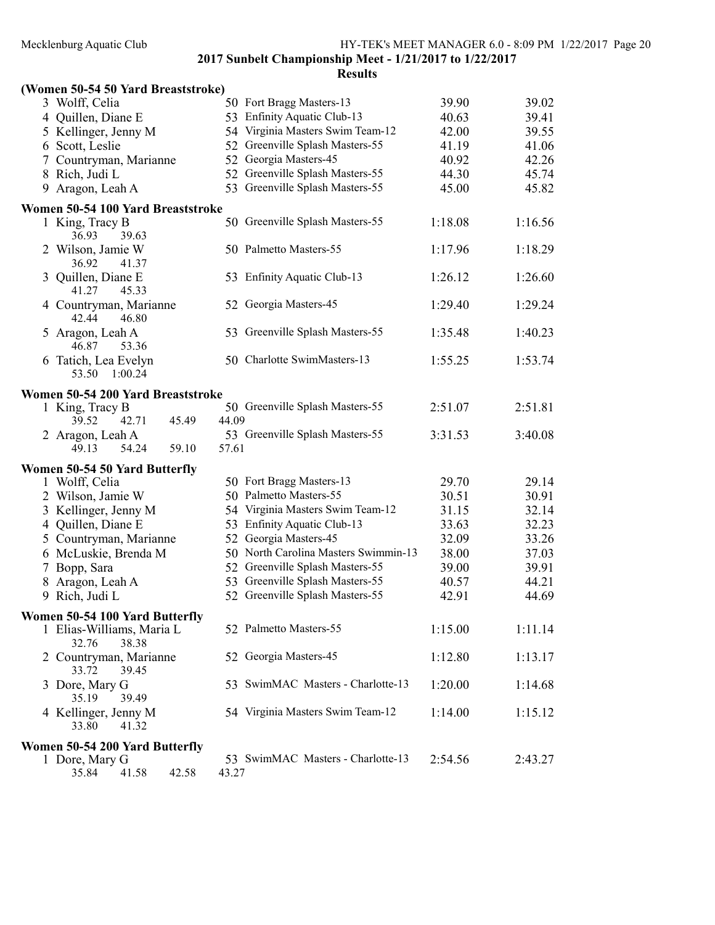| (Women 50-54 50 Yard Breaststroke)      |                                      |         |         |
|-----------------------------------------|--------------------------------------|---------|---------|
| 3 Wolff, Celia                          | 50 Fort Bragg Masters-13             | 39.90   | 39.02   |
| 4 Quillen, Diane E                      | 53 Enfinity Aquatic Club-13          | 40.63   | 39.41   |
| 5 Kellinger, Jenny M                    | 54 Virginia Masters Swim Team-12     | 42.00   | 39.55   |
| Scott, Leslie<br>6                      | 52 Greenville Splash Masters-55      | 41.19   | 41.06   |
| 7 Countryman, Marianne                  | 52 Georgia Masters-45                | 40.92   | 42.26   |
| 8 Rich, Judi L                          | 52 Greenville Splash Masters-55      | 44.30   | 45.74   |
| Aragon, Leah A<br>9                     | 53 Greenville Splash Masters-55      | 45.00   | 45.82   |
|                                         |                                      |         |         |
| Women 50-54 100 Yard Breaststroke       | 50 Greenville Splash Masters-55      |         |         |
| 1 King, Tracy B<br>36.93                |                                      | 1:18.08 | 1:16.56 |
| 39.63                                   | 50 Palmetto Masters-55               |         |         |
| 2 Wilson, Jamie W<br>36.92<br>41.37     |                                      | 1:17.96 | 1:18.29 |
|                                         | 53 Enfinity Aquatic Club-13          | 1:26.12 | 1:26.60 |
| Quillen, Diane E<br>3<br>41.27<br>45.33 |                                      |         |         |
| 4 Countryman, Marianne                  | 52 Georgia Masters-45                | 1:29.40 | 1:29.24 |
| 42.44<br>46.80                          |                                      |         |         |
|                                         | 53 Greenville Splash Masters-55      | 1:35.48 | 1:40.23 |
| 5 Aragon, Leah A<br>46.87<br>53.36      |                                      |         |         |
| 6 Tatich, Lea Evelyn                    | 50 Charlotte SwimMasters-13          | 1:55.25 | 1:53.74 |
| 1:00.24<br>53.50                        |                                      |         |         |
|                                         |                                      |         |         |
| Women 50-54 200 Yard Breaststroke       |                                      |         |         |
| 1 King, Tracy B                         | 50 Greenville Splash Masters-55      | 2:51.07 | 2:51.81 |
| 39.52<br>42.71<br>45.49                 | 44.09                                |         |         |
| 2 Aragon, Leah A                        | 53 Greenville Splash Masters-55      | 3:31.53 | 3:40.08 |
| 54.24<br>59.10<br>49.13                 | 57.61                                |         |         |
| Women 50-54 50 Yard Butterfly           |                                      |         |         |
| 1 Wolff, Celia                          | 50 Fort Bragg Masters-13             | 29.70   | 29.14   |
| 2 Wilson, Jamie W                       | 50 Palmetto Masters-55               | 30.51   | 30.91   |
| 3 Kellinger, Jenny M                    | 54 Virginia Masters Swim Team-12     | 31.15   | 32.14   |
| Quillen, Diane E<br>$\overline{4}$      | 53 Enfinity Aquatic Club-13          | 33.63   | 32.23   |
| 5 Countryman, Marianne                  | 52 Georgia Masters-45                | 32.09   | 33.26   |
| 6 McLuskie, Brenda M                    | 50 North Carolina Masters Swimmin-13 | 38.00   | 37.03   |
| 7 Bopp, Sara                            | Greenville Splash Masters-55<br>52   | 39.00   | 39.91   |
| Aragon, Leah A<br>8                     | Greenville Splash Masters-55<br>53   | 40.57   | 44.21   |
| 9 Rich, Judi L                          | 52 Greenville Splash Masters-55      | 42.91   | 44.69   |
|                                         |                                      |         |         |
| Women 50-54 100 Yard Butterfly          |                                      |         |         |
| 1 Elias-Williams, Maria L               | 52 Palmetto Masters-55               | 1:15.00 | 1:11.14 |
| 32.76<br>38.38                          |                                      |         |         |
| 2 Countryman, Marianne                  | 52 Georgia Masters-45                | 1:12.80 | 1:13.17 |
| 33.72<br>39.45                          |                                      |         |         |
| 3 Dore, Mary G                          | 53 SwimMAC Masters - Charlotte-13    | 1:20.00 | 1:14.68 |
| 35.19<br>39.49                          |                                      |         |         |
| 4 Kellinger, Jenny M                    | 54 Virginia Masters Swim Team-12     | 1:14.00 | 1:15.12 |
| 33.80<br>41.32                          |                                      |         |         |
| Women 50-54 200 Yard Butterfly          |                                      |         |         |
| 1 Dore, Mary G                          | 53 SwimMAC Masters - Charlotte-13    | 2:54.56 | 2:43.27 |
| 35.84<br>41.58<br>42.58                 | 43.27                                |         |         |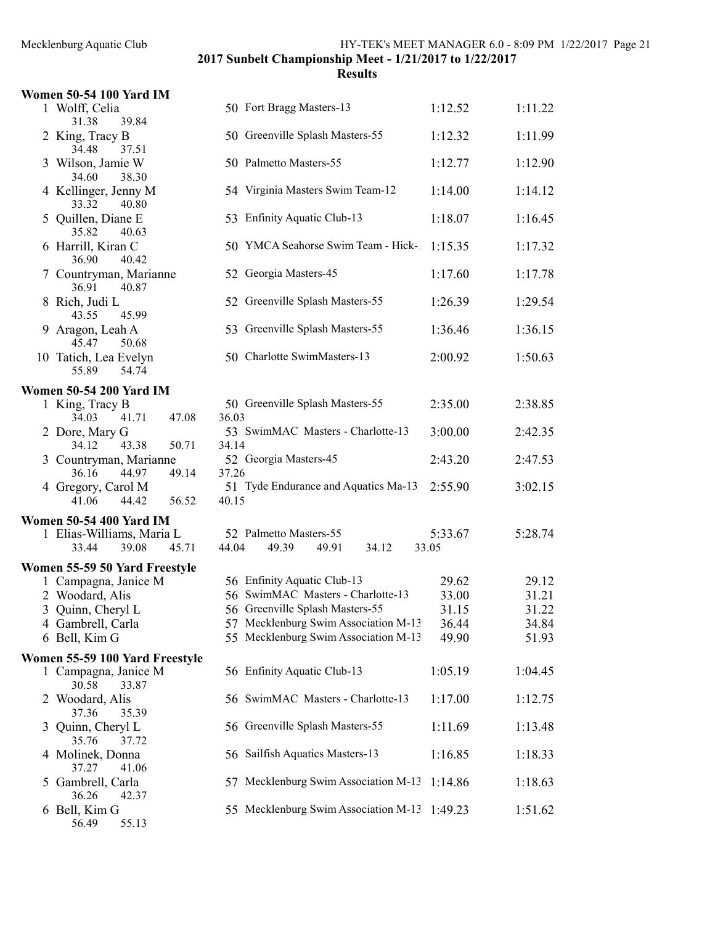# Mecklenburg Aquatic Club HY-TEK's MEET MANAGER 6.0 - 8:09 PM 1/22/2017 Page 21

2017 Sunbelt Championship Meet - 1/21/2017 to 1/22/2017

| <b>Women 50-54 100 Yard IM</b>                         |                                                            |                  |         |
|--------------------------------------------------------|------------------------------------------------------------|------------------|---------|
| 1 Wolff, Celia<br>39.84                                | 50 Fort Bragg Masters-13                                   | 1:12.52          | 1:11.22 |
| 31.38<br>2 King, Tracy B<br>34.48<br>37.51             | 50 Greenville Splash Masters-55                            | 1:12.32          | 1:11.99 |
| 3 Wilson, Jamie W<br>34.60<br>38.30                    | 50 Palmetto Masters-55                                     | 1:12.77          | 1:12.90 |
| 4 Kellinger, Jenny M<br>33.32<br>40.80                 | 54 Virginia Masters Swim Team-12                           | 1:14.00          | 1:14.12 |
| 5 Quillen, Diane E<br>35.82<br>40.63                   | 53 Enfinity Aquatic Club-13                                | 1:18.07          | 1:16.45 |
| 6 Harrill, Kiran C<br>36.90<br>40.42                   | 50 YMCA Seahorse Swim Team - Hick-                         | 1:15.35          | 1:17.32 |
| 7 Countryman, Marianne<br>40.87<br>36.91               | 52 Georgia Masters-45                                      | 1:17.60          | 1:17.78 |
| 8 Rich, Judi L<br>43.55<br>45.99                       | 52 Greenville Splash Masters-55                            | 1:26.39          | 1:29.54 |
| 9 Aragon, Leah A<br>45.47<br>50.68                     | 53 Greenville Splash Masters-55                            | 1:36.46          | 1:36.15 |
| 10 Tatich, Lea Evelyn<br>55.89<br>54.74                | 50 Charlotte SwimMasters-13                                | 2:00.92          | 1:50.63 |
| <b>Women 50-54 200 Yard IM</b>                         |                                                            |                  |         |
| 1 King, Tracy B<br>41.71<br>47.08<br>34.03             | 50 Greenville Splash Masters-55<br>36.03                   | 2:35.00          | 2:38.85 |
| 2 Dore, Mary G<br>34.12<br>43.38<br>50.71              | 53 SwimMAC Masters - Charlotte-13<br>34.14                 | 3:00.00          | 2:42.35 |
| 3 Countryman, Marianne<br>36.16<br>44.97<br>49.14      | 52 Georgia Masters-45<br>37.26                             | 2:43.20          | 2:47.53 |
| 4 Gregory, Carol M<br>41.06<br>44.42<br>56.52          | 51 Tyde Endurance and Aquatics Ma-13<br>40.15              | 2:55.90          | 3:02.15 |
| <b>Women 50-54 400 Yard IM</b>                         |                                                            |                  |         |
| 1 Elias-Williams, Maria L<br>33.44<br>39.08<br>45.71   | 52 Palmetto Masters-55<br>44.04<br>49.39<br>49.91<br>34.12 | 5:33.67<br>33.05 | 5:28.74 |
| Women 55-59 50 Yard Freestyle                          |                                                            |                  |         |
| 1 Campagna, Janice M                                   | 56 Enfinity Aquatic Club-13                                | 29.62            | 29.12   |
| 2 Woodard, Alis                                        | 56 SwimMAC Masters - Charlotte-13                          | 33.00            | 31.21   |
| 3 Quinn, Cheryl L                                      | 56 Greenville Splash Masters-55                            | 31.15            | 31.22   |
| 4 Gambrell, Carla                                      | 57 Mecklenburg Swim Association M-13                       | 36.44            | 34.84   |
| 6 Bell, Kim G                                          | 55 Mecklenburg Swim Association M-13                       | 49.90            | 51.93   |
| Women 55-59 100 Yard Freestyle<br>1 Campagna, Janice M | 56 Enfinity Aquatic Club-13                                | 1:05.19          | 1:04.45 |
| 30.58<br>33.87<br>2 Woodard, Alis                      | 56 SwimMAC Masters - Charlotte-13                          | 1:17.00          | 1:12.75 |
| 37.36<br>35.39<br>3 Quinn, Cheryl L                    | 56 Greenville Splash Masters-55                            | 1:11.69          | 1:13.48 |
| 35.76<br>37.72<br>4 Molinek, Donna                     | 56 Sailfish Aquatics Masters-13                            | 1:16.85          | 1:18.33 |
| 37.27<br>41.06<br>5 Gambrell, Carla                    | 57 Mecklenburg Swim Association M-13                       | 1:14.86          | 1:18.63 |
| 36.26<br>42.37<br>6 Bell, Kim G<br>55.13<br>56.49      | 55 Mecklenburg Swim Association M-13 1:49.23               |                  | 1:51.62 |
|                                                        |                                                            |                  |         |

| 1 WOIII, CUIIA<br>39.84<br>31.38                  | $JU$ Ture Dragg Masicis-19                    | 1.14.04 | 1.11.22 |
|---------------------------------------------------|-----------------------------------------------|---------|---------|
| 2 King, Tracy B                                   | 50 Greenville Splash Masters-55               | 1:12.32 | 1:11.99 |
| 34.48<br>37.51<br>3 Wilson, Jamie W               | 50 Palmetto Masters-55                        | 1:12.77 | 1:12.90 |
| 34.60<br>38.30                                    |                                               |         |         |
| 4 Kellinger, Jenny M<br>33.32<br>40.80            | 54 Virginia Masters Swim Team-12              | 1:14.00 | 1:14.12 |
| 5 Quillen, Diane E<br>35.82<br>40.63              | 53 Enfinity Aquatic Club-13                   | 1:18.07 | 1:16.45 |
| 6 Harrill, Kiran C<br>36.90<br>40.42              | 50 YMCA Seahorse Swim Team - Hick-            | 1:15.35 | 1:17.32 |
| 7 Countryman, Marianne<br>36.91<br>40.87          | 52 Georgia Masters-45                         | 1:17.60 | 1:17.78 |
| 8 Rich, Judi L<br>43.55<br>45.99                  | 52 Greenville Splash Masters-55               | 1:26.39 | 1:29.54 |
| 9 Aragon, Leah A<br>45.47<br>50.68                | 53 Greenville Splash Masters-55               | 1:36.46 | 1:36.15 |
| 10 Tatich, Lea Evelyn<br>55.89<br>54.74           | 50 Charlotte SwimMasters-13                   | 2:00.92 | 1:50.63 |
| omen 50-54 200 Yard IM                            |                                               |         |         |
| 1 King, Tracy B<br>41.71<br>34.03<br>47.08        | 50 Greenville Splash Masters-55<br>36.03      | 2:35.00 | 2:38.85 |
| 2 Dore, Mary G<br>43.38<br>50.71<br>34.12         | 53 SwimMAC Masters - Charlotte-13<br>34.14    | 3:00.00 | 2:42.35 |
| 3 Countryman, Marianne<br>36.16<br>44.97<br>49.14 | 52 Georgia Masters-45<br>37.26                | 2:43.20 | 2:47.53 |
| 4 Gregory, Carol M<br>41.06<br>44.42<br>56.52     | 51 Tyde Endurance and Aquatics Ma-13<br>40.15 | 2:55.90 | 3:02.15 |
| <b>omen 50-54 400 Yard IM</b>                     |                                               |         |         |
| 1 Elias-Williams, Maria L                         | 52 Palmetto Masters-55                        | 5:33.67 | 5:28.74 |
| 33.44<br>39.08<br>45.71                           | 44.04<br>49.39<br>49.91<br>34.12              | 33.05   |         |
| omen 55-59 50 Yard Freestyle                      |                                               |         |         |
| 1 Campagna, Janice M                              | 56 Enfinity Aquatic Club-13                   | 29.62   | 29.12   |
| 2 Woodard, Alis                                   | 56 SwimMAC Masters - Charlotte-13             | 33.00   | 31.21   |
| 3 Quinn, Cheryl L                                 | 56 Greenville Splash Masters-55               | 31.15   | 31.22   |
| 4 Gambrell, Carla                                 | 57 Mecklenburg Swim Association M-13          | 36.44   | 34.84   |
| 6 Bell, Kim G                                     | 55 Mecklenburg Swim Association M-13          | 49.90   | 51.93   |
| omen 55-59 100 Yard Freestyle                     |                                               |         |         |
| 1 Campagna, Janice M<br>30.58<br>33.87            | 56 Enfinity Aquatic Club-13                   | 1:05.19 | 1:04.45 |
| 2 Woodard, Alis<br>37.36<br>35.39                 | 56 SwimMAC Masters - Charlotte-13             | 1:17.00 | 1:12.75 |
| 3 Quinn, Cheryl L<br>35.76<br>37.72               | 56 Greenville Splash Masters-55               | 1:11.69 | 1:13.48 |
| 4 Molinek, Donna<br>37.27<br>41.06                | 56 Sailfish Aquatics Masters-13               | 1:16.85 | 1:18.33 |
| 5 Gambrell, Carla<br>36.26<br>42.37               | 57 Mecklenburg Swim Association M-13          | 1:14.86 | 1:18.63 |
| 6 Bell, Kim G                                     | 55 Mecklenburg Swim Association M-13 1:49.23  |         | 1:51.62 |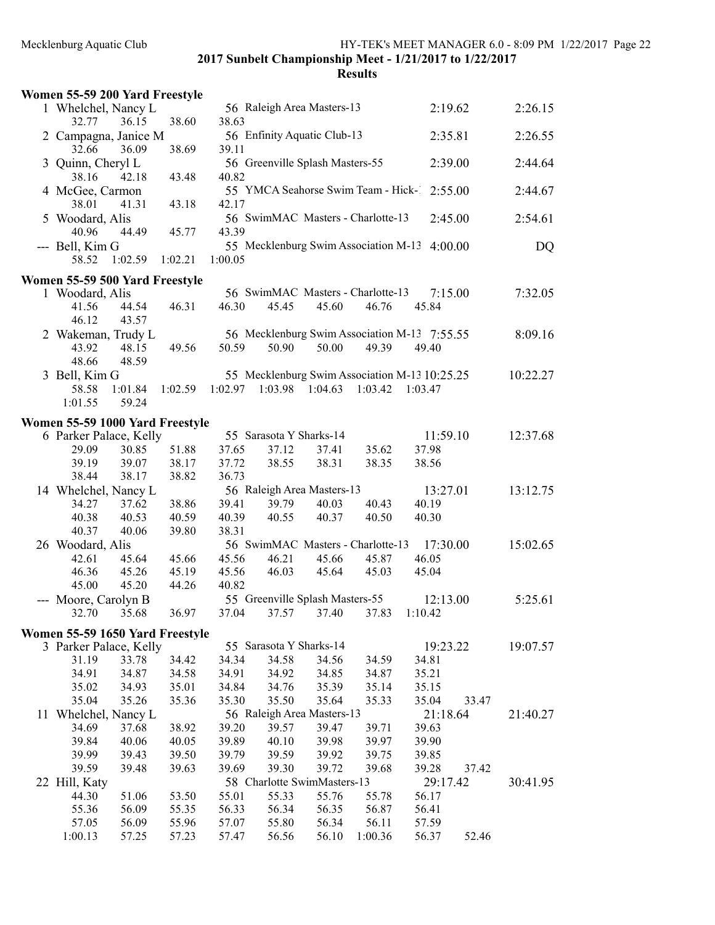| Women 55-59 200 Yard Freestyle  |                  |                |                |                |                                   |                |                                                          |       |          |
|---------------------------------|------------------|----------------|----------------|----------------|-----------------------------------|----------------|----------------------------------------------------------|-------|----------|
| 1 Whelchel, Nancy L             |                  |                |                |                | 56 Raleigh Area Masters-13        |                | 2:19.62                                                  |       | 2:26.15  |
| 32.77                           | 36.15            | 38.60          | 38.63          |                |                                   |                |                                                          |       |          |
| 2 Campagna, Janice M            |                  |                |                |                | 56 Enfinity Aquatic Club-13       |                | 2:35.81                                                  |       | 2:26.55  |
| 32.66                           | 36.09            | 38.69          | 39.11          |                |                                   |                |                                                          |       |          |
| 3 Quinn, Cheryl L               |                  |                |                |                | 56 Greenville Splash Masters-55   |                | 2:39.00                                                  |       | 2:44.64  |
| 38.16                           | 42.18            | 43.48          | 40.82          |                |                                   |                |                                                          |       |          |
| 4 McGee, Carmon                 |                  |                |                |                |                                   |                | 55 YMCA Seahorse Swim Team - Hick-1 2:55.00              |       | 2:44.67  |
| 38.01                           | 41.31            | 43.18          | 42.17          |                |                                   |                |                                                          |       |          |
| 5 Woodard, Alis                 |                  |                |                |                | 56 SwimMAC Masters - Charlotte-13 |                | 2:45.00                                                  |       | 2:54.61  |
| 40.96                           | 44.49            | 45.77          | 43.39          |                |                                   |                |                                                          |       |          |
| --- Bell, Kim G                 |                  |                |                |                |                                   |                | 55 Mecklenburg Swim Association M-13 4:00.00             |       | DQ       |
| 58.52                           | 1:02.59          | 1:02.21        | 1:00.05        |                |                                   |                |                                                          |       |          |
| Women 55-59 500 Yard Freestyle  |                  |                |                |                |                                   |                |                                                          |       |          |
| 1 Woodard, Alis                 |                  |                |                |                | 56 SwimMAC Masters - Charlotte-13 |                | 7:15.00                                                  |       | 7:32.05  |
| 41.56                           | 44.54            | 46.31          | 46.30          | 45.45          | 45.60                             | 46.76          | 45.84                                                    |       |          |
| 46.12                           | 43.57            |                |                |                |                                   |                |                                                          |       |          |
| 2 Wakeman, Trudy L              |                  |                |                |                |                                   |                | 56 Mecklenburg Swim Association M-13 7:55.55             |       | 8:09.16  |
| 43.92                           | 48.15            | 49.56          | 50.59          | 50.90          | 50.00                             | 49.39          | 49.40                                                    |       |          |
| 48.66                           | 48.59            |                |                |                |                                   |                |                                                          |       |          |
| 3 Bell, Kim G<br>58.58          |                  |                | 1:02.97        |                | $1:03.98$ $1:04.63$ $1:03.42$     |                | 55 Mecklenburg Swim Association M-13 10:25.25<br>1:03.47 |       | 10:22.27 |
| 1:01.55                         | 1:01.84<br>59.24 | 1:02.59        |                |                |                                   |                |                                                          |       |          |
|                                 |                  |                |                |                |                                   |                |                                                          |       |          |
| Women 55-59 1000 Yard Freestyle |                  |                |                |                |                                   |                |                                                          |       |          |
| 6 Parker Palace, Kelly          |                  |                |                |                | 55 Sarasota Y Sharks-14           |                | 11:59.10                                                 |       | 12:37.68 |
| 29.09                           | 30.85            | 51.88          | 37.65          | 37.12          | 37.41                             | 35.62          | 37.98                                                    |       |          |
| 39.19                           | 39.07            | 38.17          | 37.72          | 38.55          | 38.31                             | 38.35          | 38.56                                                    |       |          |
| 38.44                           | 38.17            | 38.82          | 36.73          |                | 56 Raleigh Area Masters-13        |                |                                                          |       |          |
| 14 Whelchel, Nancy L<br>34.27   | 37.62            | 38.86          | 39.41          | 39.79          | 40.03                             | 40.43          | 13:27.01<br>40.19                                        |       | 13:12.75 |
| 40.38                           | 40.53            | 40.59          | 40.39          | 40.55          | 40.37                             | 40.50          | 40.30                                                    |       |          |
| 40.37                           | 40.06            | 39.80          | 38.31          |                |                                   |                |                                                          |       |          |
| 26 Woodard, Alis                |                  |                |                |                | 56 SwimMAC Masters - Charlotte-13 |                | 17:30.00                                                 |       | 15:02.65 |
| 42.61                           | 45.64            | 45.66          | 45.56          | 46.21          | 45.66                             | 45.87          | 46.05                                                    |       |          |
| 46.36                           | 45.26            | 45.19          | 45.56          | 46.03          | 45.64                             | 45.03          | 45.04                                                    |       |          |
| 45.00                           | 45.20            | 44.26          | 40.82          |                |                                   |                |                                                          |       |          |
| --- Moore, Carolyn B            |                  |                |                |                | 55 Greenville Splash Masters-55   |                | 12:13.00                                                 |       | 5:25.61  |
| 32.70                           | 35.68            | 36.97          |                |                | 37.04 37.57 37.40 37.83 1:10.42   |                |                                                          |       |          |
| Women 55-59 1650 Yard Freestyle |                  |                |                |                |                                   |                |                                                          |       |          |
| 3 Parker Palace, Kelly          |                  |                |                |                | 55 Sarasota Y Sharks-14           |                | 19:23.22                                                 |       | 19:07.57 |
| 31.19                           | 33.78            | 34.42          | 34.34          | 34.58          | 34.56                             | 34.59          | 34.81                                                    |       |          |
| 34.91                           | 34.87            | 34.58          | 34.91          | 34.92          | 34.85                             | 34.87          | 35.21                                                    |       |          |
| 35.02                           | 34.93            | 35.01          | 34.84          | 34.76          | 35.39                             | 35.14          | 35.15                                                    |       |          |
| 35.04                           | 35.26            | 35.36          | 35.30          | 35.50          | 35.64                             | 35.33          | 35.04                                                    | 33.47 |          |
| 11 Whelchel, Nancy L            |                  |                |                |                | 56 Raleigh Area Masters-13        |                | 21:18.64                                                 |       | 21:40.27 |
| 34.69                           | 37.68            | 38.92          | 39.20          | 39.57          | 39.47                             | 39.71          | 39.63                                                    |       |          |
| 39.84                           | 40.06            | 40.05          | 39.89          | 40.10          | 39.98                             | 39.97          | 39.90                                                    |       |          |
| 39.99                           | 39.43            | 39.50          | 39.79          | 39.59          | 39.92                             | 39.75          | 39.85                                                    |       |          |
| 39.59                           | 39.48            | 39.63          | 39.69          | 39.30          | 39.72                             | 39.68          | 39.28                                                    | 37.42 |          |
| 22 Hill, Katy                   |                  |                |                |                | 58 Charlotte SwimMasters-13       |                | 29:17.42                                                 |       | 30:41.95 |
| 44.30<br>55.36                  | 51.06<br>56.09   | 53.50<br>55.35 | 55.01<br>56.33 | 55.33<br>56.34 | 55.76<br>56.35                    | 55.78<br>56.87 | 56.17<br>56.41                                           |       |          |
| 57.05                           | 56.09            | 55.96          | 57.07          | 55.80          | 56.34                             | 56.11          | 57.59                                                    |       |          |
| 1:00.13                         | 57.25            | 57.23          | 57.47          | 56.56          | 56.10                             | 1:00.36        | 56.37                                                    | 52.46 |          |
|                                 |                  |                |                |                |                                   |                |                                                          |       |          |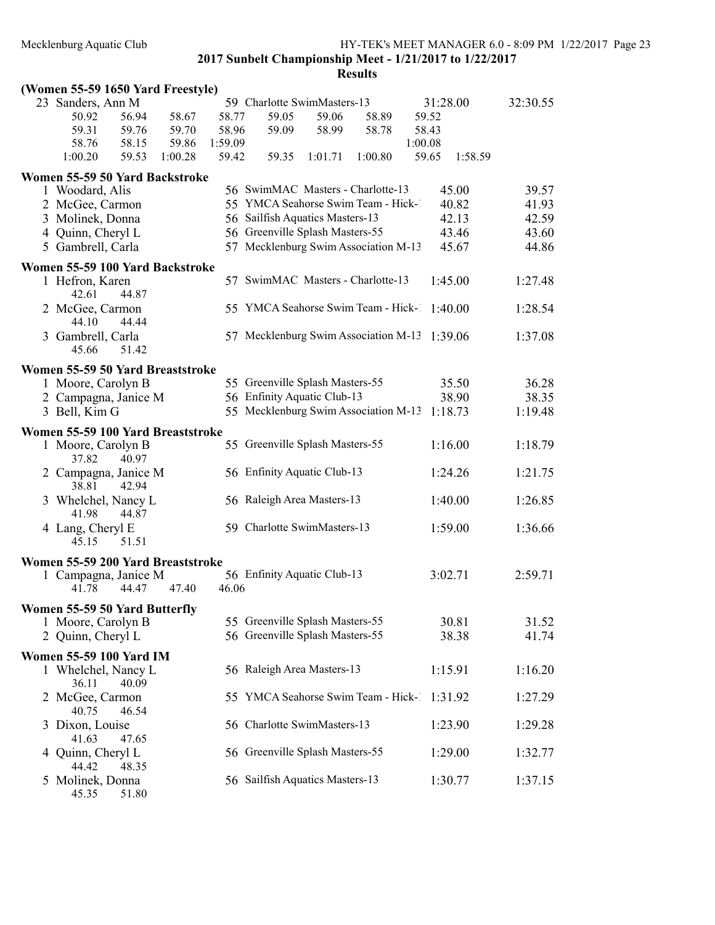|   | (Women 55-59 1650 Yard Freestyle)                   |         |         |                                              |         |         |         |          |          |
|---|-----------------------------------------------------|---------|---------|----------------------------------------------|---------|---------|---------|----------|----------|
|   | 23 Sanders, Ann M                                   |         |         | 59 Charlotte SwimMasters-13                  |         |         |         | 31:28.00 | 32:30.55 |
|   | 50.92<br>56.94                                      | 58.67   | 58.77   | 59.05                                        | 59.06   | 58.89   | 59.52   |          |          |
|   | 59.31<br>59.76                                      | 59.70   | 58.96   | 59.09                                        | 58.99   | 58.78   | 58.43   |          |          |
|   | 58.76<br>58.15                                      | 59.86   | 1:59.09 |                                              |         |         | 1:00.08 |          |          |
|   | 59.53<br>1:00.20                                    | 1:00.28 | 59.42   | 59.35                                        | 1:01.71 | 1:00.80 | 59.65   | 1:58.59  |          |
|   | Women 55-59 50 Yard Backstroke                      |         |         |                                              |         |         |         |          |          |
|   | 1 Woodard, Alis                                     |         |         | 56 SwimMAC Masters - Charlotte-13            |         |         |         | 45.00    | 39.57    |
|   | 2 McGee, Carmon                                     |         |         | 55 YMCA Seahorse Swim Team - Hick-1          |         |         |         | 40.82    | 41.93    |
|   | 3 Molinek, Donna                                    |         |         | 56 Sailfish Aquatics Masters-13              |         |         |         | 42.13    | 42.59    |
|   | 4 Quinn, Cheryl L                                   |         |         | 56 Greenville Splash Masters-55              |         |         |         | 43.46    | 43.60    |
|   | 5 Gambrell, Carla                                   |         |         | 57 Mecklenburg Swim Association M-13         |         |         |         | 45.67    | 44.86    |
|   |                                                     |         |         |                                              |         |         |         |          |          |
|   | Women 55-59 100 Yard Backstroke                     |         |         |                                              |         |         |         |          |          |
|   | 1 Hefron, Karen<br>42.61<br>44.87                   |         |         | 57 SwimMAC Masters - Charlotte-13            |         |         |         | 1:45.00  | 1:27.48  |
|   | 2 McGee, Carmon<br>44.44<br>44.10                   |         |         | 55 YMCA Seahorse Swim Team - Hick-1 1:40.00  |         |         |         |          | 1:28.54  |
|   | 3 Gambrell, Carla<br>51.42<br>45.66                 |         |         | 57 Mecklenburg Swim Association M-13 1:39.06 |         |         |         |          | 1:37.08  |
|   | Women 55-59 50 Yard Breaststroke                    |         |         |                                              |         |         |         |          |          |
|   | 1 Moore, Carolyn B                                  |         |         | 55 Greenville Splash Masters-55              |         |         |         | 35.50    | 36.28    |
|   | 2 Campagna, Janice M                                |         |         | 56 Enfinity Aquatic Club-13                  |         |         |         | 38.90    | 38.35    |
|   | 3 Bell, Kim G                                       |         |         | 55 Mecklenburg Swim Association M-13         |         |         |         | 1:18.73  | 1:19.48  |
|   |                                                     |         |         |                                              |         |         |         |          |          |
|   | Women 55-59 100 Yard Breaststroke                   |         |         |                                              |         |         |         |          |          |
|   | 1 Moore, Carolyn B<br>37.82<br>40.97                |         |         | 55 Greenville Splash Masters-55              |         |         |         | 1:16.00  | 1:18.79  |
|   | 2 Campagna, Janice M<br>38.81<br>42.94              |         |         | 56 Enfinity Aquatic Club-13                  |         |         |         | 1:24.26  | 1:21.75  |
|   | 3 Whelchel, Nancy L<br>41.98<br>44.87               |         |         | 56 Raleigh Area Masters-13                   |         |         |         | 1:40.00  | 1:26.85  |
|   | 4 Lang, Cheryl E<br>45.15<br>51.51                  |         |         | 59 Charlotte SwimMasters-13                  |         |         |         | 1:59.00  | 1:36.66  |
|   | Women 55-59 200 Yard Breaststroke                   |         |         |                                              |         |         |         |          |          |
|   | 1 Campagna, Janice M<br>41.78<br>44.47              | 47.40   | 46.06   | 56 Enfinity Aquatic Club-13                  |         |         |         | 3:02.71  | 2:59.71  |
|   |                                                     |         |         |                                              |         |         |         |          |          |
|   | Women 55-59 50 Yard Butterfly<br>1 Moore, Carolyn B |         |         | 55 Greenville Splash Masters-55              |         |         |         | 30.81    |          |
|   |                                                     |         |         | 56 Greenville Splash Masters-55              |         |         |         |          | 31.52    |
|   | 2 Quinn, Cheryl L                                   |         |         |                                              |         |         |         | 38.38    | 41.74    |
|   | <b>Women 55-59 100 Yard IM</b>                      |         |         |                                              |         |         |         |          |          |
|   | 1 Whelchel, Nancy L<br>36.11<br>40.09               |         |         | 56 Raleigh Area Masters-13                   |         |         |         | 1:15.91  | 1:16.20  |
|   | 2 McGee, Carmon<br>40.75<br>46.54                   |         |         | 55 YMCA Seahorse Swim Team - Hick-1 1:31.92  |         |         |         |          | 1:27.29  |
| 3 | Dixon, Louise<br>47.65<br>41.63                     |         |         | 56 Charlotte SwimMasters-13                  |         |         |         | 1:23.90  | 1:29.28  |
| 4 | Quinn, Cheryl L<br>44.42<br>48.35                   |         |         | 56 Greenville Splash Masters-55              |         |         |         | 1:29.00  | 1:32.77  |
|   | 5 Molinek, Donna<br>45.35<br>51.80                  |         |         | 56 Sailfish Aquatics Masters-13              |         |         |         | 1:30.77  | 1:37.15  |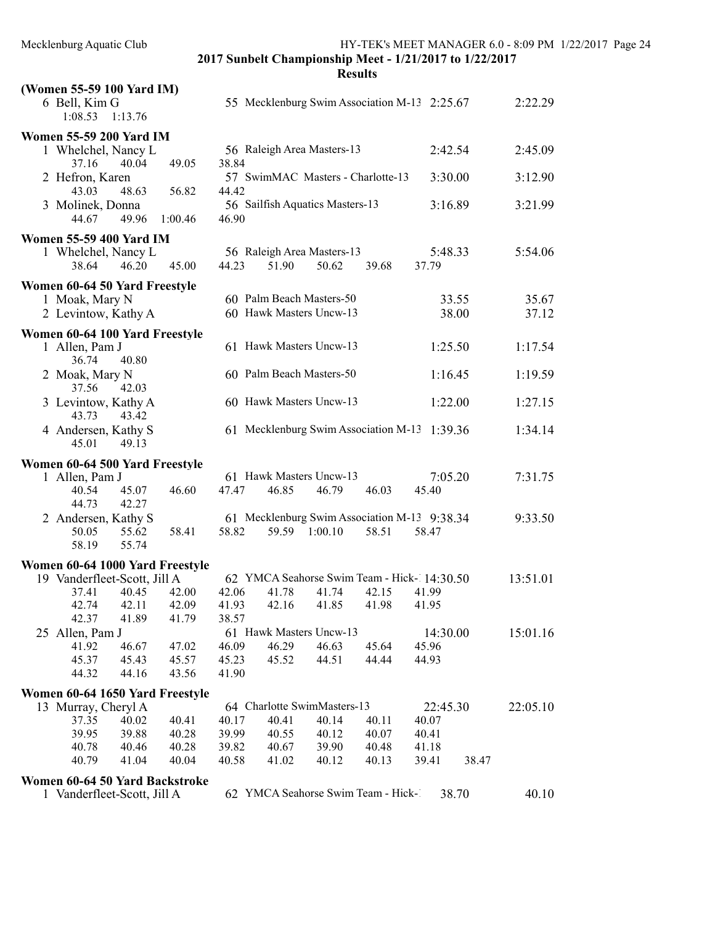| (Women 55-59 100 Yard IM)                      |                                                                |                  |          |
|------------------------------------------------|----------------------------------------------------------------|------------------|----------|
| 6 Bell, Kim G<br>1:08.53<br>1:13.76            | 55 Mecklenburg Swim Association M-13 2:25.67                   |                  | 2:22.29  |
| <b>Women 55-59 200 Yard IM</b>                 |                                                                |                  |          |
| 1 Whelchel, Nancy L<br>37.16<br>40.04<br>49.05 | 56 Raleigh Area Masters-13<br>38.84                            | 2:42.54          | 2:45.09  |
| 2 Hefron, Karen<br>43.03<br>48.63<br>56.82     | 57 SwimMAC Masters - Charlotte-13<br>44.42                     | 3:30.00          | 3:12.90  |
| 3 Molinek, Donna<br>44.67<br>49.96<br>1:00.46  | 56 Sailfish Aquatics Masters-13<br>46.90                       | 3:16.89          | 3:21.99  |
| <b>Women 55-59 400 Yard IM</b>                 |                                                                |                  |          |
| 1 Whelchel, Nancy L<br>45.00<br>38.64<br>46.20 | 56 Raleigh Area Masters-13<br>44.23<br>51.90<br>50.62<br>39.68 | 5:48.33<br>37.79 | 5:54.06  |
| Women 60-64 50 Yard Freestyle                  |                                                                |                  |          |
| 1 Moak, Mary N                                 | 60 Palm Beach Masters-50                                       | 33.55            | 35.67    |
| 2 Levintow, Kathy A                            | 60 Hawk Masters Uncw-13                                        | 38.00            | 37.12    |
| Women 60-64 100 Yard Freestyle                 |                                                                |                  |          |
| 1 Allen, Pam J<br>36.74<br>40.80               | 61 Hawk Masters Uncw-13                                        | 1:25.50          | 1:17.54  |
| 2 Moak, Mary N<br>37.56<br>42.03               | 60 Palm Beach Masters-50                                       | 1:16.45          | 1:19.59  |
| 3 Levintow, Kathy A<br>43.73<br>43.42          | 60 Hawk Masters Uncw-13                                        | 1:22.00          | 1:27.15  |
| 4 Andersen, Kathy S<br>45.01<br>49.13          | 61 Mecklenburg Swim Association M-13 1:39.36                   |                  | 1:34.14  |
| Women 60-64 500 Yard Freestyle                 |                                                                |                  |          |
| 1 Allen, Pam J                                 | 61 Hawk Masters Uncw-13                                        | 7:05.20          | 7:31.75  |
| 46.60<br>45.07<br>40.54                        | 47.47<br>46.85<br>46.79<br>46.03                               | 45.40            |          |
| 44.73<br>42.27                                 |                                                                |                  |          |
| 2 Andersen, Kathy S                            | 61 Mecklenburg Swim Association M-13 9:38.34                   |                  | 9:33.50  |
| 55.62<br>58.41<br>50.05                        | 58.82<br>59.59<br>1:00.10<br>58.51                             | 58.47            |          |
| 58.19<br>55.74                                 |                                                                |                  |          |
| Women 60-64 1000 Yard Freestyle                |                                                                |                  |          |
| 19 Vanderfleet-Scott, Jill A                   | 62 YMCA Seahorse Swim Team - Hick-14:30.50                     |                  | 13:51.01 |
| 42.00<br>37.41<br>40.45                        | 42.06<br>41.78<br>41.74<br>42.15                               | 41.99            |          |
| 42.11<br>42.09<br>42.74                        | 41.93<br>41.85<br>41.98<br>42.16                               | 41.95            |          |
| 42.37<br>41.89<br>41.79                        | 38.57                                                          |                  |          |
| 25 Allen, Pam J                                | 61 Hawk Masters Uncw-13                                        | 14:30.00         | 15:01.16 |
| 41.92<br>46.67<br>47.02                        | 46.29<br>46.09<br>46.63<br>45.64                               | 45.96            |          |
| 45.37<br>45.43<br>45.57                        | 44.44<br>45.23<br>45.52<br>44.51                               | 44.93            |          |
| 44.32<br>44.16<br>43.56                        | 41.90                                                          |                  |          |
| Women 60-64 1650 Yard Freestyle                |                                                                |                  |          |
| 13 Murray, Cheryl A                            | 64 Charlotte SwimMasters-13                                    | 22:45.30         | 22:05.10 |
| 37.35<br>40.02<br>40.41                        | 40.17<br>40.41<br>40.14<br>40.11                               | 40.07            |          |
| 39.95<br>39.88<br>40.28                        | 39.99<br>40.55<br>40.12<br>40.07                               | 40.41            |          |
| 40.28<br>40.78<br>40.46                        | 39.82<br>40.67<br>39.90<br>40.48                               | 41.18            |          |
| 40.79<br>41.04<br>40.04                        | 40.58<br>41.02<br>40.12<br>40.13                               | 39.41<br>38.47   |          |
| Women 60-64 50 Yard Backstroke                 |                                                                |                  |          |
| 1 Vanderfleet-Scott, Jill A                    | 62 YMCA Seahorse Swim Team - Hick-1                            | 38.70            | 40.10    |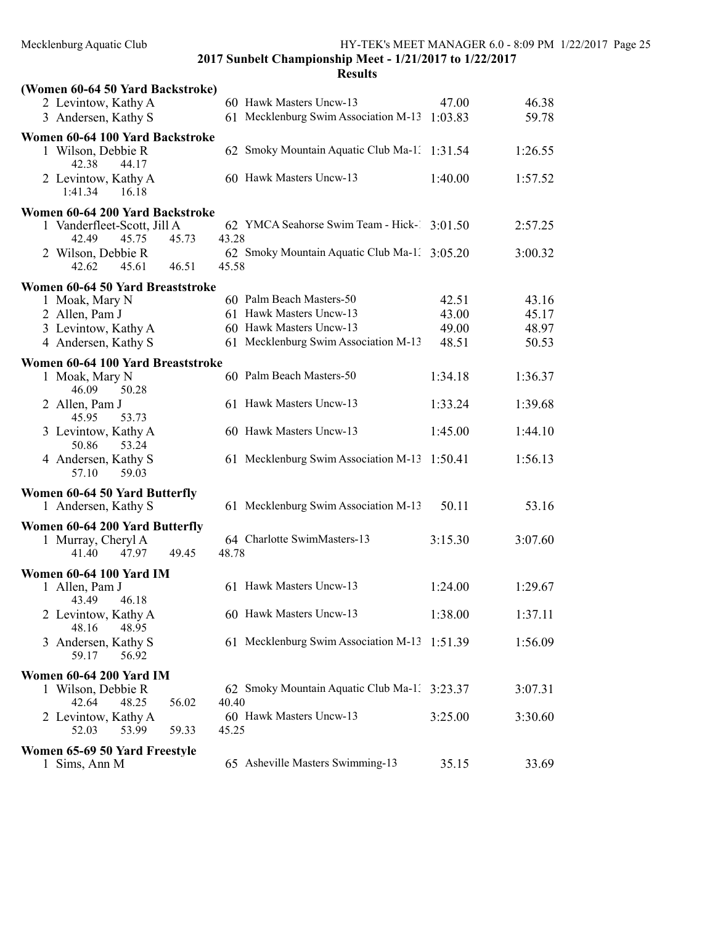2017 Sunbelt Championship Meet - 1/21/2017 to 1/22/2017 Results

| (Women 60-64 50 Yard Backstroke)                                                |                                                       |         |         |
|---------------------------------------------------------------------------------|-------------------------------------------------------|---------|---------|
| 2 Levintow, Kathy A                                                             | 60 Hawk Masters Uncw-13                               | 47.00   | 46.38   |
| 3 Andersen, Kathy S                                                             | 61 Mecklenburg Swim Association M-13 1:03.83          |         | 59.78   |
| Women 60-64 100 Yard Backstroke                                                 |                                                       |         |         |
| 1 Wilson, Debbie R<br>42.38<br>44.17                                            | 62 Smoky Mountain Aquatic Club Ma-1. 1:31.54          |         | 1:26.55 |
| 2 Levintow, Kathy A<br>1:41.34<br>16.18                                         | 60 Hawk Masters Uncw-13                               | 1:40.00 | 1:57.52 |
| Women 60-64 200 Yard Backstroke                                                 |                                                       |         |         |
| 1 Vanderfleet-Scott, Jill A<br>42.49<br>45.75<br>45.73                          | 62 YMCA Seahorse Swim Team - Hick-1 3:01.50<br>43.28  |         | 2:57.25 |
| 2 Wilson, Debbie R<br>46.51<br>42.62<br>45.61                                   | 62 Smoky Mountain Aquatic Club Ma-1. 3:05.20<br>45.58 |         | 3:00.32 |
| Women 60-64 50 Yard Breaststroke                                                |                                                       |         |         |
| 1 Moak, Mary N                                                                  | 60 Palm Beach Masters-50                              | 42.51   | 43.16   |
| 2 Allen, Pam J                                                                  | 61 Hawk Masters Uncw-13                               | 43.00   | 45.17   |
| 3 Levintow, Kathy A                                                             | 60 Hawk Masters Uncw-13                               | 49.00   | 48.97   |
| 4 Andersen, Kathy S                                                             | 61 Mecklenburg Swim Association M-13                  | 48.51   | 50.53   |
| Women 60-64 100 Yard Breaststroke                                               |                                                       |         |         |
| 1 Moak, Mary N<br>46.09<br>50.28                                                | 60 Palm Beach Masters-50                              | 1:34.18 | 1:36.37 |
| 2 Allen, Pam J<br>45.95<br>53.73                                                | 61 Hawk Masters Uncw-13                               | 1:33.24 | 1:39.68 |
| 3 Levintow, Kathy A<br>50.86<br>53.24                                           | 60 Hawk Masters Uncw-13                               | 1:45.00 | 1:44.10 |
| 4 Andersen, Kathy S<br>57.10<br>59.03                                           | 61 Mecklenburg Swim Association M-13                  | 1:50.41 | 1:56.13 |
| Women 60-64 50 Yard Butterfly                                                   |                                                       |         |         |
| 1 Andersen, Kathy S                                                             | 61 Mecklenburg Swim Association M-13                  | 50.11   | 53.16   |
| Women 60-64 200 Yard Butterfly                                                  | 64 Charlotte SwimMasters-13                           | 3:15.30 | 3:07.60 |
| 1 Murray, Cheryl A<br>49.45<br>41.40<br>47.97                                   | 48.78                                                 |         |         |
| <b>Women 60-64 100 Yard IM</b>                                                  |                                                       |         |         |
| 1 Allen, Pam J                                                                  | 61 Hawk Masters Uncw-13                               | 1:24.00 | 1:29.67 |
| 43.49<br>46.18<br>2 Levintow, Kathy A<br>48.16<br>48.95                         | 60 Hawk Masters Uncw-13                               | 1:38.00 | 1:37.11 |
| Andersen, Kathy S<br>3<br>59.17<br>56.92                                        | 61 Mecklenburg Swim Association M-13 1:51.39          |         | 1:56.09 |
|                                                                                 |                                                       |         |         |
| <b>Women 60-64 200 Yard IM</b><br>1 Wilson, Debbie R<br>42.64<br>48.25<br>56.02 | 62 Smoky Mountain Aquatic Club Ma-1. 3:23.37<br>40.40 |         | 3:07.31 |
| 2 Levintow, Kathy A<br>52.03<br>53.99<br>59.33                                  | 60 Hawk Masters Uncw-13<br>45.25                      | 3:25.00 | 3:30.60 |
|                                                                                 |                                                       |         |         |
| Women 65-69 50 Yard Freestyle<br>1 Sims, Ann M                                  | 65 Asheville Masters Swimming-13                      | 35.15   | 33.69   |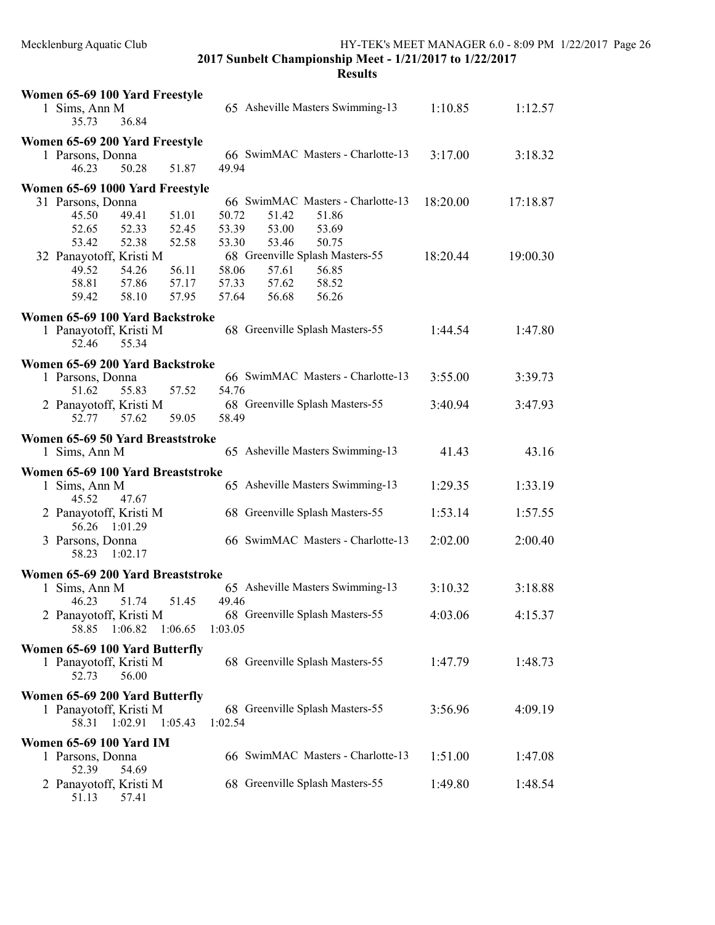| Women 65-69 100 Yard Freestyle                     |                                   |          |          |
|----------------------------------------------------|-----------------------------------|----------|----------|
| 1 Sims, Ann M<br>36.84<br>35.73                    | 65 Asheville Masters Swimming-13  | 1:10.85  | 1:12.57  |
| Women 65-69 200 Yard Freestyle                     |                                   |          |          |
| 1 Parsons, Donna                                   | 66 SwimMAC Masters - Charlotte-13 | 3:17.00  | 3:18.32  |
| 50.28<br>46.23<br>51.87                            | 49.94                             |          |          |
| Women 65-69 1000 Yard Freestyle                    |                                   |          |          |
| 31 Parsons, Donna                                  | 66 SwimMAC Masters - Charlotte-13 | 18:20.00 | 17:18.87 |
| 51.01<br>45.50<br>49.41                            | 50.72<br>51.42<br>51.86           |          |          |
| 52.65<br>52.33<br>52.45                            | 53.39<br>53.00<br>53.69           |          |          |
| 52.38<br>52.58<br>53.42                            | 53.30<br>53.46<br>50.75           |          |          |
| 32 Panayotoff, Kristi M                            | 68 Greenville Splash Masters-55   | 18:20.44 | 19:00.30 |
| 49.52<br>56.11<br>54.26                            | 58.06<br>57.61<br>56.85           |          |          |
| 58.81<br>57.86<br>57.17                            | 57.33<br>57.62<br>58.52           |          |          |
| 59.42<br>58.10<br>57.95                            | 57.64<br>56.68<br>56.26           |          |          |
| Women 65-69 100 Yard Backstroke                    |                                   |          |          |
| 1 Panayotoff, Kristi M                             | 68 Greenville Splash Masters-55   | 1:44.54  | 1:47.80  |
| 55.34<br>52.46                                     |                                   |          |          |
|                                                    |                                   |          |          |
| Women 65-69 200 Yard Backstroke                    | 66 SwimMAC Masters - Charlotte-13 | 3:55.00  |          |
| 1 Parsons, Donna                                   |                                   |          | 3:39.73  |
| 51.62<br>55.83<br>57.52                            | 54.76                             |          |          |
| 2 Panayotoff, Kristi M                             | 68 Greenville Splash Masters-55   | 3:40.94  | 3:47.93  |
| 57.62<br>59.05<br>52.77                            | 58.49                             |          |          |
| Women 65-69 50 Yard Breaststroke                   |                                   |          |          |
| 1 Sims, Ann M                                      | 65 Asheville Masters Swimming-13  | 41.43    | 43.16    |
| Women 65-69 100 Yard Breaststroke                  |                                   |          |          |
| 1 Sims, Ann M                                      | 65 Asheville Masters Swimming-13  | 1:29.35  | 1:33.19  |
| 45.52<br>47.67                                     |                                   |          |          |
| 2 Panayotoff, Kristi M                             | 68 Greenville Splash Masters-55   | 1:53.14  | 1:57.55  |
| 56.26<br>1:01.29                                   |                                   |          |          |
| 3 Parsons, Donna                                   | 66 SwimMAC Masters - Charlotte-13 | 2:02.00  | 2:00.40  |
| 58.23<br>1:02.17                                   |                                   |          |          |
|                                                    |                                   |          |          |
| Women 65-69 200 Yard Breaststroke                  | 65 Asheville Masters Swimming-13  |          |          |
| 1 Sims, Ann M                                      | 49.46                             | 3:10.32  | 3:18.88  |
| 46.23<br>51.74<br>51.45                            |                                   |          |          |
| Panayotoff, Kristi M<br>2                          | 68 Greenville Splash Masters-55   | 4:03.06  | 4:15.37  |
| 58.85<br>1:06.82<br>1:06.65                        | 1:03.05                           |          |          |
| Women 65-69 100 Yard Butterfly                     |                                   |          |          |
| 1 Panayotoff, Kristi M                             | 68 Greenville Splash Masters-55   | 1:47.79  | 1:48.73  |
| 52.73<br>56.00                                     |                                   |          |          |
| Women 65-69 200 Yard Butterfly                     |                                   |          |          |
| 1 Panayotoff, Kristi M                             | 68 Greenville Splash Masters-55   | 3:56.96  | 4:09.19  |
| 58.31<br>1:02.91<br>1:05.43                        | 1:02.54                           |          |          |
|                                                    |                                   |          |          |
| <b>Women 65-69 100 Yard IM</b><br>1 Parsons, Donna | 66 SwimMAC Masters - Charlotte-13 | 1:51.00  | 1:47.08  |
| 52.39<br>54.69                                     |                                   |          |          |
| Panayotoff, Kristi M<br>2                          | 68 Greenville Splash Masters-55   | 1:49.80  | 1:48.54  |
| 51.13<br>57.41                                     |                                   |          |          |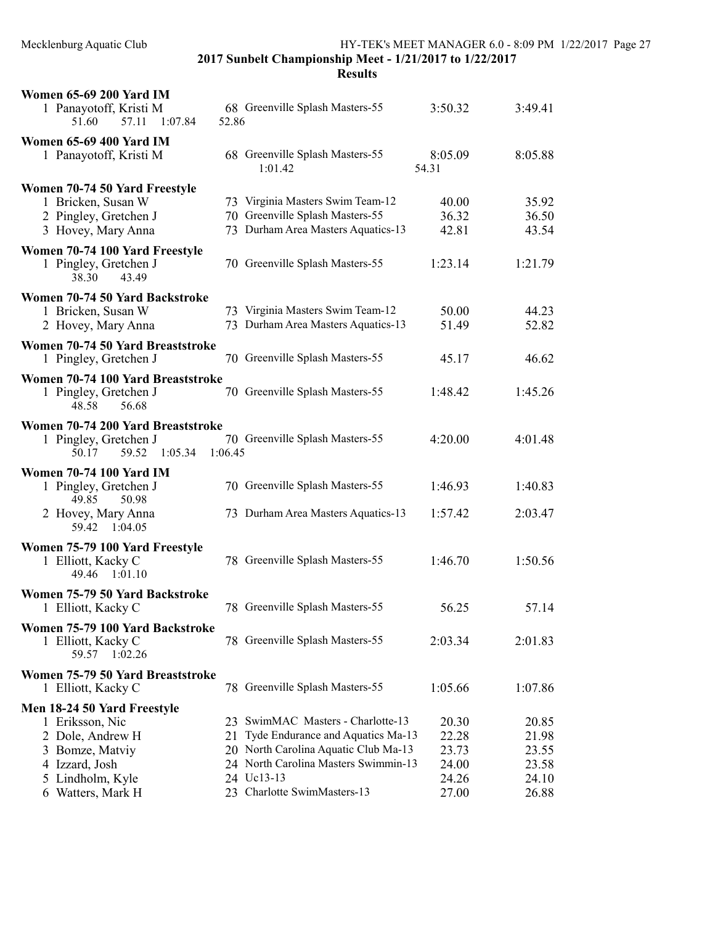| <b>Women 65-69 200 Yard IM</b>                                            |         |                                            |                  |         |
|---------------------------------------------------------------------------|---------|--------------------------------------------|------------------|---------|
| 1 Panayotoff, Kristi M<br>1:07.84<br>51.60<br>57.11                       | 52.86   | 68 Greenville Splash Masters-55            | 3:50.32          | 3:49.41 |
| <b>Women 65-69 400 Yard IM</b>                                            |         |                                            |                  |         |
| 1 Panayotoff, Kristi M                                                    |         | 68 Greenville Splash Masters-55<br>1:01.42 | 8:05.09<br>54.31 | 8:05.88 |
| Women 70-74 50 Yard Freestyle                                             |         |                                            |                  |         |
| 1 Bricken, Susan W                                                        |         | 73 Virginia Masters Swim Team-12           | 40.00            | 35.92   |
| 2 Pingley, Gretchen J                                                     |         | 70 Greenville Splash Masters-55            | 36.32            | 36.50   |
| 3 Hovey, Mary Anna                                                        |         | 73 Durham Area Masters Aquatics-13         | 42.81            | 43.54   |
| Women 70-74 100 Yard Freestyle<br>1 Pingley, Gretchen J<br>38.30<br>43.49 |         | 70 Greenville Splash Masters-55            | 1:23.14          | 1:21.79 |
| Women 70-74 50 Yard Backstroke                                            |         |                                            |                  |         |
| 1 Bricken, Susan W                                                        |         | 73 Virginia Masters Swim Team-12           | 50.00            | 44.23   |
| 2 Hovey, Mary Anna                                                        |         | 73 Durham Area Masters Aquatics-13         | 51.49            | 52.82   |
| Women 70-74 50 Yard Breaststroke                                          |         |                                            |                  |         |
| 1 Pingley, Gretchen J                                                     |         | 70 Greenville Splash Masters-55            | 45.17            | 46.62   |
| Women 70-74 100 Yard Breaststroke                                         |         |                                            |                  |         |
| 1 Pingley, Gretchen J<br>48.58<br>56.68                                   |         | 70 Greenville Splash Masters-55            | 1:48.42          | 1:45.26 |
| Women 70-74 200 Yard Breaststroke                                         |         |                                            |                  |         |
| 1 Pingley, Gretchen J<br>59.52<br>1:05.34<br>50.17                        | 1:06.45 | 70 Greenville Splash Masters-55            | 4:20.00          | 4:01.48 |
| <b>Women 70-74 100 Yard IM</b>                                            |         |                                            |                  |         |
| 1 Pingley, Gretchen J<br>49.85<br>50.98                                   |         | 70 Greenville Splash Masters-55            | 1:46.93          | 1:40.83 |
| 2 Hovey, Mary Anna<br>59.42<br>1:04.05                                    |         | 73 Durham Area Masters Aquatics-13         | 1:57.42          | 2:03.47 |
| Women 75-79 100 Yard Freestyle                                            |         |                                            |                  |         |
| 1 Elliott, Kacky C<br>49.46 1:01.10                                       |         | 78 Greenville Splash Masters-55            | 1:46.70          | 1:50.56 |
| Women 75-79 50 Yard Backstroke                                            |         |                                            |                  |         |
| 1 Elliott, Kacky C                                                        |         | 78 Greenville Splash Masters-55            | 56.25            | 57.14   |
| Women 75-79 100 Yard Backstroke                                           |         |                                            |                  |         |
| 1 Elliott, Kacky C<br>59.57<br>1:02.26                                    |         | 78 Greenville Splash Masters-55            | 2:03.34          | 2:01.83 |
| Women 75-79 50 Yard Breaststroke                                          |         |                                            |                  |         |
| 1 Elliott, Kacky C                                                        |         | 78 Greenville Splash Masters-55            | 1:05.66          | 1:07.86 |
| Men 18-24 50 Yard Freestyle                                               |         |                                            |                  |         |
| 1 Eriksson, Nic                                                           |         | 23 SwimMAC Masters - Charlotte-13          | 20.30            | 20.85   |
| 2 Dole, Andrew H                                                          | 21      | Tyde Endurance and Aquatics Ma-13          | 22.28            | 21.98   |
| 3 Bomze, Matviy                                                           |         | 20 North Carolina Aquatic Club Ma-13       | 23.73            | 23.55   |
| 4 Izzard, Josh                                                            |         | 24 North Carolina Masters Swimmin-13       | 24.00            | 23.58   |
| 5 Lindholm, Kyle                                                          |         | 24 Uc13-13                                 | 24.26            | 24.10   |
| 6 Watters, Mark H                                                         |         | 23 Charlotte SwimMasters-13                | 27.00            | 26.88   |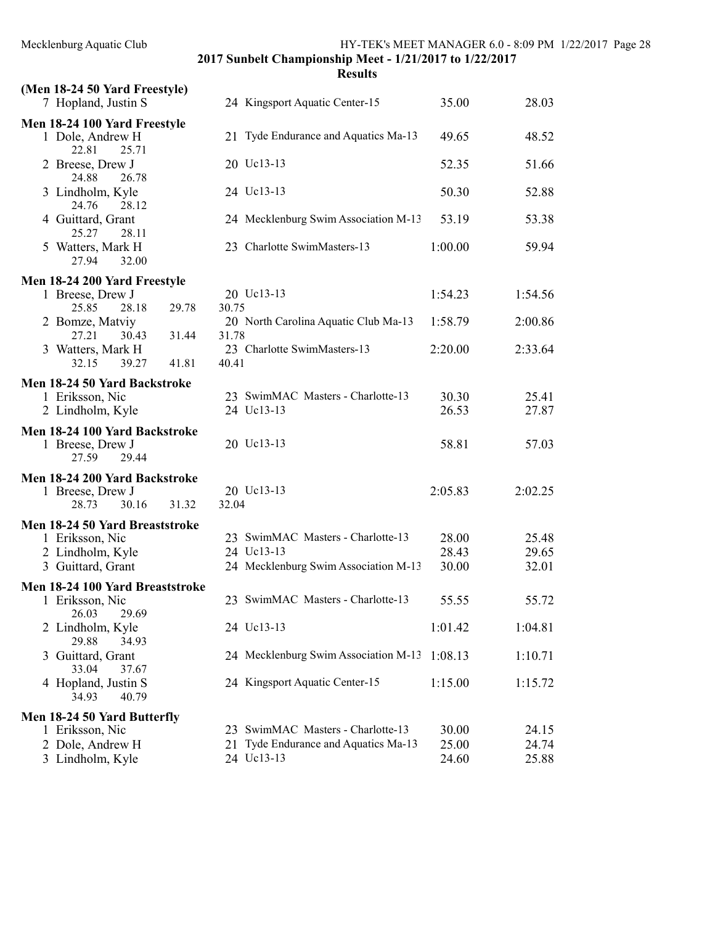| (Men 18-24 50 Yard Freestyle)                   |                                         |         |         |
|-------------------------------------------------|-----------------------------------------|---------|---------|
| 7 Hopland, Justin S                             | 24 Kingsport Aquatic Center-15          | 35.00   | 28.03   |
| Men 18-24 100 Yard Freestyle                    |                                         |         |         |
| 1 Dole, Andrew H                                | 21 Tyde Endurance and Aquatics Ma-13    | 49.65   | 48.52   |
| 22.81<br>25.71                                  | 20 Uc13-13                              |         |         |
| 2 Breese, Drew J<br>24.88<br>26.78              |                                         | 52.35   | 51.66   |
| 3 Lindholm, Kyle                                | 24 Uc13-13                              | 50.30   | 52.88   |
| 24.76<br>28.12                                  |                                         |         |         |
| 4 Guittard, Grant                               | 24 Mecklenburg Swim Association M-13    | 53.19   | 53.38   |
| 25.27<br>28.11<br>5 Watters, Mark H             | 23 Charlotte SwimMasters-13             | 1:00.00 | 59.94   |
| 27.94<br>32.00                                  |                                         |         |         |
| Men 18-24 200 Yard Freestyle                    |                                         |         |         |
| 1 Breese, Drew J                                | 20 Uc13-13                              | 1:54.23 | 1:54.56 |
| 28.18<br>29.78<br>25.85                         | 30.75                                   |         |         |
| 2 Bomze, Matviy                                 | 20 North Carolina Aquatic Club Ma-13    | 1:58.79 | 2:00.86 |
| 27.21<br>30.43<br>31.44                         | 31.78                                   |         |         |
| 3 Watters, Mark H<br>32.15<br>39.27<br>41.81    | 23 Charlotte SwimMasters-13<br>40.41    | 2:20.00 | 2:33.64 |
|                                                 |                                         |         |         |
| Men 18-24 50 Yard Backstroke<br>1 Eriksson, Nic | 23 SwimMAC Masters - Charlotte-13       | 30.30   | 25.41   |
| 2 Lindholm, Kyle                                | 24 Uc13-13                              | 26.53   | 27.87   |
| Men 18-24 100 Yard Backstroke                   |                                         |         |         |
| 1 Breese, Drew J                                | 20 Uc13-13                              | 58.81   | 57.03   |
| 27.59<br>29.44                                  |                                         |         |         |
| Men 18-24 200 Yard Backstroke                   |                                         |         |         |
| 1 Breese, Drew J                                | 20 Uc13-13                              | 2:05.83 | 2:02.25 |
| 30.16<br>31.32<br>28.73                         | 32.04                                   |         |         |
| Men 18-24 50 Yard Breaststroke                  |                                         |         |         |
| 1 Eriksson, Nic                                 | 23 SwimMAC Masters - Charlotte-13       | 28.00   | 25.48   |
| 2 Lindholm, Kyle                                | 24 Uc13-13                              | 28.43   | 29.65   |
| 3 Guittard, Grant                               | 24 Mecklenburg Swim Association M-13    | 30.00   | 32.01   |
| Men 18-24 100 Yard Breaststroke                 | 23 SwimMAC Masters - Charlotte-13       | 55.55   | 55.72   |
| 1 Eriksson, Nic<br>26.03<br>29.69               |                                         |         |         |
| 2 Lindholm, Kyle                                | 24 Uc13-13                              | 1:01.42 | 1:04.81 |
| 29.88<br>34.93                                  |                                         |         |         |
| 3 Guittard, Grant                               | 24 Mecklenburg Swim Association M-13    | 1:08.13 | 1:10.71 |
| 33.04<br>37.67                                  | 24 Kingsport Aquatic Center-15          | 1:15.00 | 1:15.72 |
| 4 Hopland, Justin S<br>34.93<br>40.79           |                                         |         |         |
| Men 18-24 50 Yard Butterfly                     |                                         |         |         |
| 1 Eriksson, Nic                                 | 23 SwimMAC Masters - Charlotte-13       | 30.00   | 24.15   |
| 2 Dole, Andrew H                                | Tyde Endurance and Aquatics Ma-13<br>21 | 25.00   | 24.74   |
| 3 Lindholm, Kyle                                | 24 Uc13-13                              | 24.60   | 25.88   |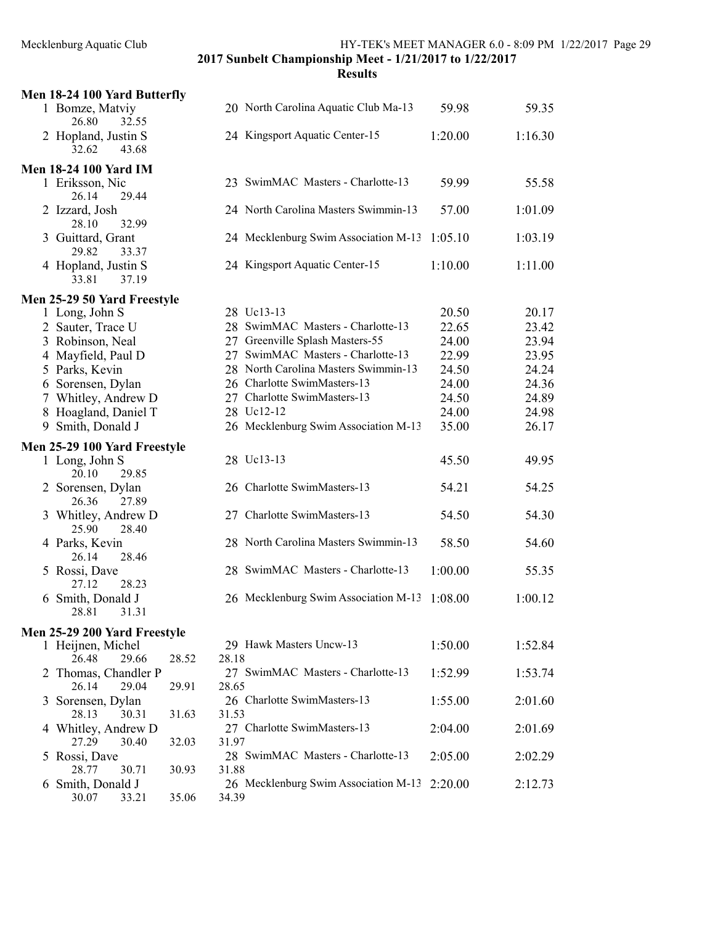|   | Men 18-24 100 Yard Butterfly           |       |       |                                              |         |         |
|---|----------------------------------------|-------|-------|----------------------------------------------|---------|---------|
|   | 1 Bomze, Matviy<br>26.80<br>32.55      |       |       | 20 North Carolina Aquatic Club Ma-13         | 59.98   | 59.35   |
|   | 2 Hopland, Justin S<br>32.62<br>43.68  |       |       | 24 Kingsport Aquatic Center-15               | 1:20.00 | 1:16.30 |
|   | <b>Men 18-24 100 Yard IM</b>           |       |       |                                              |         |         |
|   | 1 Eriksson, Nic<br>26.14<br>29.44      |       |       | 23 SwimMAC Masters - Charlotte-13            | 59.99   | 55.58   |
|   | 2 Izzard, Josh<br>28.10<br>32.99       |       |       | 24 North Carolina Masters Swimmin-13         | 57.00   | 1:01.09 |
|   | 3 Guittard, Grant<br>29.82<br>33.37    |       |       | 24 Mecklenburg Swim Association M-13         | 1:05.10 | 1:03.19 |
|   | 4 Hopland, Justin S<br>33.81<br>37.19  |       |       | 24 Kingsport Aquatic Center-15               | 1:10.00 | 1:11.00 |
|   | Men 25-29 50 Yard Freestyle            |       |       |                                              |         |         |
|   | 1 Long, John S                         |       |       | 28 Uc13-13                                   | 20.50   | 20.17   |
|   | 2 Sauter, Trace U                      |       |       | 28 SwimMAC Masters - Charlotte-13            | 22.65   | 23.42   |
|   | 3 Robinson, Neal                       |       |       | 27 Greenville Splash Masters-55              | 24.00   | 23.94   |
|   | 4 Mayfield, Paul D                     |       |       | 27 SwimMAC Masters - Charlotte-13            | 22.99   | 23.95   |
|   | 5 Parks, Kevin                         |       |       | 28 North Carolina Masters Swimmin-13         | 24.50   | 24.24   |
|   | 6 Sorensen, Dylan                      |       |       | 26 Charlotte SwimMasters-13                  | 24.00   | 24.36   |
|   | 7 Whitley, Andrew D                    |       |       | 27 Charlotte SwimMasters-13                  | 24.50   | 24.89   |
|   | 8 Hoagland, Daniel T                   |       |       | 28 Uc12-12                                   | 24.00   | 24.98   |
|   | 9 Smith, Donald J                      |       |       | 26 Mecklenburg Swim Association M-13         | 35.00   | 26.17   |
|   | Men 25-29 100 Yard Freestyle           |       |       |                                              |         |         |
|   | 1 Long, John S<br>20.10<br>29.85       |       |       | 28 Uc13-13                                   | 45.50   | 49.95   |
|   | 2 Sorensen, Dylan<br>26.36<br>27.89    |       |       | 26 Charlotte SwimMasters-13                  | 54.21   | 54.25   |
|   | 3 Whitley, Andrew D<br>25.90<br>28.40  |       |       | 27 Charlotte SwimMasters-13                  | 54.50   | 54.30   |
|   | 4 Parks, Kevin<br>26.14<br>28.46       |       |       | 28 North Carolina Masters Swimmin-13         | 58.50   | 54.60   |
|   | 5 Rossi, Dave<br>27.12<br>28.23        |       |       | 28 SwimMAC Masters - Charlotte-13            | 1:00.00 | 55.35   |
|   | 6 Smith, Donald J<br>28.81<br>31.31    |       |       | 26 Mecklenburg Swim Association M-13         | 1:08.00 | 1:00.12 |
|   | Men 25-29 200 Yard Freestyle           |       |       |                                              |         |         |
|   | 1 Heijnen, Michel<br>26.48<br>29.66    | 28.52 | 28.18 | 29 Hawk Masters Uncw-13                      | 1:50.00 | 1:52.84 |
|   | 2 Thomas, Chandler P<br>26.14<br>29.04 | 29.91 | 28.65 | 27 SwimMAC Masters - Charlotte-13            | 1:52.99 | 1:53.74 |
|   | 3 Sorensen, Dylan<br>28.13<br>30.31    | 31.63 | 31.53 | 26 Charlotte SwimMasters-13                  | 1:55.00 | 2:01.60 |
|   | 4 Whitley, Andrew D<br>27.29<br>30.40  | 32.03 | 31.97 | 27 Charlotte SwimMasters-13                  | 2:04.00 | 2:01.69 |
|   | 5 Rossi, Dave<br>28.77<br>30.71        | 30.93 | 31.88 | 28 SwimMAC Masters - Charlotte-13            | 2:05.00 | 2:02.29 |
| 6 | Smith, Donald J<br>30.07<br>33.21      | 35.06 | 34.39 | 26 Mecklenburg Swim Association M-13 2:20.00 |         | 2:12.73 |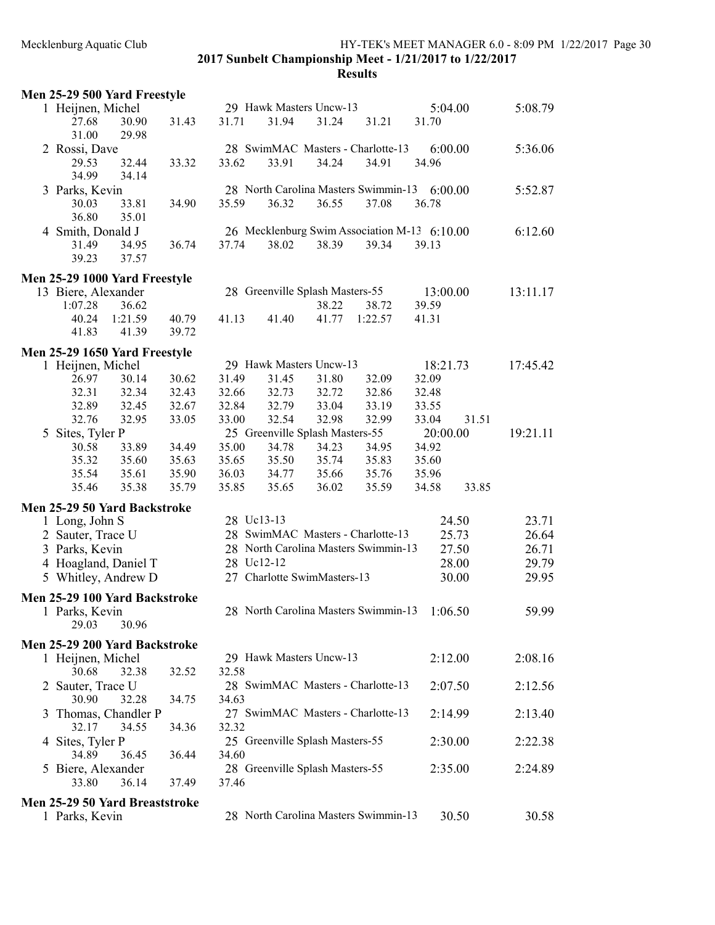# Mecklenburg Aquatic Club HY-TEK's MEET MANAGER 6.0 - 8:09 PM 1/22/2017 Page 30 2017 Sunbelt Championship Meet - 1/21/2017 to 1/22/2017

|   | Men 25-29 500 Yard Freestyle   |         |       |            |                                 |       |                                              |          |       |          |
|---|--------------------------------|---------|-------|------------|---------------------------------|-------|----------------------------------------------|----------|-------|----------|
|   | 1 Heijnen, Michel              |         |       |            | 29 Hawk Masters Uncw-13         |       |                                              | 5:04.00  |       | 5:08.79  |
|   | 27.68                          | 30.90   | 31.43 | 31.71      | 31.94                           | 31.24 | 31.21                                        | 31.70    |       |          |
|   | 31.00                          | 29.98   |       |            |                                 |       |                                              |          |       |          |
|   | 2 Rossi, Dave                  |         |       |            |                                 |       | 28 SwimMAC Masters - Charlotte-13            | 6:00.00  |       | 5:36.06  |
|   | 29.53                          | 32.44   | 33.32 | 33.62      | 33.91                           | 34.24 | 34.91                                        | 34.96    |       |          |
|   | 34.99                          | 34.14   |       |            |                                 |       |                                              |          |       |          |
|   | 3 Parks, Kevin                 |         |       |            |                                 |       | 28 North Carolina Masters Swimmin-13         | 6:00.00  |       | 5:52.87  |
|   | 30.03                          | 33.81   | 34.90 | 35.59      | 36.32                           | 36.55 | 37.08                                        | 36.78    |       |          |
|   | 36.80                          | 35.01   |       |            |                                 |       |                                              |          |       |          |
|   | 4 Smith, Donald J              |         |       |            |                                 |       | 26 Mecklenburg Swim Association M-13 6:10.00 |          |       | 6:12.60  |
|   | 31.49                          | 34.95   | 36.74 | 37.74      | 38.02                           | 38.39 | 39.34                                        | 39.13    |       |          |
|   | 39.23                          | 37.57   |       |            |                                 |       |                                              |          |       |          |
|   | Men 25-29 1000 Yard Freestyle  |         |       |            |                                 |       |                                              |          |       |          |
|   | 13 Biere, Alexander            |         |       |            | 28 Greenville Splash Masters-55 |       |                                              | 13:00.00 |       | 13:11.17 |
|   | 1:07.28                        | 36.62   |       |            |                                 | 38.22 | 38.72                                        | 39.59    |       |          |
|   | 40.24                          | 1:21.59 | 40.79 | 41.13      | 41.40                           | 41.77 | 1:22.57                                      | 41.31    |       |          |
|   | 41.83                          | 41.39   | 39.72 |            |                                 |       |                                              |          |       |          |
|   |                                |         |       |            |                                 |       |                                              |          |       |          |
|   | Men 25-29 1650 Yard Freestyle  |         |       |            |                                 |       |                                              |          |       |          |
|   | 1 Heijnen, Michel              |         |       |            | 29 Hawk Masters Uncw-13         |       |                                              | 18:21.73 |       | 17:45.42 |
|   | 26.97                          | 30.14   | 30.62 | 31.49      | 31.45                           | 31.80 | 32.09                                        | 32.09    |       |          |
|   | 32.31                          | 32.34   | 32.43 | 32.66      | 32.73                           | 32.72 | 32.86                                        | 32.48    |       |          |
|   | 32.89                          | 32.45   | 32.67 | 32.84      | 32.79                           | 33.04 | 33.19                                        | 33.55    |       |          |
|   | 32.76                          | 32.95   | 33.05 | 33.00      | 32.54                           | 32.98 | 32.99                                        | 33.04    | 31.51 |          |
| 5 | Sites, Tyler P                 |         |       |            | 25 Greenville Splash Masters-55 |       |                                              | 20:00.00 |       | 19:21.11 |
|   | 30.58                          | 33.89   | 34.49 | 35.00      | 34.78                           | 34.23 | 34.95                                        | 34.92    |       |          |
|   | 35.32                          | 35.60   | 35.63 | 35.65      | 35.50                           | 35.74 | 35.83                                        | 35.60    |       |          |
|   | 35.54                          | 35.61   | 35.90 | 36.03      | 34.77                           | 35.66 | 35.76                                        | 35.96    |       |          |
|   | 35.46                          | 35.38   | 35.79 | 35.85      | 35.65                           | 36.02 | 35.59                                        | 34.58    | 33.85 |          |
|   | Men 25-29 50 Yard Backstroke   |         |       |            |                                 |       |                                              |          |       |          |
|   | 1 Long, John S                 |         |       | 28 Uc13-13 |                                 |       |                                              | 24.50    |       | 23.71    |
|   | 2 Sauter, Trace U              |         |       |            |                                 |       | 28 SwimMAC Masters - Charlotte-13            | 25.73    |       | 26.64    |
|   | 3 Parks, Kevin                 |         |       |            |                                 |       | 28 North Carolina Masters Swimmin-13         | 27.50    |       | 26.71    |
|   | 4 Hoagland, Daniel T           |         |       | 28 Uc12-12 |                                 |       |                                              | 28.00    |       | 29.79    |
|   | 5 Whitley, Andrew D            |         |       |            | 27 Charlotte SwimMasters-13     |       |                                              | 30.00    |       | 29.95    |
|   | Men 25-29 100 Yard Backstroke  |         |       |            |                                 |       |                                              |          |       |          |
|   | 1 Parks, Kevin                 |         |       |            |                                 |       | 28 North Carolina Masters Swimmin-13 1:06.50 |          |       | 59.99    |
|   | 29.03                          | 30.96   |       |            |                                 |       |                                              |          |       |          |
|   |                                |         |       |            |                                 |       |                                              |          |       |          |
|   | Men 25-29 200 Yard Backstroke  |         |       |            |                                 |       |                                              |          |       |          |
|   | 1 Heijnen, Michel              |         |       |            | 29 Hawk Masters Uncw-13         |       |                                              | 2:12.00  |       | 2:08.16  |
|   | 30.68                          | 32.38   | 32.52 | 32.58      |                                 |       |                                              |          |       |          |
|   | 2 Sauter, Trace U              |         |       |            |                                 |       | 28 SwimMAC Masters - Charlotte-13            | 2:07.50  |       | 2:12.56  |
|   | 30.90                          | 32.28   | 34.75 | 34.63      |                                 |       | 27 SwimMAC Masters - Charlotte-13            |          |       |          |
| 3 | Thomas, Chandler P             | 34.55   |       |            |                                 |       |                                              | 2:14.99  |       | 2:13.40  |
|   | 32.17                          |         | 34.36 | 32.32      |                                 |       |                                              |          |       |          |
|   | 4 Sites, Tyler P               |         |       |            | 25 Greenville Splash Masters-55 |       |                                              | 2:30.00  |       | 2:22.38  |
|   | 34.89                          | 36.45   | 36.44 | 34.60      | 28 Greenville Splash Masters-55 |       |                                              |          |       |          |
|   | 5 Biere, Alexander<br>33.80    | 36.14   | 37.49 | 37.46      |                                 |       |                                              | 2:35.00  |       | 2:24.89  |
|   |                                |         |       |            |                                 |       |                                              |          |       |          |
|   | Men 25-29 50 Yard Breaststroke |         |       |            |                                 |       |                                              |          |       |          |
|   | 1 Parks, Kevin                 |         |       |            |                                 |       | 28 North Carolina Masters Swimmin-13         | 30.50    |       | 30.58    |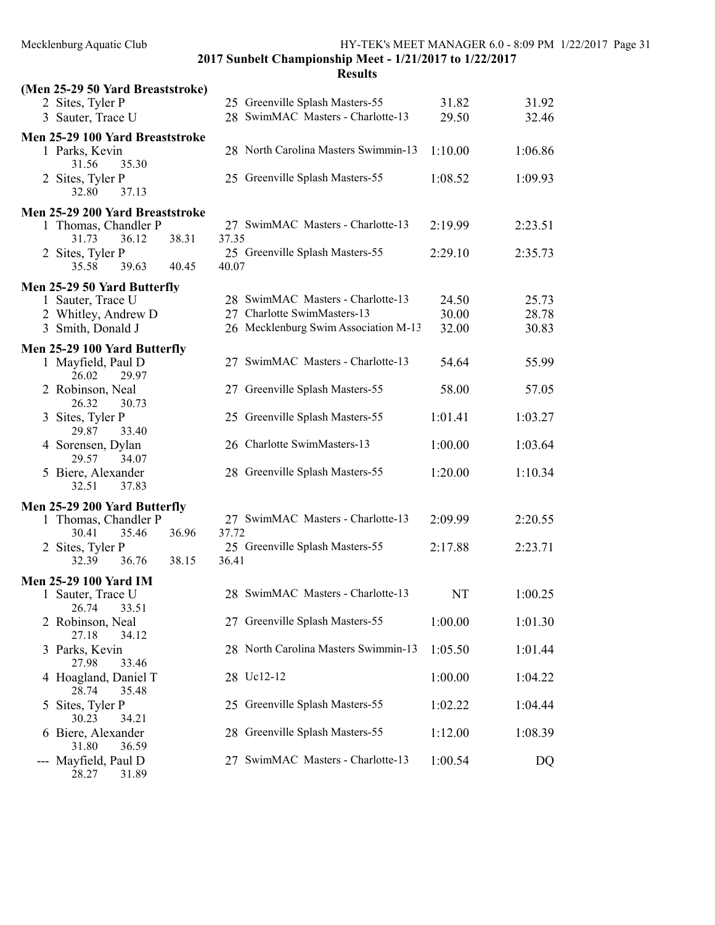| (Men 25-29 50 Yard Breaststroke)                                                                                                  |                                                                                                          |                         |                         |
|-----------------------------------------------------------------------------------------------------------------------------------|----------------------------------------------------------------------------------------------------------|-------------------------|-------------------------|
| 2 Sites, Tyler P                                                                                                                  | 25 Greenville Splash Masters-55                                                                          | 31.82                   | 31.92                   |
| 3 Sauter, Trace U                                                                                                                 | 28 SwimMAC Masters - Charlotte-13                                                                        | 29.50                   | 32.46                   |
| Men 25-29 100 Yard Breaststroke<br>1 Parks, Kevin<br>35.30<br>31.56                                                               | 28 North Carolina Masters Swimmin-13                                                                     | 1:10.00                 | 1:06.86                 |
| 2 Sites, Tyler P<br>32.80<br>37.13                                                                                                | 25 Greenville Splash Masters-55                                                                          | 1:08.52                 | 1:09.93                 |
| Men 25-29 200 Yard Breaststroke<br>1 Thomas, Chandler P<br>38.31<br>31.73<br>36.12<br>2 Sites, Tyler P<br>39.63<br>35.58<br>40.45 | 27 SwimMAC Masters - Charlotte-13<br>37.35<br>25 Greenville Splash Masters-55<br>40.07                   | 2:19.99<br>2:29.10      | 2:23.51<br>2:35.73      |
|                                                                                                                                   |                                                                                                          |                         |                         |
| Men 25-29 50 Yard Butterfly<br>1 Sauter, Trace U<br>2 Whitley, Andrew D<br>3 Smith, Donald J                                      | 28 SwimMAC Masters - Charlotte-13<br>27 Charlotte SwimMasters-13<br>26 Mecklenburg Swim Association M-13 | 24.50<br>30.00<br>32.00 | 25.73<br>28.78<br>30.83 |
| Men 25-29 100 Yard Butterfly<br>1 Mayfield, Paul D                                                                                | 27 SwimMAC Masters - Charlotte-13                                                                        | 54.64                   | 55.99                   |
| 26.02<br>29.97                                                                                                                    |                                                                                                          |                         |                         |
| 2 Robinson, Neal<br>30.73<br>26.32                                                                                                | 27 Greenville Splash Masters-55                                                                          | 58.00                   | 57.05                   |
| 3 Sites, Tyler P<br>33.40<br>29.87                                                                                                | 25 Greenville Splash Masters-55                                                                          | 1:01.41                 | 1:03.27                 |
| 4 Sorensen, Dylan<br>29.57<br>34.07                                                                                               | 26 Charlotte SwimMasters-13                                                                              | 1:00.00                 | 1:03.64                 |
| 5 Biere, Alexander<br>37.83<br>32.51                                                                                              | 28 Greenville Splash Masters-55                                                                          | 1:20.00                 | 1:10.34                 |
| Men 25-29 200 Yard Butterfly                                                                                                      |                                                                                                          |                         |                         |
| 1 Thomas, Chandler P                                                                                                              | 27 SwimMAC Masters - Charlotte-13                                                                        | 2:09.99                 | 2:20.55                 |
| 36.96<br>30.41<br>35.46<br>2 Sites, Tyler P                                                                                       | 37.72<br>25 Greenville Splash Masters-55                                                                 | 2:17.88                 | 2:23.71                 |
| 36.76<br>38.15<br>32.39                                                                                                           | 36.41                                                                                                    |                         |                         |
| <b>Men 25-29 100 Yard IM</b>                                                                                                      |                                                                                                          |                         |                         |
| 1 Sauter, Trace U<br>26.74<br>33.51                                                                                               | 28 SwimMAC Masters - Charlotte-13                                                                        | NT                      | 1:00.25                 |
| 2 Robinson, Neal<br>27.18<br>34.12                                                                                                | 27 Greenville Splash Masters-55                                                                          | 1:00.00                 | 1:01.30                 |
| 3 Parks, Kevin<br>33.46<br>27.98                                                                                                  | 28 North Carolina Masters Swimmin-13                                                                     | 1:05.50                 | 1:01.44                 |
| 4 Hoagland, Daniel T<br>28.74<br>35.48                                                                                            | 28 Uc12-12                                                                                               | 1:00.00                 | 1:04.22                 |
| 5 Sites, Tyler P<br>30.23<br>34.21                                                                                                | 25 Greenville Splash Masters-55                                                                          | 1:02.22                 | 1:04.44                 |
| 6 Biere, Alexander<br>31.80<br>36.59                                                                                              | 28 Greenville Splash Masters-55                                                                          | 1:12.00                 | 1:08.39                 |
| Mayfield, Paul D<br>---<br>28.27<br>31.89                                                                                         | 27 SwimMAC Masters - Charlotte-13                                                                        | 1:00.54                 | DQ                      |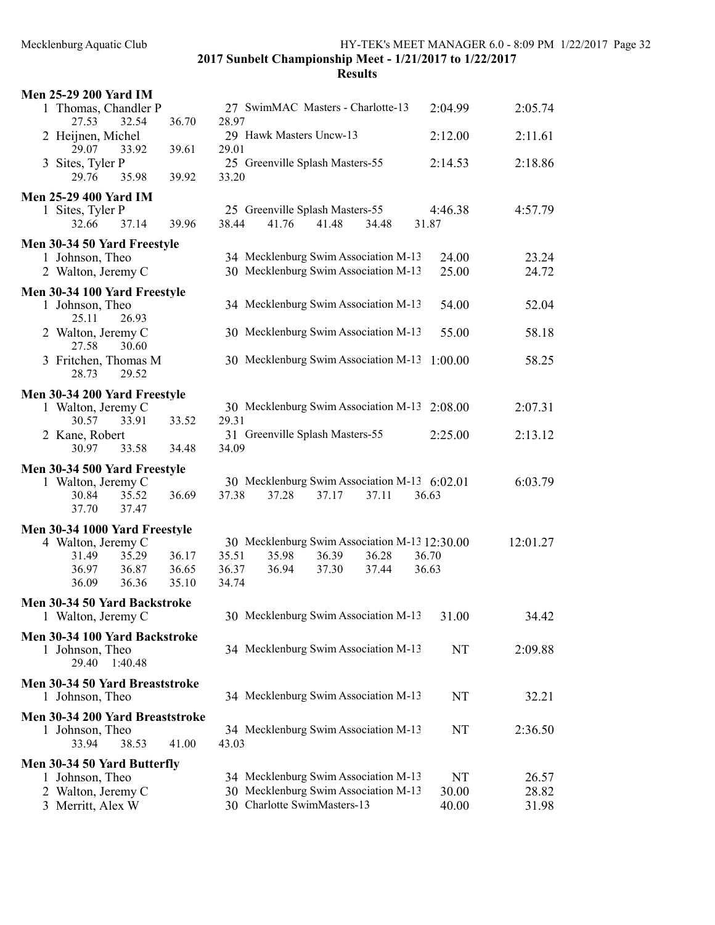Mecklenburg Aquatic Club HY-TEK's MEET MANAGER 6.0 - 8:09 PM 1/22/2017 Page 32

2017 Sunbelt Championship Meet - 1/21/2017 to 1/22/2017

| 27 SwimMAC Masters - Charlotte-13<br>2:04.99<br>28.97                                      | 2:05.74                                                                                                                                                                                                                                 |
|--------------------------------------------------------------------------------------------|-----------------------------------------------------------------------------------------------------------------------------------------------------------------------------------------------------------------------------------------|
| 29 Hawk Masters Uncw-13                                                                    | 2:11.61                                                                                                                                                                                                                                 |
| 25 Greenville Splash Masters-55<br>33.20                                                   | 2:18.86                                                                                                                                                                                                                                 |
|                                                                                            |                                                                                                                                                                                                                                         |
| 25 Greenville Splash Masters-55<br>38.44<br>41.76<br>41.48<br>34.48<br>31.87               | 4:57.79                                                                                                                                                                                                                                 |
|                                                                                            |                                                                                                                                                                                                                                         |
| 30 Mecklenburg Swim Association M-13                                                       | 23.24<br>24.72                                                                                                                                                                                                                          |
|                                                                                            |                                                                                                                                                                                                                                         |
| 34 Mecklenburg Swim Association M-13                                                       | 52.04                                                                                                                                                                                                                                   |
|                                                                                            | 58.18                                                                                                                                                                                                                                   |
| 30 Mecklenburg Swim Association M-13                                                       | 58.25                                                                                                                                                                                                                                   |
|                                                                                            |                                                                                                                                                                                                                                         |
| 30 Mecklenburg Swim Association M-13                                                       | 2:07.31                                                                                                                                                                                                                                 |
|                                                                                            |                                                                                                                                                                                                                                         |
| 34.09                                                                                      | 2:13.12                                                                                                                                                                                                                                 |
|                                                                                            |                                                                                                                                                                                                                                         |
|                                                                                            |                                                                                                                                                                                                                                         |
| 30 Mecklenburg Swim Association M-13 6:02.01                                               | 6:03.79                                                                                                                                                                                                                                 |
| 37.38<br>37.28<br>37.17<br>37.11<br>36.63                                                  |                                                                                                                                                                                                                                         |
|                                                                                            |                                                                                                                                                                                                                                         |
|                                                                                            | 12:01.27                                                                                                                                                                                                                                |
| 30 Mecklenburg Swim Association M-13 12:30.00<br>35.51<br>35.98<br>36.39<br>36.28<br>36.70 |                                                                                                                                                                                                                                         |
| 36.37<br>36.94<br>37.30<br>37.44<br>36.63                                                  |                                                                                                                                                                                                                                         |
| 34.74                                                                                      |                                                                                                                                                                                                                                         |
|                                                                                            |                                                                                                                                                                                                                                         |
| 30 Mecklenburg Swim Association M-13<br>31.00                                              | 34.42                                                                                                                                                                                                                                   |
| 34 Mecklenburg Swim Association M-13                                                       | NT<br>2:09.88                                                                                                                                                                                                                           |
| 34 Mecklenburg Swim Association M-13                                                       | NT<br>32.21                                                                                                                                                                                                                             |
| 34 Mecklenburg Swim Association M-13<br>43.03                                              | NT<br>2:36.50                                                                                                                                                                                                                           |
|                                                                                            |                                                                                                                                                                                                                                         |
| 34 Mecklenburg Swim Association M-13                                                       | NT<br>26.57                                                                                                                                                                                                                             |
| 30 Mecklenburg Swim Association M-13<br>30.00<br>30 Charlotte SwimMasters-13<br>40.00      | 28.82<br>31.98                                                                                                                                                                                                                          |
|                                                                                            | 2:12.00<br>29.01<br>2:14.53<br>4:46.38<br>34 Mecklenburg Swim Association M-13<br>24.00<br>25.00<br>54.00<br>30 Mecklenburg Swim Association M-13<br>55.00<br>1:00.00<br>2:08.00<br>29.31<br>31 Greenville Splash Masters-55<br>2:25.00 |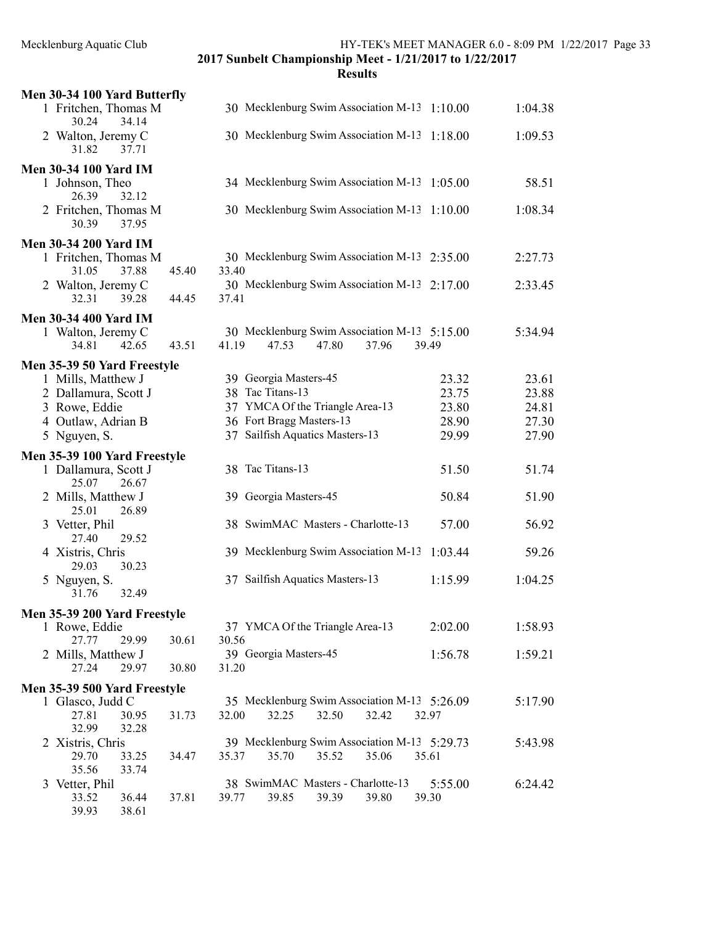| Men 30-34 100 Yard Butterfly           |       |                                                                                  |         |         |
|----------------------------------------|-------|----------------------------------------------------------------------------------|---------|---------|
| 1 Fritchen, Thomas M<br>34.14<br>30.24 |       | 30 Mecklenburg Swim Association M-13 1:10.00                                     |         | 1:04.38 |
| 2 Walton, Jeremy C<br>31.82<br>37.71   |       | 30 Mecklenburg Swim Association M-13 1:18.00                                     |         | 1:09.53 |
| <b>Men 30-34 100 Yard IM</b>           |       |                                                                                  |         |         |
| 1 Johnson, Theo<br>26.39<br>32.12      |       | 34 Mecklenburg Swim Association M-13                                             | 1:05.00 | 58.51   |
| 2 Fritchen, Thomas M<br>37.95<br>30.39 |       | 30 Mecklenburg Swim Association M-13                                             | 1:10.00 | 1:08.34 |
| <b>Men 30-34 200 Yard IM</b>           |       |                                                                                  |         |         |
| 1 Fritchen, Thomas M<br>31.05<br>37.88 | 45.40 | 30 Mecklenburg Swim Association M-13 2:35.00<br>33.40                            |         | 2:27.73 |
| 2 Walton, Jeremy C<br>32.31<br>39.28   | 44.45 | 30 Mecklenburg Swim Association M-13 2:17.00<br>37.41                            |         | 2:33.45 |
| <b>Men 30-34 400 Yard IM</b>           |       |                                                                                  |         |         |
| 1 Walton, Jeremy C<br>42.65<br>34.81   | 43.51 | 30 Mecklenburg Swim Association M-13 5:15.00<br>41.19<br>47.53<br>47.80<br>37.96 | 39.49   | 5:34.94 |
| Men 35-39 50 Yard Freestyle            |       |                                                                                  |         |         |
| 1 Mills, Matthew J                     |       | 39 Georgia Masters-45                                                            | 23.32   | 23.61   |
| 2 Dallamura, Scott J                   |       | 38 Tac Titans-13                                                                 | 23.75   | 23.88   |
| 3 Rowe, Eddie                          |       | 37 YMCA Of the Triangle Area-13                                                  | 23.80   | 24.81   |
| 4 Outlaw, Adrian B                     |       | 36 Fort Bragg Masters-13                                                         | 28.90   | 27.30   |
| 5 Nguyen, S.                           |       | 37 Sailfish Aquatics Masters-13                                                  | 29.99   | 27.90   |
| Men 35-39 100 Yard Freestyle           |       |                                                                                  |         |         |
| 1 Dallamura, Scott J<br>25.07<br>26.67 |       | 38 Tac Titans-13                                                                 | 51.50   | 51.74   |
| 2 Mills, Matthew J<br>25.01<br>26.89   |       | 39 Georgia Masters-45                                                            | 50.84   | 51.90   |
| 3 Vetter, Phil<br>27.40<br>29.52       |       | 38 SwimMAC Masters - Charlotte-13                                                | 57.00   | 56.92   |
| 4 Xistris, Chris<br>30.23<br>29.03     |       | 39 Mecklenburg Swim Association M-13                                             | 1:03.44 | 59.26   |
| 5 Nguyen, S.<br>31.76<br>32.49         |       | 37 Sailfish Aquatics Masters-13                                                  | 1:15.99 | 1:04.25 |
| Men 35-39 200 Yard Freestyle           |       |                                                                                  |         |         |
| 1 Rowe, Eddie                          |       | 37 YMCA Of the Triangle Area-13                                                  | 2:02.00 | 1:58.93 |
| 27.77<br>29.99                         | 30.61 | 30.56<br>39 Georgia Masters-45                                                   |         |         |
| 2 Mills, Matthew J<br>27.24<br>29.97   | 30.80 | 31.20                                                                            | 1:56.78 | 1:59.21 |
| Men 35-39 500 Yard Freestyle           |       |                                                                                  |         |         |
| 1 Glasco, Judd C                       |       | 35 Mecklenburg Swim Association M-13 5:26.09                                     |         | 5:17.90 |
| 27.81<br>30.95<br>32.99<br>32.28       | 31.73 | 32.00<br>32.25<br>32.50<br>32.42                                                 | 32.97   |         |
| 2 Xistris, Chris                       |       | 39 Mecklenburg Swim Association M-13 5:29.73                                     |         | 5:43.98 |
| 29.70<br>33.25<br>35.56<br>33.74       | 34.47 | 35.37<br>35.70<br>35.06<br>35.52                                                 | 35.61   |         |
| 3 Vetter, Phil                         |       | 38 SwimMAC Masters - Charlotte-13                                                | 5:55.00 | 6:24.42 |
| 33.52<br>36.44                         | 37.81 | 39.77<br>39.85<br>39.39<br>39.80                                                 | 39.30   |         |
| 39.93<br>38.61                         |       |                                                                                  |         |         |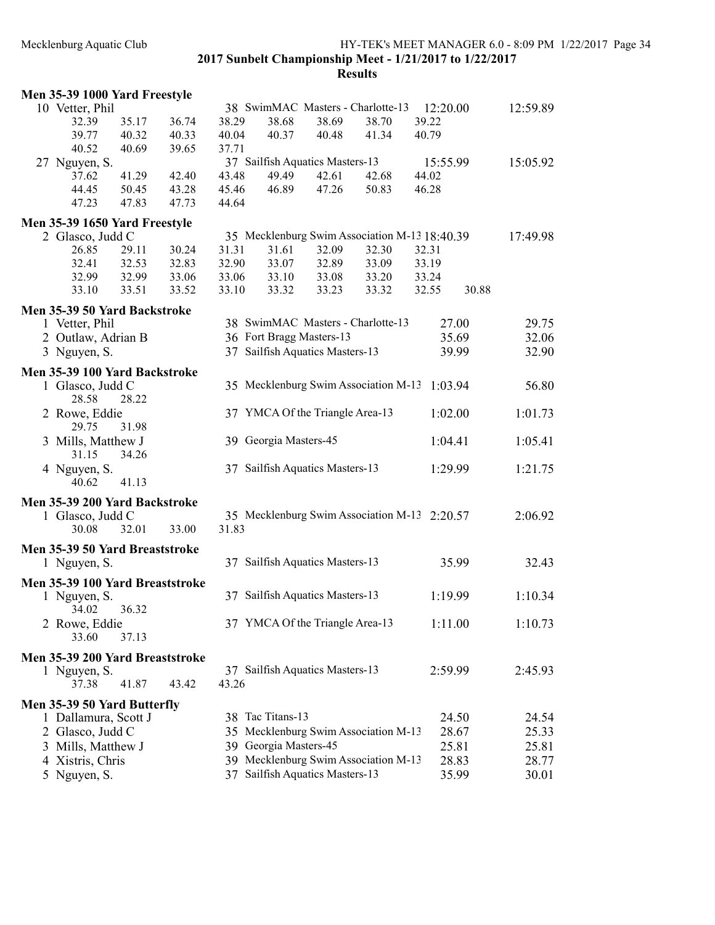| Men 35-39 1000 Yard Freestyle   |       |       |       |                                   |       |                                               |          |       |          |
|---------------------------------|-------|-------|-------|-----------------------------------|-------|-----------------------------------------------|----------|-------|----------|
| 10 Vetter, Phil                 |       |       |       | 38 SwimMAC Masters - Charlotte-13 |       |                                               | 12:20.00 |       | 12:59.89 |
| 32.39                           | 35.17 | 36.74 | 38.29 | 38.68                             | 38.69 | 38.70                                         | 39.22    |       |          |
| 39.77                           | 40.32 | 40.33 | 40.04 | 40.37                             | 40.48 | 41.34                                         | 40.79    |       |          |
| 40.52                           | 40.69 | 39.65 | 37.71 |                                   |       |                                               |          |       |          |
| 27 Nguyen, S.                   |       |       |       | 37 Sailfish Aquatics Masters-13   |       |                                               | 15:55.99 |       | 15:05.92 |
| 37.62                           | 41.29 | 42.40 | 43.48 | 49.49                             | 42.61 | 42.68                                         | 44.02    |       |          |
| 44.45                           | 50.45 | 43.28 | 45.46 | 46.89                             | 47.26 | 50.83                                         | 46.28    |       |          |
| 47.23                           | 47.83 | 47.73 | 44.64 |                                   |       |                                               |          |       |          |
| Men 35-39 1650 Yard Freestyle   |       |       |       |                                   |       |                                               |          |       |          |
| 2 Glasco, Judd C                |       |       |       |                                   |       | 35 Mecklenburg Swim Association M-13 18:40.39 |          |       | 17:49.98 |
| 26.85                           | 29.11 | 30.24 | 31.31 | 31.61                             | 32.09 | 32.30                                         | 32.31    |       |          |
| 32.41                           | 32.53 | 32.83 | 32.90 | 33.07                             | 32.89 | 33.09                                         | 33.19    |       |          |
| 32.99                           | 32.99 | 33.06 | 33.06 | 33.10                             | 33.08 | 33.20                                         | 33.24    |       |          |
| 33.10                           | 33.51 | 33.52 | 33.10 | 33.32                             | 33.23 | 33.32                                         | 32.55    | 30.88 |          |
|                                 |       |       |       |                                   |       |                                               |          |       |          |
| Men 35-39 50 Yard Backstroke    |       |       |       |                                   |       |                                               |          |       |          |
| 1 Vetter, Phil                  |       |       |       | 38 SwimMAC Masters - Charlotte-13 |       |                                               | 27.00    |       | 29.75    |
| 2 Outlaw, Adrian B              |       |       |       | 36 Fort Bragg Masters-13          |       |                                               | 35.69    |       | 32.06    |
| 3 Nguyen, S.                    |       |       |       | 37 Sailfish Aquatics Masters-13   |       |                                               | 39.99    |       | 32.90    |
| Men 35-39 100 Yard Backstroke   |       |       |       |                                   |       |                                               |          |       |          |
| 1 Glasco, Judd C                |       |       |       |                                   |       | 35 Mecklenburg Swim Association M-13 1:03.94  |          |       | 56.80    |
| 28.58                           | 28.22 |       |       |                                   |       |                                               |          |       |          |
| 2 Rowe, Eddie                   |       |       |       | 37 YMCA Of the Triangle Area-13   |       |                                               | 1:02.00  |       | 1:01.73  |
| 29.75                           | 31.98 |       |       |                                   |       |                                               |          |       |          |
|                                 |       |       |       | 39 Georgia Masters-45             |       |                                               | 1:04.41  |       | 1:05.41  |
| 3 Mills, Matthew J              |       |       |       |                                   |       |                                               |          |       |          |
| 31.15                           | 34.26 |       |       |                                   |       |                                               |          |       |          |
| 4 Nguyen, S.                    |       |       |       | 37 Sailfish Aquatics Masters-13   |       |                                               | 1:29.99  |       | 1:21.75  |
| 40.62                           | 41.13 |       |       |                                   |       |                                               |          |       |          |
| Men 35-39 200 Yard Backstroke   |       |       |       |                                   |       |                                               |          |       |          |
| 1 Glasco, Judd C                |       |       |       |                                   |       | 35 Mecklenburg Swim Association M-13 2:20.57  |          |       | 2:06.92  |
| 30.08                           | 32.01 | 33.00 | 31.83 |                                   |       |                                               |          |       |          |
| Men 35-39 50 Yard Breaststroke  |       |       |       |                                   |       |                                               |          |       |          |
| 1 Nguyen, S.                    |       |       |       | 37 Sailfish Aquatics Masters-13   |       |                                               | 35.99    |       | 32.43    |
|                                 |       |       |       |                                   |       |                                               |          |       |          |
| Men 35-39 100 Yard Breaststroke |       |       |       |                                   |       |                                               |          |       |          |
| 1 Nguyen, S.                    |       |       |       | 37 Sailfish Aquatics Masters-13   |       |                                               | 1:19.99  |       | 1:10.34  |
| 34.02                           | 36.32 |       |       |                                   |       |                                               |          |       |          |
| 2 Rowe, Eddie                   |       |       |       | 37 YMCA Of the Triangle Area-13   |       |                                               | 1:11.00  |       | 1:10.73  |
| 33.60                           | 37.13 |       |       |                                   |       |                                               |          |       |          |
| Men 35-39 200 Yard Breaststroke |       |       |       |                                   |       |                                               |          |       |          |
| 1 Nguyen, S.                    |       |       |       | 37 Sailfish Aquatics Masters-13   |       |                                               | 2:59.99  |       | 2:45.93  |
| 37.38                           | 41.87 | 43.42 | 43.26 |                                   |       |                                               |          |       |          |
|                                 |       |       |       |                                   |       |                                               |          |       |          |
| Men 35-39 50 Yard Butterfly     |       |       |       |                                   |       |                                               |          |       |          |
| 1 Dallamura, Scott J            |       |       |       | 38 Tac Titans-13                  |       |                                               | 24.50    |       | 24.54    |
| 2 Glasco, Judd C                |       |       |       |                                   |       | 35 Mecklenburg Swim Association M-13          | 28.67    |       | 25.33    |
| 3 Mills, Matthew J              |       |       | 39    | Georgia Masters-45                |       |                                               | 25.81    |       | 25.81    |
| 4 Xistris, Chris                |       |       |       |                                   |       | 39 Mecklenburg Swim Association M-13          | 28.83    |       | 28.77    |
| 5 Nguyen, S.                    |       |       | 37    | Sailfish Aquatics Masters-13      |       |                                               | 35.99    |       | 30.01    |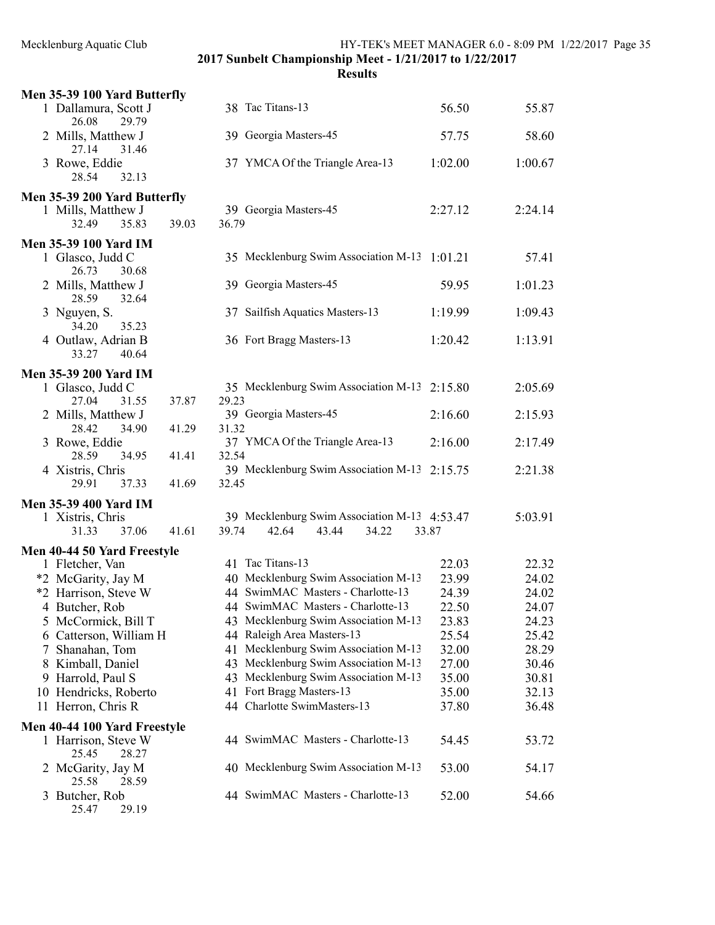| Men 35-39 100 Yard Butterfly                                                  |                                                       |         |         |
|-------------------------------------------------------------------------------|-------------------------------------------------------|---------|---------|
| 1 Dallamura, Scott J<br>26.08                                                 | 38 Tac Titans-13                                      | 56.50   | 55.87   |
| 29.79<br>2 Mills, Matthew J<br>27.14<br>31.46                                 | 39 Georgia Masters-45                                 | 57.75   | 58.60   |
| 3 Rowe, Eddie<br>28.54<br>32.13                                               | 37 YMCA Of the Triangle Area-13                       | 1:02.00 | 1:00.67 |
|                                                                               |                                                       |         |         |
| Men 35-39 200 Yard Butterfly<br>1 Mills, Matthew J<br>32.49<br>35.83<br>39.03 | 39 Georgia Masters-45<br>36.79                        | 2:27.12 | 2:24.14 |
| <b>Men 35-39 100 Yard IM</b>                                                  |                                                       |         |         |
| 1 Glasco, Judd C<br>30.68<br>26.73                                            | 35 Mecklenburg Swim Association M-13 1:01.21          |         | 57.41   |
| 2 Mills, Matthew J<br>32.64<br>28.59                                          | 39 Georgia Masters-45                                 | 59.95   | 1:01.23 |
| 3 Nguyen, S.<br>34.20<br>35.23                                                | 37 Sailfish Aquatics Masters-13                       | 1:19.99 | 1:09.43 |
| 4 Outlaw, Adrian B<br>33.27<br>40.64                                          | 36 Fort Bragg Masters-13                              | 1:20.42 | 1:13.91 |
| <b>Men 35-39 200 Yard IM</b>                                                  |                                                       |         |         |
| 1 Glasco, Judd C<br>37.87<br>27.04<br>31.55                                   | 35 Mecklenburg Swim Association M-13 2:15.80<br>29.23 |         | 2:05.69 |
| 2 Mills, Matthew J                                                            | 39 Georgia Masters-45                                 | 2:16.60 | 2:15.93 |
| 28.42<br>41.29<br>34.90                                                       | 31.32                                                 |         |         |
| 3 Rowe, Eddie                                                                 | 37 YMCA Of the Triangle Area-13                       | 2:16.00 | 2:17.49 |
| 28.59<br>34.95<br>41.41<br>4 Xistris, Chris                                   | 32.54<br>39 Mecklenburg Swim Association M-13 2:15.75 |         | 2:21.38 |
| 29.91<br>37.33<br>41.69                                                       | 32.45                                                 |         |         |
| <b>Men 35-39 400 Yard IM</b>                                                  |                                                       |         |         |
| 1 Xistris, Chris                                                              | 39 Mecklenburg Swim Association M-13 4:53.47          |         | 5:03.91 |
| 37.06<br>41.61<br>31.33                                                       | 39.74<br>42.64<br>43.44<br>34.22                      | 33.87   |         |
| Men 40-44 50 Yard Freestyle                                                   |                                                       |         |         |
| 1 Fletcher, Van                                                               | 41 Tac Titans-13                                      | 22.03   | 22.32   |
| *2 McGarity, Jay M                                                            | 40 Mecklenburg Swim Association M-13                  | 23.99   | 24.02   |
| *2 Harrison, Steve W                                                          | 44 SwimMAC Masters - Charlotte-13                     | 24.39   | 24.02   |
| 4 Butcher, Rob                                                                | 44 SwimMAC Masters - Charlotte-13                     | 22.50   | 24.07   |
| 5 McCormick, Bill T                                                           | 43 Mecklenburg Swim Association M-13                  | 23.83   | 24.23   |
| 6 Catterson, William H                                                        | 44 Raleigh Area Masters-13                            | 25.54   | 25.42   |
| Shanahan, Tom<br>7                                                            | 41 Mecklenburg Swim Association M-13                  | 32.00   | 28.29   |
| 8 Kimball, Daniel                                                             | 43 Mecklenburg Swim Association M-13                  | 27.00   | 30.46   |
| 9 Harrold, Paul S                                                             | 43 Mecklenburg Swim Association M-13                  | 35.00   | 30.81   |
| 10 Hendricks, Roberto                                                         | 41 Fort Bragg Masters-13                              | 35.00   | 32.13   |
| 11 Herron, Chris R                                                            | 44 Charlotte SwimMasters-13                           | 37.80   | 36.48   |
| Men 40-44 100 Yard Freestyle<br>1 Harrison, Steve W                           | 44 SwimMAC Masters - Charlotte-13                     | 54.45   | 53.72   |
| 25.45<br>28.27<br>2 McGarity, Jay M                                           | 40 Mecklenburg Swim Association M-13                  | 53.00   | 54.17   |
| 25.58<br>28.59<br>3 Butcher, Rob<br>25.47<br>29.19                            | 44 SwimMAC Masters - Charlotte-13                     | 52.00   | 54.66   |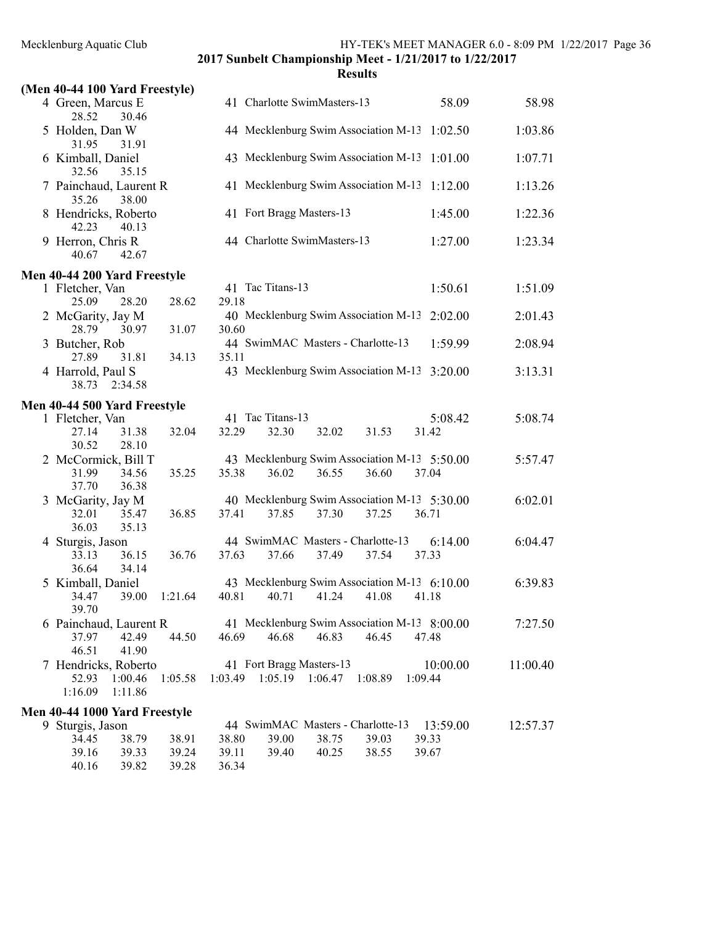| (Men 40-44 100 Yard Freestyle)                          |         |         |                                                       |         |         |         |          |          |
|---------------------------------------------------------|---------|---------|-------------------------------------------------------|---------|---------|---------|----------|----------|
| 4 Green, Marcus E<br>28.52<br>30.46                     |         |         | 41 Charlotte SwimMasters-13                           |         |         |         | 58.09    | 58.98    |
| 5 Holden, Dan W<br>31.95<br>31.91                       |         |         | 44 Mecklenburg Swim Association M-13                  |         |         |         | 1:02.50  | 1:03.86  |
| 6 Kimball, Daniel<br>32.56<br>35.15                     |         |         | 43 Mecklenburg Swim Association M-13                  |         |         |         | 1:01.00  | 1:07.71  |
| 7 Painchaud, Laurent R<br>35.26<br>38.00                |         |         | 41 Mecklenburg Swim Association M-13                  |         |         |         | 1:12.00  | 1:13.26  |
| 8 Hendricks, Roberto<br>42.23<br>40.13                  |         |         | 41 Fort Bragg Masters-13                              |         |         |         | 1:45.00  | 1:22.36  |
| 9 Herron, Chris R<br>42.67<br>40.67                     |         |         | 44 Charlotte SwimMasters-13                           |         |         |         | 1:27.00  | 1:23.34  |
| Men 40-44 200 Yard Freestyle                            |         |         |                                                       |         |         |         |          |          |
| 1 Fletcher, Van<br>25.09<br>28.20                       | 28.62   | 29.18   | 41 Tac Titans-13                                      |         |         |         | 1:50.61  | 1:51.09  |
| 2 McGarity, Jay M<br>28.79<br>30.97                     | 31.07   | 30.60   | 40 Mecklenburg Swim Association M-13                  |         |         |         | 2:02.00  | 2:01.43  |
| 3 Butcher, Rob<br>27.89<br>31.81                        | 34.13   | 35.11   | 44 SwimMAC Masters - Charlotte-13                     |         |         |         | 1:59.99  | 2:08.94  |
| 4 Harrold, Paul S<br>38.73<br>2:34.58                   |         |         | 43 Mecklenburg Swim Association M-13                  |         |         |         | 3:20.00  | 3:13.31  |
| Men 40-44 500 Yard Freestyle                            |         |         |                                                       |         |         |         |          |          |
| 1 Fletcher, Van                                         |         |         | 41 Tac Titans-13                                      |         |         |         | 5:08.42  | 5:08.74  |
| 27.14<br>31.38<br>30.52<br>28.10                        | 32.04   | 32.29   | 32.30                                                 | 32.02   | 31.53   | 31.42   |          |          |
| 2 McCormick, Bill T<br>31.99<br>34.56<br>37.70<br>36.38 | 35.25   | 35.38   | 43 Mecklenburg Swim Association M-13 5:50.00<br>36.02 | 36.55   | 36.60   | 37.04   |          | 5:57.47  |
| 3 McGarity, Jay M                                       |         |         | 40 Mecklenburg Swim Association M-13 5:30.00          |         |         |         |          | 6:02.01  |
| 32.01<br>35.47<br>36.03<br>35.13                        | 36.85   | 37.41   | 37.85                                                 | 37.30   | 37.25   | 36.71   |          |          |
| 4 Sturgis, Jason<br>33.13<br>36.15                      | 36.76   | 37.63   | 44 SwimMAC Masters - Charlotte-13<br>37.66            | 37.49   | 37.54   | 37.33   | 6:14.00  | 6:04.47  |
| 34.14<br>36.64                                          |         |         |                                                       |         |         |         |          |          |
| 5 Kimball, Daniel                                       |         |         | 43 Mecklenburg Swim Association M-13 6:10.00          |         |         |         |          | 6:39.83  |
| 34.47<br>39.00<br>39.70                                 | 1:21.64 | 40.81   | 40.71                                                 | 41.24   | 41.08   | 41.18   |          |          |
| 6 Painchaud, Laurent R                                  |         |         | 41 Mecklenburg Swim Association M-13 8:00.00          |         |         |         |          | 7:27.50  |
| 42.49<br>37.97                                          | 44.50   | 46.69   | 46.68                                                 | 46.83   | 46.45   | 47.48   |          |          |
| 46.51<br>41.90                                          |         |         |                                                       |         |         |         |          |          |
| 7 Hendricks, Roberto                                    |         |         | 41 Fort Bragg Masters-13                              |         |         |         | 10:00.00 | 11:00.40 |
| 1:00.46<br>52.93<br>1:16.09<br>1:11.86                  | 1:05.58 | 1:03.49 | 1:05.19                                               | 1:06.47 | 1:08.89 | 1:09.44 |          |          |
| Men 40-44 1000 Yard Freestyle                           |         |         |                                                       |         |         |         |          |          |
| 9 Sturgis, Jason                                        |         |         | 44 SwimMAC Masters - Charlotte-13                     |         |         |         | 13:59.00 | 12:57.37 |
| 38.79<br>34.45                                          | 38.91   | 38.80   | 39.00                                                 | 38.75   | 39.03   | 39.33   |          |          |
| 39.16<br>39.33                                          | 39.24   | 39.11   | 39.40                                                 | 40.25   | 38.55   | 39.67   |          |          |
| 40.16<br>39.82                                          | 39.28   | 36.34   |                                                       |         |         |         |          |          |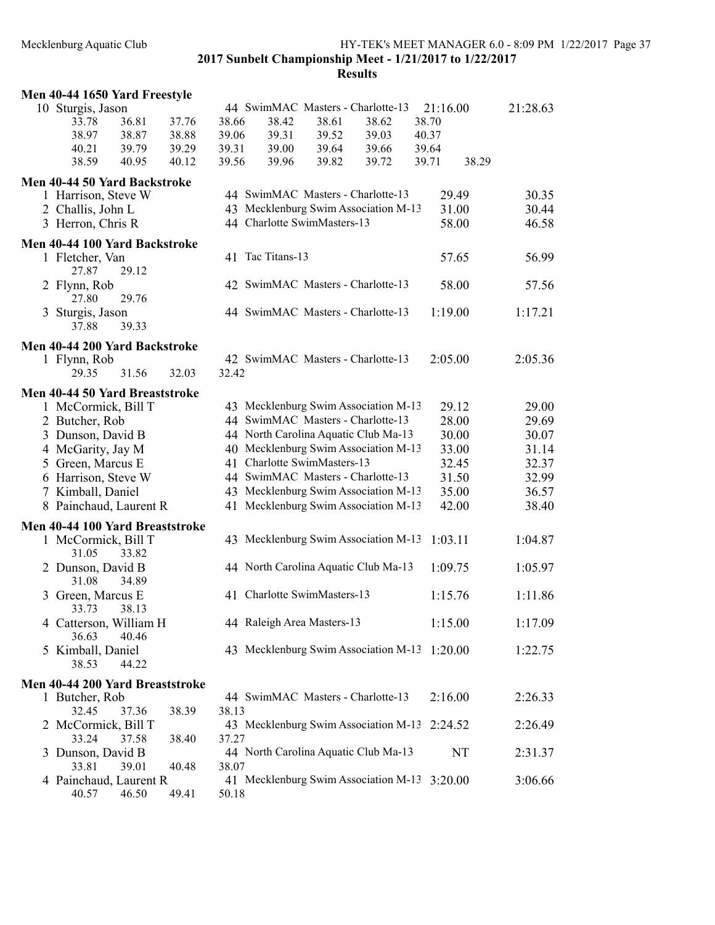| Men 40-44 1650 Yard Freestyle   |       |       |                             |       |                                      |          |          |  |
|---------------------------------|-------|-------|-----------------------------|-------|--------------------------------------|----------|----------|--|
| 10 Sturgis, Jason               |       |       |                             |       | 44 SwimMAC Masters - Charlotte-13    | 21:16.00 | 21:28.63 |  |
| 36.81<br>33.78                  | 37.76 | 38.66 | 38.42                       | 38.61 | 38.62                                | 38.70    |          |  |
| 38.97<br>38.87                  | 38.88 | 39.06 | 39.31                       | 39.52 | 39.03                                | 40.37    |          |  |
|                                 |       |       |                             |       |                                      |          |          |  |
| 40.21<br>39.79                  | 39.29 | 39.31 | 39.00                       | 39.64 | 39.66                                | 39.64    |          |  |
| 38.59<br>40.95                  | 40.12 | 39.56 | 39.96                       | 39.82 | 39.72                                | 39.71    | 38.29    |  |
| Men 40-44 50 Yard Backstroke    |       |       |                             |       |                                      |          |          |  |
| 1 Harrison, Steve W             |       |       |                             |       | 44 SwimMAC Masters - Charlotte-13    | 29.49    | 30.35    |  |
| 2 Challis, John L               |       |       |                             |       | 43 Mecklenburg Swim Association M-13 | 31.00    | 30.44    |  |
| 3 Herron, Chris R               |       |       | 44 Charlotte SwimMasters-13 |       |                                      | 58.00    | 46.58    |  |
|                                 |       |       |                             |       |                                      |          |          |  |
| Men 40-44 100 Yard Backstroke   |       |       |                             |       |                                      |          |          |  |
| 1 Fletcher, Van                 |       |       | 41 Tac Titans-13            |       |                                      | 57.65    | 56.99    |  |
| 29.12<br>27.87                  |       |       |                             |       |                                      |          |          |  |
| 2 Flynn, Rob                    |       |       |                             |       | 42 SwimMAC Masters - Charlotte-13    | 58.00    | 57.56    |  |
| 29.76<br>27.80                  |       |       |                             |       |                                      |          |          |  |
| 3 Sturgis, Jason                |       |       |                             |       | 44 SwimMAC Masters - Charlotte-13    | 1:19.00  | 1:17.21  |  |
| 39.33<br>37.88                  |       |       |                             |       |                                      |          |          |  |
|                                 |       |       |                             |       |                                      |          |          |  |
| Men 40-44 200 Yard Backstroke   |       |       |                             |       |                                      |          |          |  |
| 1 Flynn, Rob                    |       |       |                             |       | 42 SwimMAC Masters - Charlotte-13    | 2:05.00  | 2:05.36  |  |
| 31.56<br>29.35                  | 32.03 | 32.42 |                             |       |                                      |          |          |  |
|                                 |       |       |                             |       |                                      |          |          |  |
| Men 40-44 50 Yard Breaststroke  |       |       |                             |       |                                      |          |          |  |
| 1 McCormick, Bill T             |       |       |                             |       | 43 Mecklenburg Swim Association M-13 | 29.12    | 29.00    |  |
| 2 Butcher, Rob                  |       |       |                             |       | 44 SwimMAC Masters - Charlotte-13    | 28.00    | 29.69    |  |
| 3 Dunson, David B               |       |       |                             |       | 44 North Carolina Aquatic Club Ma-13 | 30.00    | 30.07    |  |
| 4 McGarity, Jay M               |       |       |                             |       | 40 Mecklenburg Swim Association M-13 | 33.00    | 31.14    |  |
| 5 Green, Marcus E               |       |       | 41 Charlotte SwimMasters-13 |       |                                      | 32.45    | 32.37    |  |
|                                 |       |       |                             |       | 44 SwimMAC Masters - Charlotte-13    |          |          |  |
| 6 Harrison, Steve W             |       |       |                             |       |                                      | 31.50    | 32.99    |  |
| 7 Kimball, Daniel               |       |       |                             |       | 43 Mecklenburg Swim Association M-13 | 35.00    | 36.57    |  |
| 8 Painchaud, Laurent R          |       |       |                             |       | 41 Mecklenburg Swim Association M-13 | 42.00    | 38.40    |  |
| Men 40-44 100 Yard Breaststroke |       |       |                             |       |                                      |          |          |  |
| 1 McCormick, Bill T             |       |       |                             |       | 43 Mecklenburg Swim Association M-13 | 1:03.11  | 1:04.87  |  |
| 31.05<br>33.82                  |       |       |                             |       |                                      |          |          |  |
|                                 |       |       |                             |       |                                      |          |          |  |
| 2 Dunson, David B               |       |       |                             |       | 44 North Carolina Aquatic Club Ma-13 | 1:09.75  | 1:05.97  |  |
| 31.08<br>34.89                  |       |       |                             |       |                                      |          |          |  |
| 3 Green, Marcus E               |       |       | 41 Charlotte SwimMasters-13 |       |                                      | 1:15.76  | 1:11.86  |  |
| 33.73 38.13                     |       |       |                             |       |                                      |          |          |  |
| 4 Catterson, William H          |       |       | 44 Raleigh Area Masters-13  |       |                                      | 1:15.00  | 1:17.09  |  |
| 40.46<br>36.63                  |       |       |                             |       |                                      |          |          |  |
| 5 Kimball, Daniel               |       |       |                             |       | 43 Mecklenburg Swim Association M-13 | 1:20.00  | 1:22.75  |  |
| 38.53<br>44.22                  |       |       |                             |       |                                      |          |          |  |
|                                 |       |       |                             |       |                                      |          |          |  |
| Men 40-44 200 Yard Breaststroke |       |       |                             |       |                                      |          |          |  |
| 1 Butcher, Rob                  |       |       |                             |       | 44 SwimMAC Masters - Charlotte-13    | 2:16.00  | 2:26.33  |  |
| 32.45<br>37.36                  | 38.39 | 38.13 |                             |       |                                      |          |          |  |
| 2 McCormick, Bill T             |       |       |                             |       | 43 Mecklenburg Swim Association M-13 | 2:24.52  | 2:26.49  |  |
| 33.24<br>37.58                  | 38.40 | 37.27 |                             |       |                                      |          |          |  |
|                                 |       |       |                             |       | 44 North Carolina Aquatic Club Ma-13 | NT       |          |  |
| 3 Dunson, David B               |       |       |                             |       |                                      |          | 2:31.37  |  |
| 33.81<br>39.01                  | 40.48 | 38.07 |                             |       |                                      |          |          |  |
| 4 Painchaud, Laurent R          |       |       |                             |       | 41 Mecklenburg Swim Association M-13 | 3:20.00  | 3:06.66  |  |
| 46.50<br>40.57                  | 49.41 | 50.18 |                             |       |                                      |          |          |  |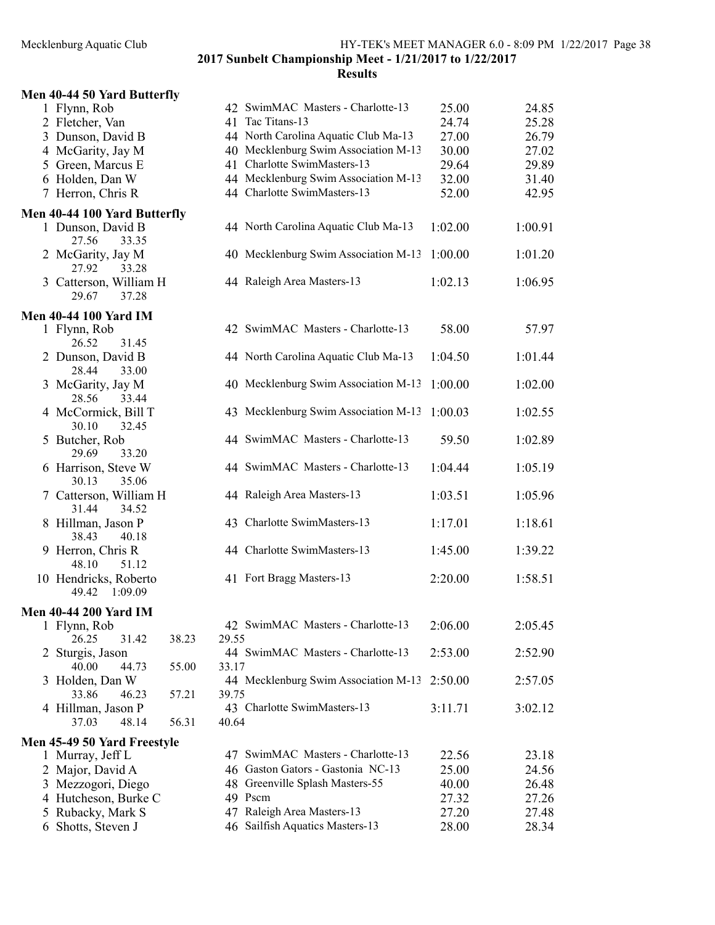# 2017 Sunbelt Championship Meet - 1/21/2017 to 1/22/2017 Results

| Men 40-44 50 Yard Butterfly                                         |                                               |         |         |
|---------------------------------------------------------------------|-----------------------------------------------|---------|---------|
| 1 Flynn, Rob                                                        | 42 SwimMAC Masters - Charlotte-13             | 25.00   | 24.85   |
| 2 Fletcher, Van                                                     | 41 Tac Titans-13                              | 24.74   | 25.28   |
| 3 Dunson, David B                                                   | 44 North Carolina Aquatic Club Ma-13          | 27.00   | 26.79   |
| 4 McGarity, Jay M                                                   | 40 Mecklenburg Swim Association M-13          | 30.00   | 27.02   |
| 5 Green, Marcus E                                                   | 41 Charlotte SwimMasters-13                   | 29.64   | 29.89   |
| 6 Holden, Dan W                                                     | 44 Mecklenburg Swim Association M-13          | 32.00   | 31.40   |
| 7 Herron, Chris R                                                   | 44 Charlotte SwimMasters-13                   | 52.00   | 42.95   |
| Men 40-44 100 Yard Butterfly<br>1 Dunson, David B<br>27.56<br>33.35 | 44 North Carolina Aquatic Club Ma-13          | 1:02.00 | 1:00.91 |
| 2 McGarity, Jay M<br>27.92<br>33.28                                 | 40 Mecklenburg Swim Association M-13          | 1:00.00 | 1:01.20 |
| 3 Catterson, William H<br>37.28<br>29.67                            | 44 Raleigh Area Masters-13                    | 1:02.13 | 1:06.95 |
| <b>Men 40-44 100 Yard IM</b>                                        |                                               |         |         |
| 1 Flynn, Rob<br>26.52<br>31.45                                      | 42 SwimMAC Masters - Charlotte-13             | 58.00   | 57.97   |
| 2 Dunson, David B<br>28.44<br>33.00                                 | 44 North Carolina Aquatic Club Ma-13          | 1:04.50 | 1:01.44 |
| 3 McGarity, Jay M<br>28.56<br>33.44                                 | 40 Mecklenburg Swim Association M-13          | 1:00.00 | 1:02.00 |
| 4 McCormick, Bill T<br>30.10<br>32.45                               | 43 Mecklenburg Swim Association M-13          | 1:00.03 | 1:02.55 |
| 5 Butcher, Rob<br>29.69<br>33.20                                    | 44 SwimMAC Masters - Charlotte-13             | 59.50   | 1:02.89 |
| 6 Harrison, Steve W<br>35.06<br>30.13                               | 44 SwimMAC Masters - Charlotte-13             | 1:04.44 | 1:05.19 |
| 7 Catterson, William H<br>31.44<br>34.52                            | 44 Raleigh Area Masters-13                    | 1:03.51 | 1:05.96 |
| 8 Hillman, Jason P<br>38.43<br>40.18                                | 43 Charlotte SwimMasters-13                   | 1:17.01 | 1:18.61 |
| 9 Herron, Chris R<br>48.10<br>51.12                                 | 44 Charlotte SwimMasters-13                   | 1:45.00 | 1:39.22 |
| 10 Hendricks, Roberto<br>49.42<br>1:09.09                           | 41 Fort Bragg Masters-13                      | 2:20.00 | 1:58.51 |
| <b>Men 40-44 200 Yard IM</b>                                        |                                               |         |         |
| 1 Flynn, Rob<br>26.25<br>31.42<br>38.23                             | 42 SwimMAC Masters - Charlotte-13<br>29.55    | 2:06.00 | 2:05.45 |
| 2 Sturgis, Jason<br>40.00<br>44.73<br>55.00                         | 44 SwimMAC Masters - Charlotte-13<br>33.17    | 2:53.00 | 2:52.90 |
| 3 Holden, Dan W<br>33.86<br>46.23<br>57.21                          | 44 Mecklenburg Swim Association M-13<br>39.75 | 2:50.00 | 2:57.05 |
| 4 Hillman, Jason P<br>37.03<br>48.14<br>56.31                       | 43 Charlotte SwimMasters-13<br>40.64          | 3:11.71 | 3:02.12 |
|                                                                     |                                               |         |         |
| Men 45-49 50 Yard Freestyle<br>1 Murray, Jeff L                     | SwimMAC Masters - Charlotte-13<br>47          | 22.56   | 23.18   |
| 2 Major, David A                                                    | 46 Gaston Gators - Gastonia NC-13             | 25.00   | 24.56   |
| 3 Mezzogori, Diego                                                  | 48 Greenville Splash Masters-55               | 40.00   | 26.48   |
| 4 Hutcheson, Burke C                                                | 49 Pscm                                       | 27.32   | 27.26   |
| 5 Rubacky, Mark S                                                   | 47 Raleigh Area Masters-13                    | 27.20   | 27.48   |
| Shotts, Steven J<br>6                                               | 46 Sailfish Aquatics Masters-13               | 28.00   | 28.34   |
|                                                                     |                                               |         |         |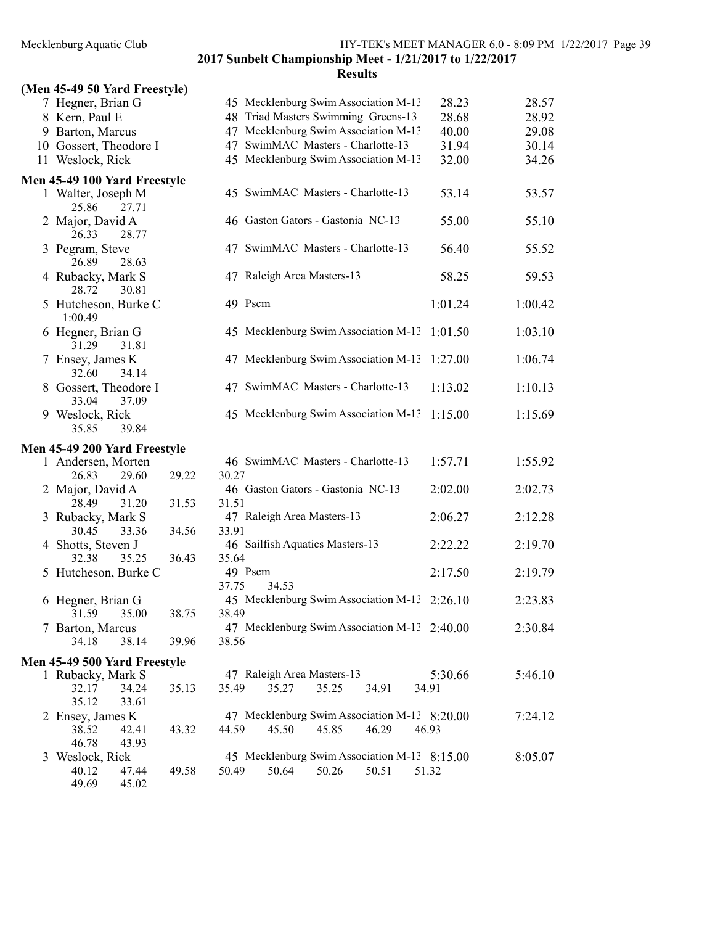# 2017 Sunbelt Championship Meet - 1/21/2017 to 1/22/2017 Results

# (Men 45-49 50 Yard Freestyle)

| $(1)$ ICII 70-77 JU TATU FICCSIYICJ |       |       |                                              |         |         |
|-------------------------------------|-------|-------|----------------------------------------------|---------|---------|
| 7 Hegner, Brian G                   |       |       | 45 Mecklenburg Swim Association M-13         | 28.23   | 28.57   |
| 8 Kern, Paul E                      |       |       | 48 Triad Masters Swimming Greens-13          | 28.68   | 28.92   |
| 9 Barton, Marcus                    |       |       | 47 Mecklenburg Swim Association M-13         | 40.00   | 29.08   |
| 10 Gossert, Theodore I              |       |       | 47 SwimMAC Masters - Charlotte-13            | 31.94   | 30.14   |
|                                     |       |       |                                              |         |         |
| 11 Weslock, Rick                    |       |       | 45 Mecklenburg Swim Association M-13         | 32.00   | 34.26   |
| Men 45-49 100 Yard Freestyle        |       |       |                                              |         |         |
| 1 Walter, Joseph M                  |       |       | 45 SwimMAC Masters - Charlotte-13            | 53.14   | 53.57   |
| 25.86<br>27.71                      |       |       |                                              |         |         |
| 2 Major, David A                    |       |       | 46 Gaston Gators - Gastonia NC-13            | 55.00   | 55.10   |
| 26.33<br>28.77                      |       |       |                                              |         |         |
|                                     |       |       |                                              |         |         |
| 3 Pegram, Steve                     |       |       | 47 SwimMAC Masters - Charlotte-13            | 56.40   | 55.52   |
| 26.89<br>28.63                      |       |       |                                              |         |         |
| 4 Rubacky, Mark S                   |       |       | 47 Raleigh Area Masters-13                   | 58.25   | 59.53   |
| 28.72<br>30.81                      |       |       |                                              |         |         |
| 5 Hutcheson, Burke C                |       |       | 49 Pscm                                      | 1:01.24 | 1:00.42 |
| 1:00.49                             |       |       |                                              |         |         |
| 6 Hegner, Brian G                   |       |       | 45 Mecklenburg Swim Association M-13         | 1:01.50 | 1:03.10 |
| 31.29<br>31.81                      |       |       |                                              |         |         |
|                                     |       |       | 47 Mecklenburg Swim Association M-13         | 1:27.00 | 1:06.74 |
| 7 Ensey, James K                    |       |       |                                              |         |         |
| 32.60<br>34.14                      |       |       |                                              |         |         |
| 8 Gossert, Theodore I               |       |       | 47 SwimMAC Masters - Charlotte-13            | 1:13.02 | 1:10.13 |
| 33.04<br>37.09                      |       |       |                                              |         |         |
| 9 Weslock, Rick                     |       |       | 45 Mecklenburg Swim Association M-13         | 1:15.00 | 1:15.69 |
| 39.84<br>35.85                      |       |       |                                              |         |         |
| Men 45-49 200 Yard Freestyle        |       |       |                                              |         |         |
| 1 Andersen, Morten                  |       |       | 46 SwimMAC Masters - Charlotte-13            | 1:57.71 | 1:55.92 |
|                                     |       |       |                                              |         |         |
| 26.83<br>29.60                      | 29.22 | 30.27 |                                              |         |         |
| 2 Major, David A                    |       |       | 46 Gaston Gators - Gastonia NC-13            | 2:02.00 | 2:02.73 |
| 28.49<br>31.20                      | 31.53 | 31.51 |                                              |         |         |
| 3 Rubacky, Mark S                   |       |       | 47 Raleigh Area Masters-13                   | 2:06.27 | 2:12.28 |
| 33.36<br>30.45                      | 34.56 | 33.91 |                                              |         |         |
| 4 Shotts, Steven J                  |       |       | 46 Sailfish Aquatics Masters-13              | 2:22.22 | 2:19.70 |
| 35.25<br>32.38                      | 36.43 | 35.64 |                                              |         |         |
| 5 Hutcheson, Burke C                |       |       | 49 Pscm                                      | 2:17.50 | 2:19.79 |
|                                     |       | 37.75 | 34.53                                        |         |         |
| 6 Hegner, Brian G                   |       |       | 45 Mecklenburg Swim Association M-13 2:26.10 |         | 2:23.83 |
| 31.59 35.00                         | 38.75 | 38.49 |                                              |         |         |
|                                     |       |       | 47 Mecklenburg Swim Association M-13 2:40.00 |         |         |
| 7 Barton, Marcus                    |       |       |                                              |         | 2:30.84 |
| 38.14<br>34.18                      | 39.96 | 38.56 |                                              |         |         |
| Men 45-49 500 Yard Freestyle        |       |       |                                              |         |         |
| 1 Rubacky, Mark S                   |       |       | 47 Raleigh Area Masters-13                   | 5:30.66 | 5:46.10 |
| 32.17<br>34.24                      | 35.13 | 35.49 | 35.27<br>35.25<br>34.91                      | 34.91   |         |
| 35.12<br>33.61                      |       |       |                                              |         |         |
| 2 Ensey, James K                    |       |       | 47 Mecklenburg Swim Association M-13 8:20.00 |         | 7:24.12 |
|                                     |       | 44.59 | 45.50<br>45.85<br>46.29                      |         |         |
| 38.52<br>42.41                      | 43.32 |       |                                              | 46.93   |         |
| 46.78<br>43.93                      |       |       |                                              |         |         |
| 3 Weslock, Rick                     |       |       | 45 Mecklenburg Swim Association M-13 8:15.00 |         | 8:05.07 |
| 40.12<br>47.44                      | 49.58 | 50.49 | 50.26<br>50.64<br>50.51                      | 51.32   |         |
| 49.69<br>45.02                      |       |       |                                              |         |         |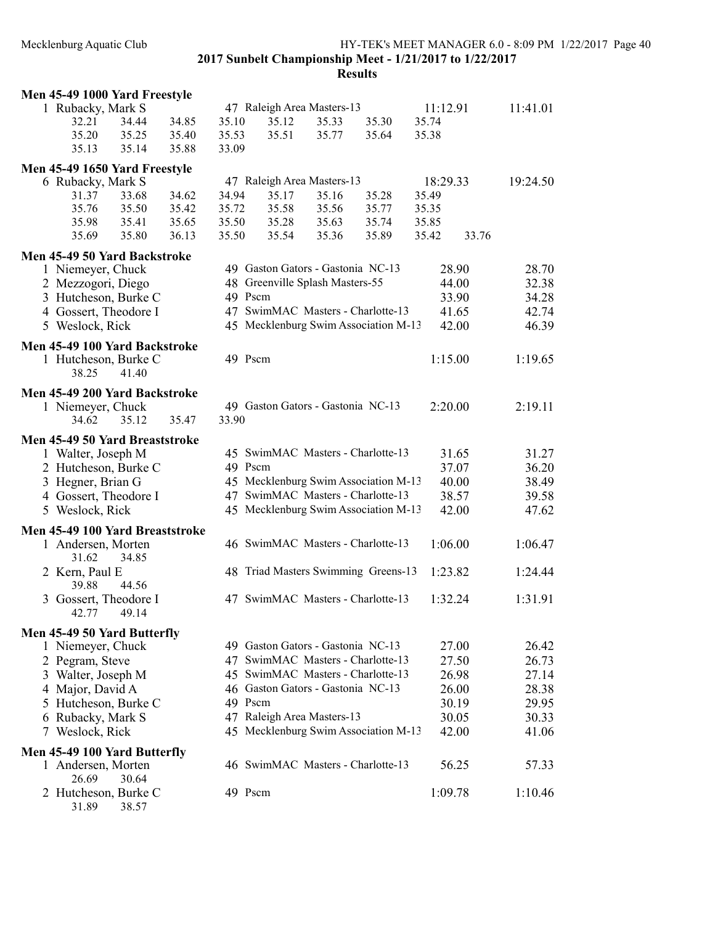## Mecklenburg Aquatic Club HY-TEK's MEET MANAGER 6.0 - 8:09 PM 1/22/2017 Page 40 2017 Sunbelt Championship Meet - 1/21/2017 to 1/22/2017 **Results**

# Men 45-49 1000 Yard Freestyle 1 Rubacky, Mark S<br>
34.44 34.85 35.10 35.12 35.33 35.30 35.74 11:41.01 32.21 34.44 34.85 35.10 35.12 35.33 35.30 35.74 35.20 35.25 35.40 35.53 35.51 35.77 35.64 35.38 35.13 35.14 35.88 33.09 Men 45-49 1650 Yard Freestyle 6 Rubacky, Mark S 47 Raleigh Area Masters-13 18:29.33 19:24.50 31.37 33.68 34.62 34.94 35.17 35.16 35.28 35.49 35.76 35.50 35.42 35.72 35.58 35.56 35.77 35.35 35.98 35.41 35.65 35.50 35.28 35.63 35.74 35.85 35.69 35.80 36.13 35.50 35.54 35.36 35.89 33.76 35.42 Men 45-49 50 Yard Backstroke 1 Niemeyer, Chuck 49 Gaston Gators - Gastonia NC-13 28.90 28.70 2 Mezzogori, Diego 48 Greenville Splash Masters-55 44.00 32.38 3 Hutcheson, Burke C 49 Pscm 33.90 34.28 4 Gossert, Theodore I 47 SwimMAC Masters - Charlotte-13 41.65 42.74 5 Weslock, Rick 45 Mecklenburg Swim Association M-13 42.00 46.39 Men 45-49 100 Yard Backstroke 1 Hutcheson, Burke C 49 Pscm 1:15.00 1:19.65 38.25 41.40 Men 45-49 200 Yard Backstroke 1 Niemeyer, Chuck 49 Gaston Gators - Gastonia NC-13 2:20.00 2:19.11 34.62 35.12 35.47 33.90 Men 45-49 50 Yard Breaststroke 1 Walter, Joseph M 45 SwimMAC Masters - Charlotte-13 31.65 31.27 2 Hutcheson, Burke C 49 Pscm 37.07 36.20 3 Hegner, Brian G 45 Mecklenburg Swim Association M-13 40.00 38.49 4 Gossert, Theodore I 47 SwimMAC Masters - Charlotte-13 38.57 39.58 5 Weslock, Rick 45 Mecklenburg Swim Association M-13 42.00 47.62 Men 45-49 100 Yard Breaststroke 1 Andersen, Morten 46 SwimMAC Masters - Charlotte-13 1:06.00 1:06.47 31.62 34.85 2 Kern, Paul E 48 Triad Masters Swimming Greens-13 1:23.82 1:24.44<br>39.88 44.56 39.88 3 Gossert, Theodore I 47 SwimMAC Masters - Charlotte-13 1:32.24 1:31.91 42.77 49.14 Men 45-49 50 Yard Butterfly 1 Niemeyer, Chuck 49 Gaston Gators - Gastonia NC-13 27.00 26.42 2 Pegram, Steve 47 SwimMAC Masters - Charlotte-13 27.50 26.73 3 Walter, Joseph M 45 SwimMAC Masters - Charlotte-13 26.98 27.14 4 Major, David A 46 Gaston Gators - Gastonia NC-13 26.00 28.38 5 Hutcheson, Burke C 49 Pscm 30.19 29.95 6 Rubacky, Mark S 47 Raleigh Area Masters-13 30.05 30.33 7 Weslock, Rick 45 Mecklenburg Swim Association M-13 42.00 41.06 Men 45-49 100 Yard Butterfly 1 Andersen, Morten 46 SwimMAC Masters - Charlotte-13 56.25 57.33 26.69 30.64 2 Hutcheson, Burke C 49 Pscm 1:09.78 1:10.46 31.89 38.57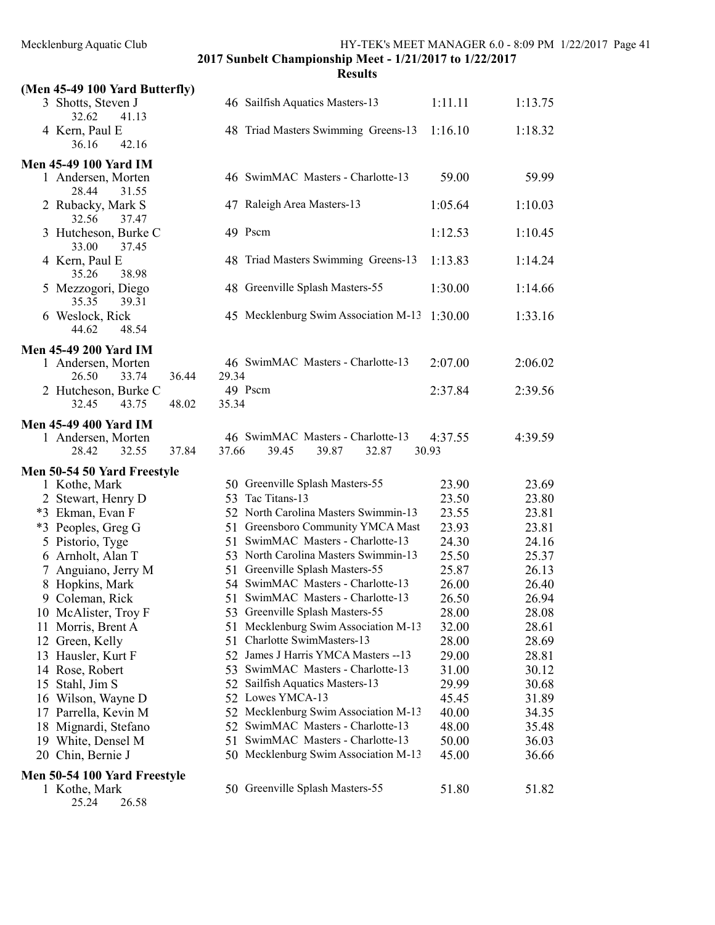|    | (Men 45-49 100 Yard Butterfly)                                                |                                            |         |         |
|----|-------------------------------------------------------------------------------|--------------------------------------------|---------|---------|
|    | 3 Shotts, Steven J<br>32.62<br>41.13                                          | 46 Sailfish Aquatics Masters-13            | 1:11.11 | 1:13.75 |
|    | 4 Kern, Paul E<br>42.16<br>36.16                                              | 48 Triad Masters Swimming Greens-13        | 1:16.10 | 1:18.32 |
|    | <b>Men 45-49 100 Yard IM</b>                                                  |                                            |         |         |
|    | 1 Andersen, Morten<br>28.44<br>31.55                                          | 46 SwimMAC Masters - Charlotte-13          | 59.00   | 59.99   |
|    | 2 Rubacky, Mark S<br>32.56<br>37.47                                           | 47 Raleigh Area Masters-13                 | 1:05.64 | 1:10.03 |
|    | 3 Hutcheson, Burke C<br>33.00<br>37.45                                        | 49 Pscm                                    | 1:12.53 | 1:10.45 |
|    | 4 Kern, Paul E<br>35.26<br>38.98                                              | 48 Triad Masters Swimming Greens-13        | 1:13.83 | 1:14.24 |
|    | 5 Mezzogori, Diego<br>35.35<br>39.31                                          | 48 Greenville Splash Masters-55            | 1:30.00 | 1:14.66 |
|    | 6 Weslock, Rick<br>44.62<br>48.54                                             | 45 Mecklenburg Swim Association M-13       | 1:30.00 | 1:33.16 |
|    |                                                                               |                                            |         |         |
|    | <b>Men 45-49 200 Yard IM</b><br>1 Andersen, Morten<br>36.44<br>26.50<br>33.74 | 46 SwimMAC Masters - Charlotte-13<br>29.34 | 2:07.00 | 2:06.02 |
|    | 2 Hutcheson, Burke C<br>43.75<br>48.02<br>32.45                               | 49 Pscm<br>35.34                           | 2:37.84 | 2:39.56 |
|    |                                                                               |                                            |         |         |
|    | <b>Men 45-49 400 Yard IM</b>                                                  |                                            |         |         |
|    | 1 Andersen, Morten                                                            | 46 SwimMAC Masters - Charlotte-13          | 4:37.55 | 4:39.59 |
|    | 28.42<br>32.55<br>37.84                                                       | 37.66<br>39.45<br>39.87<br>32.87           | 30.93   |         |
|    | Men 50-54 50 Yard Freestyle                                                   |                                            |         |         |
|    | 1 Kothe, Mark                                                                 | 50 Greenville Splash Masters-55            | 23.90   | 23.69   |
|    | 2 Stewart, Henry D                                                            | 53 Tac Titans-13                           | 23.50   | 23.80   |
|    | *3 Ekman, Evan F                                                              | 52 North Carolina Masters Swimmin-13       | 23.55   | 23.81   |
|    | *3 Peoples, Greg G                                                            | 51 Greensboro Community YMCA Mast          | 23.93   | 23.81   |
|    | 5 Pistorio, Tyge                                                              | SwimMAC Masters - Charlotte-13<br>51       | 24.30   | 24.16   |
|    | 6 Arnholt, Alan T                                                             | 53 North Carolina Masters Swimmin-13       | 25.50   | 25.37   |
|    | 7 Anguiano, Jerry M                                                           | 51 Greenville Splash Masters-55            | 25.87   | 26.13   |
|    | 8 Hopkins, Mark                                                               | 54 SwimMAC Masters - Charlotte-13          | 26.00   | 26.40   |
|    | 9 Coleman, Rick                                                               | 51 SwimMAC Masters - Charlotte-13          | 26.50   | 26.94   |
|    | 10 McAlister, Troy F                                                          | 53 Greenville Splash Masters-55            | 28.00   | 28.08   |
|    | 11 Morris, Brent A                                                            | Mecklenburg Swim Association M-13<br>51    | 32.00   | 28.61   |
|    | 12 Green, Kelly                                                               | Charlotte SwimMasters-13<br>51             | 28.00   | 28.69   |
|    | 13 Hausler, Kurt F                                                            | James J Harris YMCA Masters -- 13<br>52    | 29.00   | 28.81   |
|    | 14 Rose, Robert                                                               | SwimMAC Masters - Charlotte-13<br>53       | 31.00   | 30.12   |
|    | 15 Stahl, Jim S                                                               | Sailfish Aquatics Masters-13<br>52         | 29.99   | 30.68   |
|    | 16 Wilson, Wayne D                                                            | 52 Lowes YMCA-13                           | 45.45   | 31.89   |
| 17 | Parrella, Kevin M                                                             | 52 Mecklenburg Swim Association M-13       | 40.00   | 34.35   |
|    | 18 Mignardi, Stefano                                                          | 52 SwimMAC Masters - Charlotte-13          | 48.00   | 35.48   |
|    | 19 White, Densel M                                                            | SwimMAC Masters - Charlotte-13<br>51       | 50.00   | 36.03   |
|    | 20 Chin, Bernie J                                                             | 50 Mecklenburg Swim Association M-13       | 45.00   | 36.66   |
|    | Men 50-54 100 Yard Freestyle                                                  |                                            |         |         |
|    | 1 Kothe, Mark<br>25.24<br>26.58                                               | 50 Greenville Splash Masters-55            | 51.80   | 51.82   |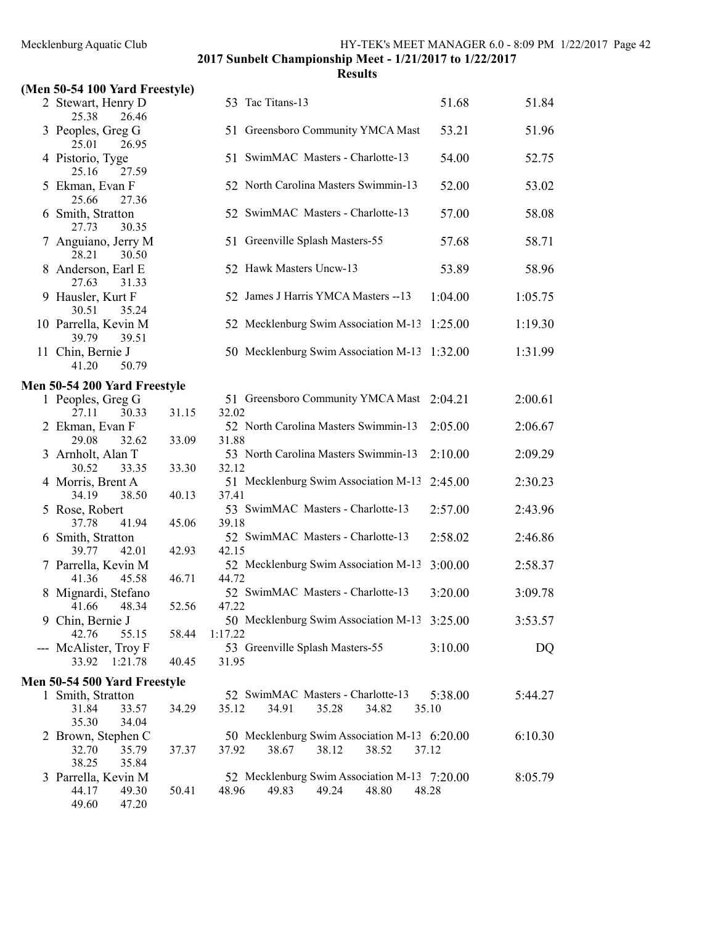| (Men 50-54 100 Yard Freestyle)                          |       |                                                                                  |                  |         |
|---------------------------------------------------------|-------|----------------------------------------------------------------------------------|------------------|---------|
| 2 Stewart, Henry D<br>25.38<br>26.46                    |       | 53 Tac Titans-13                                                                 | 51.68            | 51.84   |
| 3 Peoples, Greg G<br>25.01<br>26.95                     |       | 51 Greensboro Community YMCA Mast                                                | 53.21            | 51.96   |
| 4 Pistorio, Tyge<br>25.16<br>27.59                      |       | 51 SwimMAC Masters - Charlotte-13                                                | 54.00            | 52.75   |
| 5 Ekman, Evan F<br>25.66<br>27.36                       |       | 52 North Carolina Masters Swimmin-13                                             | 52.00            | 53.02   |
| 6 Smith, Stratton<br>27.73<br>30.35                     |       | 52 SwimMAC Masters - Charlotte-13                                                | 57.00            | 58.08   |
| Anguiano, Jerry M<br>30.50<br>28.21                     |       | 51 Greenville Splash Masters-55                                                  | 57.68            | 58.71   |
| 8 Anderson, Earl E<br>27.63<br>31.33                    |       | 52 Hawk Masters Uncw-13                                                          | 53.89            | 58.96   |
| 9 Hausler, Kurt F<br>30.51<br>35.24                     |       | 52 James J Harris YMCA Masters -- 13                                             | 1:04.00          | 1:05.75 |
| 10 Parrella, Kevin M<br>39.79<br>39.51                  |       | 52 Mecklenburg Swim Association M-13                                             | 1:25.00          | 1:19.30 |
| 11 Chin, Bernie J<br>41.20<br>50.79                     |       | 50 Mecklenburg Swim Association M-13                                             | 1:32.00          | 1:31.99 |
| Men 50-54 200 Yard Freestyle                            |       |                                                                                  |                  |         |
| 1 Peoples, Greg G                                       |       | 51 Greensboro Community YMCA Mast                                                | 2:04.21          | 2:00.61 |
| 27.11<br>30.33                                          | 31.15 | 32.02                                                                            |                  |         |
| 2 Ekman, Evan F<br>29.08<br>32.62                       | 33.09 | 52 North Carolina Masters Swimmin-13<br>31.88                                    | 2:05.00          | 2:06.67 |
| 3 Arnholt, Alan T<br>30.52<br>33.35                     | 33.30 | 53 North Carolina Masters Swimmin-13<br>32.12                                    | 2:10.00          | 2:09.29 |
| 4 Morris, Brent A<br>34.19<br>38.50                     | 40.13 | 51 Mecklenburg Swim Association M-13<br>37.41                                    | 2:45.00          | 2:30.23 |
| 5 Rose, Robert<br>37.78<br>41.94                        | 45.06 | 53 SwimMAC Masters - Charlotte-13<br>39.18                                       | 2:57.00          | 2:43.96 |
| 6 Smith, Stratton<br>39.77<br>42.01                     | 42.93 | 52 SwimMAC Masters - Charlotte-13<br>42.15                                       | 2:58.02          | 2:46.86 |
| 7 Parrella, Kevin M                                     |       | 52 Mecklenburg Swim Association M-13                                             | 3:00.00          | 2:58.37 |
| 41.36<br>45.58                                          | 46.71 | 44.72                                                                            |                  |         |
| 8 Mignardi, Stefano<br>48.34<br>41.66                   | 52.56 | 52 SwimMAC Masters - Charlotte-13<br>47.22                                       | 3:20.00          | 3:09.78 |
| 9 Chin, Bernie J                                        |       | 50 Mecklenburg Swim Association M-13 3:25.00                                     |                  | 3:53.57 |
| 42.76<br>55.15<br>--- McAlister, Troy F                 | 58.44 | 1:17.22<br>53 Greenville Splash Masters-55                                       | 3:10.00          | DQ      |
| 33.92<br>1:21.78                                        | 40.45 | 31.95                                                                            |                  |         |
| Men 50-54 500 Yard Freestyle                            |       |                                                                                  |                  |         |
| 1 Smith, Stratton<br>31.84<br>33.57                     | 34.29 | 52 SwimMAC Masters - Charlotte-13<br>35.12<br>34.91<br>35.28<br>34.82            | 5:38.00<br>35.10 | 5:44.27 |
| 35.30<br>34.04<br>2 Brown, Stephen C<br>32.70<br>35.79  | 37.37 | 50 Mecklenburg Swim Association M-13 6:20.00<br>37.92<br>38.67<br>38.12<br>38.52 | 37.12            | 6:10.30 |
| 38.25<br>35.84<br>3 Parrella, Kevin M<br>44.17<br>49.30 | 50.41 | 52 Mecklenburg Swim Association M-13 7:20.00<br>48.96<br>49.83<br>49.24<br>48.80 | 48.28            | 8:05.79 |
| 49.60<br>47.20                                          |       |                                                                                  |                  |         |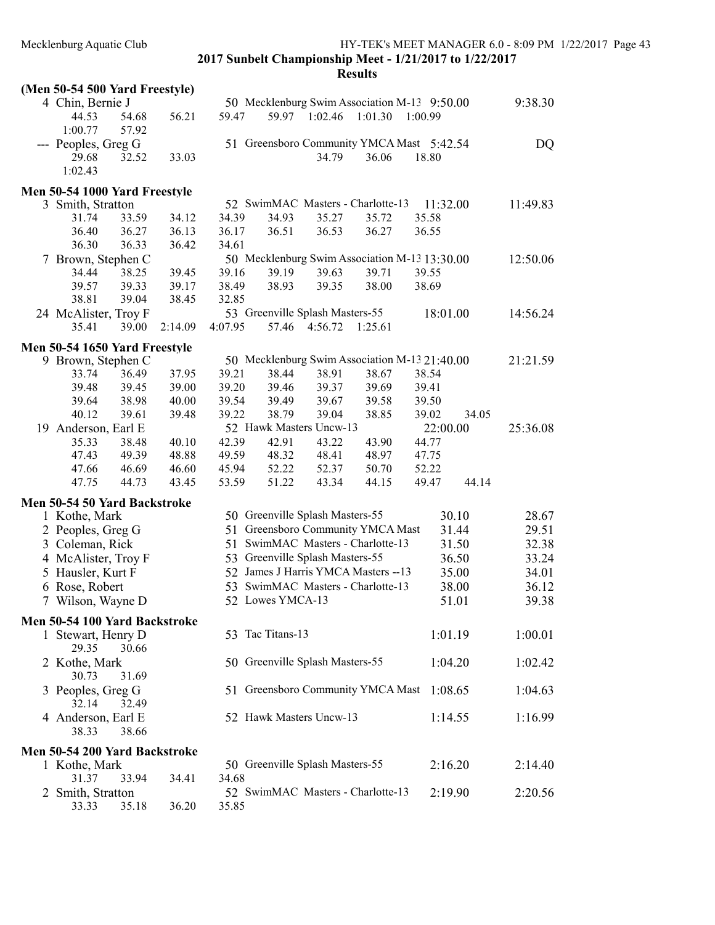|                                                                        |                                                                                                                              |                                  |                                                                             |                                                                                                             |                                   | 9:38.30                                                                                                                                                                                                                                                                                                |
|------------------------------------------------------------------------|------------------------------------------------------------------------------------------------------------------------------|----------------------------------|-----------------------------------------------------------------------------|-------------------------------------------------------------------------------------------------------------|-----------------------------------|--------------------------------------------------------------------------------------------------------------------------------------------------------------------------------------------------------------------------------------------------------------------------------------------------------|
|                                                                        |                                                                                                                              |                                  |                                                                             |                                                                                                             |                                   |                                                                                                                                                                                                                                                                                                        |
|                                                                        |                                                                                                                              |                                  |                                                                             |                                                                                                             |                                   |                                                                                                                                                                                                                                                                                                        |
|                                                                        |                                                                                                                              |                                  |                                                                             |                                                                                                             |                                   | DQ                                                                                                                                                                                                                                                                                                     |
|                                                                        |                                                                                                                              |                                  |                                                                             |                                                                                                             |                                   |                                                                                                                                                                                                                                                                                                        |
|                                                                        |                                                                                                                              |                                  |                                                                             |                                                                                                             |                                   |                                                                                                                                                                                                                                                                                                        |
|                                                                        |                                                                                                                              |                                  |                                                                             |                                                                                                             |                                   |                                                                                                                                                                                                                                                                                                        |
|                                                                        |                                                                                                                              |                                  |                                                                             |                                                                                                             |                                   | 11:49.83                                                                                                                                                                                                                                                                                               |
|                                                                        |                                                                                                                              |                                  |                                                                             |                                                                                                             |                                   |                                                                                                                                                                                                                                                                                                        |
|                                                                        |                                                                                                                              |                                  |                                                                             |                                                                                                             |                                   |                                                                                                                                                                                                                                                                                                        |
|                                                                        |                                                                                                                              |                                  |                                                                             |                                                                                                             |                                   |                                                                                                                                                                                                                                                                                                        |
|                                                                        |                                                                                                                              |                                  |                                                                             |                                                                                                             |                                   | 12:50.06                                                                                                                                                                                                                                                                                               |
|                                                                        |                                                                                                                              |                                  |                                                                             |                                                                                                             |                                   |                                                                                                                                                                                                                                                                                                        |
|                                                                        |                                                                                                                              |                                  |                                                                             |                                                                                                             |                                   |                                                                                                                                                                                                                                                                                                        |
|                                                                        |                                                                                                                              |                                  |                                                                             |                                                                                                             |                                   |                                                                                                                                                                                                                                                                                                        |
|                                                                        |                                                                                                                              |                                  |                                                                             |                                                                                                             |                                   | 14:56.24                                                                                                                                                                                                                                                                                               |
|                                                                        |                                                                                                                              |                                  |                                                                             |                                                                                                             |                                   |                                                                                                                                                                                                                                                                                                        |
|                                                                        |                                                                                                                              |                                  |                                                                             |                                                                                                             |                                   |                                                                                                                                                                                                                                                                                                        |
|                                                                        |                                                                                                                              |                                  |                                                                             |                                                                                                             |                                   |                                                                                                                                                                                                                                                                                                        |
|                                                                        |                                                                                                                              |                                  |                                                                             |                                                                                                             |                                   | 21:21.59                                                                                                                                                                                                                                                                                               |
|                                                                        | 38.44                                                                                                                        | 38.91                            |                                                                             |                                                                                                             |                                   |                                                                                                                                                                                                                                                                                                        |
| 39.20                                                                  | 39.46                                                                                                                        | 39.37                            | 39.69                                                                       |                                                                                                             |                                   |                                                                                                                                                                                                                                                                                                        |
| 39.54                                                                  | 39.49                                                                                                                        | 39.67                            | 39.58                                                                       |                                                                                                             |                                   |                                                                                                                                                                                                                                                                                                        |
| 39.22                                                                  | 38.79                                                                                                                        | 39.04                            | 38.85                                                                       | 39.02                                                                                                       | 34.05                             |                                                                                                                                                                                                                                                                                                        |
|                                                                        |                                                                                                                              |                                  |                                                                             |                                                                                                             |                                   |                                                                                                                                                                                                                                                                                                        |
|                                                                        | 52 Hawk Masters Uncw-13                                                                                                      |                                  |                                                                             |                                                                                                             |                                   |                                                                                                                                                                                                                                                                                                        |
| 42.39<br>40.10                                                         | 42.91                                                                                                                        | 43.22                            | 43.90                                                                       | 44.77                                                                                                       | 22:00.00                          | 25:36.08                                                                                                                                                                                                                                                                                               |
|                                                                        |                                                                                                                              |                                  |                                                                             |                                                                                                             |                                   |                                                                                                                                                                                                                                                                                                        |
| 49.59                                                                  | 48.32                                                                                                                        | 48.41                            | 48.97                                                                       | 47.75                                                                                                       |                                   |                                                                                                                                                                                                                                                                                                        |
| 46.60<br>45.94<br>53.59                                                | 52.22<br>51.22                                                                                                               | 52.37<br>43.34                   | 50.70<br>44.15                                                              | 52.22<br>49.47                                                                                              | 44.14                             |                                                                                                                                                                                                                                                                                                        |
|                                                                        |                                                                                                                              |                                  |                                                                             |                                                                                                             |                                   |                                                                                                                                                                                                                                                                                                        |
|                                                                        |                                                                                                                              |                                  |                                                                             |                                                                                                             |                                   |                                                                                                                                                                                                                                                                                                        |
|                                                                        | 50 Greenville Splash Masters-55                                                                                              |                                  |                                                                             |                                                                                                             | 30.10                             | 28.67                                                                                                                                                                                                                                                                                                  |
|                                                                        | 51 Greensboro Community YMCA Mast                                                                                            |                                  |                                                                             |                                                                                                             | 31.44                             | 29.51                                                                                                                                                                                                                                                                                                  |
|                                                                        | 51 SwimMAC Masters - Charlotte-13                                                                                            |                                  |                                                                             |                                                                                                             | 31.50                             | 32.38                                                                                                                                                                                                                                                                                                  |
|                                                                        | 53 Greenville Splash Masters-55                                                                                              |                                  |                                                                             |                                                                                                             | 36.50                             | 33.24                                                                                                                                                                                                                                                                                                  |
|                                                                        | 52 James J Harris YMCA Masters -- 13                                                                                         |                                  |                                                                             |                                                                                                             | 35.00                             | 34.01                                                                                                                                                                                                                                                                                                  |
|                                                                        | 53 SwimMAC Masters - Charlotte-13                                                                                            |                                  |                                                                             |                                                                                                             | 38.00                             | 36.12                                                                                                                                                                                                                                                                                                  |
|                                                                        | 52 Lowes YMCA-13                                                                                                             |                                  |                                                                             |                                                                                                             | 51.01                             | 39.38                                                                                                                                                                                                                                                                                                  |
|                                                                        |                                                                                                                              |                                  |                                                                             |                                                                                                             |                                   |                                                                                                                                                                                                                                                                                                        |
| Men 50-54 100 Yard Backstroke                                          |                                                                                                                              |                                  |                                                                             |                                                                                                             |                                   |                                                                                                                                                                                                                                                                                                        |
|                                                                        | 53 Tac Titans-13                                                                                                             |                                  |                                                                             |                                                                                                             | 1:01.19                           | 1:00.01                                                                                                                                                                                                                                                                                                |
|                                                                        |                                                                                                                              |                                  |                                                                             |                                                                                                             |                                   |                                                                                                                                                                                                                                                                                                        |
|                                                                        | 50 Greenville Splash Masters-55                                                                                              |                                  |                                                                             |                                                                                                             | 1:04.20                           | 1:02.42                                                                                                                                                                                                                                                                                                |
|                                                                        |                                                                                                                              |                                  |                                                                             |                                                                                                             |                                   |                                                                                                                                                                                                                                                                                                        |
|                                                                        | 51 Greensboro Community YMCA Mast                                                                                            |                                  |                                                                             |                                                                                                             | 1:08.65                           | 1:04.63                                                                                                                                                                                                                                                                                                |
|                                                                        |                                                                                                                              |                                  |                                                                             |                                                                                                             |                                   |                                                                                                                                                                                                                                                                                                        |
|                                                                        | 52 Hawk Masters Uncw-13                                                                                                      |                                  |                                                                             |                                                                                                             | 1:14.55                           | 1:16.99                                                                                                                                                                                                                                                                                                |
|                                                                        |                                                                                                                              |                                  |                                                                             |                                                                                                             |                                   |                                                                                                                                                                                                                                                                                                        |
|                                                                        |                                                                                                                              |                                  |                                                                             |                                                                                                             |                                   |                                                                                                                                                                                                                                                                                                        |
| Men 50-54 200 Yard Backstroke                                          |                                                                                                                              |                                  |                                                                             |                                                                                                             |                                   |                                                                                                                                                                                                                                                                                                        |
|                                                                        | 50 Greenville Splash Masters-55                                                                                              |                                  |                                                                             |                                                                                                             | 2:16.20                           | 2:14.40                                                                                                                                                                                                                                                                                                |
| 34.68                                                                  | 52 SwimMAC Masters - Charlotte-13                                                                                            |                                  |                                                                             |                                                                                                             | 2:19.90                           | 2:20.56                                                                                                                                                                                                                                                                                                |
| 56.21<br>33.03<br>34.12<br>36.13<br>38.45<br>2:14.09<br>37.95<br>39.48 | 59.47<br>34.39<br>36.17<br>36.42<br>34.61<br>39.45<br>39.16<br>39.17<br>38.49<br>32.85<br>4:07.95<br>39.21<br>39.00<br>40.00 | 34.93<br>36.51<br>39.19<br>38.93 | 59.97 1:02.46<br>34.79<br>35.27<br>36.53<br>39.63<br>39.35<br>57.46 4:56.72 | 1:01.30<br>36.06<br>35.72<br>36.27<br>39.71<br>38.00<br>53 Greenville Splash Masters-55<br>1:25.61<br>38.67 | 52 SwimMAC Masters - Charlotte-13 | 50 Mecklenburg Swim Association M-13 9:50.00<br>1:00.99<br>51 Greensboro Community YMCA Mast 5:42.54<br>18.80<br>11:32.00<br>35.58<br>36.55<br>50 Mecklenburg Swim Association M-13 13:30.00<br>39.55<br>38.69<br>18:01.00<br>50 Mecklenburg Swim Association M-13 21:40.00<br>38.54<br>39.41<br>39.50 |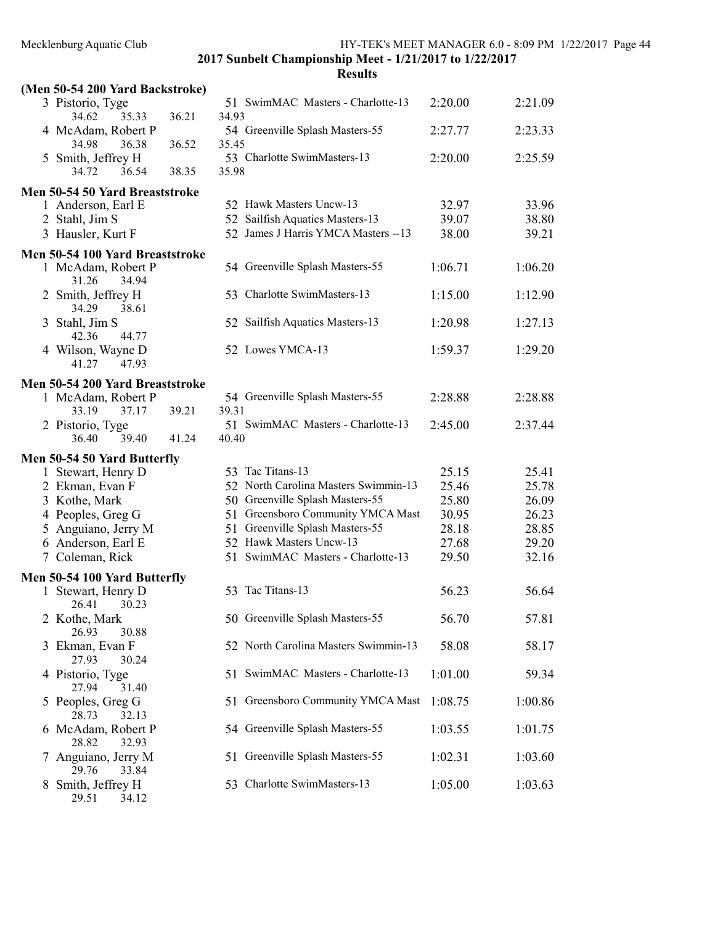|   | (Men 50-54 200 Yard Backstroke)                       |       |       |                                      |         |         |
|---|-------------------------------------------------------|-------|-------|--------------------------------------|---------|---------|
|   | 3 Pistorio, Tyge<br>35.33<br>34.62                    | 36.21 | 34.93 | 51 SwimMAC Masters - Charlotte-13    | 2:20.00 | 2:21.09 |
|   | 4 McAdam, Robert P<br>34.98<br>36.38                  | 36.52 | 35.45 | 54 Greenville Splash Masters-55      | 2:27.77 | 2:23.33 |
| 5 | Smith, Jeffrey H<br>34.72<br>36.54                    | 38.35 | 35.98 | 53 Charlotte SwimMasters-13          | 2:20.00 | 2:25.59 |
|   | Men 50-54 50 Yard Breaststroke                        |       |       |                                      |         |         |
|   | 1 Anderson, Earl E                                    |       |       | 52 Hawk Masters Uncw-13              | 32.97   | 33.96   |
|   | 2 Stahl, Jim S                                        |       |       | 52 Sailfish Aquatics Masters-13      | 39.07   | 38.80   |
|   | 3 Hausler, Kurt F                                     |       |       | 52 James J Harris YMCA Masters -- 13 | 38.00   | 39.21   |
|   | Men 50-54 100 Yard Breaststroke                       |       |       |                                      |         |         |
|   | 1 McAdam, Robert P<br>34.94<br>31.26                  |       |       | 54 Greenville Splash Masters-55      | 1:06.71 | 1:06.20 |
|   | 2 Smith, Jeffrey H<br>34.29<br>38.61                  |       |       | 53 Charlotte SwimMasters-13          | 1:15.00 | 1:12.90 |
|   | 3 Stahl, Jim S                                        |       |       | 52 Sailfish Aquatics Masters-13      | 1:20.98 | 1:27.13 |
|   | 42.36<br>44.77<br>4 Wilson, Wayne D                   |       |       | 52 Lowes YMCA-13                     | 1:59.37 | 1:29.20 |
|   | 41.27<br>47.93                                        |       |       |                                      |         |         |
|   | Men 50-54 200 Yard Breaststroke                       |       |       |                                      |         |         |
|   | 1 McAdam, Robert P                                    |       |       | 54 Greenville Splash Masters-55      | 2:28.88 | 2:28.88 |
|   | 33.19<br>37.17                                        | 39.21 | 39.31 |                                      |         |         |
|   | 2 Pistorio, Tyge<br>36.40<br>39.40                    | 41.24 | 40.40 | 51 SwimMAC Masters - Charlotte-13    | 2:45.00 | 2:37.44 |
|   | Men 50-54 50 Yard Butterfly                           |       |       |                                      |         |         |
|   | 1 Stewart, Henry D                                    |       |       | 53 Tac Titans-13                     | 25.15   | 25.41   |
|   | 2 Ekman, Evan F                                       |       |       | 52 North Carolina Masters Swimmin-13 | 25.46   | 25.78   |
|   | 3 Kothe, Mark                                         |       |       | 50 Greenville Splash Masters-55      | 25.80   | 26.09   |
|   |                                                       |       |       |                                      |         |         |
|   | 4 Peoples, Greg G                                     |       |       | 51 Greensboro Community YMCA Mast    | 30.95   | 26.23   |
|   | 5 Anguiano, Jerry M                                   |       |       | 51 Greenville Splash Masters-55      | 28.18   | 28.85   |
|   | 6 Anderson, Earl E                                    |       |       | 52 Hawk Masters Uncw-13              | 27.68   | 29.20   |
|   | 7 Coleman, Rick                                       |       | 51    | SwimMAC Masters - Charlotte-13       | 29.50   | 32.16   |
|   | Men 50-54 100 Yard Butterfly                          |       |       |                                      |         |         |
|   | 1 Stewart, Henry D<br>26.41 30.23                     |       | 53    | Tac Titans-13                        | 56.23   | 56.64   |
|   | 2 Kothe, Mark<br>26.93                                |       |       | 50 Greenville Splash Masters-55      | 56.70   | 57.81   |
| 3 | 30.88<br>Ekman, Evan F                                |       |       | 52 North Carolina Masters Swimmin-13 | 58.08   | 58.17   |
|   | 27.93<br>30.24<br>4 Pistorio, Tyge                    |       |       | 51 SwimMAC Masters - Charlotte-13    | 1:01.00 | 59.34   |
| 5 | 27.94<br>31.40<br>Peoples, Greg G                     |       |       | 51 Greensboro Community YMCA Mast    | 1:08.75 | 1:00.86 |
| 6 | 28.73<br>32.13<br>McAdam, Robert P                    |       |       | 54 Greenville Splash Masters-55      | 1:03.55 | 1:01.75 |
|   | 28.82<br>32.93<br>Anguiano, Jerry M<br>29.76<br>33.84 |       |       | 51 Greenville Splash Masters-55      | 1:02.31 | 1:03.60 |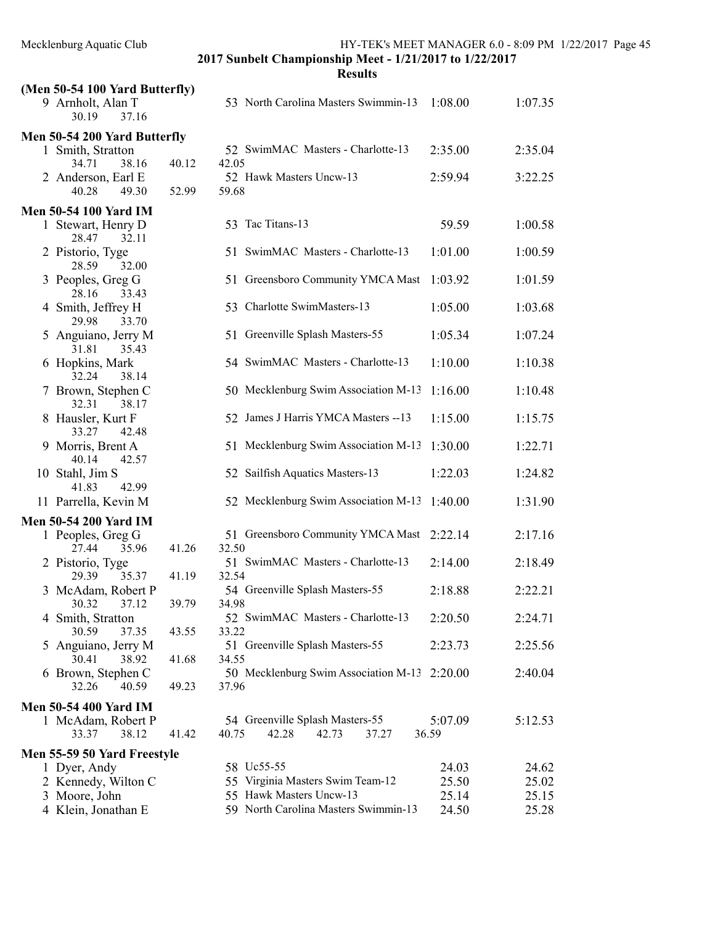|   | (Men 50-54 100 Yard Butterfly)        |       |                                                                     |                  |         |
|---|---------------------------------------|-------|---------------------------------------------------------------------|------------------|---------|
|   | 9 Arnholt, Alan T<br>30.19<br>37.16   |       | 53 North Carolina Masters Swimmin-13                                | 1:08.00          | 1:07.35 |
|   | Men 50-54 200 Yard Butterfly          |       |                                                                     |                  |         |
|   | 1 Smith, Stratton<br>34.71<br>38.16   | 40.12 | 52 SwimMAC Masters - Charlotte-13<br>42.05                          | 2:35.00          | 2:35.04 |
|   | 2 Anderson, Earl E<br>40.28<br>49.30  | 52.99 | 52 Hawk Masters Uncw-13<br>59.68                                    | 2:59.94          | 3:22.25 |
|   | <b>Men 50-54 100 Yard IM</b>          |       |                                                                     |                  |         |
|   | 1 Stewart, Henry D<br>28.47<br>32.11  |       | Tac Titans-13<br>53                                                 | 59.59            | 1:00.58 |
|   | 2 Pistorio, Tyge<br>32.00<br>28.59    |       | 51 SwimMAC Masters - Charlotte-13                                   | 1:01.00          | 1:00.59 |
|   | 3 Peoples, Greg G<br>28.16<br>33.43   |       | 51 Greensboro Community YMCA Mast                                   | 1:03.92          | 1:01.59 |
| 4 | Smith, Jeffrey H<br>29.98<br>33.70    |       | 53 Charlotte SwimMasters-13                                         | 1:05.00          | 1:03.68 |
|   | 5 Anguiano, Jerry M<br>31.81<br>35.43 |       | 51 Greenville Splash Masters-55                                     | 1:05.34          | 1:07.24 |
|   | 6 Hopkins, Mark<br>32.24<br>38.14     |       | 54 SwimMAC Masters - Charlotte-13                                   | 1:10.00          | 1:10.38 |
|   | 7 Brown, Stephen C<br>32.31<br>38.17  |       | 50 Mecklenburg Swim Association M-13                                | 1:16.00          | 1:10.48 |
|   | 8 Hausler, Kurt F<br>33.27<br>42.48   |       | 52 James J Harris YMCA Masters -- 13                                | 1:15.00          | 1:15.75 |
|   | 9 Morris, Brent A<br>42.57<br>40.14   |       | 51 Mecklenburg Swim Association M-13                                | 1:30.00          | 1:22.71 |
|   | 10 Stahl, Jim S<br>41.83<br>42.99     |       | 52 Sailfish Aquatics Masters-13                                     | 1:22.03          | 1:24.82 |
|   | 11 Parrella, Kevin M                  |       | 52 Mecklenburg Swim Association M-13                                | 1:40.00          | 1:31.90 |
|   | <b>Men 50-54 200 Yard IM</b>          |       |                                                                     |                  |         |
|   | 1 Peoples, Greg G<br>27.44<br>35.96   | 41.26 | 51 Greensboro Community YMCA Mast<br>32.50                          | 2:22.14          | 2:17.16 |
|   | 2 Pistorio, Tyge<br>29.39<br>35.37    | 41.19 | 51 SwimMAC Masters - Charlotte-13<br>32.54                          | 2:14.00          | 2:18.49 |
|   | 3 McAdam, Robert P<br>30.32<br>37.12  | 39.79 | 54 Greenville Splash Masters-55<br>34.98                            | 2:18.88          | 2:22.21 |
|   | 4 Smith, Stratton<br>30.59<br>37.35   | 43.55 | 52 SwimMAC Masters - Charlotte-13<br>33.22                          | 2:20.50          | 2:24.71 |
|   | 5 Anguiano, Jerry M<br>30.41<br>38.92 | 41.68 | 51 Greenville Splash Masters-55<br>34.55                            | 2:23.73          | 2:25.56 |
|   | 6 Brown, Stephen C<br>32.26<br>40.59  | 49.23 | 50 Mecklenburg Swim Association M-13 2:20.00<br>37.96               |                  | 2:40.04 |
|   | <b>Men 50-54 400 Yard IM</b>          |       |                                                                     |                  |         |
|   | 1 McAdam, Robert P<br>38.12<br>33.37  | 41.42 | 54 Greenville Splash Masters-55<br>40.75<br>42.28<br>42.73<br>37.27 | 5:07.09<br>36.59 | 5:12.53 |
|   | Men 55-59 50 Yard Freestyle           |       |                                                                     |                  |         |
|   | 1 Dyer, Andy                          |       | 58 Uc55-55                                                          | 24.03            | 24.62   |
|   | 2 Kennedy, Wilton C                   |       | 55 Virginia Masters Swim Team-12                                    | 25.50            | 25.02   |
|   | 3 Moore, John                         |       | 55 Hawk Masters Uncw-13                                             | 25.14            | 25.15   |
|   | 4 Klein, Jonathan E                   |       | 59 North Carolina Masters Swimmin-13                                | 24.50            | 25.28   |
|   |                                       |       |                                                                     |                  |         |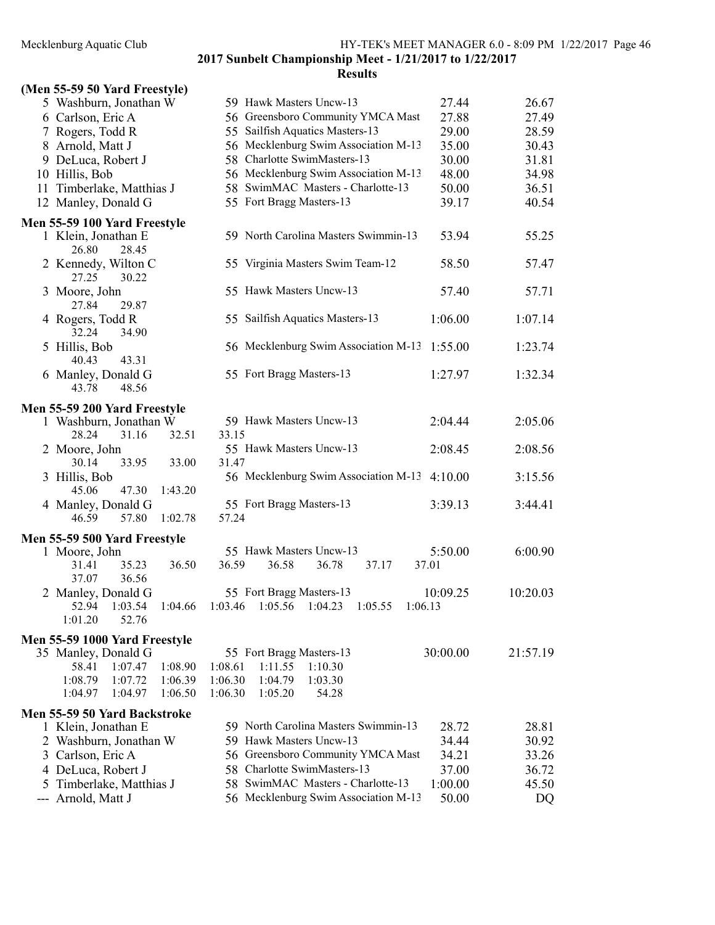2017 Sunbelt Championship Meet - 1/21/2017 to 1/22/2017 Results

# (Men 55-59 50 Yard Freestyle)

| $(1.101 \, \text{eV} \cdot \text{eV})$ over the $(1.100 \, \text{eV})$ |                                                                           |          |
|------------------------------------------------------------------------|---------------------------------------------------------------------------|----------|
| 5 Washburn, Jonathan W                                                 | 59 Hawk Masters Uncw-13<br>27.44                                          | 26.67    |
| 6 Carlson, Eric A                                                      | 56 Greensboro Community YMCA Mast<br>27.88                                | 27.49    |
| 7 Rogers, Todd R                                                       | 55 Sailfish Aquatics Masters-13<br>29.00                                  | 28.59    |
| 8 Arnold, Matt J                                                       | 56 Mecklenburg Swim Association M-13<br>35.00                             | 30.43    |
| 9 DeLuca, Robert J                                                     | 58 Charlotte SwimMasters-13<br>30.00                                      | 31.81    |
| 10 Hillis, Bob                                                         | 56 Mecklenburg Swim Association M-13<br>48.00                             | 34.98    |
| 11 Timberlake, Matthias J                                              | 58 SwimMAC Masters - Charlotte-13<br>50.00                                | 36.51    |
| 12 Manley, Donald G                                                    | 55 Fort Bragg Masters-13<br>39.17                                         | 40.54    |
| Men 55-59 100 Yard Freestyle                                           |                                                                           |          |
| 1 Klein, Jonathan E                                                    | 59 North Carolina Masters Swimmin-13<br>53.94                             | 55.25    |
| 26.80<br>28.45                                                         |                                                                           |          |
| 2 Kennedy, Wilton C                                                    | 55 Virginia Masters Swim Team-12<br>58.50                                 | 57.47    |
| 27.25<br>30.22                                                         |                                                                           |          |
| 3 Moore, John                                                          | 55 Hawk Masters Uncw-13<br>57.40                                          | 57.71    |
| 29.87<br>27.84                                                         |                                                                           |          |
| 4 Rogers, Todd R                                                       | 55 Sailfish Aquatics Masters-13<br>1:06.00                                | 1:07.14  |
| 32.24<br>34.90                                                         |                                                                           |          |
| 5 Hillis, Bob                                                          | 56 Mecklenburg Swim Association M-13<br>1:55.00                           | 1:23.74  |
| 40.43<br>43.31                                                         |                                                                           |          |
| 6 Manley, Donald G<br>48.56<br>43.78                                   | 55 Fort Bragg Masters-13<br>1:27.97                                       | 1:32.34  |
|                                                                        |                                                                           |          |
| Men 55-59 200 Yard Freestyle                                           |                                                                           |          |
| 1 Washburn, Jonathan W                                                 | 59 Hawk Masters Uncw-13<br>2:04.44                                        | 2:05.06  |
| 28.24<br>31.16<br>32.51                                                | 33.15                                                                     |          |
| 2 Moore, John                                                          | 55 Hawk Masters Uncw-13<br>2:08.45                                        | 2:08.56  |
| 30.14<br>33.95<br>33.00                                                | 31.47                                                                     |          |
| 3 Hillis, Bob<br>47.30                                                 | 56 Mecklenburg Swim Association M-13 4:10.00                              | 3:15.56  |
| 45.06<br>1:43.20<br>4 Manley, Donald G                                 | 55 Fort Bragg Masters-13<br>3:39.13                                       | 3:44.41  |
| 1:02.78<br>46.59<br>57.80                                              | 57.24                                                                     |          |
|                                                                        |                                                                           |          |
| Men 55-59 500 Yard Freestyle                                           |                                                                           |          |
| 1 Moore, John                                                          | 55 Hawk Masters Uncw-13<br>5:50.00                                        | 6:00.90  |
| 36.50<br>31.41<br>35.23<br>37.07<br>36.56                              | 36.59<br>36.58<br>36.78<br>37.17<br>37.01                                 |          |
|                                                                        | 55 Fort Bragg Masters-13<br>10:09.25                                      | 10:20.03 |
| 2 Manley, Donald G<br>52.94<br>1:03.54<br>1:04.66                      | 1:05.56<br>1:04.23<br>1:03.46<br>1:05.55<br>1:06.13                       |          |
| 1:01.20<br>52.76                                                       |                                                                           |          |
|                                                                        |                                                                           |          |
| Men 55-59 1000 Yard Freestyle                                          |                                                                           |          |
| 35 Manley, Donald G                                                    | 55 Fort Bragg Masters-13<br>30:00.00<br>1:08.61<br>1:10.30                | 21:57.19 |
| 58.41<br>1:07.47<br>1:08.90<br>1:08.79<br>1:07.72<br>1:06.39           | 1:11.55<br>1:03.30<br>1:06.30<br>1:04.79                                  |          |
| 1:04.97<br>1:04.97<br>1:06.50                                          | 1:06.30<br>1:05.20<br>54.28                                               |          |
|                                                                        |                                                                           |          |
| Men 55-59 50 Yard Backstroke                                           |                                                                           |          |
| 1 Klein, Jonathan E                                                    | 59 North Carolina Masters Swimmin-13<br>28.72                             | 28.81    |
| 2 Washburn, Jonathan W                                                 | 59 Hawk Masters Uncw-13<br>34.44                                          | 30.92    |
| 3 Carlson, Eric A                                                      | 56 Greensboro Community YMCA Mast<br>34.21                                | 33.26    |
| 4 DeLuca, Robert J                                                     | Charlotte SwimMasters-13<br>37.00<br>58<br>SwimMAC Masters - Charlotte-13 | 36.72    |
| 5 Timberlake, Matthias J                                               | 1:00.00<br>58                                                             | 45.50    |
| --- Arnold, Matt J                                                     | 56 Mecklenburg Swim Association M-13<br>50.00                             | DQ       |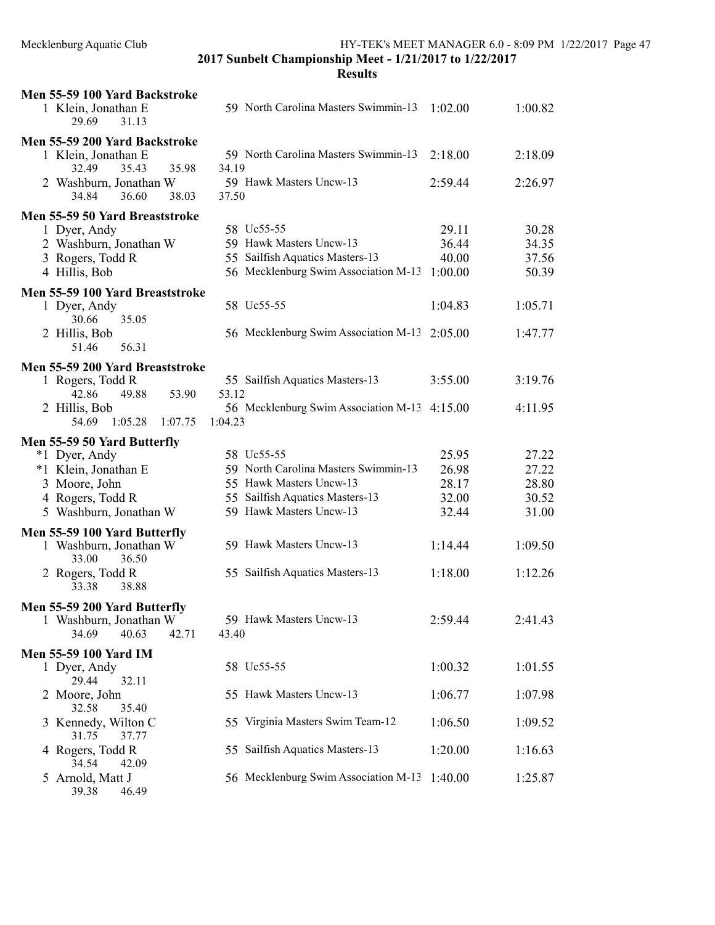| Men 55-59 100 Yard Backstroke                     |                                                 |         |         |
|---------------------------------------------------|-------------------------------------------------|---------|---------|
| 1 Klein, Jonathan E<br>29.69<br>31.13             | 59 North Carolina Masters Swimmin-13            | 1:02.00 | 1:00.82 |
| Men 55-59 200 Yard Backstroke                     |                                                 |         |         |
| 1 Klein, Jonathan E<br>32.49<br>35.43<br>35.98    | 59 North Carolina Masters Swimmin-13<br>34.19   | 2:18.00 | 2:18.09 |
| 2 Washburn, Jonathan W<br>38.03<br>34.84<br>36.60 | 59 Hawk Masters Uncw-13<br>37.50                | 2:59.44 | 2:26.97 |
| Men 55-59 50 Yard Breaststroke                    |                                                 |         |         |
| 1 Dyer, Andy                                      | 58 Uc55-55                                      | 29.11   | 30.28   |
| 2 Washburn, Jonathan W                            | 59 Hawk Masters Uncw-13                         | 36.44   | 34.35   |
|                                                   | 55 Sailfish Aquatics Masters-13                 | 40.00   | 37.56   |
| 3 Rogers, Todd R<br>4 Hillis, Bob                 | 56 Mecklenburg Swim Association M-13            | 1:00.00 | 50.39   |
| Men 55-59 100 Yard Breaststroke                   |                                                 |         |         |
| 1 Dyer, Andy<br>30.66<br>35.05                    | 58 Uc55-55                                      | 1:04.83 | 1:05.71 |
| 2 Hillis, Bob<br>51.46<br>56.31                   | 56 Mecklenburg Swim Association M-13 2:05.00    |         | 1:47.77 |
|                                                   |                                                 |         |         |
| Men 55-59 200 Yard Breaststroke                   |                                                 |         |         |
| 1 Rogers, Todd R<br>42.86                         | 55 Sailfish Aquatics Masters-13<br>53.12        | 3:55.00 | 3:19.76 |
| 53.90<br>49.88                                    |                                                 |         |         |
| 2 Hillis, Bob<br>1:05.28<br>54.69<br>1:07.75      | 56 Mecklenburg Swim Association M-13<br>1:04.23 | 4:15.00 | 4:11.95 |
|                                                   |                                                 |         |         |
| Men 55-59 50 Yard Butterfly                       | 58 Uc55-55                                      |         |         |
| *1 Dyer, Andy                                     | 59 North Carolina Masters Swimmin-13            | 25.95   | 27.22   |
| *1 Klein, Jonathan E                              |                                                 | 26.98   | 27.22   |
| 3 Moore, John                                     | 55 Hawk Masters Uncw-13                         | 28.17   | 28.80   |
| 4 Rogers, Todd R                                  | 55 Sailfish Aquatics Masters-13                 | 32.00   | 30.52   |
| 5 Washburn, Jonathan W                            | 59 Hawk Masters Uncw-13                         | 32.44   | 31.00   |
| Men 55-59 100 Yard Butterfly                      |                                                 |         |         |
| 1 Washburn, Jonathan W<br>33.00<br>36.50          | 59 Hawk Masters Uncw-13                         | 1:14.44 | 1:09.50 |
| 2 Rogers, Todd R<br>33.38<br>38.88                | 55 Sailfish Aquatics Masters-13                 | 1:18.00 | 1:12.26 |
| Men 55-59 200 Yard Butterfly                      |                                                 |         |         |
| 1 Washburn, Jonathan W                            | 59 Hawk Masters Uncw-13                         | 2:59.44 | 2:41.43 |
| 34.69<br>40.63<br>42.71                           | 43.40                                           |         |         |
| <b>Men 55-59 100 Yard IM</b>                      |                                                 |         |         |
| 1 Dyer, Andy                                      | 58 Uc55-55                                      | 1:00.32 | 1:01.55 |
| 29.44<br>32.11                                    |                                                 |         |         |
| 2 Moore, John                                     | 55 Hawk Masters Uncw-13                         | 1:06.77 | 1:07.98 |
| 32.58<br>35.40                                    |                                                 |         |         |
| 3 Kennedy, Wilton C                               | 55 Virginia Masters Swim Team-12                | 1:06.50 | 1:09.52 |
| 31.75<br>37.77                                    |                                                 |         |         |
| 4 Rogers, Todd R                                  | 55 Sailfish Aquatics Masters-13                 | 1:20.00 | 1:16.63 |
| 34.54<br>42.09                                    |                                                 |         |         |
| 5 Arnold, Matt J<br>46.49<br>39.38                | 56 Mecklenburg Swim Association M-13            | 1:40.00 | 1:25.87 |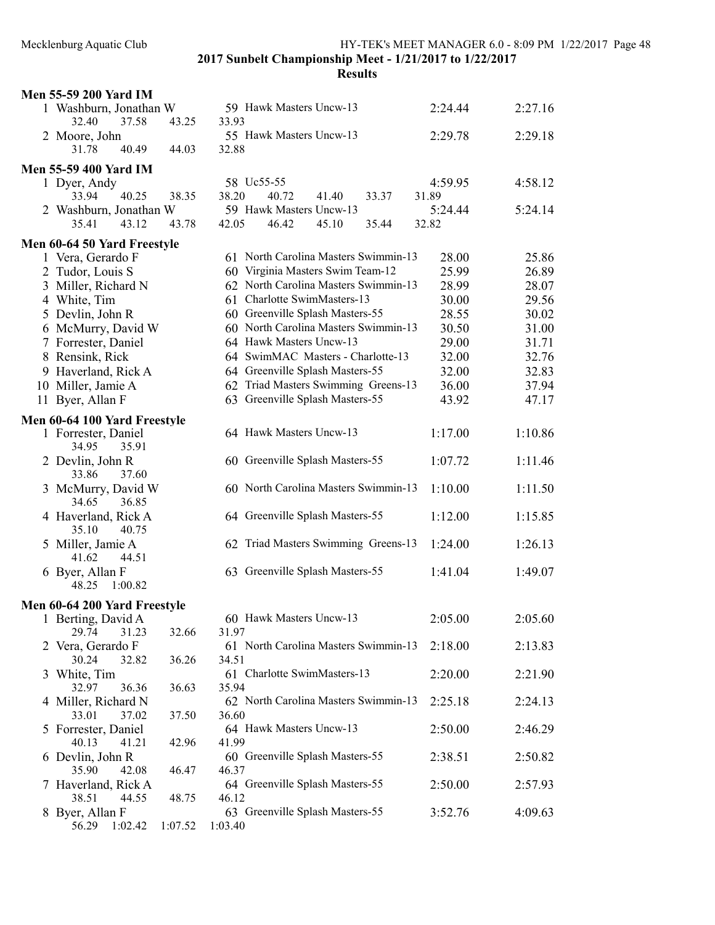|   | <b>Men 55-59 200 Yard IM</b>             |         |                                      |         |         |
|---|------------------------------------------|---------|--------------------------------------|---------|---------|
|   | 1 Washburn, Jonathan W<br>32.40<br>37.58 | 43.25   | 59 Hawk Masters Uncw-13<br>33.93     | 2:24.44 | 2:27.16 |
|   | 2 Moore, John<br>40.49<br>31.78          | 44.03   | 55 Hawk Masters Uncw-13<br>32.88     | 2:29.78 | 2:29.18 |
|   | <b>Men 55-59 400 Yard IM</b>             |         |                                      |         |         |
|   | 1 Dyer, Andy                             |         | 58 Uc55-55                           | 4:59.95 | 4:58.12 |
|   | 33.94<br>40.25                           | 38.35   | 38.20<br>40.72<br>41.40<br>33.37     | 31.89   |         |
|   |                                          |         | 59 Hawk Masters Uncw-13              |         |         |
|   | 2 Washburn, Jonathan W<br>35.41          |         |                                      | 5:24.44 | 5:24.14 |
|   | 43.12                                    | 43.78   | 46.42<br>42.05<br>45.10<br>35.44     | 32.82   |         |
|   | Men 60-64 50 Yard Freestyle              |         |                                      |         |         |
|   | 1 Vera, Gerardo F                        |         | 61 North Carolina Masters Swimmin-13 | 28.00   | 25.86   |
|   | 2 Tudor, Louis S                         |         | 60 Virginia Masters Swim Team-12     | 25.99   | 26.89   |
|   | 3 Miller, Richard N                      |         | 62 North Carolina Masters Swimmin-13 | 28.99   | 28.07   |
|   |                                          |         | 61 Charlotte SwimMasters-13          |         |         |
|   | 4 White, Tim                             |         |                                      | 30.00   | 29.56   |
|   | 5 Devlin, John R                         |         | 60 Greenville Splash Masters-55      | 28.55   | 30.02   |
|   | 6 McMurry, David W                       |         | 60 North Carolina Masters Swimmin-13 | 30.50   | 31.00   |
|   | 7 Forrester, Daniel                      |         | 64 Hawk Masters Uncw-13              | 29.00   | 31.71   |
| 8 | Rensink, Rick                            |         | 64 SwimMAC Masters - Charlotte-13    | 32.00   | 32.76   |
|   | 9 Haverland, Rick A                      |         | 64 Greenville Splash Masters-55      | 32.00   | 32.83   |
|   | 10 Miller, Jamie A                       |         | 62 Triad Masters Swimming Greens-13  | 36.00   | 37.94   |
|   | 11 Byer, Allan F                         |         | 63 Greenville Splash Masters-55      | 43.92   | 47.17   |
|   |                                          |         |                                      |         |         |
|   | Men 60-64 100 Yard Freestyle             |         |                                      |         |         |
|   | 1 Forrester, Daniel                      |         | 64 Hawk Masters Uncw-13              | 1:17.00 | 1:10.86 |
|   | 34.95<br>35.91                           |         |                                      |         |         |
|   | 2 Devlin, John R                         |         | 60 Greenville Splash Masters-55      | 1:07.72 | 1:11.46 |
|   | 33.86<br>37.60                           |         |                                      |         |         |
| 3 | McMurry, David W                         |         | 60 North Carolina Masters Swimmin-13 | 1:10.00 | 1:11.50 |
|   | 34.65<br>36.85                           |         |                                      |         |         |
|   |                                          |         | 64 Greenville Splash Masters-55      | 1:12.00 | 1:15.85 |
|   | 4 Haverland, Rick A                      |         |                                      |         |         |
|   | 35.10<br>40.75                           |         |                                      |         |         |
|   | 5 Miller, Jamie A                        |         | 62 Triad Masters Swimming Greens-13  | 1:24.00 | 1:26.13 |
|   | 41.62<br>44.51                           |         |                                      |         |         |
|   | 6 Byer, Allan F                          |         | 63 Greenville Splash Masters-55      | 1:41.04 | 1:49.07 |
|   | 48.25<br>1:00.82                         |         |                                      |         |         |
|   | Men 60-64 200 Yard Freestyle             |         |                                      |         |         |
|   | Berting, David A                         |         | 60 Hawk Masters Uncw-13              | 2:05.00 | 2:05.60 |
|   | 29.74<br>31.23                           | 32.66   | 31.97                                |         |         |
|   | 2 Vera, Gerardo F                        |         | 61 North Carolina Masters Swimmin-13 | 2:18.00 |         |
|   |                                          |         |                                      |         | 2:13.83 |
|   | 30.24<br>32.82                           | 36.26   | 34.51                                |         |         |
|   | 3 White, Tim                             |         | 61 Charlotte SwimMasters-13          | 2:20.00 | 2:21.90 |
|   | 32.97<br>36.36                           | 36.63   | 35.94                                |         |         |
|   | 4 Miller, Richard N                      |         | 62 North Carolina Masters Swimmin-13 | 2:25.18 | 2:24.13 |
|   | 33.01<br>37.02                           | 37.50   | 36.60                                |         |         |
| 5 | Forrester, Daniel                        |         | 64 Hawk Masters Uncw-13              | 2:50.00 | 2:46.29 |
|   | 40.13<br>41.21                           | 42.96   | 41.99                                |         |         |
|   | 6 Devlin, John R                         |         | 60 Greenville Splash Masters-55      | 2:38.51 | 2:50.82 |
|   | 35.90<br>42.08                           | 46.47   | 46.37                                |         |         |
|   | 7 Haverland, Rick A                      |         | 64 Greenville Splash Masters-55      | 2:50.00 | 2:57.93 |
|   | 38.51<br>44.55                           | 48.75   | 46.12                                |         |         |
| 8 | Byer, Allan F                            |         | 63 Greenville Splash Masters-55      | 3:52.76 | 4:09.63 |
|   | 1:02.42<br>56.29                         | 1:07.52 | 1:03.40                              |         |         |
|   |                                          |         |                                      |         |         |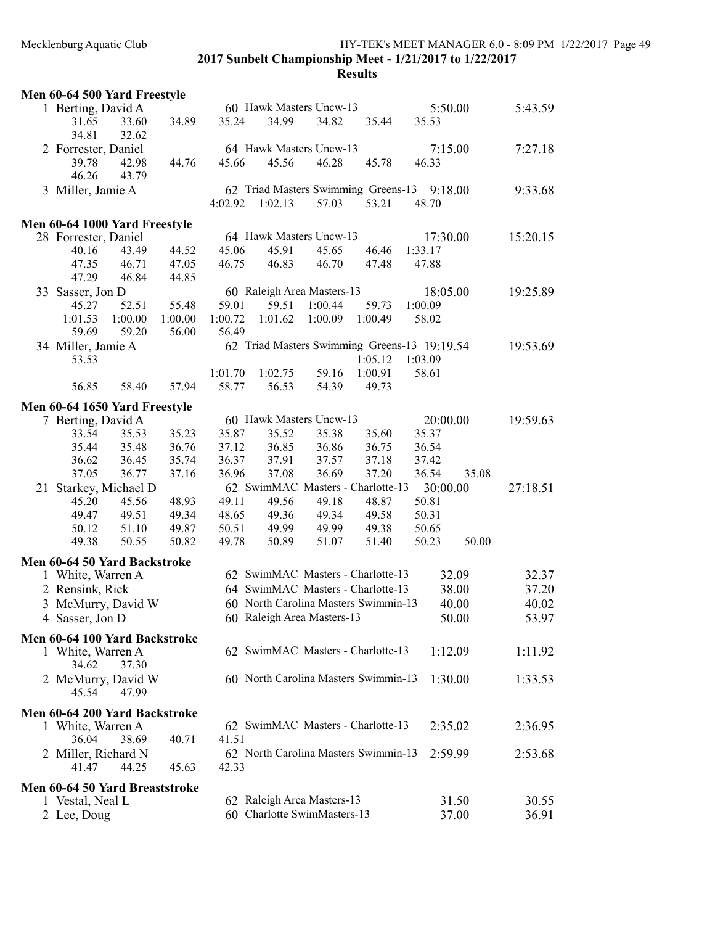# Mecklenburg Aquatic Club HY-TEK's MEET MANAGER 6.0 - 8:09 PM 1/22/2017 Page 49 2017 Sunbelt Championship Meet - 1/21/2017 to 1/22/2017

| Men 60-64 500 Yard Freestyle   |         |         |         |         |                             |                                      |                                              |       |          |
|--------------------------------|---------|---------|---------|---------|-----------------------------|--------------------------------------|----------------------------------------------|-------|----------|
| 1 Berting, David A             |         |         |         |         | 60 Hawk Masters Uncw-13     |                                      | 5:50.00                                      |       | 5:43.59  |
| 31.65                          | 33.60   | 34.89   | 35.24   | 34.99   | 34.82                       | 35.44                                | 35.53                                        |       |          |
| 34.81                          | 32.62   |         |         |         |                             |                                      |                                              |       |          |
| 2 Forrester, Daniel            |         |         |         |         | 64 Hawk Masters Uncw-13     |                                      | 7:15.00                                      |       | 7:27.18  |
| 39.78                          | 42.98   | 44.76   | 45.66   | 45.56   | 46.28                       | 45.78                                | 46.33                                        |       |          |
| 46.26                          | 43.79   |         |         |         |                             |                                      |                                              |       |          |
| 3 Miller, Jamie A              |         |         |         |         |                             | 62 Triad Masters Swimming Greens-13  | 9:18.00                                      |       | 9:33.68  |
|                                |         |         | 4:02.92 | 1:02.13 | 57.03                       | 53.21                                | 48.70                                        |       |          |
|                                |         |         |         |         |                             |                                      |                                              |       |          |
| Men 60-64 1000 Yard Freestyle  |         |         |         |         |                             |                                      |                                              |       |          |
| 28 Forrester, Daniel           |         |         |         |         | 64 Hawk Masters Uncw-13     |                                      | 17:30.00                                     |       | 15:20.15 |
| 40.16                          | 43.49   | 44.52   | 45.06   | 45.91   | 45.65                       | 46.46                                | 1:33.17                                      |       |          |
| 47.35                          | 46.71   | 47.05   | 46.75   | 46.83   | 46.70                       | 47.48                                | 47.88                                        |       |          |
| 47.29                          | 46.84   | 44.85   |         |         |                             |                                      |                                              |       |          |
| 33 Sasser, Jon D               |         |         |         |         | 60 Raleigh Area Masters-13  |                                      | 18:05.00                                     |       | 19:25.89 |
| 45.27                          | 52.51   | 55.48   | 59.01   | 59.51   | 1:00.44                     | 59.73                                | 1:00.09                                      |       |          |
| 1:01.53                        | 1:00.00 | 1:00.00 | 1:00.72 | 1:01.62 | 1:00.09                     | 1:00.49                              | 58.02                                        |       |          |
| 59.69                          | 59.20   | 56.00   | 56.49   |         |                             |                                      |                                              |       |          |
| 34 Miller, Jamie A             |         |         |         |         |                             |                                      | 62 Triad Masters Swimming Greens-13 19:19.54 |       | 19:53.69 |
| 53.53                          |         |         |         |         |                             | 1:05.12                              | 1:03.09                                      |       |          |
|                                |         |         | 1:01.70 | 1:02.75 | 59.16                       | 1:00.91                              | 58.61                                        |       |          |
| 56.85                          | 58.40   | 57.94   | 58.77   | 56.53   | 54.39                       | 49.73                                |                                              |       |          |
| Men 60-64 1650 Yard Freestyle  |         |         |         |         |                             |                                      |                                              |       |          |
| 7 Berting, David A             |         |         |         |         | 60 Hawk Masters Uncw-13     |                                      | 20:00.00                                     |       | 19:59.63 |
| 33.54                          | 35.53   | 35.23   | 35.87   | 35.52   | 35.38                       | 35.60                                | 35.37                                        |       |          |
| 35.44                          | 35.48   | 36.76   | 37.12   | 36.85   | 36.86                       | 36.75                                | 36.54                                        |       |          |
| 36.62                          | 36.45   | 35.74   | 36.37   | 37.91   | 37.57                       | 37.18                                | 37.42                                        |       |          |
| 37.05                          | 36.77   | 37.16   | 36.96   | 37.08   | 36.69                       | 37.20                                | 36.54                                        | 35.08 |          |
| 21 Starkey, Michael D          |         |         |         |         |                             | 62 SwimMAC Masters - Charlotte-13    | 30:00.00                                     |       | 27:18.51 |
| 45.20                          | 45.56   | 48.93   | 49.11   | 49.56   | 49.18                       | 48.87                                | 50.81                                        |       |          |
| 49.47                          | 49.51   | 49.34   | 48.65   | 49.36   | 49.34                       | 49.58                                | 50.31                                        |       |          |
| 50.12                          | 51.10   | 49.87   | 50.51   | 49.99   | 49.99                       | 49.38                                | 50.65                                        |       |          |
| 49.38                          | 50.55   | 50.82   | 49.78   | 50.89   | 51.07                       | 51.40                                | 50.23                                        | 50.00 |          |
|                                |         |         |         |         |                             |                                      |                                              |       |          |
| Men 60-64 50 Yard Backstroke   |         |         |         |         |                             |                                      |                                              |       |          |
| 1 White, Warren A              |         |         |         |         |                             | 62 SwimMAC Masters - Charlotte-13    |                                              | 32.09 | 32.37    |
| 2 Rensink, Rick                |         |         |         |         |                             | 64 SwimMAC Masters - Charlotte-13    |                                              | 38.00 | 37.20    |
| 3 McMurry, David W             |         |         |         |         |                             | 60 North Carolina Masters Swimmin-13 |                                              | 40.00 | 40.02    |
| 4 Sasser, Jon D                |         |         |         |         | 60 Raleigh Area Masters-13  |                                      |                                              | 50.00 | 53.97    |
| Men 60-64 100 Yard Backstroke  |         |         |         |         |                             |                                      |                                              |       |          |
| 1 White, Warren A              |         |         |         |         |                             | 62 SwimMAC Masters - Charlotte-13    | 1:12.09                                      |       | 1:11.92  |
| 34.62                          | 37.30   |         |         |         |                             |                                      |                                              |       |          |
| 2 McMurry, David W             |         |         |         |         |                             | 60 North Carolina Masters Swimmin-13 | 1:30.00                                      |       | 1:33.53  |
| 45.54                          | 47.99   |         |         |         |                             |                                      |                                              |       |          |
|                                |         |         |         |         |                             |                                      |                                              |       |          |
| Men 60-64 200 Yard Backstroke  |         |         |         |         |                             |                                      |                                              |       |          |
| 1 White, Warren A              |         |         |         |         |                             | 62 SwimMAC Masters - Charlotte-13    | 2:35.02                                      |       | 2:36.95  |
| 36.04                          | 38.69   | 40.71   | 41.51   |         |                             |                                      |                                              |       |          |
| 2 Miller, Richard N            |         |         |         |         |                             | 62 North Carolina Masters Swimmin-13 | 2:59.99                                      |       | 2:53.68  |
| 41.47                          | 44.25   | 45.63   | 42.33   |         |                             |                                      |                                              |       |          |
| Men 60-64 50 Yard Breaststroke |         |         |         |         |                             |                                      |                                              |       |          |
| 1 Vestal, Neal L               |         |         |         |         | 62 Raleigh Area Masters-13  |                                      |                                              | 31.50 | 30.55    |
| 2 Lee, Doug                    |         |         |         |         | 60 Charlotte SwimMasters-13 |                                      |                                              | 37.00 | 36.91    |
|                                |         |         |         |         |                             |                                      |                                              |       |          |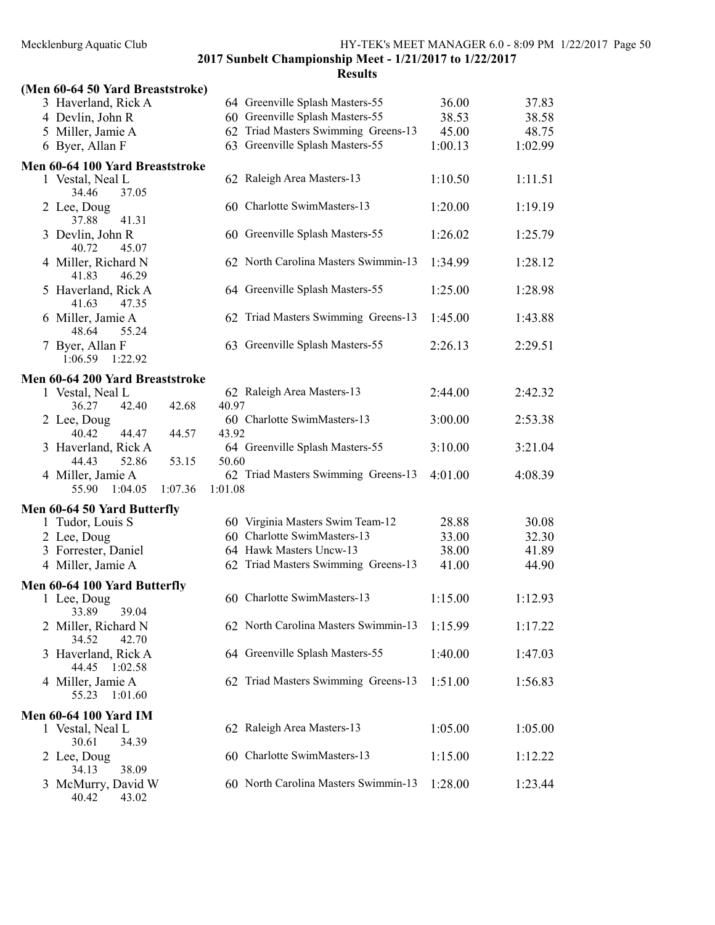2017 Sunbelt Championship Meet - 1/21/2017 to 1/22/2017 **Results** 

# (Men 60-64 50 Yard Breaststroke) 3 Haverland, Rick A 64 Greenville Splash Masters-55 36.00 37.83 4 Devlin, John R 60 Greenville Splash Masters-55 38.53 38.58 5 Miller, Jamie A 62 Triad Masters Swimming Greens-13 45.00 48.75 6 Byer, Allan F 63 Greenville Splash Masters-55 1:00.13 1:02.99 Men 60-64 100 Yard Breaststroke 1 Vestal, Neal L 62 Raleigh Area Masters-13 1:10.50 1:11.51 34.46 37.05 2 Lee, Doug 60 Charlotte SwimMasters-13 1:20.00 1:19.19 37.88 41.31 3 Devlin, John R 60 Greenville Splash Masters-55 1:26.02 1:25.79 40.72 45.07 4 Miller, Richard N 62 North Carolina Masters Swimmin-13 1:34.99 1:28.12<br>41.83 46.29 46.29 5 Haverland, Rick A 64 Greenville Splash Masters-55 1:25.00 1:28.98 41.63 47.35 6 Miller, Jamie A 62 Triad Masters Swimming Greens-13 1:45.00 1:43.88 48.64 55.24 7 Byer, Allan F 63 Greenville Splash Masters-55 2:26.13 2:29.51 1:06.59 1:22.92 Men 60-64 200 Yard Breaststroke 1 Vestal, Neal L 62 Raleigh Area Masters-13 2:44.00 2:42.32 36.27 42.40 42.68 40.97 2 Lee, Doug 60 Charlotte SwimMasters-13 3:00.00 2:53.38 40.42 44.47 44.57 43.92 3 Haverland, Rick A 64 Greenville Splash Masters-55 3:10.00 3:21.04 44.43 52.86 53.15 50.60 4 Miller, Jamie A 62 Triad Masters Swimming Greens-13 4:01.00 4:08.39 55.90 1:04.05 1:07.36 1:01.08 Men 60-64 50 Yard Butterfly 1 Tudor, Louis S 60 Virginia Masters Swim Team-12 28.88 30.08 2 Lee, Doug 60 Charlotte SwimMasters-13 33.00 32.30 3 Forrester, Daniel 64 Hawk Masters Uncw-13 38.00 41.89 4 Miller, Jamie A 62 Triad Masters Swimming Greens-13 41.00 44.90 Men 60-64 100 Yard Butterfly<br>1 Lee, Doug 60 Charlotte SwimMasters-13 1:15.00 1:12.93<br>39.04 33.89 2 Miller, Richard N 62 North Carolina Masters Swimmin-13 1:15.99 1:17.22 34.52 42.70 3 Haverland, Rick A 64 Greenville Splash Masters-55 1:40.00 1:47.03 44.45 1:02.58 4 Miller, Jamie A 62 Triad Masters Swimming Greens-13 1:51.00 1:56.83 55.23 1:01.60 Men 60-64 100 Yard IM 1 Vestal, Neal L 62 Raleigh Area Masters-13 1:05.00 1:05.00 30.61 34.39 2 Lee, Doug 60 Charlotte SwimMasters-13 1:15.00 1:12.22 34.13 38.09 3 McMurry, David W 60 North Carolina Masters Swimmin-13 1:28.00 1:23.44

40.42 43.02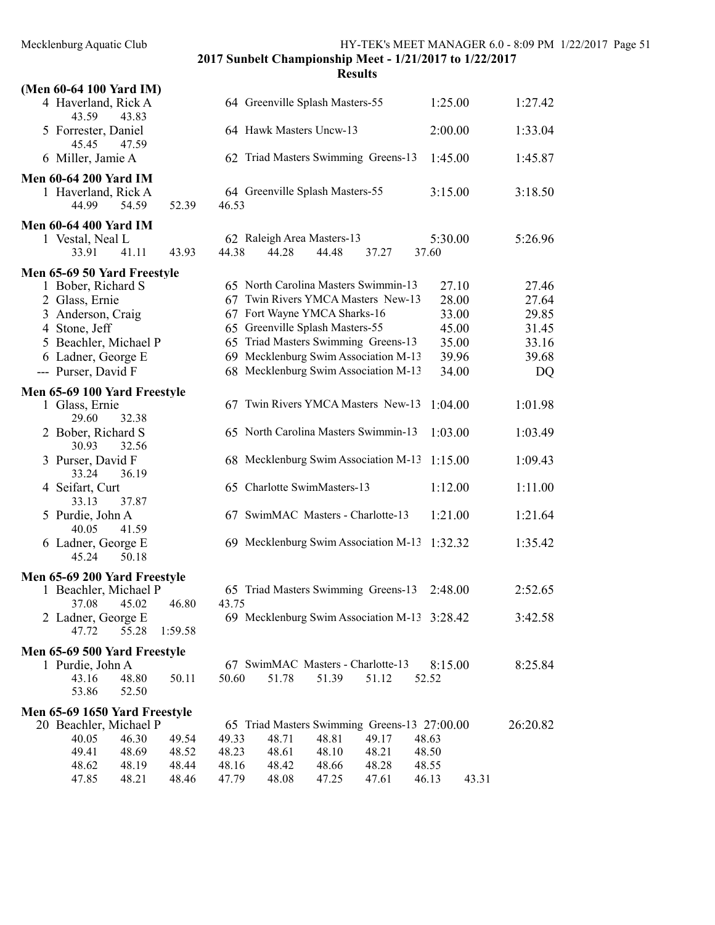| (Men 60-64 100 Yard IM)                                                                  |                |                |                |                                                                                                            |                |                                              |                         |                         |
|------------------------------------------------------------------------------------------|----------------|----------------|----------------|------------------------------------------------------------------------------------------------------------|----------------|----------------------------------------------|-------------------------|-------------------------|
| 4 Haverland, Rick A<br>43.59<br>43.83                                                    |                |                |                | 64 Greenville Splash Masters-55                                                                            |                | 1:25.00                                      |                         | 1:27.42                 |
| 5 Forrester, Daniel<br>45.45<br>47.59                                                    |                |                |                | 64 Hawk Masters Uncw-13                                                                                    |                | 2:00.00                                      |                         | 1:33.04                 |
| 6 Miller, Jamie A                                                                        |                |                |                | 62 Triad Masters Swimming Greens-13                                                                        |                | 1:45.00                                      |                         | 1:45.87                 |
| <b>Men 60-64 200 Yard IM</b><br>1 Haverland, Rick A<br>44.99<br>54.59                    | 52.39          | 46.53          |                | 64 Greenville Splash Masters-55                                                                            |                | 3:15.00                                      |                         | 3:18.50                 |
| <b>Men 60-64 400 Yard IM</b><br>1 Vestal, Neal L                                         |                |                |                | 62 Raleigh Area Masters-13                                                                                 |                | 5:30.00                                      |                         | 5:26.96                 |
| 33.91<br>41.11                                                                           | 43.93          | 44.38          | 44.28          | 44.48                                                                                                      | 37.27          | 37.60                                        |                         |                         |
| Men 65-69 50 Yard Freestyle<br>1 Bober, Richard S<br>2 Glass, Ernie<br>3 Anderson, Craig |                |                |                | 65 North Carolina Masters Swimmin-13<br>67 Twin Rivers YMCA Masters New-13<br>67 Fort Wayne YMCA Sharks-16 |                |                                              | 27.10<br>28.00<br>33.00 | 27.46<br>27.64<br>29.85 |
| 4 Stone, Jeff<br>5 Beachler, Michael P                                                   |                |                |                | 65 Greenville Splash Masters-55<br>65 Triad Masters Swimming Greens-13                                     |                |                                              | 45.00<br>35.00          | 31.45<br>33.16          |
| 6 Ladner, George E<br>--- Purser, David F                                                |                |                |                | 69 Mecklenburg Swim Association M-13<br>68 Mecklenburg Swim Association M-13                               |                |                                              | 39.96<br>34.00          | 39.68<br>DQ             |
| Men 65-69 100 Yard Freestyle<br>1 Glass, Ernie<br>29.60<br>32.38                         |                |                |                | 67 Twin Rivers YMCA Masters New-13                                                                         |                | 1:04.00                                      |                         | 1:01.98                 |
| 2 Bober, Richard S<br>30.93<br>32.56                                                     |                |                |                | 65 North Carolina Masters Swimmin-13                                                                       |                | 1:03.00                                      |                         | 1:03.49                 |
| 3 Purser, David F<br>36.19<br>33.24                                                      |                |                |                | 68 Mecklenburg Swim Association M-13                                                                       |                | 1:15.00                                      |                         | 1:09.43                 |
| 4 Seifart, Curt<br>33.13<br>37.87                                                        |                |                |                | 65 Charlotte SwimMasters-13                                                                                |                | 1:12.00                                      |                         | 1:11.00                 |
| 5 Purdie, John A<br>40.05<br>41.59                                                       |                |                |                | 67 SwimMAC Masters - Charlotte-13                                                                          |                | 1:21.00                                      |                         | 1:21.64                 |
| 6 Ladner, George E<br>45.24<br>50.18                                                     |                |                |                | 69 Mecklenburg Swim Association M-13                                                                       |                | 1:32.32                                      |                         | 1:35.42                 |
| Men 65-69 200 Yard Freestyle                                                             |                |                |                |                                                                                                            |                |                                              |                         |                         |
| 1 Beachler, Michael P<br>37.08 45.02                                                     | 46.80          | 43.75          |                | 65 Triad Masters Swimming Greens-13                                                                        |                | 2:48.00                                      |                         | 2:52.65                 |
| 2 Ladner, George E<br>47.72<br>55.28                                                     | 1:59.58        |                |                |                                                                                                            |                | 69 Mecklenburg Swim Association M-13 3:28.42 |                         | 3:42.58                 |
| Men 65-69 500 Yard Freestyle                                                             |                |                |                |                                                                                                            |                |                                              |                         |                         |
| 1 Purdie, John A<br>48.80<br>43.16<br>53.86<br>52.50                                     | 50.11          | 50.60          | 51.78          | 67 SwimMAC Masters - Charlotte-13<br>51.39                                                                 | 51.12          | 8:15.00<br>52.52                             |                         | 8:25.84                 |
| Men 65-69 1650 Yard Freestyle                                                            |                |                |                |                                                                                                            |                |                                              |                         |                         |
| 20 Beachler, Michael P                                                                   |                |                |                |                                                                                                            |                | 65 Triad Masters Swimming Greens-13 27:00.00 |                         | 26:20.82                |
| 40.05<br>46.30<br>49.41<br>48.69                                                         | 49.54<br>48.52 | 49.33<br>48.23 | 48.71<br>48.61 | 48.81<br>48.10                                                                                             | 49.17<br>48.21 | 48.63<br>48.50                               |                         |                         |
| 48.62<br>48.19                                                                           | 48.44          | 48.16          | 48.42          | 48.66                                                                                                      | 48.28          | 48.55                                        |                         |                         |
| 47.85<br>48.21                                                                           | 48.46          | 47.79          | 48.08          | 47.25                                                                                                      | 47.61          | 46.13                                        | 43.31                   |                         |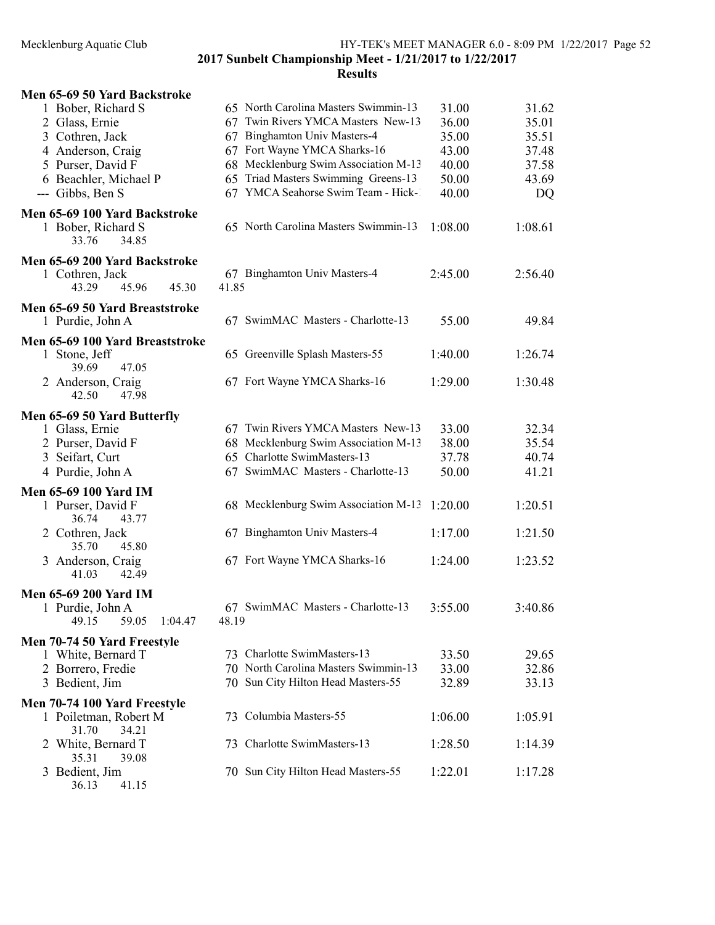| Men 65-69 50 Yard Backstroke<br>1 Bober, Richard S<br>2 Glass, Ernie<br>3 Cothren, Jack<br>4 Anderson, Craig<br>5 Purser, David F | 65 North Carolina Masters Swimmin-13<br>Twin Rivers YMCA Masters New-13<br>67<br>67 Binghamton Univ Masters-4<br>67 Fort Wayne YMCA Sharks-16<br>Mecklenburg Swim Association M-13<br>68 | 31.00<br>36.00<br>35.00<br>43.00<br>40.00 | 31.62<br>35.01<br>35.51<br>37.48<br>37.58 |
|-----------------------------------------------------------------------------------------------------------------------------------|------------------------------------------------------------------------------------------------------------------------------------------------------------------------------------------|-------------------------------------------|-------------------------------------------|
| 6 Beachler, Michael P<br>--- Gibbs, Ben S                                                                                         | Triad Masters Swimming Greens-13<br>65<br>67 YMCA Seahorse Swim Team - Hick-1                                                                                                            | 50.00<br>40.00                            | 43.69<br>DQ                               |
| Men 65-69 100 Yard Backstroke<br>1 Bober, Richard S<br>33.76<br>34.85                                                             | 65 North Carolina Masters Swimmin-13                                                                                                                                                     | 1:08.00                                   | 1:08.61                                   |
| Men 65-69 200 Yard Backstroke<br>1 Cothren, Jack<br>43.29<br>45.30<br>45.96                                                       | 67 Binghamton Univ Masters-4<br>41.85                                                                                                                                                    | 2:45.00                                   | 2:56.40                                   |
| Men 65-69 50 Yard Breaststroke<br>1 Purdie, John A                                                                                | 67 SwimMAC Masters - Charlotte-13                                                                                                                                                        | 55.00                                     | 49.84                                     |
| Men 65-69 100 Yard Breaststroke<br>1 Stone, Jeff                                                                                  | 65 Greenville Splash Masters-55                                                                                                                                                          | 1:40.00                                   | 1:26.74                                   |
| 47.05<br>39.69<br>2 Anderson, Craig<br>42.50<br>47.98                                                                             | 67 Fort Wayne YMCA Sharks-16                                                                                                                                                             | 1:29.00                                   | 1:30.48                                   |
| Men 65-69 50 Yard Butterfly<br>1 Glass, Ernie<br>2 Purser, David F<br>3 Seifart, Curt<br>4 Purdie, John A                         | 67 Twin Rivers YMCA Masters New-13<br>68 Mecklenburg Swim Association M-13<br>65 Charlotte SwimMasters-13<br>67 SwimMAC Masters - Charlotte-13                                           | 33.00<br>38.00<br>37.78<br>50.00          | 32.34<br>35.54<br>40.74<br>41.21          |
| <b>Men 65-69 100 Yard IM</b>                                                                                                      |                                                                                                                                                                                          |                                           |                                           |
| 1 Purser, David F<br>43.77<br>36.74                                                                                               | 68 Mecklenburg Swim Association M-13                                                                                                                                                     | 1:20.00                                   | 1:20.51                                   |
| 2 Cothren, Jack<br>45.80<br>35.70                                                                                                 | 67 Binghamton Univ Masters-4                                                                                                                                                             | 1:17.00                                   | 1:21.50                                   |
| 3 Anderson, Craig<br>41.03<br>42.49                                                                                               | 67 Fort Wayne YMCA Sharks-16                                                                                                                                                             | 1:24.00                                   | 1:23.52                                   |
| <b>Men 65-69 200 Yard IM</b><br>1 Purdie, John A<br>49.15<br>59.05<br>1:04.47                                                     | 67 SwimMAC Masters - Charlotte-13<br>48.19                                                                                                                                               | 3:55.00                                   | 3:40.86                                   |
| Men 70-74 50 Yard Freestyle<br>1 White, Bernard T<br>2 Borrero, Fredie<br>3 Bedient, Jim                                          | 73 Charlotte SwimMasters-13<br>70 North Carolina Masters Swimmin-13<br>70 Sun City Hilton Head Masters-55                                                                                | 33.50<br>33.00<br>32.89                   | 29.65<br>32.86<br>33.13                   |
| Men 70-74 100 Yard Freestyle<br>1 Poiletman, Robert M                                                                             | 73 Columbia Masters-55                                                                                                                                                                   | 1:06.00                                   | 1:05.91                                   |
| 31.70<br>34.21<br>2 White, Bernard T                                                                                              | 73 Charlotte SwimMasters-13                                                                                                                                                              | 1:28.50                                   | 1:14.39                                   |
| 35.31<br>39.08<br>3 Bedient, Jim<br>36.13<br>41.15                                                                                | 70 Sun City Hilton Head Masters-55                                                                                                                                                       | 1:22.01                                   | 1:17.28                                   |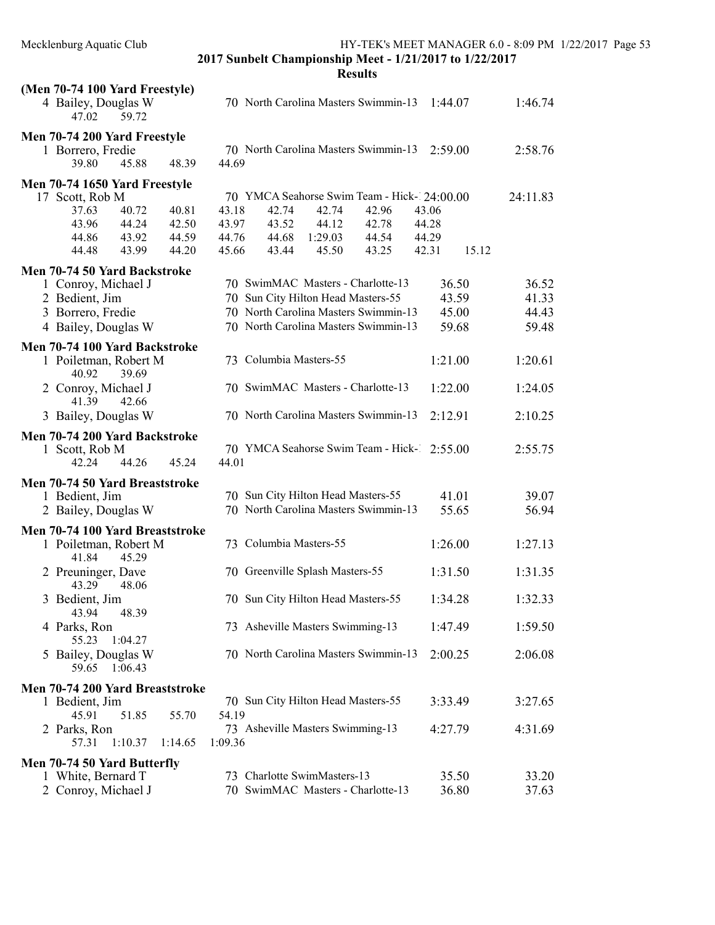| (Men 70-74 100 Yard Freestyle)          |         |         |                        |                                    |                                             |         |       |          |
|-----------------------------------------|---------|---------|------------------------|------------------------------------|---------------------------------------------|---------|-------|----------|
| 4 Bailey, Douglas W<br>47.02<br>59.72   |         |         |                        |                                    | 70 North Carolina Masters Swimmin-13        | 1:44.07 |       | 1:46.74  |
| Men 70-74 200 Yard Freestyle            |         |         |                        |                                    |                                             |         |       |          |
| 1 Borrero, Fredie                       |         |         |                        |                                    | 70 North Carolina Masters Swimmin-13        | 2:59.00 |       | 2:58.76  |
| 39.80<br>45.88                          | 48.39   | 44.69   |                        |                                    |                                             |         |       |          |
| Men 70-74 1650 Yard Freestyle           |         |         |                        |                                    |                                             |         |       |          |
| 17 Scott, Rob M                         |         |         |                        |                                    | 70 YMCA Seahorse Swim Team - Hick-124:00.00 |         |       | 24:11.83 |
| 40.72<br>37.63                          | 40.81   | 43.18   | 42.74                  | 42.74                              | 42.96                                       | 43.06   |       |          |
| 43.96<br>44.24                          | 42.50   | 43.97   | 43.52                  | 44.12                              | 42.78                                       | 44.28   |       |          |
| 44.86<br>43.92                          | 44.59   | 44.76   | 44.68                  | 1:29.03                            | 44.54                                       | 44.29   |       |          |
| 44.48<br>43.99                          | 44.20   | 45.66   | 43.44                  | 45.50                              | 43.25                                       | 42.31   | 15.12 |          |
| Men 70-74 50 Yard Backstroke            |         |         |                        |                                    |                                             |         |       |          |
| 1 Conroy, Michael J                     |         |         |                        |                                    | 70 SwimMAC Masters - Charlotte-13           | 36.50   |       | 36.52    |
| 2 Bedient, Jim                          |         |         |                        | 70 Sun City Hilton Head Masters-55 |                                             | 43.59   |       | 41.33    |
| 3 Borrero, Fredie                       |         |         |                        |                                    | 70 North Carolina Masters Swimmin-13        | 45.00   |       | 44.43    |
| 4 Bailey, Douglas W                     |         |         |                        |                                    | 70 North Carolina Masters Swimmin-13        | 59.68   |       | 59.48    |
|                                         |         |         |                        |                                    |                                             |         |       |          |
| Men 70-74 100 Yard Backstroke           |         |         |                        |                                    |                                             |         |       |          |
| 1 Poiletman, Robert M                   |         |         | 73 Columbia Masters-55 |                                    |                                             | 1:21.00 |       | 1:20.61  |
| 40.92<br>39.69<br>2 Conroy, Michael J   |         |         |                        |                                    | 70 SwimMAC Masters - Charlotte-13           | 1:22.00 |       | 1:24.05  |
| 41.39<br>42.66                          |         |         |                        |                                    |                                             |         |       |          |
| 3 Bailey, Douglas W                     |         |         |                        |                                    | 70 North Carolina Masters Swimmin-13        | 2:12.91 |       | 2:10.25  |
| Men 70-74 200 Yard Backstroke           |         |         |                        |                                    |                                             |         |       |          |
| 1 Scott, Rob M                          |         |         |                        |                                    | 70 YMCA Seahorse Swim Team - Hick- 2:55.00  |         |       | 2:55.75  |
| 44.26<br>42.24                          | 45.24   | 44.01   |                        |                                    |                                             |         |       |          |
| Men 70-74 50 Yard Breaststroke          |         |         |                        |                                    |                                             |         |       |          |
| 1 Bedient, Jim                          |         |         |                        | 70 Sun City Hilton Head Masters-55 |                                             | 41.01   |       | 39.07    |
| 2 Bailey, Douglas W                     |         |         |                        |                                    | 70 North Carolina Masters Swimmin-13        | 55.65   |       | 56.94    |
|                                         |         |         |                        |                                    |                                             |         |       |          |
| Men 70-74 100 Yard Breaststroke         |         |         | 73 Columbia Masters-55 |                                    |                                             | 1:26.00 |       | 1:27.13  |
| 1 Poiletman, Robert M<br>41.84<br>45.29 |         |         |                        |                                    |                                             |         |       |          |
| 2 Preuninger, Dave                      |         |         |                        | 70 Greenville Splash Masters-55    |                                             | 1:31.50 |       | 1:31.35  |
| 43.29<br>48.06                          |         |         |                        |                                    |                                             |         |       |          |
| 3 Bedient, Jim                          |         |         |                        | 70 Sun City Hilton Head Masters-55 |                                             | 1:34.28 |       | 1:32.33  |
| 43.94<br>48.39                          |         |         |                        |                                    |                                             |         |       |          |
| 4 Parks, Ron                            |         |         |                        | 73 Asheville Masters Swimming-13   |                                             | 1:47.49 |       | 1:59.50  |
| 1:04.27<br>55.23                        |         |         |                        |                                    |                                             |         |       |          |
| Bailey, Douglas W                       |         |         |                        |                                    | 70 North Carolina Masters Swimmin-13        | 2:00.25 |       | 2:06.08  |
| 1:06.43<br>59.65                        |         |         |                        |                                    |                                             |         |       |          |
| Men 70-74 200 Yard Breaststroke         |         |         |                        |                                    |                                             |         |       |          |
| 1 Bedient, Jim                          |         |         |                        | 70 Sun City Hilton Head Masters-55 |                                             | 3:33.49 |       | 3:27.65  |
| 45.91<br>51.85                          | 55.70   | 54.19   |                        |                                    |                                             |         |       |          |
| 2 Parks, Ron                            |         |         |                        | 73 Asheville Masters Swimming-13   |                                             | 4:27.79 |       | 4:31.69  |
| 1:10.37<br>57.31                        | 1:14.65 | 1:09.36 |                        |                                    |                                             |         |       |          |
|                                         |         |         |                        |                                    |                                             |         |       |          |
| Men 70-74 50 Yard Butterfly             |         |         |                        | 73 Charlotte SwimMasters-13        |                                             | 35.50   |       |          |
| 1 White, Bernard T                      |         |         |                        |                                    | 70 SwimMAC Masters - Charlotte-13           |         |       | 33.20    |
| 2 Conroy, Michael J                     |         |         |                        |                                    |                                             | 36.80   |       | 37.63    |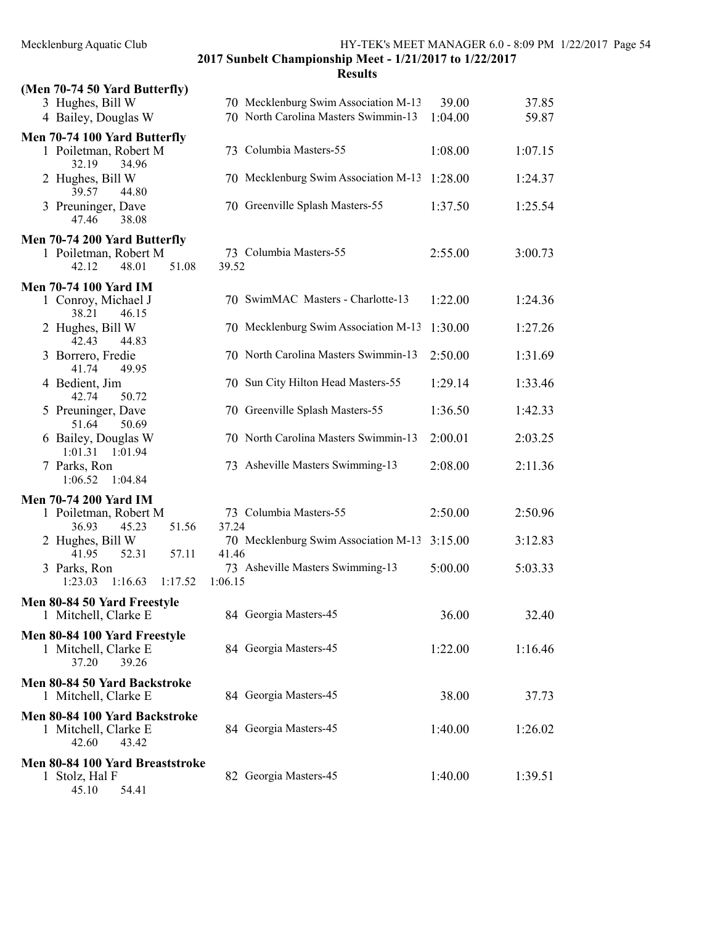2017 Sunbelt Championship Meet - 1/21/2017 to 1/22/2017 Results

| (Men 70-74 50 Yard Butterfly)                                           |         |                                      |         |         |
|-------------------------------------------------------------------------|---------|--------------------------------------|---------|---------|
| 3 Hughes, Bill W                                                        |         | 70 Mecklenburg Swim Association M-13 | 39.00   | 37.85   |
| 4 Bailey, Douglas W                                                     |         | 70 North Carolina Masters Swimmin-13 | 1:04.00 | 59.87   |
| Men 70-74 100 Yard Butterfly<br>1 Poiletman, Robert M<br>32.19<br>34.96 |         | 73 Columbia Masters-55               | 1:08.00 | 1:07.15 |
| 2 Hughes, Bill W<br>39.57<br>44.80                                      |         | 70 Mecklenburg Swim Association M-13 | 1:28.00 | 1:24.37 |
| 3 Preuninger, Dave<br>47.46<br>38.08                                    |         | 70 Greenville Splash Masters-55      | 1:37.50 | 1:25.54 |
| Men 70-74 200 Yard Butterfly                                            |         |                                      |         |         |
| 1 Poiletman, Robert M<br>48.01<br>51.08<br>42.12                        | 39.52   | 73 Columbia Masters-55               | 2:55.00 | 3:00.73 |
| <b>Men 70-74 100 Yard IM</b>                                            |         |                                      |         |         |
| 1 Conroy, Michael J<br>38.21<br>46.15                                   |         | 70 SwimMAC Masters - Charlotte-13    | 1:22.00 | 1:24.36 |
| 2 Hughes, Bill W<br>42.43<br>44.83                                      |         | 70 Mecklenburg Swim Association M-13 | 1:30.00 | 1:27.26 |
| 3 Borrero, Fredie<br>41.74<br>49.95                                     |         | 70 North Carolina Masters Swimmin-13 | 2:50.00 | 1:31.69 |
| 4 Bedient, Jim<br>42.74<br>50.72                                        |         | 70 Sun City Hilton Head Masters-55   | 1:29.14 | 1:33.46 |
| 5 Preuninger, Dave<br>50.69<br>51.64                                    |         | 70 Greenville Splash Masters-55      | 1:36.50 | 1:42.33 |
| 6 Bailey, Douglas W<br>1:01.31<br>1:01.94                               |         | 70 North Carolina Masters Swimmin-13 | 2:00.01 | 2:03.25 |
| 7 Parks, Ron<br>1:06.52<br>1:04.84                                      |         | 73 Asheville Masters Swimming-13     | 2:08.00 | 2:11.36 |
| <b>Men 70-74 200 Yard IM</b>                                            |         |                                      |         |         |
| 1 Poiletman, Robert M<br>36.93<br>45.23<br>51.56                        | 37.24   | 73 Columbia Masters-55               | 2:50.00 | 2:50.96 |
| 2 Hughes, Bill W<br>41.95<br>52.31<br>57.11                             | 41.46   | 70 Mecklenburg Swim Association M-13 | 3:15.00 | 3:12.83 |
| 3 Parks, Ron<br>1:23.03<br>1:16.63<br>1:17.52                           | 1:06.15 | 73 Asheville Masters Swimming-13     | 5:00.00 | 5:03.33 |
| Men 80-84 50 Yard Freestyle<br>1 Mitchell, Clarke E                     |         | 84 Georgia Masters-45                | 36.00   | 32.40   |
| Men 80-84 100 Yard Freestyle                                            |         |                                      |         |         |
| 1 Mitchell, Clarke E<br>37.20<br>39.26                                  |         | 84 Georgia Masters-45                | 1:22.00 | 1:16.46 |
| Men 80-84 50 Yard Backstroke<br>1 Mitchell, Clarke E                    |         | 84 Georgia Masters-45                | 38.00   | 37.73   |
| Men 80-84 100 Yard Backstroke<br>1 Mitchell, Clarke E<br>42.60<br>43.42 |         | 84 Georgia Masters-45                | 1:40.00 | 1:26.02 |
| Men 80-84 100 Yard Breaststroke<br>1 Stolz, Hal F<br>45.10<br>54.41     |         | 82 Georgia Masters-45                | 1:40.00 | 1:39.51 |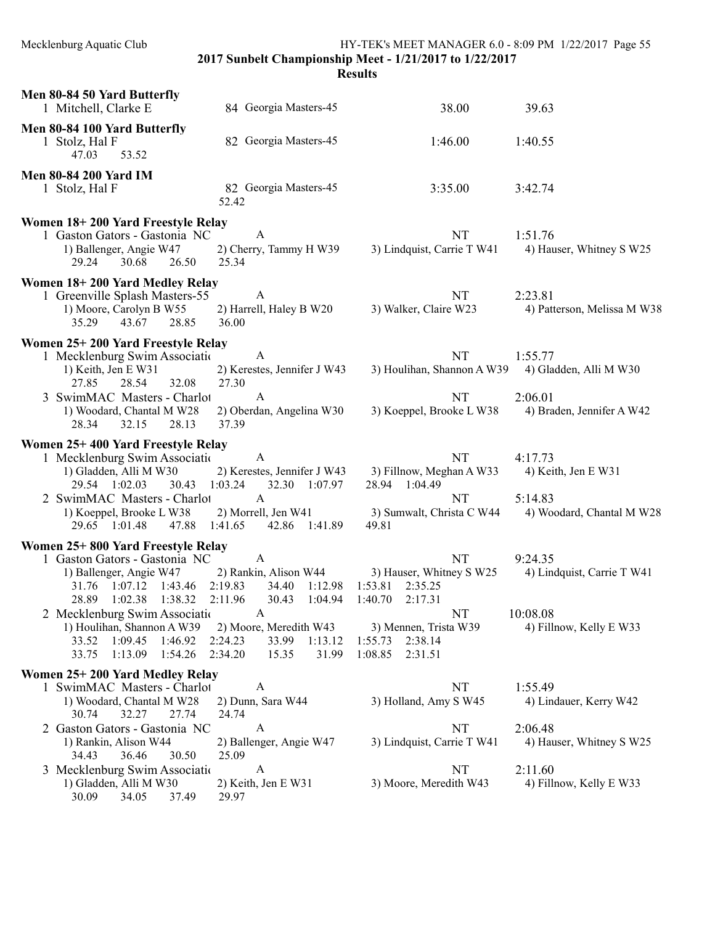HY-TEK's MEET MANAGER 6.0 - 8:09 PM 1/22/2017 Page 55

2017 Sunbelt Championship Meet - 1/21/2017 to 1/22/2017

| Men 80-84 50 Yard Butterfly<br>1 Mitchell, Clarke E                                                                                                                                                                                                                                | 84 Georgia Masters-45                                                                                                                                                                          | 38.00                                                                                                                                                        | 39.63                                                                        |
|------------------------------------------------------------------------------------------------------------------------------------------------------------------------------------------------------------------------------------------------------------------------------------|------------------------------------------------------------------------------------------------------------------------------------------------------------------------------------------------|--------------------------------------------------------------------------------------------------------------------------------------------------------------|------------------------------------------------------------------------------|
| Men 80-84 100 Yard Butterfly<br>1 Stolz, Hal F<br>47.03<br>53.52                                                                                                                                                                                                                   | 82 Georgia Masters-45                                                                                                                                                                          | 1:46.00                                                                                                                                                      | 1:40.55                                                                      |
| <b>Men 80-84 200 Yard IM</b><br>1 Stolz, Hal F                                                                                                                                                                                                                                     | 82 Georgia Masters-45<br>52.42                                                                                                                                                                 | 3:35.00                                                                                                                                                      | 3:42.74                                                                      |
| Women 18+200 Yard Freestyle Relay<br>1 Gaston Gators - Gastonia NC<br>1) Ballenger, Angie W47<br>29.24<br>30.68<br>26.50                                                                                                                                                           | A<br>2) Cherry, Tammy H W39<br>25.34                                                                                                                                                           | NT<br>3) Lindquist, Carrie T W41                                                                                                                             | 1:51.76<br>4) Hauser, Whitney S W25                                          |
| Women 18+200 Yard Medley Relay<br>1 Greenville Splash Masters-55<br>1) Moore, Carolyn B W55<br>35.29<br>43.67<br>28.85                                                                                                                                                             | $\mathbf{A}$<br>2) Harrell, Haley B W20<br>36.00                                                                                                                                               | NT<br>3) Walker, Claire W23                                                                                                                                  | 2:23.81<br>4) Patterson, Melissa M W38                                       |
| Women 25+200 Yard Freestyle Relay<br>1 Mecklenburg Swim Associatio<br>1) Keith, Jen E W31<br>27.85<br>28.54<br>32.08<br>3 SwimMAC Masters - Charlot<br>1) Woodard, Chantal M W28<br>28.34<br>32.15<br>28.13                                                                        | $\mathbf{A}$<br>2) Kerestes, Jennifer J W43<br>27.30<br>$\mathbf{A}$<br>2) Oberdan, Angelina W30<br>37.39                                                                                      | <b>NT</b><br>3) Houlihan, Shannon A W39<br><b>NT</b><br>3) Koeppel, Brooke L W38                                                                             | 1:55.77<br>4) Gladden, Alli M W30<br>2:06.01<br>4) Braden, Jennifer A W42    |
| Women 25+400 Yard Freestyle Relay<br>1 Mecklenburg Swim Association<br>1) Gladden, Alli M W30<br>29.54 1:02.03<br>30.43<br>2 SwimMAC Masters - Charlot<br>1) Koeppel, Brooke L W38<br>29.65 1:01.48<br>47.88                                                                       | A<br>2) Kerestes, Jennifer J W43<br>32.30 1:07.97<br>1:03.24<br>$\mathbf{A}$<br>2) Morrell, Jen W41<br>1:41.65<br>42.86 1:41.89                                                                | NT<br>3) Fillnow, Meghan A W33<br>28.94 1:04.49<br>NT<br>3) Sumwalt, Christa C W44<br>49.81                                                                  | 4:17.73<br>4) Keith, Jen E W31<br>5:14.83<br>4) Woodard, Chantal M W28       |
| Women 25+800 Yard Freestyle Relay<br>1 Gaston Gators - Gastonia NC<br>1) Ballenger, Angie W47<br>31.76 1:07.12<br>1:43.46<br>28.89 1:02.38<br>1:38.32<br>2 Mecklenburg Swim Associatio<br>1) Houlihan, Shannon A W39<br>33.52<br>1:09.45<br>1:46.92<br>33.75<br>1:13.09<br>1:54.26 | $\mathbf{A}$<br>2) Rankin, Alison W44<br>2:19.83<br>34.40<br>1:12.98<br>2:11.96<br>30.43<br>1:04.94<br>A<br>2) Moore, Meredith W43<br>2:24.23<br>33.99<br>1:13.12<br>2:34.20<br>15.35<br>31.99 | <b>NT</b><br>3) Hauser, Whitney S W25<br>1:53.81<br>2:35.25<br>1:40.70<br>2:17.31<br>NT<br>3) Mennen, Trista W39<br>2:38.14<br>1:55.73<br>1:08.85<br>2:31.51 | 9:24.35<br>4) Lindquist, Carrie T W41<br>10:08.08<br>4) Fillnow, Kelly E W33 |
| Women 25+200 Yard Medley Relay<br>1 SwimMAC Masters - Charlot<br>1) Woodard, Chantal M W28<br>30.74<br>32.27<br>27.74                                                                                                                                                              | A<br>2) Dunn, Sara W44<br>24.74                                                                                                                                                                | NT<br>3) Holland, Amy S W45                                                                                                                                  | 1:55.49<br>4) Lindauer, Kerry W42                                            |
| 2 Gaston Gators - Gastonia NC<br>1) Rankin, Alison W44<br>34.43<br>36.46<br>30.50<br>3 Mecklenburg Swim Associatio<br>1) Gladden, Alli M W30                                                                                                                                       | $\mathbf{A}$<br>2) Ballenger, Angie W47<br>25.09<br>$\mathbf{A}$<br>2) Keith, Jen E W31                                                                                                        | NT<br>3) Lindquist, Carrie T W41<br>NT<br>3) Moore, Meredith W43                                                                                             | 2:06.48<br>4) Hauser, Whitney S W25<br>2:11.60<br>4) Fillnow, Kelly E W33    |
| 30.09<br>34.05<br>37.49                                                                                                                                                                                                                                                            | 29.97                                                                                                                                                                                          |                                                                                                                                                              |                                                                              |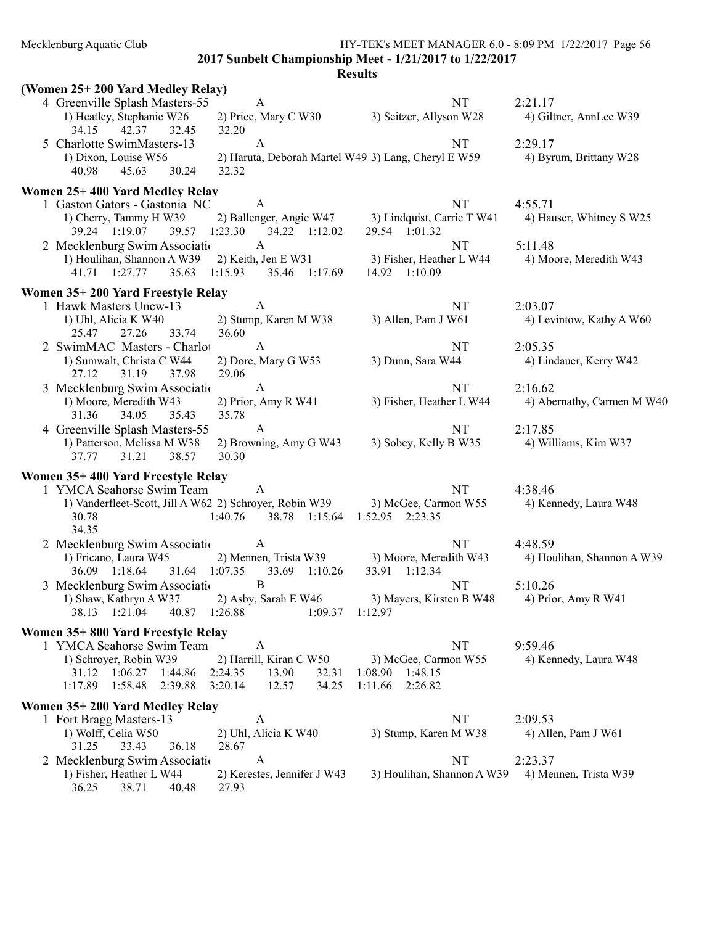Mecklenburg Aquatic Club HY-TEK's MEET MANAGER 6.0 - 8:09 PM 1/22/2017 Page 56

2017 Sunbelt Championship Meet - 1/21/2017 to 1/22/2017

| (Women 25+200 Yard Medley Relay)                                   |                                                        |                                                    |                                       |
|--------------------------------------------------------------------|--------------------------------------------------------|----------------------------------------------------|---------------------------------------|
| 4 Greenville Splash Masters-55                                     | A                                                      | NT                                                 | 2:21.17                               |
| 1) Heatley, Stephanie W26<br>34.15<br>42.37<br>32.45               | 32.20                                                  | 2) Price, Mary C W30 3) Seitzer, Allyson W28       | 4) Giltner, AnnLee W39                |
| 5 Charlotte SwimMasters-13                                         | A                                                      | <b>NT</b>                                          | 2:29.17                               |
| 1) Dixon, Louise W56                                               | 2) Haruta, Deborah Martel W49 3) Lang, Cheryl E W59    |                                                    | 4) Byrum, Brittany W28                |
| 45.63<br>40.98<br>30.24                                            | 32.32                                                  |                                                    |                                       |
| Women 25+400 Yard Medley Relay                                     |                                                        |                                                    |                                       |
| 1 Gaston Gators - Gastonia NC                                      | $\mathbf{A}$                                           | NT                                                 | 4:55.71                               |
| 1) Cherry, Tammy H W39                                             |                                                        | 2) Ballenger, Angie W47 3) Lindquist, Carrie T W41 | 4) Hauser, Whitney S W25              |
| 39.24 1:19.07<br>2 Mecklenburg Swim Association A                  | 39.57 1:23.30 34.22 1:12.02                            | 29.54 1:01.32<br>NT                                | 5:11.48                               |
| 1) Houlihan, Shannon A W39 2) Keith, Jen E W31                     |                                                        | 3) Fisher, Heather L W44                           | 4) Moore, Meredith W43                |
| 41.71 1:27.77 35.63 1:15.93 35.46 1:17.69                          |                                                        | 14.92 1:10.09                                      |                                       |
| Women 35+200 Yard Freestyle Relay                                  |                                                        |                                                    |                                       |
| 1 Hawk Masters Uncw-13                                             | A                                                      | NT                                                 | 2:03.07                               |
| 1) Uhl, Alicia K W40                                               | 2) Stump, Karen M W38                                  | 3) Allen, Pam J W61                                | 4) Levintow, Kathy A W60              |
| 27.26<br>33.74<br>25.47                                            | 36.60                                                  |                                                    |                                       |
| 2 SwimMAC Masters - Charlot                                        | $\mathbf{A}$                                           | NT                                                 | 2:05.35                               |
| 1) Sumwalt, Christa C W44                                          | 2) Dore, Mary G W53                                    | 3) Dunn, Sara W44                                  | 4) Lindauer, Kerry W42                |
| 37.98<br>27.12<br>31.19                                            | 29.06                                                  |                                                    |                                       |
| 3 Mecklenburg Swim Association<br>1) Moore, Meredith W43           | A<br>2) Prior, Amy R W41                               | <b>NT</b><br>3) Fisher, Heather L W44              | 2:16.62<br>4) Abernathy, Carmen M W40 |
| 34.05<br>35.43<br>31.36                                            | 35.78                                                  |                                                    |                                       |
| 4 Greenville Splash Masters-55                                     | A                                                      | NT                                                 | 2:17.85                               |
| 1) Patterson, Melissa M W38                                        | 2) Browning, Amy G W43                                 | 3) Sobey, Kelly B W35                              | 4) Williams, Kim W37                  |
| 31.21<br>37.77<br>38.57                                            | 30.30                                                  |                                                    |                                       |
| Women 35+400 Yard Freestyle Relay                                  |                                                        |                                                    |                                       |
| 1 YMCA Seahorse Swim Team                                          | A                                                      | NT                                                 | 4:38.46                               |
| 1) Vanderfleet-Scott, Jill A W62 2) Schroyer, Robin W39            |                                                        | 3) McGee, Carmon W55                               | 4) Kennedy, Laura W48                 |
| 30.78                                                              | $1:40.76$ 38.78 $1:15.64$                              | 1:52.95 2:23.35                                    |                                       |
| 34.35<br>2 Mecklenburg Swim Association A                          |                                                        | NT                                                 | 4:48.59                               |
| 1) Fricano, Laura W45 2) Mennen, Trista W39 3) Moore, Meredith W43 |                                                        |                                                    | 4) Houlihan, Shannon A W39            |
| 36.09 1:18.64                                                      | 31.64 1:07.35 33.69 1:10.26                            | 33.91 1:12.34                                      |                                       |
| 3 Mecklenburg Swim Association                                     | $\overline{B}$                                         | NT                                                 | 5:10.26                               |
| 1) Shaw, Kathryn A W37 2) Asby, Sarah E W46                        |                                                        | 3) Mayers, Kirsten B W48 4) Prior, Amy R W41       |                                       |
| 40.87 1:26.88<br>38.13 1:21.04                                     | $1:09.37$ $1:12.97$                                    |                                                    |                                       |
| Women 35+800 Yard Freestyle Relay                                  |                                                        |                                                    |                                       |
| 1 YMCA Seahorse Swim Team                                          | A                                                      | NT                                                 | 9:59.46                               |
| 1) Schroyer, Robin W39                                             | 2) Harrill, Kiran C W50                                | 3) McGee, Carmon W55                               | 4) Kennedy, Laura W48                 |
| 31.12 1:06.27 1:44.86<br>$1:17.89$ $1:58.48$<br>2:39.88            | 2:24.35<br>13.90<br>32.31<br>3:20.14<br>12.57<br>34.25 | 1:48.15<br>1:08.90<br>1:11.66<br>2:26.82           |                                       |
|                                                                    |                                                        |                                                    |                                       |
| Women 35+200 Yard Medley Relay                                     |                                                        |                                                    |                                       |
| 1 Fort Bragg Masters-13                                            | A<br>2) Uhl, Alicia K W40                              | NT                                                 | 2:09.53<br>4) Allen, Pam J W61        |
| 1) Wolff, Celia W50<br>33.43<br>36.18<br>31.25                     | 28.67                                                  | 3) Stump, Karen M W38                              |                                       |
| 2 Mecklenburg Swim Association                                     | A                                                      | NT                                                 | 2:23.37                               |
| 1) Fisher, Heather L W44                                           | 2) Kerestes, Jennifer J W43                            | 3) Houlihan, Shannon A W39                         | 4) Mennen, Trista W39                 |
| 36.25<br>38.71<br>40.48                                            | 27.93                                                  |                                                    |                                       |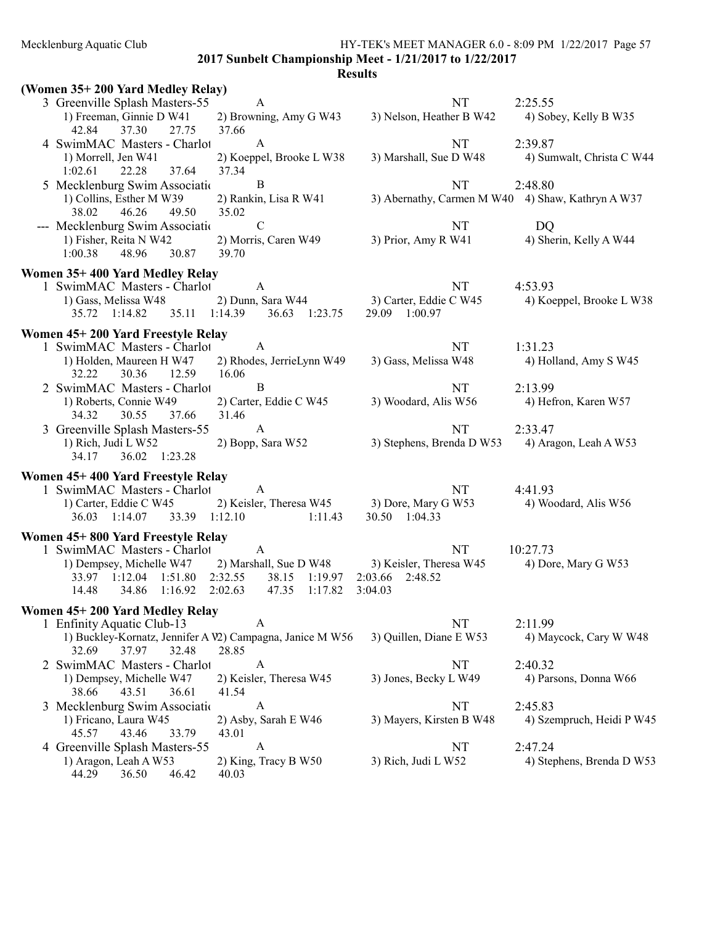Mecklenburg Aquatic Club HY-TEK's MEET MANAGER 6.0 - 8:09 PM 1/22/2017 Page 57

2017 Sunbelt Championship Meet - 1/21/2017 to 1/22/2017

| (Women 35+200 Yard Medley Relay)                          |                                             |                                                   |                           |
|-----------------------------------------------------------|---------------------------------------------|---------------------------------------------------|---------------------------|
| 3 Greenville Splash Masters-55                            | A                                           | NT                                                | 2:25.55                   |
| 1) Freeman, Ginnie D W41                                  | 2) Browning, Amy G W43                      | 3) Nelson, Heather B W42                          | 4) Sobey, Kelly B W35     |
| 42.84<br>37.30<br>27.75                                   | 37.66                                       |                                                   |                           |
| 4 SwimMAC Masters - Charlot                               | A                                           | NT                                                | 2:39.87                   |
| 1) Morrell, Jen W41                                       | 2) Koeppel, Brooke L W38                    | 3) Marshall, Sue D W48                            | 4) Sumwalt, Christa C W44 |
| 22.28<br>37.64<br>1:02.61                                 | 37.34                                       |                                                   |                           |
| 5 Mecklenburg Swim Associatio                             | B                                           | NT                                                | 2:48.80                   |
| 1) Collins, Esther M W39                                  | 2) Rankin, Lisa R W41                       | 3) Abernathy, Carmen M W40 4) Shaw, Kathryn A W37 |                           |
| 38.02<br>46.26<br>49.50                                   | 35.02                                       |                                                   |                           |
| --- Mecklenburg Swim Association                          | $\mathbf C$                                 | NT                                                | DQ                        |
| 1) Fisher, Reita N W42                                    | 2) Morris, Caren W49                        | 3) Prior, Amy R W41                               | 4) Sherin, Kelly A W44    |
| 48.96<br>1:00.38<br>30.87                                 | 39.70                                       |                                                   |                           |
|                                                           |                                             |                                                   |                           |
| Women 35+400 Yard Medley Relay                            |                                             |                                                   |                           |
| 1 SwimMAC Masters - Charlot                               | $\mathbf{A}$                                | NT                                                | 4:53.93                   |
| 1) Gass, Melissa W48                                      | 2) Dunn, Sara W44                           | 3) Carter, Eddie C W45                            | 4) Koeppel, Brooke L W38  |
| 35.72 1:14.82                                             | 35.11 1:14.39 36.63 1:23.75                 | 29.09 1:00.97                                     |                           |
| Women 45+200 Yard Freestyle Relay                         |                                             |                                                   |                           |
| 1 SwimMAC Masters - Charlot                               | $\overline{A}$                              | NT                                                | 1:31.23                   |
| 1) Holden, Maureen H W47                                  | 2) Rhodes, JerrieLynn W49                   | 3) Gass, Melissa W48                              | 4) Holland, Amy S W45     |
| 12.59<br>32.22<br>30.36                                   | 16.06                                       |                                                   |                           |
| 2 SwimMAC Masters - Charlot                               | $\mathbf{B}$                                | <b>NT</b>                                         | 2:13.99                   |
| 1) Roberts, Connie W49                                    | 2) Carter, Eddie C W45                      | 3) Woodard, Alis W56                              | 4) Hefron, Karen W57      |
| 34.32<br>30.55<br>37.66                                   | 31.46                                       |                                                   |                           |
| 3 Greenville Splash Masters-55                            | $\overline{A}$                              | NT                                                | 2:33.47                   |
| 1) Rich, Judi L W52                                       | 2) Bopp, Sara W52                           | 3) Stephens, Brenda D W53                         | 4) Aragon, Leah A W53     |
| 34.17<br>36.02 1:23.28                                    |                                             |                                                   |                           |
| Women 45+400 Yard Freestyle Relay                         |                                             |                                                   |                           |
| 1 SwimMAC Masters - Charlot                               | A                                           | NT                                                | 4:41.93                   |
| 1) Carter, Eddie C W45                                    | 2) Keisler, Theresa W45 3) Dore, Mary G W53 |                                                   | 4) Woodard, Alis W56      |
| 33.39 1:12.10<br>36.03 1:14.07                            | 1:11.43                                     | 30.50 1:04.33                                     |                           |
|                                                           |                                             |                                                   |                           |
| Women 45+800 Yard Freestyle Relay                         |                                             |                                                   |                           |
| 1 SwimMAC Masters - Charlot                               | $\mathbf{A}$                                | NT                                                | 10:27.73                  |
| 1) Dempsey, Michelle W47                                  | 2) Marshall, Sue D W48                      | 3) Keisler, Theresa W45                           | 4) Dore, Mary G W53       |
| 33.97 1:12.04 1:51.80                                     | 2:32.55<br>38.15<br>1:19.97                 | 2:03.66 2:48.52                                   |                           |
| 14.48<br>34.86<br>1:16.92                                 | 1:17.82<br>2:02.63<br>47.35                 | 3:04.03                                           |                           |
| Women 45+200 Yard Medley Relay                            |                                             |                                                   |                           |
| 1 Enfinity Aquatic Club-13                                | A                                           | NT                                                | 2:11.99                   |
| 1) Buckley-Kornatz, Jennifer A V2) Campagna, Janice M W56 |                                             | 3) Quillen, Diane E W53                           | 4) Maycock, Cary W W48    |
| 32.69<br>37.97<br>32.48                                   | 28.85                                       |                                                   |                           |
| 2 SwimMAC Masters - Charlot                               | $\mathbf{A}$                                | NT                                                | 2:40.32                   |
| 1) Dempsey, Michelle W47                                  | 2) Keisler, Theresa W45                     | 3) Jones, Becky L W49                             | 4) Parsons, Donna W66     |
| 43.51<br>38.66<br>36.61                                   | 41.54                                       |                                                   |                           |
| 3 Mecklenburg Swim Associatio                             | $\mathbf{A}$                                | NT                                                | 2:45.83                   |
| 1) Fricano, Laura W45                                     | 2) Asby, Sarah E W46                        | 3) Mayers, Kirsten B W48                          | 4) Szempruch, Heidi P W45 |
| 45.57<br>43.46<br>33.79                                   | 43.01                                       |                                                   |                           |
| 4 Greenville Splash Masters-55                            | A                                           | NT                                                | 2:47.24                   |
| 1) Aragon, Leah A W53                                     | 2) King, Tracy B W50                        | 3) Rich, Judi L W52                               | 4) Stephens, Brenda D W53 |
| 44.29<br>36.50<br>46.42                                   | 40.03                                       |                                                   |                           |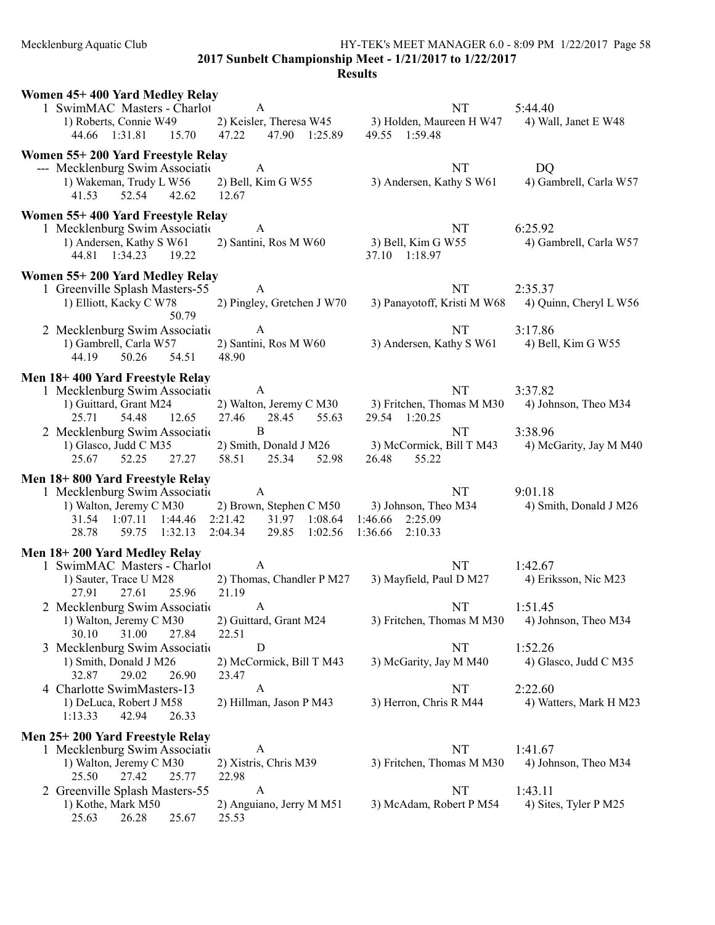Mecklenburg Aquatic Club HY-TEK's MEET MANAGER 6.0 - 8:09 PM 1/22/2017 Page 58 2017 Sunbelt Championship Meet - 1/21/2017 to 1/22/2017

| Women 45+400 Yard Medley Relay                                                     |                                    |                                                                         |                                  |  |
|------------------------------------------------------------------------------------|------------------------------------|-------------------------------------------------------------------------|----------------------------------|--|
| 1 SwimMAC Masters - Charlot<br>1) Roberts, Connie W49<br>44.66 1:31.81 15.70 47.22 | A<br>47.90 1:25.89                 | NT<br>2) Keisler, Theresa W45 3) Holden, Maureen H W47<br>49.55 1:59.48 | 5:44.40<br>4) Wall, Janet E W48  |  |
| Women 55+200 Yard Freestyle Relay                                                  |                                    |                                                                         |                                  |  |
| --- Mecklenburg Swim Association                                                   | $\overline{A}$                     | <b>NT</b>                                                               | DQ                               |  |
| 1) Wakeman, Trudy L W56<br>41.53<br>52.54<br>42.62<br>12.67                        | 2) Bell, Kim G W55                 | 3) Andersen, Kathy S W61                                                | 4) Gambrell, Carla W57           |  |
| Women 55+400 Yard Freestyle Relay                                                  |                                    |                                                                         |                                  |  |
| 1 Mecklenburg Swim Association                                                     | $\mathbf{A}$                       | NT                                                                      | 6:25.92                          |  |
| 1) Andersen, Kathy S W61<br>44.81 1:34.23<br>19.22                                 | 2) Santini, Ros M W60              | 3) Bell, Kim G W55<br>37.10 1:18.97                                     | 4) Gambrell, Carla W57           |  |
| Women 55+200 Yard Medley Relay                                                     |                                    |                                                                         |                                  |  |
| 1 Greenville Splash Masters-55                                                     | A                                  | NT                                                                      | 2:35.37                          |  |
| 1) Elliott, Kacky C W78<br>50.79                                                   | 2) Pingley, Gretchen J W70         | 3) Panayotoff, Kristi M W68                                             | 4) Quinn, Cheryl L W56           |  |
| 2 Mecklenburg Swim Association                                                     | A                                  | <b>NT</b>                                                               | 3:17.86                          |  |
| 1) Gambrell, Carla W57                                                             | 2) Santini, Ros M W60              | 3) Andersen, Kathy S W61                                                | 4) Bell, Kim G W55               |  |
| 44.19<br>50.26<br>54.51                                                            | 48.90                              |                                                                         |                                  |  |
| Men 18+400 Yard Freestyle Relay                                                    |                                    |                                                                         |                                  |  |
| 1 Mecklenburg Swim Association<br>1) Guittard, Grant M24                           | $\mathbf{A}$                       | <b>NT</b><br>2) Walton, Jeremy C M30 3) Fritchen, Thomas M M30          | 3:37.82<br>4) Johnson, Theo M34  |  |
| 25.71<br>54.48<br>12.65                                                            | 27.46<br>28.45<br>55.63            | 29.54 1:20.25                                                           |                                  |  |
| 2 Mecklenburg Swim Association                                                     | $\bf{B}$                           | <b>NT</b>                                                               | 3:38.96                          |  |
| 1) Glasco, Judd C M35                                                              | 2) Smith, Donald J M26             | 3) McCormick, Bill T M43                                                | 4) McGarity, Jay M M40           |  |
| 52.25<br>27.27<br>25.67                                                            | 58.51 25.34<br>52.98               | 55.22<br>26.48                                                          |                                  |  |
| Men 18+800 Yard Freestyle Relay<br>1 Mecklenburg Swim Association                  | A                                  | <b>NT</b>                                                               | 9:01.18                          |  |
| 1) Walton, Jeremy C M30                                                            | 2) Brown, Stephen C M50            | 3) Johnson, Theo M34                                                    | 4) Smith, Donald J M26           |  |
| 1:44.46<br>2:21.42<br>31.54 1:07.11                                                | 31.97 1:08.64                      | 1:46.66<br>2:25.09                                                      |                                  |  |
| 59.75 1:32.13 2:04.34<br>28.78                                                     | 29.85 1:02.56                      | 2:10.33<br>1:36.66                                                      |                                  |  |
| Men 18+200 Yard Medley Relay                                                       |                                    |                                                                         |                                  |  |
| 1 SwimMAC Masters - Charlot<br>1) Sauter, Trace U M28                              | $\mathbf{A}$                       | NT<br>3) Mayfield, Paul D M27                                           | 1:42.67<br>4) Eriksson, Nic M23  |  |
| 25.96<br>27.91<br>27.61                                                            | 2) Thomas, Chandler P M27<br>21.19 |                                                                         |                                  |  |
| 2 Mecklenburg Swim Association                                                     | A                                  | <b>NT</b>                                                               | 1:51.45                          |  |
| 1) Walton, Jeremy C M30                                                            | 2) Guittard, Grant M24             | 3) Fritchen, Thomas M M30                                               | 4) Johnson, Theo M34             |  |
| 30.10<br>31.00<br>27.84<br>Mecklenburg Swim Associatio<br>3                        | 22.51<br>D                         | NT                                                                      | 1:52.26                          |  |
| 1) Smith, Donald J M26                                                             | 2) McCormick, Bill T M43           | 3) McGarity, Jay M M40                                                  | 4) Glasco, Judd C M35            |  |
| 29.02<br>26.90<br>32.87                                                            | 23.47                              |                                                                         |                                  |  |
| 4 Charlotte SwimMasters-13                                                         | A                                  | NT                                                                      | 2:22.60                          |  |
| 1) DeLuca, Robert J M58<br>1:13.33<br>42.94<br>26.33                               | 2) Hillman, Jason P M43            | 3) Herron, Chris R M44                                                  | 4) Watters, Mark H M23           |  |
| Men 25+200 Yard Freestyle Relay                                                    |                                    |                                                                         |                                  |  |
| 1 Mecklenburg Swim Association                                                     | A                                  | NT                                                                      | 1:41.67                          |  |
| 1) Walton, Jeremy C M30                                                            | 2) Xistris, Chris M39              | 3) Fritchen, Thomas M M30                                               | 4) Johnson, Theo M34             |  |
| 25.50<br>27.42<br>25.77                                                            | 22.98                              |                                                                         |                                  |  |
| 2 Greenville Splash Masters-55<br>1) Kothe, Mark M50                               | A<br>2) Anguiano, Jerry M M51      | NT<br>3) McAdam, Robert P M54                                           | 1:43.11<br>4) Sites, Tyler P M25 |  |
| 25.63<br>26.28<br>25.67                                                            | 25.53                              |                                                                         |                                  |  |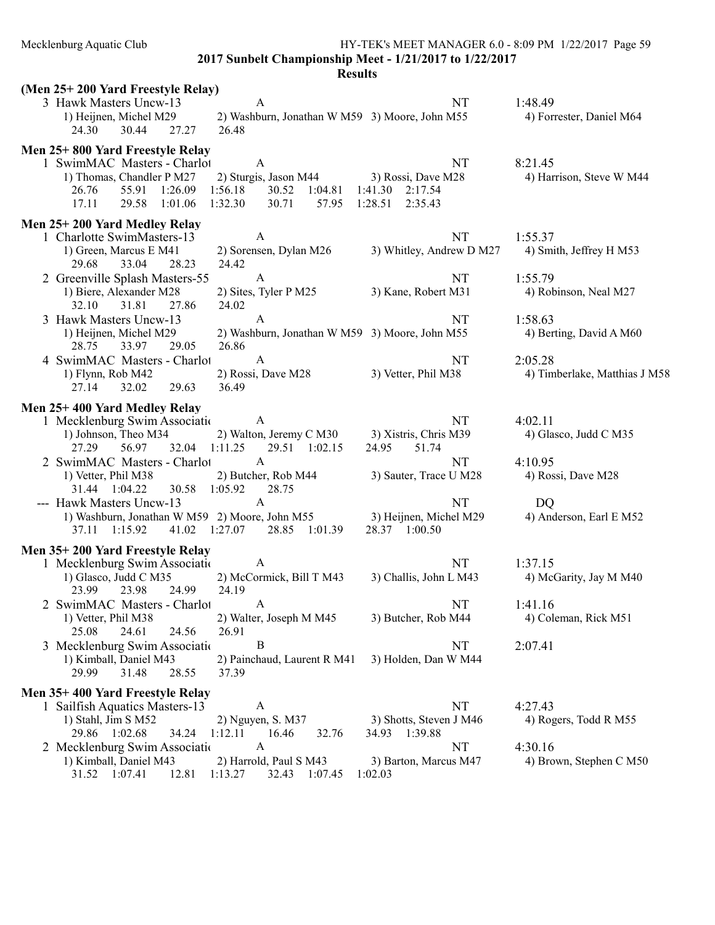Mecklenburg Aquatic Club HY-TEK's MEET MANAGER 6.0 - 8:09 PM 1/22/2017 Page 59

2017 Sunbelt Championship Meet - 1/21/2017 to 1/22/2017

| (Men 25+200 Yard Freestyle Relay)                                        |                          |                               |
|--------------------------------------------------------------------------|--------------------------|-------------------------------|
| 3 Hawk Masters Uncw-13<br>A                                              | NT                       | 1:48.49                       |
| 1) Heijnen, Michel M29<br>2) Washburn, Jonathan W M59 3) Moore, John M55 |                          | 4) Forrester, Daniel M64      |
| 24.30<br>30.44<br>27.27<br>26.48                                         |                          |                               |
| Men 25+800 Yard Freestyle Relay                                          |                          |                               |
| 1 SwimMAC Masters - Charlot<br>A                                         | <b>NT</b>                | 8:21.45                       |
| 1) Thomas, Chandler P M27<br>2) Sturgis, Jason M44                       | 3) Rossi, Dave M28       | 4) Harrison, Steve W M44      |
| 55.91<br>1:26.09<br>1:56.18<br>30.52 1:04.81<br>26.76                    | 1:41.30 2:17.54          |                               |
| 17.11<br>1:32.30<br>30.71<br>29.58<br>1:01.06<br>57.95                   | 1:28.51<br>2:35.43       |                               |
|                                                                          |                          |                               |
| Men 25+200 Yard Medley Relay                                             |                          |                               |
| 1 Charlotte SwimMasters-13<br>A                                          | NT                       | 1:55.37                       |
| 1) Green, Marcus E M41<br>2) Sorensen, Dylan M26                         | 3) Whitley, Andrew D M27 | 4) Smith, Jeffrey H M53       |
| 33.04<br>24.42<br>29.68<br>28.23                                         |                          |                               |
| $\mathbf{A}$<br>2 Greenville Splash Masters-55                           | NT                       | 1:55.79                       |
| 1) Biere, Alexander M28<br>2) Sites, Tyler P M25                         | 3) Kane, Robert M31      | 4) Robinson, Neal M27         |
| 32.10<br>31.81<br>27.86<br>24.02                                         |                          |                               |
| $\mathbf{A}$<br>3 Hawk Masters Uncw-13                                   | NT                       | 1:58.63                       |
| 1) Heijnen, Michel M29<br>2) Washburn, Jonathan W M59 3) Moore, John M55 |                          | 4) Berting, David A M60       |
| 33.97<br>29.05<br>26.86<br>28.75                                         |                          |                               |
| $\mathbf{A}$<br>4 SwimMAC Masters - Charlot                              | NT                       | 2:05.28                       |
| 2) Rossi, Dave M28<br>1) Flynn, Rob M42                                  | 3) Vetter, Phil M38      | 4) Timberlake, Matthias J M58 |
| 32.02<br>36.49<br>27.14<br>29.63                                         |                          |                               |
| Men 25+400 Yard Medley Relay                                             |                          |                               |
| 1 Mecklenburg Swim Association<br>A                                      | NT                       | 4:02.11                       |
| 1) Johnson, Theo M34<br>2) Walton, Jeremy C M30                          | 3) Xistris, Chris M39    | 4) Glasco, Judd C M35         |
| 32.04<br>1:11.25<br>29.51 1:02.15<br>27.29<br>56.97                      | 24.95<br>51.74           |                               |
| 2 SwimMAC Masters - Charlot<br>A                                         | NT                       | 4:10.95                       |
| 2) Butcher, Rob M44<br>1) Vetter, Phil M38                               | 3) Sauter, Trace U M28   | 4) Rossi, Dave M28            |
| 31.44 1:04.22<br>30.58 1:05.92<br>28.75                                  |                          |                               |
| --- Hawk Masters Uncw-13<br>$\mathbf{A}$                                 | <b>NT</b>                | DQ                            |
| 1) Washburn, Jonathan W M59 2) Moore, John M55                           | 3) Heijnen, Michel M29   | 4) Anderson, Earl E M52       |
| 41.02 1:27.07 28.85 1:01.39<br>37.11 1:15.92                             | 28.37 1:00.50            |                               |
|                                                                          |                          |                               |
| Men 35+200 Yard Freestyle Relay                                          |                          |                               |
| 1 Mecklenburg Swim Association<br>A                                      | NT                       | 1:37.15                       |
| 1) Glasco, Judd C M35<br>2) McCormick, Bill T M43                        | 3) Challis, John L M43   | 4) McGarity, Jay M M40        |
| 23.98<br>24.99<br>24.19<br>23.99                                         |                          |                               |
| 2 SwimMAC Masters - Charlot<br>$\overline{A}$                            | NT.                      | 1:41.16                       |
| 2) Walter, Joseph M M45<br>1) Vetter, Phil M38                           | 3) Butcher, Rob M44      | 4) Coleman, Rick M51          |
| 25.08<br>24.61<br>26.91<br>24.56                                         |                          |                               |
| 3 Mecklenburg Swim Associatio<br>B                                       | NT                       | 2:07.41                       |
| 2) Painchaud, Laurent R M41<br>1) Kimball, Daniel M43                    | 3) Holden, Dan W M44     |                               |
| 29.99<br>31.48<br>28.55<br>37.39                                         |                          |                               |
| Men 35+400 Yard Freestyle Relay                                          |                          |                               |
| 1 Sailfish Aquatics Masters-13<br>A                                      | NT                       | 4:27.43                       |
| 1) Stahl, Jim S M52<br>2) Nguyen, S. M37                                 | 3) Shotts, Steven J M46  | 4) Rogers, Todd R M55         |
| 29.86 1:02.68<br>34.24<br>1:12.11<br>16.46<br>32.76                      | 34.93 1:39.88            |                               |
| 2 Mecklenburg Swim Associatio<br>A                                       | NT                       | 4:30.16                       |
| 1) Kimball, Daniel M43<br>2) Harrold, Paul S M43                         | 3) Barton, Marcus M47    | 4) Brown, Stephen C M50       |
| 31.52 1:07.41<br>12.81<br>1:13.27<br>32.43 1:07.45                       | 1:02.03                  |                               |
|                                                                          |                          |                               |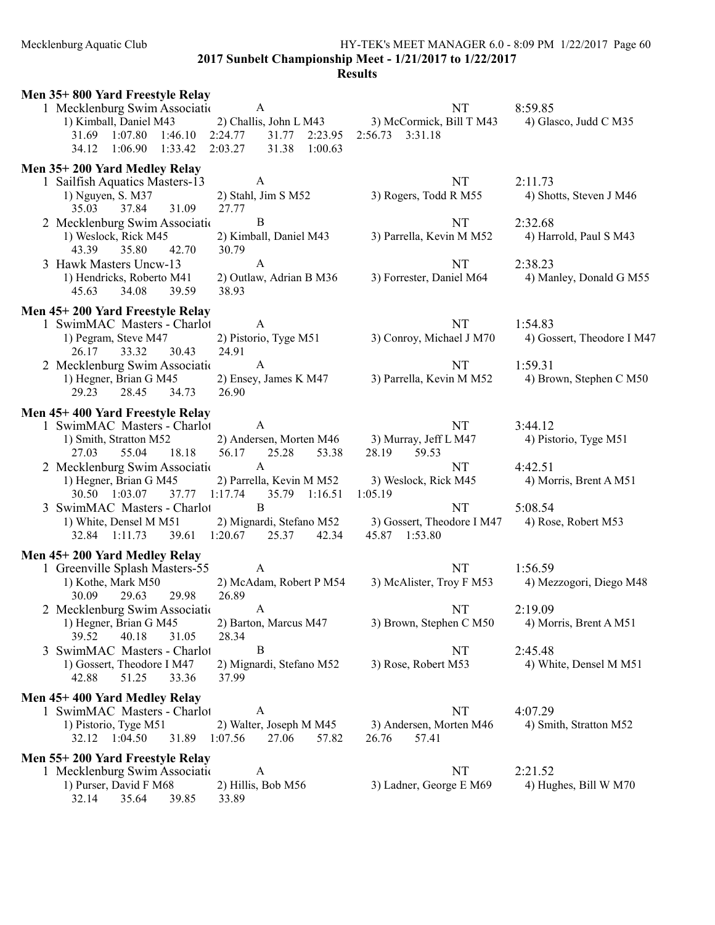Mecklenburg Aquatic Club HY-TEK's MEET MANAGER 6.0 - 8:09 PM 1/22/2017 Page 60 2017 Sunbelt Championship Meet - 1/21/2017 to 1/22/2017 **Results** 

# Men 35+ 800 Yard Freestyle Relay 1 Mecklenburg Swim Association A<br>
1) Kimball, Daniel M43 (2) Challis, John L M43 (3) McCormick, Bill T M43 (4) Gla 3) McCormick, Bill T M43 4) Glasco, Judd C M35 31.69 1:07.80 1:46.10 2:24.77 31.77 2:23.95 2:56.73 3:31.18 34.12 1:06.90 1:33.42 2:03.27 31.38 1:00.63 Men 35+ 200 Yard Medley Relay 1 Sailfish Aquatics Masters-13 A NT 2:11.73 1) Nguyen, S. M37 2) Stahl, Jim S M52 3) Rogers, Todd R M55 4) Shotts, Steven J M46 35.03 37.84 31.09 27.77 2 Mecklenburg Swim Association 2 B<br>
2:32.68 1) Weslock, Rick M45 2) Kimball, Daniel M43 3) Parrella, Kevin M M52 4) Har 2) Kimball, Daniel M43 3) Parrella, Kevin M M52 4) Harrold, Paul S M43 43.39 35.80 42.70 30.79 3 Hawk Masters Uncw-13 <br>1) Hendricks, Roberto M41 <br>2) Outlaw, Adrian B M36 <br>3) Forrester, Daniel M64 <br>4) Mar 1) Hendricks, Roberto M41 2) Outlaw, Adrian B M36 3) Forrester, Daniel M64 4) Manley, Donald G M55 45.63 34.08 39.59 38.93 Men 45+ 200 Yard Freestyle Relay 1 SwimMAC Masters - Charlot A NT 1:54.83<br>1) Pegram, Steve M47 2) Pistorio, Tyge M51 3) Conroy, Michael J M70 4) Gos 2) Pistorio, Tyge M51 3) Conroy, Michael J M70 4) Gossert, Theodore I M47 26.17 33.32 30.43 24.91 2 Mecklenburg Swim Association A<br>
1:59.31<br>
1:59.31 A NT 1:59.31<br>
1:59.31<br>
2) Ensey, James K M47 3) Parrella, Kevin M M52 4) Bro 1) Hegner, Brian G M45 2) Ensey, James K M47 3) Parrella, Kevin M M52 4) Brown, Stephen C M50<br>29.23 28.45 34.73 26.90 29.23 28.45 34.73 26.90 Men 45+ 400 Yard Freestyle Relay 1 SwimMAC Masters - Charlot A NT 3:44.12<br>1) Smith. Stratton M52 2) Andersen. Morten M46 3) Murray. Jeff L M47 4) Pist ratton M52 2) Andersen, Morten M46 3) Murray, Jeff L M47 4) Pistorio, Tyge M51<br>55.04 18.18 56.17 25.28 53.38 28.19 59.53 27.03 55.04 18.18 56.17 25.28 53.38 28.19 59.53 2 Mecklenburg Swim Association M-13 A NT 4:42.51 1) Hegner, Brian G M45 2) Parrella, Kevin M M52 3) Weslock, Rick M45 4) Morris, Brent A M51 30.50  $1:03.07$   $37.77$   $1:17.74$   $35.79$   $1:16.51$   $1:05.19$ 30.50 1:03.07 37.77 1:17.74 35.79 1:16.51 1:05.19 3 SwimMAC Masters - Charlot B NT 5:08.54 1) White, Densel M M51 2) Mignardi, Stefano M52 3) Gossert, Theodore I M47 4) Rose, Robert M53<br>32.84 1:11.73 39.61 1:20.67 25.37 42.34 45.87 1:53.80  $39.61 \quad 1:20.67$ Men 45+ 200 Yard Medley Relay 1 Greenville Splash Masters-55 A NT 1:56.59 1) Kothe, Mark M50 2) McAdam, Robert P M54 3) McAlister, Troy F M53 4) Mezzogori, Diego M48 30.09 29.63 29.98 26.89 2 Mecklenburg Swim Association M-13 A NT 2:19.09 1) Hegner, Brian G M45 2) Barton, Marcus M47 3) Brown, Stephen C M50 4) Morris, Brent A M51 39.52 40.18 31.05 28.34 40.18 31.05 3 SwimMAC Masters - Charlot B NT 2:45.48 1) Gossert, Theodore I M47 2) Mignardi, Stefano M52 3) Rose, Robert M53 4) White, Densel M M51 42.88 51.25 33.36 37.99 Men 45+ 400 Yard Medley Relay 1 SwimMAC Masters - Charlot A NT 4:07.29 1) Pistorio, Tyge M51 2) Walter, Joseph M M45 3) Andersen, Morten M46 4) Smith, Stratton M52<br>32.12 1:04.50 31.89 1:07.56 27.06 57.82 26.76 57.41 32.12 1:04.50 Men 55+ 200 Yard Freestyle Relay 1 Mecklenburg Swim Association M-13 A NT 2:21.52 1) Purser, David F M68 2) Hillis, Bob M56 3) Ladner, George E M69 4) Hughes, Bill W M70 32.14 35.64 39.85 33.89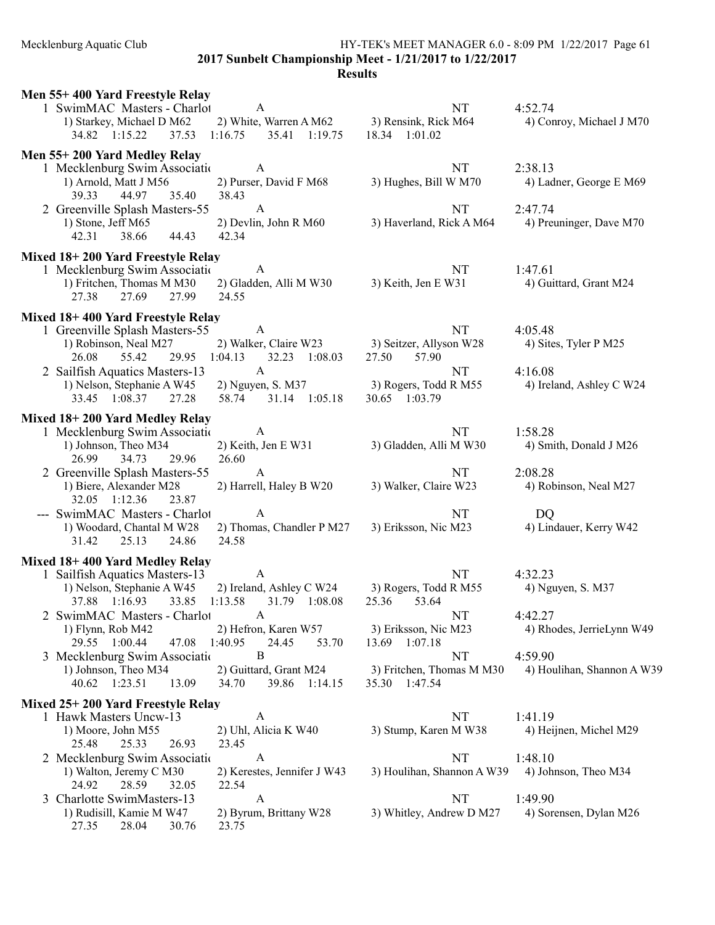Mecklenburg Aquatic Club HY-TEK's MEET MANAGER 6.0 - 8:09 PM 1/22/2017 Page 61 2017 Sunbelt Championship Meet - 1/21/2017 to 1/22/2017

| Men 55+400 Yard Freestyle Relay                                                                                             |                                                                          |                                                      |                                       |  |
|-----------------------------------------------------------------------------------------------------------------------------|--------------------------------------------------------------------------|------------------------------------------------------|---------------------------------------|--|
| 1 SwimMAC Masters - Charlot<br>1) Starkey, Michael D M62<br>34.82 1:15.22<br>37.53                                          | A<br>2) White, Warren A M62<br>1:16.75<br>35.41 1:19.75                  | NT<br>3) Rensink, Rick M64<br>18.34 1:01.02          | 4:52.74<br>4) Conroy, Michael J M70   |  |
| Men 55+200 Yard Medley Relay                                                                                                |                                                                          |                                                      |                                       |  |
| 1 Mecklenburg Swim Associatio<br>1) Arnold, Matt J M56<br>39.33<br>44.97<br>35.40                                           | $\mathbf{A}$<br>2) Purser, David F M68<br>38.43                          | NT<br>3) Hughes, Bill W M70                          | 2:38.13<br>4) Ladner, George E M69    |  |
| 2 Greenville Splash Masters-55<br>1) Stone, Jeff M65<br>42.31<br>38.66<br>44.43                                             | $\mathbf{A}$<br>2) Devlin, John R M60<br>42.34                           | <b>NT</b><br>3) Haverland, Rick A M64                | 2:47.74<br>4) Preuninger, Dave M70    |  |
|                                                                                                                             |                                                                          |                                                      |                                       |  |
| Mixed 18+200 Yard Freestyle Relay<br>1 Mecklenburg Swim Association<br>1) Fritchen, Thomas M M30<br>27.69<br>27.38<br>27.99 | A<br>2) Gladden, Alli M W30<br>24.55                                     | NT<br>3) Keith, Jen E W31                            | 1:47.61<br>4) Guittard, Grant M24     |  |
|                                                                                                                             |                                                                          |                                                      |                                       |  |
| Mixed 18+400 Yard Freestyle Relay<br>1 Greenville Splash Masters-55                                                         | $\mathbf{A}$                                                             | <b>NT</b>                                            | 4:05.48                               |  |
| 1) Robinson, Neal M27<br>26.08<br>55.42<br>29.95                                                                            | 2) Walker, Claire W23<br>1:04.13<br>32.23 1:08.03                        | 3) Seitzer, Allyson W28<br>57.90<br>27.50            | 4) Sites, Tyler P M25                 |  |
| 2 Sailfish Aquatics Masters-13<br>1) Nelson, Stephanie A W45<br>33.45 1:08.37<br>27.28                                      | $\mathbf{A}$<br>2) Nguyen, S. M37<br>58.74<br>31.14 1:05.18              | NT<br>3) Rogers, Todd R M55<br>30.65 1:03.79         | 4:16.08<br>4) Ireland, Ashley C W24   |  |
| Mixed 18+200 Yard Medley Relay                                                                                              |                                                                          |                                                      |                                       |  |
| 1 Mecklenburg Swim Association<br>1) Johnson, Theo M34                                                                      | A<br>2) Keith, Jen E W31                                                 | NT<br>3) Gladden, Alli M W30                         | 1:58.28<br>4) Smith, Donald J M26     |  |
| 26.99<br>34.73<br>29.96                                                                                                     | 26.60<br>A                                                               |                                                      |                                       |  |
| 2 Greenville Splash Masters-55<br>1) Biere, Alexander M28<br>32.05 1:12.36<br>23.87                                         | 2) Harrell, Haley B W20                                                  | NT<br>3) Walker, Claire W23                          | 2:08.28<br>4) Robinson, Neal M27      |  |
| --- SwimMAC Masters - Charlot<br>1) Woodard, Chantal M W28<br>31.42<br>25.13<br>24.86                                       | A<br>2) Thomas, Chandler P M27<br>24.58                                  | NT<br>3) Eriksson, Nic M23                           | DQ<br>4) Lindauer, Kerry W42          |  |
| Mixed 18+400 Yard Medley Relay                                                                                              |                                                                          |                                                      |                                       |  |
| 1 Sailfish Aquatics Masters-13<br>1) Nelson, Stephanie A W45<br>37.88 1:16.93<br>33.85                                      | $\boldsymbol{A}$<br>2) Ireland, Ashley C W24<br>1:13.58<br>31.79 1:08.08 | <b>NT</b><br>3) Rogers, Todd R M55<br>25.36<br>53.64 | 4:32.23<br>4) Nguyen, S. M37          |  |
| 2 SwimMAC Masters - Charlot                                                                                                 | A                                                                        | NT                                                   | 4:42.27                               |  |
| 1) Flynn, Rob M42<br>29.55 1:00.44<br>47.08                                                                                 | 2) Hefron, Karen W57<br>1:40.95<br>24.45<br>53.70                        | 3) Eriksson, Nic M23<br>13.69 1:07.18                | 4) Rhodes, JerrieLynn W49             |  |
| 3 Mecklenburg Swim Associatio<br>1) Johnson, Theo M34<br>40.62 1:23.51<br>13.09                                             | $\bf{B}$<br>2) Guittard, Grant M24<br>34.70<br>39.86 1:14.15             | NT<br>3) Fritchen, Thomas M M30<br>35.30<br>1:47.54  | 4:59.90<br>4) Houlihan, Shannon A W39 |  |
| Mixed 25+200 Yard Freestyle Relay                                                                                           |                                                                          |                                                      |                                       |  |
| 1 Hawk Masters Uncw-13<br>1) Moore, John M55                                                                                | A<br>2) Uhl, Alicia K W40                                                | NT<br>3) Stump, Karen M W38                          | 1:41.19<br>4) Heijnen, Michel M29     |  |
| 25.48<br>25.33<br>26.93                                                                                                     | 23.45                                                                    |                                                      |                                       |  |
| 2 Mecklenburg Swim Associatio<br>1) Walton, Jeremy C M30<br>24.92<br>28.59<br>32.05                                         | A<br>2) Kerestes, Jennifer J W43<br>22.54                                | NT<br>3) Houlihan, Shannon A W39                     | 1:48.10<br>4) Johnson, Theo M34       |  |
| 3 Charlotte SwimMasters-13<br>1) Rudisill, Kamie M W47                                                                      | $\mathbf{A}$<br>2) Byrum, Brittany W28                                   | NT<br>3) Whitley, Andrew D M27                       | 1:49.90<br>4) Sorensen, Dylan M26     |  |
| 27.35<br>28.04<br>30.76                                                                                                     | 23.75                                                                    |                                                      |                                       |  |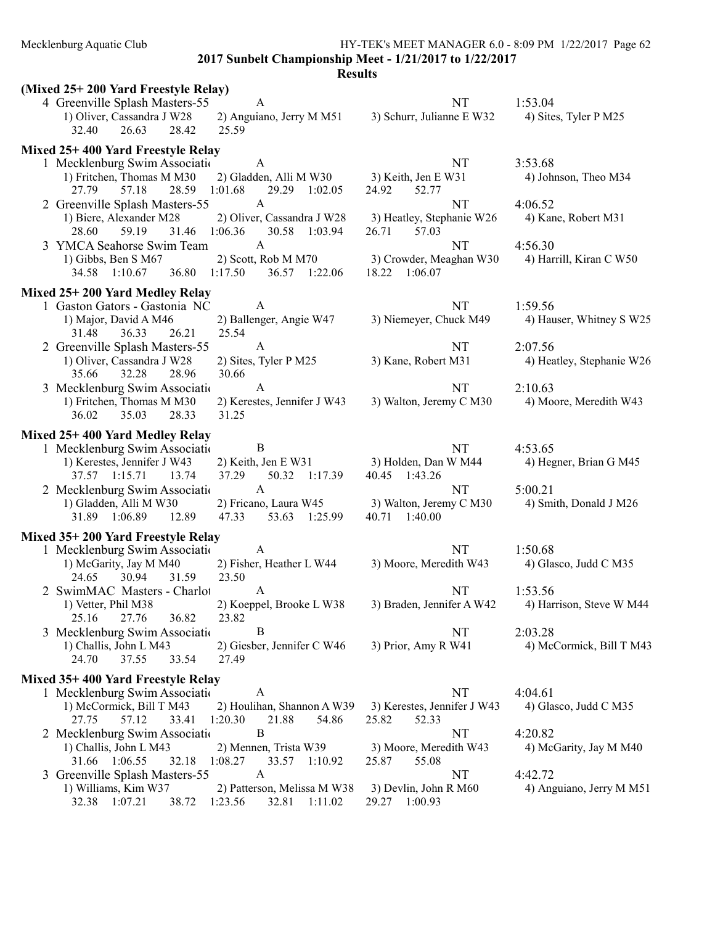Mecklenburg Aquatic Club HY-TEK's MEET MANAGER 6.0 - 8:09 PM 1/22/2017 Page 62

2017 Sunbelt Championship Meet - 1/21/2017 to 1/22/2017

| (Mixed 25+200 Yard Freestyle Relay)                                                            |                                                                         |                                               |                                     |
|------------------------------------------------------------------------------------------------|-------------------------------------------------------------------------|-----------------------------------------------|-------------------------------------|
| 4 Greenville Splash Masters-55<br>1) Oliver, Cassandra J W28<br>32.40<br>28.42<br>26.63        | $\mathbf{A}$<br>2) Anguiano, Jerry M M51<br>25.59                       | <b>NT</b><br>3) Schurr, Julianne E W32        | 1:53.04<br>4) Sites, Tyler P M25    |
| Mixed 25+400 Yard Freestyle Relay                                                              |                                                                         |                                               |                                     |
| 1 Mecklenburg Swim Association<br>1) Fritchen, Thomas M M30<br>28.59 1:01.68<br>57.18<br>27.79 | A<br>2) Gladden, Alli M W30 3) Keith, Jen E W31<br>29.29 1:02.05        | NT<br>24.92<br>52.77                          | 3:53.68<br>4) Johnson, Theo M34     |
| 2 Greenville Splash Masters-55                                                                 | $\mathbf{A}$                                                            | <b>NT</b>                                     | 4:06.52                             |
| 1) Biere, Alexander M28<br>31.46 1:06.36<br>28.60<br>59.19                                     | 2) Oliver, Cassandra J W28<br>30.58 1:03.94                             | 3) Heatley, Stephanie W26<br>26.71<br>57.03   | 4) Kane, Robert M31                 |
| 3 YMCA Seahorse Swim Team                                                                      | $\mathbf{A}$                                                            | <b>NT</b>                                     | 4:56.30                             |
| 1) Gibbs, Ben S M67<br>34.58 1:10.67 36.80 1:17.50                                             | 2) Scott, Rob M M70<br>36.57 1:22.06                                    | 3) Crowder, Meaghan W30<br>18.22 1:06.07      | 4) Harrill, Kiran C W50             |
| Mixed 25+200 Yard Medley Relay                                                                 |                                                                         |                                               |                                     |
| 1 Gaston Gators - Gastonia NC<br>1) Major, David A M46<br>31.48<br>36.33<br>26.21              | A<br>2) Ballenger, Angie W47<br>25.54                                   | NT<br>3) Niemeyer, Chuck M49                  | 1:59.56<br>4) Hauser, Whitney S W25 |
| 2 Greenville Splash Masters-55                                                                 | $\mathbf{A}$                                                            | NT                                            | 2:07.56                             |
| 1) Oliver, Cassandra J W28<br>32.28<br>28.96<br>35.66                                          | 2) Sites, Tyler P M25<br>30.66                                          | 3) Kane, Robert M31                           | 4) Heatley, Stephanie W26           |
| 3 Mecklenburg Swim Associatio                                                                  | A                                                                       | NT                                            | 2:10.63                             |
| 1) Fritchen, Thomas M M30<br>35.03<br>28.33<br>36.02                                           | 2) Kerestes, Jennifer J W43<br>31.25                                    | 3) Walton, Jeremy C M30                       | 4) Moore, Meredith W43              |
| Mixed 25+400 Yard Medley Relay                                                                 |                                                                         |                                               |                                     |
| 1 Mecklenburg Swim Associatio                                                                  | $\mathbf B$                                                             | NT                                            | 4:53.65                             |
| 1) Kerestes, Jennifer J W43<br>37.57 1:15.71<br>13.74                                          | 2) Keith, Jen E W31 3) Holden, Dan W M44<br>37.29<br>50.32 1:17.39      | 40.45 1:43.26                                 | 4) Hegner, Brian G M45              |
| 2 Mecklenburg Swim Association                                                                 | $\mathbf{A}$                                                            | <b>NT</b>                                     | 5:00.21                             |
| 1) Gladden, Alli M W30<br>31.89 1:06.89<br>12.89                                               | 2) Fricano, Laura W45 3) Walton, Jeremy C M30<br>47.33<br>53.63 1:25.99 | 40.71 1:40.00                                 | 4) Smith, Donald J M26              |
| Mixed 35+200 Yard Freestyle Relay                                                              |                                                                         |                                               |                                     |
| 1 Mecklenburg Swim Association<br>1) McGarity, Jay M M40<br>31.59<br>24.65<br>30.94            | A<br>2) Fisher, Heather L W44<br>23.50                                  | NT<br>3) Moore, Meredith W43                  | 1:50.68<br>4) Glasco, Judd C M35    |
| 2 SwimMAC Masters - Charlot                                                                    | A                                                                       | NT                                            | 1:53.56                             |
| 1) Vetter, Phil M38<br>25.16<br>27.76<br>36.82                                                 | 2) Koeppel, Brooke L W38<br>23.82                                       | 3) Braden, Jennifer A W42                     | 4) Harrison, Steve W M44            |
| 3 Mecklenburg Swim Associatio                                                                  | B                                                                       | NT                                            | 2:03.28                             |
| 1) Challis, John L M43<br>24.70<br>37.55<br>33.54                                              | 2) Giesber, Jennifer C W46<br>27.49                                     | 3) Prior, Amy R W41                           | 4) McCormick, Bill T M43            |
| Mixed 35+400 Yard Freestyle Relay                                                              |                                                                         |                                               |                                     |
| 1 Mecklenburg Swim Associatio                                                                  | A                                                                       | NT                                            | 4:04.61                             |
| 1) McCormick, Bill T M43<br>27.75<br>57.12<br>33.41                                            | 2) Houlihan, Shannon A W39<br>1:20.30<br>21.88<br>54.86                 | 3) Kerestes, Jennifer J W43<br>25.82<br>52.33 | 4) Glasco, Judd C M35               |
| 2 Mecklenburg Swim Association                                                                 | B                                                                       | NT                                            | 4:20.82                             |
| 1) Challis, John L M43<br>32.18<br>31.66 1:06.55                                               | 2) Mennen, Trista W39<br>1:08.27<br>33.57 1:10.92                       | 3) Moore, Meredith W43<br>55.08<br>25.87      | 4) McGarity, Jay M M40              |
| 3 Greenville Splash Masters-55                                                                 | A                                                                       | NT                                            | 4:42.72                             |
| 1) Williams, Kim W37<br>32.38 1:07.21<br>38.72 1:23.56                                         | 2) Patterson, Melissa M W38<br>32.81 1:11.02                            | 3) Devlin, John R M60<br>29.27 1:00.93        | 4) Anguiano, Jerry M M51            |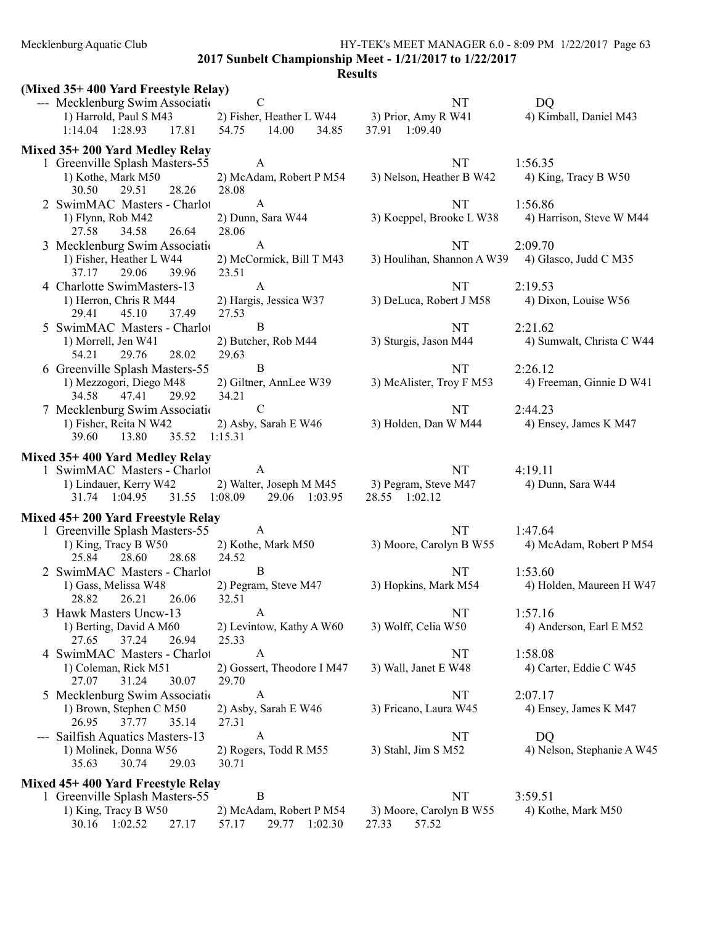# Mecklenburg Aquatic Club HY-TEK's MEET MANAGER 6.0 - 8:09 PM 1/22/2017 Page 63 2017 Sunbelt Championship Meet - 1/21/2017 to 1/22/2017

| (Mixed 35+400 Yard Freestyle Relay)                           |                                                      |                                           |                            |
|---------------------------------------------------------------|------------------------------------------------------|-------------------------------------------|----------------------------|
| --- Mecklenburg Swim Associatio                               | $\mathbf C$                                          | NT                                        | DQ                         |
| 1) Harrold, Paul S M43                                        | 2) Fisher, Heather L W44                             | 3) Prior, Amy R W41                       | 4) Kimball, Daniel M43     |
| 1:14.04  1:28.93<br>17.81                                     | 54.75<br>14.00<br>34.85                              | 37.91 1:09.40                             |                            |
| Mixed 35+200 Yard Medley Relay                                |                                                      |                                           |                            |
| 1 Greenville Splash Masters-55                                | A                                                    | NT                                        | 1:56.35                    |
| 1) Kothe, Mark M50                                            | 2) McAdam, Robert P M54                              | 3) Nelson, Heather B W42                  | 4) King, Tracy B W50       |
| 30.50<br>29.51<br>28.26                                       | 28.08                                                |                                           |                            |
| 2 SwimMAC Masters - Charlot                                   | $\mathbf{A}$                                         | NT                                        | 1:56.86                    |
| 1) Flynn, Rob M42                                             | 2) Dunn, Sara W44                                    | 3) Koeppel, Brooke L W38                  | 4) Harrison, Steve W M44   |
| 26.64<br>27.58<br>34.58                                       | 28.06                                                |                                           |                            |
| 3 Mecklenburg Swim Associatio                                 | $\mathbf{A}$                                         | NT                                        | 2:09.70                    |
| 1) Fisher, Heather L W44                                      | 2) McCormick, Bill T M43                             | 3) Houlihan, Shannon A W39                | 4) Glasco, Judd C M35      |
| 37.17<br>29.06<br>39.96                                       | 23.51                                                |                                           |                            |
| 4 Charlotte SwimMasters-13                                    | $\mathbf{A}$                                         | <b>NT</b>                                 | 2:19.53                    |
| 1) Herron, Chris R M44                                        | 2) Hargis, Jessica W37                               | 3) DeLuca, Robert J M58                   | 4) Dixon, Louise W56       |
| 29.41<br>45.10<br>37.49                                       | 27.53                                                |                                           |                            |
| 5 SwimMAC Masters - Charlot                                   | $\, {\bf B}$                                         | NT                                        | 2:21.62                    |
| 1) Morrell, Jen W41                                           | 2) Butcher, Rob M44                                  | 3) Sturgis, Jason M44                     | 4) Sumwalt, Christa C W44  |
| 28.02<br>54.21<br>29.76                                       | 29.63                                                |                                           |                            |
| 6 Greenville Splash Masters-55                                | $\bf{B}$                                             | <b>NT</b>                                 | 2:26.12                    |
| 1) Mezzogori, Diego M48                                       | 2) Giltner, AnnLee W39                               | 3) McAlister, Troy F M53                  | 4) Freeman, Ginnie D W41   |
| 34.58<br>47.41<br>29.92                                       | 34.21                                                |                                           |                            |
| 7 Mecklenburg Swim Associatio                                 | $\mathbf C$                                          | NT                                        | 2:44.23                    |
| 1) Fisher, Reita N W42                                        | 2) Asby, Sarah E W46                                 | 3) Holden, Dan W M44                      | 4) Ensey, James K M47      |
| 39.60<br>13.80<br>35.52                                       | 1:15.31                                              |                                           |                            |
|                                                               |                                                      |                                           |                            |
| Mixed 35+400 Yard Medley Relay<br>1 SwimMAC Masters - Charlot | A                                                    | NT                                        | 4:19.11                    |
| 1) Lindauer, Kerry W42                                        | 2) Walter, Joseph M M45                              | 3) Pegram, Steve M47                      | 4) Dunn, Sara W44          |
| 31.74 1:04.95<br>31.55                                        | 1:08.09<br>29.06 1:03.95                             | 28.55 1:02.12                             |                            |
|                                                               |                                                      |                                           |                            |
| Mixed 45+200 Yard Freestyle Relay                             |                                                      |                                           |                            |
| 1 Greenville Splash Masters-55                                | $\mathbf{A}$                                         | <b>NT</b>                                 | 1:47.64                    |
| 1) King, Tracy B W50                                          | 2) Kothe, Mark M50                                   | 3) Moore, Carolyn B W55                   | 4) McAdam, Robert P M54    |
| 25.84<br>28.60<br>28.68                                       | 24.52                                                |                                           |                            |
| 2 SwimMAC Masters - Charlot                                   | $\bf{B}$                                             | NT                                        | 1:53.60                    |
| 1) Gass, Melissa W48                                          | 2) Pegram, Steve M47                                 | 3) Hopkins, Mark M54                      | 4) Holden, Maureen H W47   |
| 28.82<br>26.21<br>26.06                                       | 32.51                                                |                                           |                            |
| Hawk Masters Uncw-13<br>3                                     | A                                                    | NT                                        | 1:57.16                    |
| 1) Berting, David A M60                                       | 2) Levintow, Kathy A W60                             | 3) Wolff, Celia W50                       | 4) Anderson, Earl E M52    |
| 37.24<br>26.94<br>27.65                                       | 25.33                                                |                                           |                            |
| 4 SwimMAC Masters - Charlot                                   |                                                      | NT                                        | 1:58.08                    |
|                                                               | A                                                    |                                           |                            |
| 1) Coleman, Rick M51                                          | 2) Gossert, Theodore I M47                           | 3) Wall, Janet E W48                      | 4) Carter, Eddie C W45     |
| 30.07<br>27.07<br>31.24                                       | 29.70                                                |                                           |                            |
| 5 Mecklenburg Swim Association                                | A                                                    | NT                                        | 2:07.17                    |
| 1) Brown, Stephen C M50                                       | 2) Asby, Sarah E W46                                 | 3) Fricano, Laura W45                     | 4) Ensey, James K M47      |
| 26.95<br>37.77<br>35.14                                       | 27.31                                                |                                           |                            |
| Sailfish Aquatics Masters-13                                  | A                                                    | NT                                        | DQ                         |
| 1) Molinek, Donna W56                                         | 2) Rogers, Todd R M55                                | 3) Stahl, Jim S M52                       | 4) Nelson, Stephanie A W45 |
| 35.63<br>30.74<br>29.03                                       | 30.71                                                |                                           |                            |
| Mixed 45+400 Yard Freestyle Relay                             |                                                      |                                           |                            |
| 1 Greenville Splash Masters-55                                | $\boldsymbol{B}$                                     | NT                                        | 3:59.51                    |
| 1) King, Tracy B W50<br>30.16 1:02.52<br>27.17                | 2) McAdam, Robert P M54<br>57.17<br>1:02.30<br>29.77 | 3) Moore, Carolyn B W55<br>27.33<br>57.52 | 4) Kothe, Mark M50         |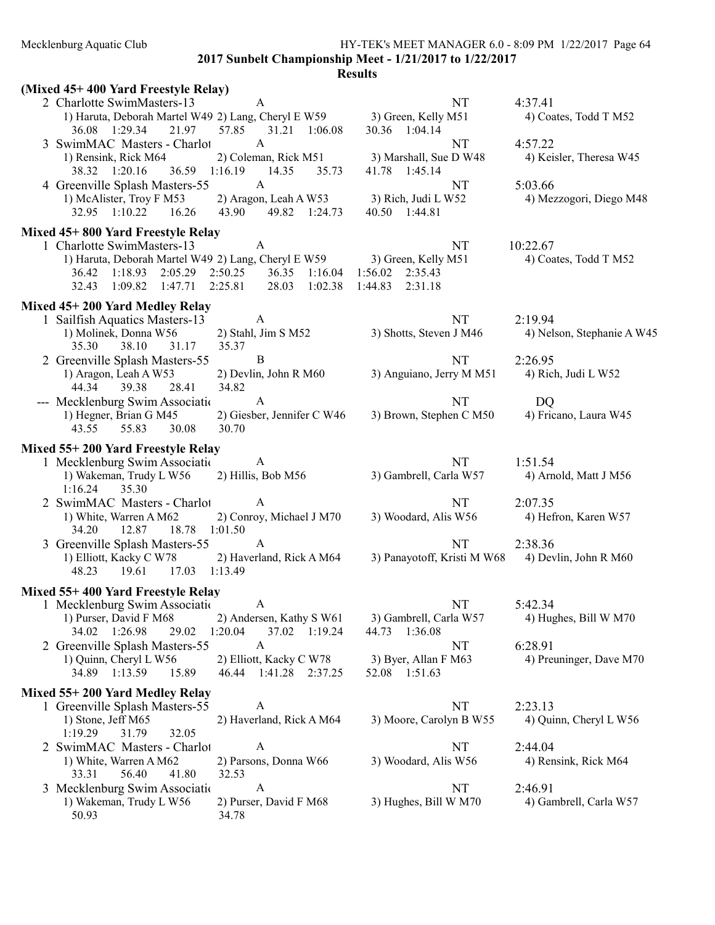## Mecklenburg Aquatic Club HY-TEK's MEET MANAGER 6.0 - 8:09 PM 1/22/2017 Page 64

2017 Sunbelt Championship Meet - 1/21/2017 to 1/22/2017

| (Mixed 45+400 Yard Freestyle Relay)                                     |                                                      |                                         |                                  |
|-------------------------------------------------------------------------|------------------------------------------------------|-----------------------------------------|----------------------------------|
| 2 Charlotte SwimMasters-13                                              | A                                                    | NT                                      | 4:37.41                          |
| 1) Haruta, Deborah Martel W49 2) Lang, Cheryl E W59 3) Green, Kelly M51 |                                                      |                                         | 4) Coates, Todd T M52            |
| 36.08 1:29.34<br>21.97                                                  | 57.85<br>31.21 1:06.08                               | 30.36 1:04.14                           |                                  |
| 3 SwimMAC Masters - Charlot                                             | $\mathbf{A}$                                         | NT                                      | 4:57.22                          |
| 1) Rensink, Rick M64<br>38.32 1:20.16                                   | 2) Coleman, Rick M51<br>36.59 1:16.19 14.35<br>35.73 | 3) Marshall, Sue D W48<br>41.78 1:45.14 | 4) Keisler, Theresa W45          |
| 4 Greenville Splash Masters-55                                          | A                                                    | NT                                      | 5:03.66                          |
| 1) McAlister, Troy F M53                                                | 2) Aragon, Leah A W53                                | 3) Rich, Judi L W52                     | 4) Mezzogori, Diego M48          |
| 32.95 1:10.22<br>16.26                                                  | 49.82 1:24.73<br>43.90                               | 40.50 1:44.81                           |                                  |
| Mixed 45+800 Yard Freestyle Relay                                       |                                                      |                                         |                                  |
| 1 Charlotte SwimMasters-13                                              | A                                                    | NT                                      | 10:22.67                         |
| 1) Haruta, Deborah Martel W49 2) Lang, Cheryl E W59                     |                                                      | 3) Green, Kelly M51                     | 4) Coates, Todd T M52            |
| 36.42 1:18.93 2:05.29                                                   | 2:50.25<br>36.35 1:16.04                             | $1:56.02$ $2:35.43$                     |                                  |
| 32.43<br>1:09.82<br>1:47.71                                             | 2:25.81<br>28.03<br>1:02.38                          | 2:31.18<br>1:44.83                      |                                  |
| Mixed 45+200 Yard Medley Relay                                          |                                                      |                                         |                                  |
| 1 Sailfish Aquatics Masters-13                                          | A                                                    | NT                                      | 2:19.94                          |
| 1) Molinek, Donna W56                                                   | 2) Stahl, Jim S M52                                  | 3) Shotts, Steven J M46                 | 4) Nelson, Stephanie A W45       |
| 38.10<br>35.30<br>31.17                                                 | 35.37                                                |                                         |                                  |
| 2 Greenville Splash Masters-55                                          | $\bf{B}$                                             | NT                                      | 2:26.95                          |
| 1) Aragon, Leah A W53<br>44.34                                          | 2) Devlin, John R M60<br>34.82                       | 3) Anguiano, Jerry M M51                | 4) Rich, Judi L W52              |
| 39.38<br>28.41<br>--- Mecklenburg Swim Associatio                       | A                                                    | NT                                      | DQ                               |
| 1) Hegner, Brian G M45                                                  | 2) Giesber, Jennifer C W46                           | 3) Brown, Stephen C M50                 | 4) Fricano, Laura W45            |
| 55.83<br>30.08<br>43.55                                                 | 30.70                                                |                                         |                                  |
|                                                                         |                                                      |                                         |                                  |
| Mixed 55+200 Yard Freestyle Relay                                       | A                                                    |                                         |                                  |
| 1 Mecklenburg Swim Association<br>1) Wakeman, Trudy L W56               | 2) Hillis, Bob M56                                   | NT<br>3) Gambrell, Carla W57            | 1:51.54<br>4) Arnold, Matt J M56 |
| 1:16.24<br>35.30                                                        |                                                      |                                         |                                  |
| 2 SwimMAC Masters - Charlot                                             | A                                                    | <b>NT</b>                               | 2:07.35                          |
| 1) White, Warren A M62                                                  | 2) Conroy, Michael J M70                             | 3) Woodard, Alis W56                    | 4) Hefron, Karen W57             |
| 34.20<br>12.87<br>18.78 1:01.50                                         |                                                      |                                         |                                  |
| 3 Greenville Splash Masters-55                                          | $\mathbf{A}$                                         | NT                                      | 2:38.36                          |
| 1) Elliott, Kacky C W78                                                 | 2) Haverland, Rick A M64                             | 3) Panayotoff, Kristi M W68             | 4) Devlin, John R M60            |
| 48.23<br>19.61<br>17.03 1:13.49                                         |                                                      |                                         |                                  |
| Mixed 55+400 Yard Freestyle Relay                                       |                                                      |                                         |                                  |
| 1 Mecklenburg Swim Association                                          | A                                                    | NT                                      | 5:42.34                          |
| 1) Purser, David F M68                                                  | 2) Andersen, Kathy S W61                             | 3) Gambrell, Carla W57                  | 4) Hughes, Bill W M70            |
| 34.02 1:26.98<br>29.02                                                  | 1:20.04<br>37.02 1:19.24                             | 44.73 1:36.08                           |                                  |
| 2 Greenville Splash Masters-55                                          | A                                                    | NT                                      | 6:28.91                          |
| 1) Quinn, Cheryl L W56                                                  | 2) Elliott, Kacky C W78                              | 3) Byer, Allan F M63                    | 4) Preuninger, Dave M70          |
| 34.89 1:13.59<br>15.89                                                  | 46.44 1:41.28 2:37.25                                | 52.08 1:51.63                           |                                  |
| Mixed 55+200 Yard Medley Relay                                          |                                                      |                                         |                                  |
| 1 Greenville Splash Masters-55                                          | A                                                    | NT                                      | 2:23.13                          |
| 1) Stone, Jeff M65                                                      | 2) Haverland, Rick A M64                             | 3) Moore, Carolyn B W55                 | 4) Quinn, Cheryl L W56           |
| 31.79<br>1:19.29<br>32.05                                               |                                                      |                                         |                                  |
| 2 SwimMAC Masters - Charlot                                             | A                                                    | NT                                      | 2:44.04                          |
| 1) White, Warren A M62<br>33.31<br>56.40<br>41.80                       | 2) Parsons, Donna W66<br>32.53                       | 3) Woodard, Alis W56                    | 4) Rensink, Rick M64             |
| 3 Mecklenburg Swim Association                                          | A                                                    | NT                                      | 2:46.91                          |
| 1) Wakeman, Trudy L W56                                                 | 2) Purser, David F M68                               | 3) Hughes, Bill W M70                   | 4) Gambrell, Carla W57           |
| 50.93                                                                   | 34.78                                                |                                         |                                  |